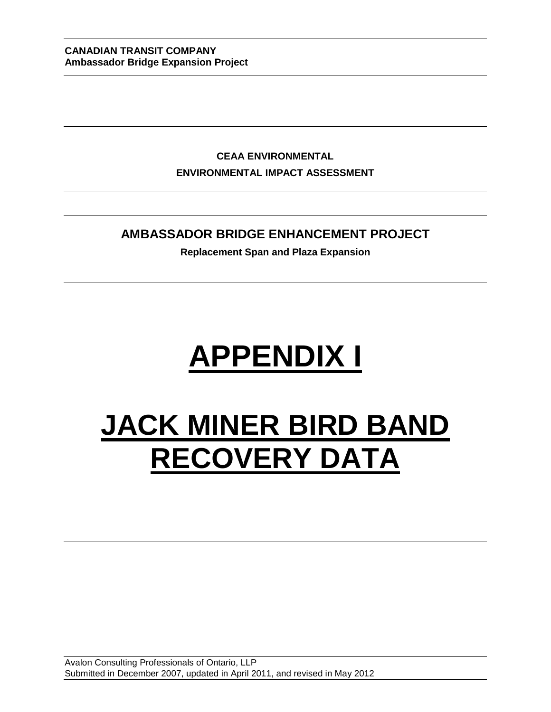**CEAA ENVIRONMENTAL ENVIRONMENTAL IMPACT ASSESSMENT**

#### **AMBASSADOR BRIDGE ENHANCEMENT PROJECT**

**Replacement Span and Plaza Expansion**

# **APPENDIX I**

## **JACK MINER BIRD BAND RECOVERY DATA**

Avalon Consulting Professionals of Ontario, LLP Submitted in December 2007, updated in April 2011, and revised in May 2012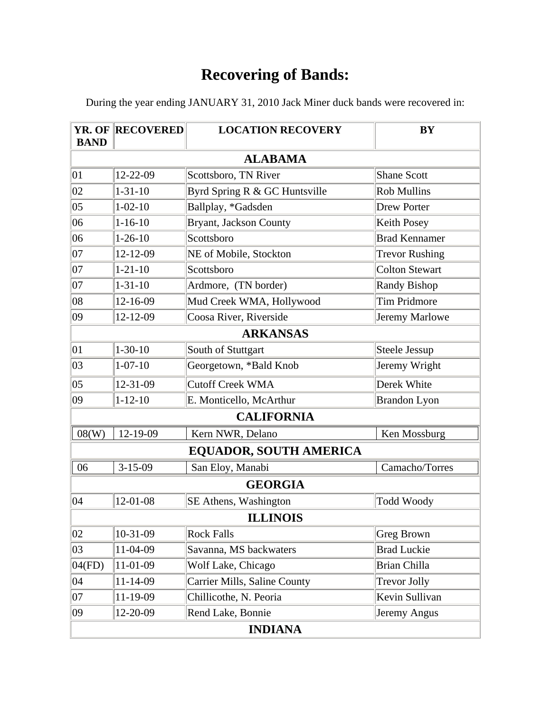During the year ending JANUARY 31, 2010 Jack Miner duck bands were recovered in:

| <b>BAND</b>  | <b>YR. OF RECOVERED</b> | <b>LOCATION RECOVERY</b>      | <b>BY</b>             |
|--------------|-------------------------|-------------------------------|-----------------------|
|              |                         | <b>ALABAMA</b>                |                       |
| $ 01\rangle$ | 12-22-09                | Scottsboro, TN River          | <b>Shane Scott</b>    |
| 02           | $1 - 31 - 10$           | Byrd Spring R & GC Huntsville | <b>Rob Mullins</b>    |
| $ 05\rangle$ | $1 - 02 - 10$           | Ballplay, *Gadsden            | <b>Drew Porter</b>    |
| 06           | $1 - 16 - 10$           | Bryant, Jackson County        | <b>Keith Posey</b>    |
| 06           | $1 - 26 - 10$           | Scottsboro                    | <b>Brad Kennamer</b>  |
| 07           | $12 - 12 - 09$          | NE of Mobile, Stockton        | <b>Trevor Rushing</b> |
| $ 07\rangle$ | $1 - 21 - 10$           | Scottsboro                    | <b>Colton Stewart</b> |
| $ 07\rangle$ | $1 - 31 - 10$           | Ardmore, (TN border)          | <b>Randy Bishop</b>   |
| $ 08\rangle$ | 12-16-09                | Mud Creek WMA, Hollywood      | <b>Tim Pridmore</b>   |
| 09           | 12-12-09                | Coosa River, Riverside        | Jeremy Marlowe        |
|              |                         | <b>ARKANSAS</b>               |                       |
| $ 01\rangle$ | $1 - 30 - 10$           | South of Stuttgart            | Steele Jessup         |
| 03           | $1 - 07 - 10$           | Georgetown, *Bald Knob        | Jeremy Wright         |
| $ 05\rangle$ | 12-31-09                | <b>Cutoff Creek WMA</b>       | Derek White           |
| 09           | $1 - 12 - 10$           | E. Monticello, McArthur       | <b>Brandon Lyon</b>   |
|              |                         | <b>CALIFORNIA</b>             |                       |
| 08(W)        | 12-19-09                | Kern NWR, Delano              | Ken Mossburg          |
|              |                         | EQUADOR, SOUTH AMERICA        |                       |
| 06           | $3-15-09$               | San Eloy, Manabi              | Camacho/Torres        |
|              |                         | <b>GEORGIA</b>                |                       |
| 04           | 12-01-08                | SE Athens, Washington         | <b>Todd Woody</b>     |
|              |                         | <b>ILLINOIS</b>               |                       |
| 02           | 10-31-09                | <b>Rock Falls</b>             | Greg Brown            |
| 03           | 11-04-09                | Savanna, MS backwaters        | <b>Brad Luckie</b>    |
| 04(FD)       | 11-01-09                | Wolf Lake, Chicago            | <b>Brian Chilla</b>   |
| $ 04\rangle$ | 11-14-09                | Carrier Mills, Saline County  | <b>Trevor Jolly</b>   |
| $ 07\rangle$ | 11-19-09                | Chillicothe, N. Peoria        | Kevin Sullivan        |
| 09           | 12-20-09                | Rend Lake, Bonnie             | Jeremy Angus          |
|              |                         | <b>INDIANA</b>                |                       |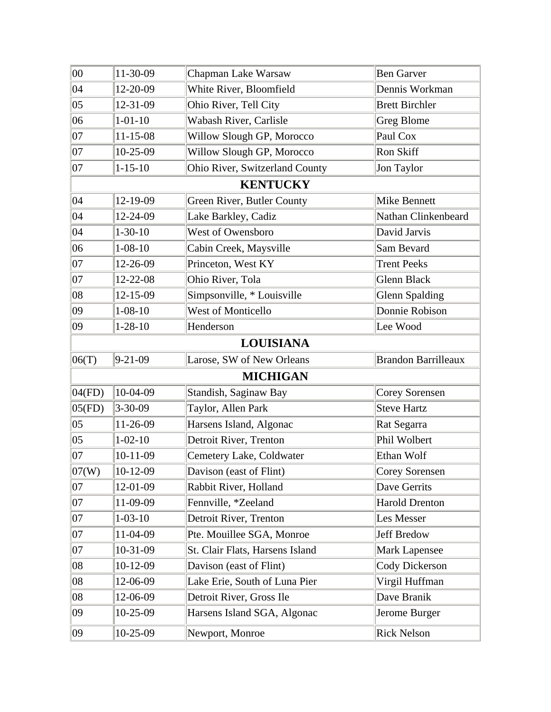| 00           | 11-30-09       | Chapman Lake Warsaw             | <b>Ben Garver</b>          |
|--------------|----------------|---------------------------------|----------------------------|
| 04           | 12-20-09       | White River, Bloomfield         | Dennis Workman             |
| $ 05\rangle$ | 12-31-09       | Ohio River, Tell City           | <b>Brett Birchler</b>      |
| 06           | $1 - 01 - 10$  | Wabash River, Carlisle          | <b>Greg Blome</b>          |
| 07           | $11 - 15 - 08$ | Willow Slough GP, Morocco       | Paul Cox                   |
| $ 07\rangle$ | $10-25-09$     | Willow Slough GP, Morocco       | Ron Skiff                  |
| 07           | $1 - 15 - 10$  | Ohio River, Switzerland County  | Jon Taylor                 |
|              |                | <b>KENTUCKY</b>                 |                            |
| $ 04\rangle$ | 12-19-09       | Green River, Butler County      | <b>Mike Bennett</b>        |
| 04           | 12-24-09       | Lake Barkley, Cadiz             | Nathan Clinkenbeard        |
| 04           | $1 - 30 - 10$  | <b>West of Owensboro</b>        | David Jarvis               |
| 06           | $1 - 08 - 10$  | Cabin Creek, Maysville          | Sam Bevard                 |
| 07           | 12-26-09       | Princeton, West KY              | <b>Trent Peeks</b>         |
| 07           | 12-22-08       | Ohio River, Tola                | <b>Glenn Black</b>         |
| 08           | 12-15-09       | Simpsonville, * Louisville      | <b>Glenn Spalding</b>      |
| 09           | $1 - 08 - 10$  | West of Monticello              | Donnie Robison             |
| 09           | $1 - 28 - 10$  | Henderson                       | Lee Wood                   |
|              |                | <b>LOUISIANA</b>                |                            |
| 06(T)        | $9 - 21 - 09$  | Larose, SW of New Orleans       | <b>Brandon Barrilleaux</b> |
|              |                | <b>MICHIGAN</b>                 |                            |
| 04(FD)       | 10-04-09       | Standish, Saginaw Bay           | <b>Corey Sorensen</b>      |
| 05(FD)       | $3 - 30 - 09$  | Taylor, Allen Park              | <b>Steve Hartz</b>         |
| $ 05\rangle$ | 11-26-09       | Harsens Island, Algonac         | Rat Segarra                |
| $ 05\rangle$ | $1 - 02 - 10$  | Detroit River, Trenton          | Phil Wolbert               |
| 07           | $10-11-09$     | Cemetery Lake, Coldwater        | Ethan Wolf                 |
| 07(W)        | $10-12-09$     | Davison (east of Flint)         | Corey Sorensen             |
| 07           | 12-01-09       | Rabbit River, Holland           | Dave Gerrits               |
| $ 07\rangle$ | 11-09-09       | Fennville, *Zeeland             | <b>Harold Drenton</b>      |
| $ 07\rangle$ | $1 - 03 - 10$  | Detroit River, Trenton          | Les Messer                 |
| $ 07\rangle$ | 11-04-09       | Pte. Mouillee SGA, Monroe       | <b>Jeff Bredow</b>         |
| $ 07\rangle$ | 10-31-09       | St. Clair Flats, Harsens Island | <b>Mark Lapensee</b>       |
| 08           | $10-12-09$     | Davison (east of Flint)         | Cody Dickerson             |
| $ 08\rangle$ | 12-06-09       | Lake Erie, South of Luna Pier   | Virgil Huffman             |
| 08           | 12-06-09       | Detroit River, Gross Ile        | Dave Branik                |
| 09           | $10-25-09$     | Harsens Island SGA, Algonac     | Jerome Burger              |
| 09           | 10-25-09       | Newport, Monroe                 | <b>Rick Nelson</b>         |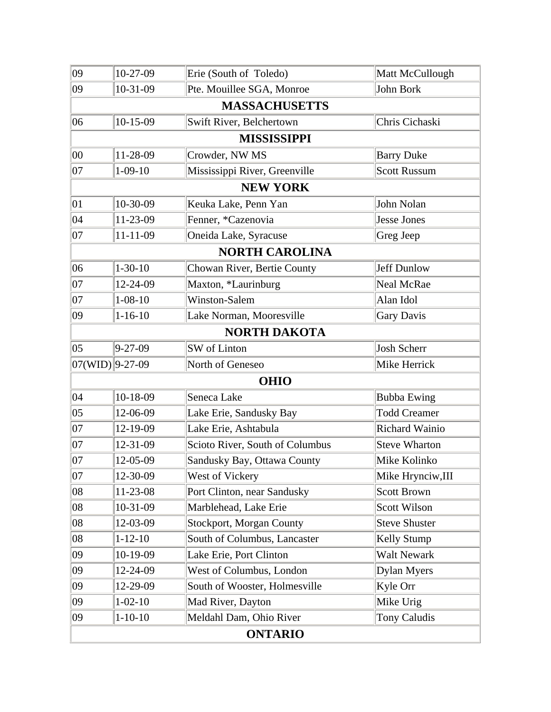| 09                 | 10-27-09       | Erie (South of Toledo)          | Matt McCullough       |
|--------------------|----------------|---------------------------------|-----------------------|
| 09                 | 10-31-09       | Pte. Mouillee SGA, Monroe       | John Bork             |
|                    |                | <b>MASSACHUSETTS</b>            |                       |
| 06                 | $10-15-09$     | Swift River, Belchertown        | Chris Cichaski        |
|                    |                | <b>MISSISSIPPI</b>              |                       |
| 00                 | 11-28-09       | Crowder, NW MS                  | <b>Barry Duke</b>     |
| 07                 | $1-09-10$      | Mississippi River, Greenville   | <b>Scott Russum</b>   |
|                    |                | <b>NEW YORK</b>                 |                       |
| $ 01\rangle$       | 10-30-09       | Keuka Lake, Penn Yan            | John Nolan            |
| 04                 | 11-23-09       | Fenner, *Cazenovia              | <b>Jesse Jones</b>    |
| 07                 | $11 - 11 - 09$ | Oneida Lake, Syracuse           | Greg Jeep             |
|                    |                | <b>NORTH CAROLINA</b>           |                       |
| 06                 | $1 - 30 - 10$  | Chowan River, Bertie County     | <b>Jeff Dunlow</b>    |
| 07                 | 12-24-09       | Maxton, *Laurinburg             | Neal McRae            |
| 07                 | $1 - 08 - 10$  | <b>Winston-Salem</b>            | Alan Idol             |
| 09                 | $1 - 16 - 10$  | Lake Norman, Mooresville        | <b>Gary Davis</b>     |
|                    |                | <b>NORTH DAKOTA</b>             |                       |
| $ 05\rangle$       | $9 - 27 - 09$  | SW of Linton                    | <b>Josh Scherr</b>    |
| $ 07(WID) 9-27-09$ |                | North of Geneseo                | Mike Herrick          |
|                    |                | <b>OHIO</b>                     |                       |
| 04                 | 10-18-09       | Seneca Lake                     | <b>Bubba Ewing</b>    |
| $ 05\rangle$       | 12-06-09       | Lake Erie, Sandusky Bay         | <b>Todd Creamer</b>   |
| 07                 | 12-19-09       | Lake Erie, Ashtabula            | <b>Richard Wainio</b> |
| $ 07\rangle$       | 12-31-09       | Scioto River, South of Columbus | <b>Steve Wharton</b>  |
| 07                 | 12-05-09       | Sandusky Bay, Ottawa County     | Mike Kolinko          |
| $ 07\rangle$       | 12-30-09       | West of Vickery                 | Mike Hrynciw, III     |
| 08                 | 11-23-08       | Port Clinton, near Sandusky     | <b>Scott Brown</b>    |
| 08                 | 10-31-09       | Marblehead, Lake Erie           | Scott Wilson          |
| 08                 | 12-03-09       | <b>Stockport, Morgan County</b> | <b>Steve Shuster</b>  |
| 08                 | $1 - 12 - 10$  | South of Columbus, Lancaster    | Kelly Stump           |
| 09                 | 10-19-09       | Lake Erie, Port Clinton         | Walt Newark           |
| 09                 | 12-24-09       | West of Columbus, London        | Dylan Myers           |
| 09                 | 12-29-09       | South of Wooster, Holmesville   | Kyle Orr              |
| 09                 | $1 - 02 - 10$  | Mad River, Dayton               | Mike Urig             |
| 09                 | $1 - 10 - 10$  | Meldahl Dam, Ohio River         | <b>Tony Caludis</b>   |
|                    |                | <b>ONTARIO</b>                  |                       |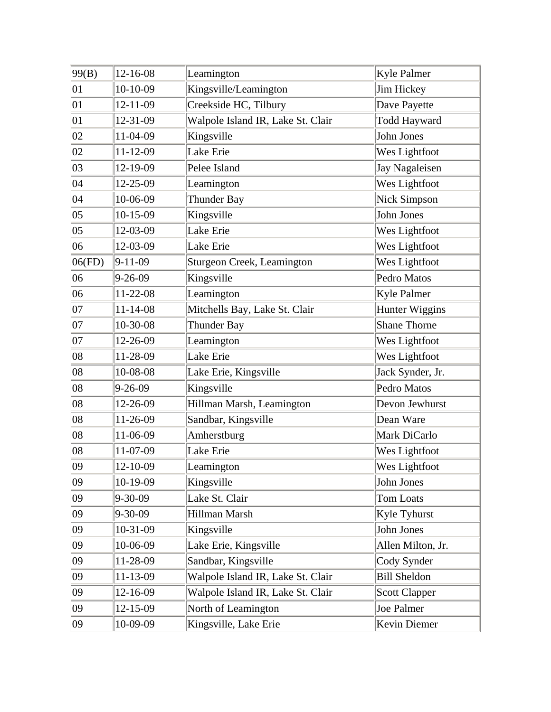| 99(B)        | 12-16-08       | Leamington                        | <b>Kyle Palmer</b>   |
|--------------|----------------|-----------------------------------|----------------------|
| 01           | 10-10-09       | Kingsville/Leamington             | Jim Hickey           |
| $ 01\rangle$ | 12-11-09       | Creekside HC, Tilbury             | Dave Payette         |
| $ 01\rangle$ | 12-31-09       | Walpole Island IR, Lake St. Clair | <b>Todd Hayward</b>  |
| 02           | 11-04-09       | Kingsville                        | John Jones           |
| 02           | $11 - 12 - 09$ | Lake Erie                         | Wes Lightfoot        |
| 03           | 12-19-09       | Pelee Island                      | Jay Nagaleisen       |
| $ 04\rangle$ | 12-25-09       | Leamington                        | Wes Lightfoot        |
| $ 04\rangle$ | 10-06-09       | Thunder Bay                       | <b>Nick Simpson</b>  |
| $ 05\rangle$ | $10-15-09$     | Kingsville                        | John Jones           |
| $ 05\rangle$ | 12-03-09       | Lake Erie                         | Wes Lightfoot        |
| 06           | 12-03-09       | Lake Erie                         | Wes Lightfoot        |
| 06(FD)       | $9-11-09$      | Sturgeon Creek, Leamington        | Wes Lightfoot        |
| 06           | $9 - 26 - 09$  | Kingsville                        | Pedro Matos          |
| 06           | 11-22-08       | Leamington                        | Kyle Palmer          |
| $ 07\rangle$ | $11 - 14 - 08$ | Mitchells Bay, Lake St. Clair     | Hunter Wiggins       |
| 07           | 10-30-08       | Thunder Bay                       | Shane Thorne         |
| 07           | 12-26-09       | Leamington                        | Wes Lightfoot        |
| 08           | 11-28-09       | Lake Erie                         | Wes Lightfoot        |
| 08           | 10-08-08       | Lake Erie, Kingsville             | Jack Synder, Jr.     |
| 08           | $9 - 26 - 09$  | Kingsville                        | Pedro Matos          |
| 08           | 12-26-09       | Hillman Marsh, Leamington         | Devon Jewhurst       |
| 08           | 11-26-09       | Sandbar, Kingsville               | Dean Ware            |
| 08           | 11-06-09       | Amherstburg                       | Mark DiCarlo         |
| 08           | 11-07-09       | Lake Erie                         | Wes Lightfoot        |
| $ 09\rangle$ | 12-10-09       | Leamington                        | <b>Wes Lightfoot</b> |
| 09           | 10-19-09       | Kingsville                        | John Jones           |
| 09           | $9 - 30 - 09$  | Lake St. Clair                    | Tom Loats            |
| 09           | $9 - 30 - 09$  | Hillman Marsh                     | Kyle Tyhurst         |
| 09           | 10-31-09       | Kingsville                        | John Jones           |
| 09           | 10-06-09       | Lake Erie, Kingsville             | Allen Milton, Jr.    |
| 09           | 11-28-09       | Sandbar, Kingsville               | Cody Synder          |
| 09           | 11-13-09       | Walpole Island IR, Lake St. Clair | <b>Bill Sheldon</b>  |
| 09           | 12-16-09       | Walpole Island IR, Lake St. Clair | <b>Scott Clapper</b> |
| 09           | 12-15-09       | North of Leamington               | Joe Palmer           |
| 09           | 10-09-09       | Kingsville, Lake Erie             | Kevin Diemer         |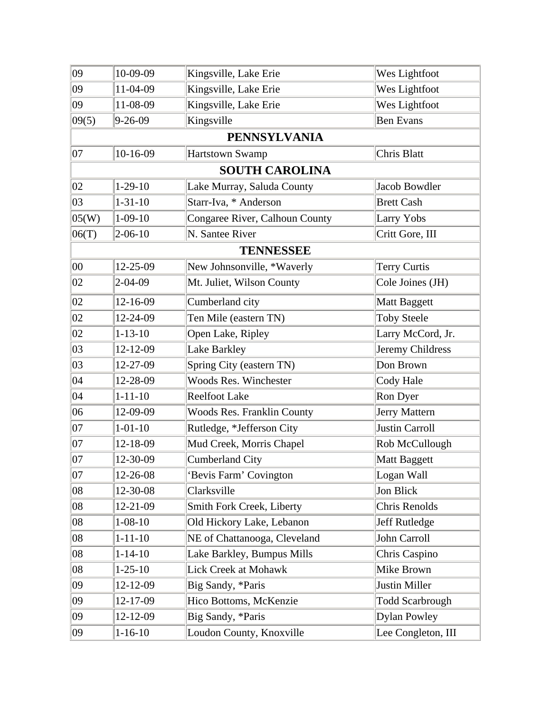| 09           | 10-09-09      | Kingsville, Lake Erie             | Wes Lightfoot          |
|--------------|---------------|-----------------------------------|------------------------|
| 09           | 11-04-09      | Kingsville, Lake Erie             | Wes Lightfoot          |
| 09           | 11-08-09      | Kingsville, Lake Erie             | Wes Lightfoot          |
| 09(5)        | $9 - 26 - 09$ | Kingsville                        | <b>Ben Evans</b>       |
|              |               | <b>PENNSYLVANIA</b>               |                        |
| 07           | $10-16-09$    | <b>Hartstown Swamp</b>            | Chris Blatt            |
|              |               | <b>SOUTH CAROLINA</b>             |                        |
| 02           | $1-29-10$     | Lake Murray, Saluda County        | <b>Jacob Bowdler</b>   |
| 03           | $1 - 31 - 10$ | Starr-Iva, * Anderson             | <b>Brett Cash</b>      |
| 05(W)        | $1 - 09 - 10$ | Congaree River, Calhoun County    | Larry Yobs             |
| 06(T)        | $2 - 06 - 10$ | N. Santee River                   | Critt Gore, III        |
|              |               | <b>TENNESSEE</b>                  |                        |
| $ 00\rangle$ | 12-25-09      | New Johnsonville, *Waverly        | <b>Terry Curtis</b>    |
| 02           | $2 - 04 - 09$ | Mt. Juliet, Wilson County         | Cole Joines (JH)       |
| 02           | 12-16-09      | Cumberland city                   | <b>Matt Baggett</b>    |
| 02           | 12-24-09      | Ten Mile (eastern TN)             | <b>Toby Steele</b>     |
| 02           | $1 - 13 - 10$ | Open Lake, Ripley                 | Larry McCord, Jr.      |
| 03           | 12-12-09      | Lake Barkley                      | Jeremy Childress       |
| 03           | 12-27-09      | Spring City (eastern TN)          | Don Brown              |
| 04           | 12-28-09      | <b>Woods Res. Winchester</b>      | Cody Hale              |
| 04           | $1 - 11 - 10$ | <b>Reelfoot Lake</b>              | Ron Dyer               |
| 06           | 12-09-09      | <b>Woods Res. Franklin County</b> | Jerry Mattern          |
| 07           | $1 - 01 - 10$ | Rutledge, *Jefferson City         | <b>Justin Carroll</b>  |
| 07           | 12-18-09      | Mud Creek, Morris Chapel          | Rob McCullough         |
| 07           | 12-30-09      | <b>Cumberland City</b>            | <b>Matt Baggett</b>    |
| 07           | 12-26-08      | 'Bevis Farm' Covington            | Logan Wall             |
| $ 08\rangle$ | 12-30-08      | Clarksville                       | Jon Blick              |
| 08           | 12-21-09      | <b>Smith Fork Creek, Liberty</b>  | Chris Renolds          |
| 08           | $1 - 08 - 10$ | Old Hickory Lake, Lebanon         | Jeff Rutledge          |
| 08           | $1 - 11 - 10$ | NE of Chattanooga, Cleveland      | John Carroll           |
| 08           | $1 - 14 - 10$ | Lake Barkley, Bumpus Mills        | Chris Caspino          |
| 08           | $1 - 25 - 10$ | Lick Creek at Mohawk              | Mike Brown             |
| 09           | 12-12-09      | Big Sandy, *Paris                 | Justin Miller          |
| 09           | 12-17-09      | Hico Bottoms, McKenzie            | <b>Todd Scarbrough</b> |
| 09           | 12-12-09      | Big Sandy, *Paris                 | <b>Dylan Powley</b>    |
| 09           | $1 - 16 - 10$ | Loudon County, Knoxville          | Lee Congleton, III     |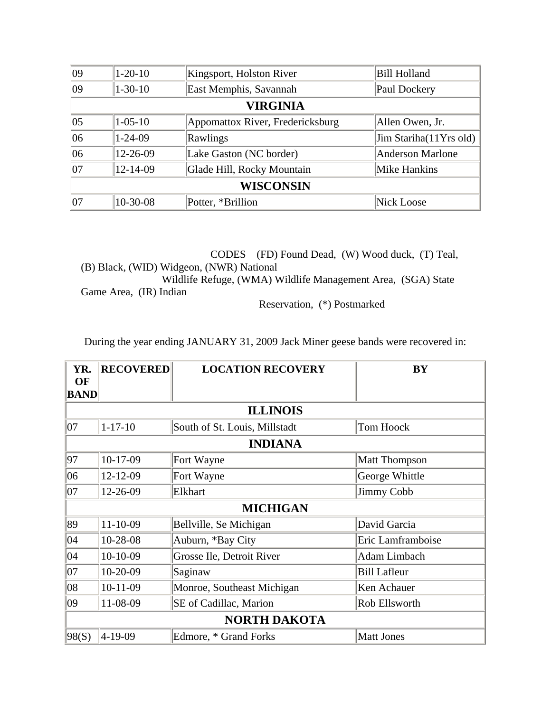| $ 09\rangle$ | $1 - 20 - 10$ | Kingsport, Holston River         | <b>Bill Holland</b>     |
|--------------|---------------|----------------------------------|-------------------------|
| 09           | $1 - 30 - 10$ | East Memphis, Savannah           | Paul Dockery            |
|              |               | <b>VIRGINIA</b>                  |                         |
| $ 05\rangle$ | $1 - 05 - 10$ | Appomattox River, Fredericksburg | Allen Owen, Jr.         |
| 06           | $1 - 24 - 09$ | Rawlings                         | Jim Stariha(11Yrs old)  |
| 06           | 12-26-09      | Lake Gaston (NC border)          | <b>Anderson Marlone</b> |
| 07           | 12-14-09      | Glade Hill, Rocky Mountain       | Mike Hankins            |
|              |               | <b>WISCONSIN</b>                 |                         |
| 07           | 10-30-08      | Potter, *Brillion                | Nick Loose              |

 CODES (FD) Found Dead, (W) Wood duck, (T) Teal, (B) Black, (WID) Widgeon, (NWR) National Wildlife Refuge, (WMA) Wildlife Management Area, (SGA) State Game Area, (IR) Indian

Reservation, (\*) Postmarked

During the year ending JANUARY 31, 2009 Jack Miner geese bands were recovered in:

| YR.<br>OF   | <b>RECOVERED</b>    | <b>LOCATION RECOVERY</b>      | BY                   |  |
|-------------|---------------------|-------------------------------|----------------------|--|
| <b>BAND</b> |                     |                               |                      |  |
|             |                     | <b>ILLINOIS</b>               |                      |  |
| 07          | $1 - 17 - 10$       | South of St. Louis, Millstadt | Tom Hoock            |  |
|             |                     | <b>INDIANA</b>                |                      |  |
| 97          | $10-17-09$          | Fort Wayne                    | <b>Matt Thompson</b> |  |
| 06          | 12-12-09            | Fort Wayne                    | George Whittle       |  |
| 07          | 12-26-09            | Elkhart                       | Jimmy Cobb           |  |
|             |                     | <b>MICHIGAN</b>               |                      |  |
| 89          | $11 - 10 - 09$      | Bellville, Se Michigan        | David Garcia         |  |
| 04          | 10-28-08            | Auburn, *Bay City             | Eric Lamframboise    |  |
| 04          | $10-10-09$          | Grosse Ile, Detroit River     | Adam Limbach         |  |
| 07          | $10-20-09$          | Saginaw                       | <b>Bill Lafleur</b>  |  |
| 08          | $10-11-09$          | Monroe, Southeast Michigan    | Ken Achauer          |  |
| 09          | 11-08-09            | SE of Cadillac, Marion        | Rob Ellsworth        |  |
|             | <b>NORTH DAKOTA</b> |                               |                      |  |
| 98(S)       | 4-19-09             | Edmore, * Grand Forks         | <b>Matt Jones</b>    |  |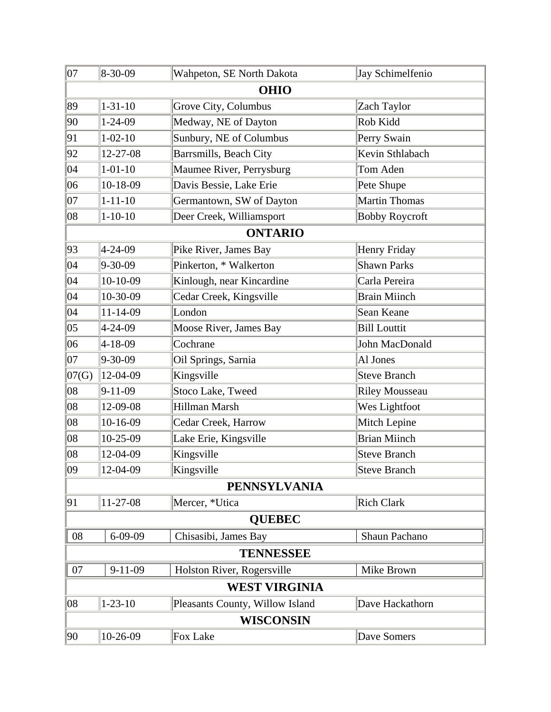| 07                   | 8-30-09          | Wahpeton, SE North Dakota       | Jay Schimelfenio      |  |  |
|----------------------|------------------|---------------------------------|-----------------------|--|--|
|                      | <b>OHIO</b>      |                                 |                       |  |  |
| 89                   | $1 - 31 - 10$    | Grove City, Columbus            | Zach Taylor           |  |  |
| 90                   | $1 - 24 - 09$    | Medway, NE of Dayton            | Rob Kidd              |  |  |
| 91                   | $1 - 02 - 10$    | Sunbury, NE of Columbus         | Perry Swain           |  |  |
| 92                   | 12-27-08         | Barrsmills, Beach City          | Kevin Sthlabach       |  |  |
| 04                   | $1 - 01 - 10$    | Maumee River, Perrysburg        | Tom Aden              |  |  |
| 06                   | 10-18-09         | Davis Bessie, Lake Erie         | Pete Shupe            |  |  |
| 07                   | $1 - 11 - 10$    | Germantown, SW of Dayton        | Martin Thomas         |  |  |
| 08                   | $1 - 10 - 10$    | Deer Creek, Williamsport        | <b>Bobby Roycroft</b> |  |  |
|                      |                  | <b>ONTARIO</b>                  |                       |  |  |
| 93                   | 4-24-09          | Pike River, James Bay           | Henry Friday          |  |  |
| 04                   | 9-30-09          | Pinkerton, * Walkerton          | <b>Shawn Parks</b>    |  |  |
| 04                   | 10-10-09         | Kinlough, near Kincardine       | Carla Pereira         |  |  |
| 04                   | 10-30-09         | Cedar Creek, Kingsville         | <b>Brain Miinch</b>   |  |  |
| 04                   | $11 - 14 - 09$   | London                          | Sean Keane            |  |  |
| 05                   | 4-24-09          | Moose River, James Bay          | <b>Bill Louttit</b>   |  |  |
| 06                   | 4-18-09          | Cochrane                        | John MacDonald        |  |  |
| 07                   | 9-30-09          | Oil Springs, Sarnia             | Al Jones              |  |  |
| 07(G)                | 12-04-09         | Kingsville                      | <b>Steve Branch</b>   |  |  |
| 08                   | $9 - 11 - 09$    | Stoco Lake, Tweed               | <b>Riley Mousseau</b> |  |  |
| 08                   | 12-09-08         | Hillman Marsh                   | Wes Lightfoot         |  |  |
| 08                   | 10-16-09         | Cedar Creek, Harrow             | Mitch Lepine          |  |  |
| 08                   | 10-25-09         | Lake Erie, Kingsville           | <b>Brian Miinch</b>   |  |  |
| $ 08\rangle$         | 12-04-09         | Kingsville                      | Steve Branch          |  |  |
| 09                   | 12-04-09         | Kingsville                      | Steve Branch          |  |  |
|                      |                  | <b>PENNSYLVANIA</b>             |                       |  |  |
| 91                   | $11-27-08$       | Mercer, *Utica                  | <b>Rich Clark</b>     |  |  |
| <b>QUEBEC</b>        |                  |                                 |                       |  |  |
| 08                   | $6 - 09 - 09$    | Chisasibi, James Bay            | Shaun Pachano         |  |  |
| <b>TENNESSEE</b>     |                  |                                 |                       |  |  |
| 07                   | $9 - 11 - 09$    | Holston River, Rogersville      | Mike Brown            |  |  |
| <b>WEST VIRGINIA</b> |                  |                                 |                       |  |  |
| 08                   | $1 - 23 - 10$    | Pleasants County, Willow Island | Dave Hackathorn       |  |  |
|                      | <b>WISCONSIN</b> |                                 |                       |  |  |
| 90                   | 10-26-09         | Fox Lake                        | Dave Somers           |  |  |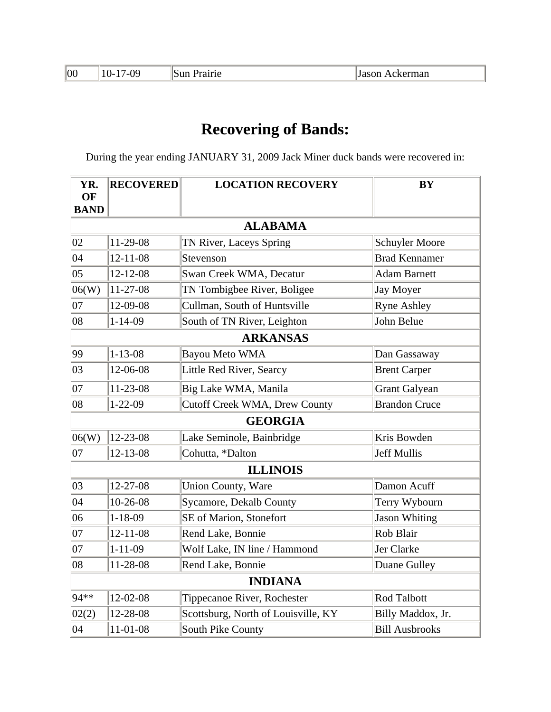| 00 | /-09<br>$10-17$ | <b>Sun Prairie</b> | ∥Jason Ackerman |
|----|-----------------|--------------------|-----------------|
|----|-----------------|--------------------|-----------------|

During the year ending JANUARY 31, 2009 Jack Miner duck bands were recovered in:

| YR.<br>OF    | <b>RECOVERED</b> | <b>LOCATION RECOVERY</b>             | BY                    |
|--------------|------------------|--------------------------------------|-----------------------|
| <b>BAND</b>  |                  |                                      |                       |
|              |                  | <b>ALABAMA</b>                       |                       |
| 02           | 11-29-08         | TN River, Laceys Spring              | <b>Schuyler Moore</b> |
| 04           | $12 - 11 - 08$   | Stevenson                            | <b>Brad Kennamer</b>  |
| $ 05\rangle$ | $12 - 12 - 08$   | Swan Creek WMA, Decatur              | <b>Adam Barnett</b>   |
| 06(W)        | 11-27-08         | TN Tombigbee River, Boligee          | <b>Jay Moyer</b>      |
| $ 07\rangle$ | 12-09-08         | Cullman, South of Huntsville         | <b>Ryne Ashley</b>    |
| $ 08\rangle$ | $1 - 14 - 09$    | South of TN River, Leighton          | John Belue            |
|              |                  | <b>ARKANSAS</b>                      |                       |
| 99           | $1 - 13 - 08$    | <b>Bayou Meto WMA</b>                | Dan Gassaway          |
| 03           | 12-06-08         | Little Red River, Searcy             | <b>Brent Carper</b>   |
| $ 07\rangle$ | 11-23-08         | Big Lake WMA, Manila                 | <b>Grant Galyean</b>  |
| $ 08\rangle$ | $1 - 22 - 09$    | <b>Cutoff Creek WMA, Drew County</b> | <b>Brandon Cruce</b>  |
|              |                  | <b>GEORGIA</b>                       |                       |
| 06(W)        | 12-23-08         | Lake Seminole, Bainbridge            | Kris Bowden           |
| $ 07\rangle$ | $12 - 13 - 08$   | Cohutta, *Dalton                     | Jeff Mullis           |
|              |                  | <b>ILLINOIS</b>                      |                       |
| 03           | $12 - 27 - 08$   | <b>Union County, Ware</b>            | Damon Acuff           |
| 04           | $10-26-08$       | <b>Sycamore, Dekalb County</b>       | Terry Wybourn         |
| 06           | $1 - 18 - 09$    | SE of Marion, Stonefort              | <b>Jason Whiting</b>  |
| 07           | $12 - 11 - 08$   | Rend Lake, Bonnie                    | Rob Blair             |
| $ 07\rangle$ | $1 - 11 - 09$    | Wolf Lake, IN line / Hammond         | Jer Clarke            |
| 08           | 11-28-08         | Rend Lake, Bonnie                    | Duane Gulley          |
|              |                  | <b>INDIANA</b>                       |                       |
| 94**         | 12-02-08         | Tippecanoe River, Rochester          | <b>Rod Talbott</b>    |
| 02(2)        | 12-28-08         | Scottsburg, North of Louisville, KY  | Billy Maddox, Jr.     |
| 04           | 11-01-08         | <b>South Pike County</b>             | <b>Bill Ausbrooks</b> |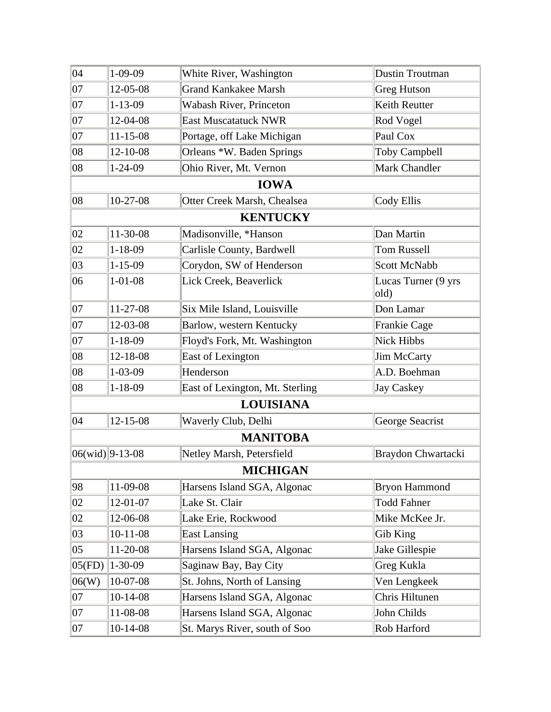| $ 04\rangle$ | $1 - 09 - 09$      | White River, Washington         | Dustin Troutman             |
|--------------|--------------------|---------------------------------|-----------------------------|
| 07           | 12-05-08           | <b>Grand Kankakee Marsh</b>     | <b>Greg Hutson</b>          |
| $ 07\rangle$ | $1 - 13 - 09$      | Wabash River, Princeton         | Keith Reutter               |
| 07           | 12-04-08           | <b>East Muscatatuck NWR</b>     | Rod Vogel                   |
| 07           | $11 - 15 - 08$     | Portage, off Lake Michigan      | Paul Cox                    |
| 08           | 12-10-08           | Orleans *W. Baden Springs       | <b>Toby Campbell</b>        |
| 08           | $1 - 24 - 09$      | Ohio River, Mt. Vernon          | Mark Chandler               |
|              |                    | <b>IOWA</b>                     |                             |
| 08           | $10-27-08$         | Otter Creek Marsh, Chealsea     | Cody Ellis                  |
|              |                    | <b>KENTUCKY</b>                 |                             |
| 02           | 11-30-08           | Madisonville, *Hanson           | Dan Martin                  |
| 02           | $1 - 18 - 09$      | Carlisle County, Bardwell       | <b>Tom Russell</b>          |
| 03           | $1 - 15 - 09$      | Corydon, SW of Henderson        | <b>Scott McNabb</b>         |
| 06           | $1 - 01 - 08$      | Lick Creek, Beaverlick          | Lucas Turner (9 yrs<br>old) |
| $ 07\rangle$ | 11-27-08           | Six Mile Island, Louisville     | Don Lamar                   |
| $ 07\rangle$ | 12-03-08           | Barlow, western Kentucky        | <b>Frankie Cage</b>         |
| 07           | $1 - 18 - 09$      | Floyd's Fork, Mt. Washington    | Nick Hibbs                  |
| 08           | 12-18-08           | East of Lexington               | Jim McCarty                 |
| 08           | $1 - 03 - 09$      | Henderson                       | A.D. Boehman                |
| 08           | $1 - 18 - 09$      | East of Lexington, Mt. Sterling | Jay Caskey                  |
|              |                    | <b>LOUISIANA</b>                |                             |
| 04           | 12-15-08           | Waverly Club, Delhi             | George Seacrist             |
|              |                    | <b>MANITOBA</b>                 |                             |
|              | $ 06(wid) 9-13-08$ | Netley Marsh, Petersfield       | Braydon Chwartacki          |
|              |                    | <b>MICHIGAN</b>                 |                             |
| 98           | 11-09-08           | Harsens Island SGA, Algonac     | <b>Bryon Hammond</b>        |
| 02           | $12 - 01 - 07$     | Lake St. Clair                  | <b>Todd Fahner</b>          |
| 02           | 12-06-08           | Lake Erie, Rockwood             | Mike McKee Jr.              |
| 03           | $10-11-08$         | <b>East Lansing</b>             | Gib King                    |
| $ 05\rangle$ | 11-20-08           | Harsens Island SGA, Algonac     | Jake Gillespie              |
| 05(FD)       | $1 - 30 - 09$      | Saginaw Bay, Bay City           | Greg Kukla                  |
| 06(W)        | 10-07-08           | St. Johns, North of Lansing     | Ven Lengkeek                |
| $ 07\rangle$ | $10-14-08$         | Harsens Island SGA, Algonac     | Chris Hiltunen              |
| 07           | 11-08-08           | Harsens Island SGA, Algonac     | John Childs                 |
| 07           | $10-14-08$         | St. Marys River, south of Soo   | Rob Harford                 |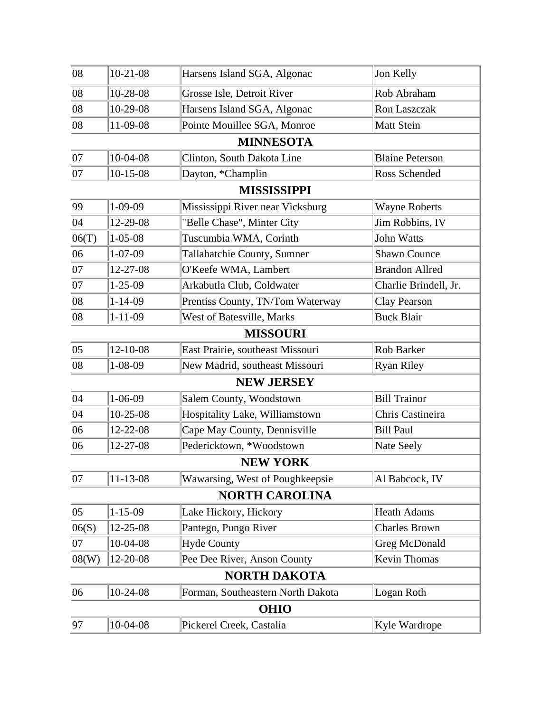| 97           | 10-04-08       | Pickerel Creek, Castalia          | Kyle Wardrope          |
|--------------|----------------|-----------------------------------|------------------------|
|              |                | <b>OHIO</b>                       |                        |
| 06           | 10-24-08       | Forman, Southeastern North Dakota | Logan Roth             |
|              |                | <b>NORTH DAKOTA</b>               |                        |
| 08(W)        | 12-20-08       | Pee Dee River, Anson County       | Kevin Thomas           |
| $ 07\rangle$ | 10-04-08       | <b>Hyde County</b>                | <b>Greg McDonald</b>   |
| 06(S)        | 12-25-08       | Pantego, Pungo River              | <b>Charles Brown</b>   |
| $ 05\rangle$ | $1 - 15 - 09$  | Lake Hickory, Hickory             | <b>Heath Adams</b>     |
|              |                | <b>NORTH CAROLINA</b>             |                        |
| 07           | 11-13-08       | Wawarsing, West of Poughkeepsie   | Al Babcock, IV         |
|              |                | <b>NEW YORK</b>                   |                        |
| 06           | 12-27-08       | Pedericktown, *Woodstown          | Nate Seely             |
| 06           | 12-22-08       | Cape May County, Dennisville      | <b>Bill Paul</b>       |
| 04           | 10-25-08       | Hospitality Lake, Williamstown    | Chris Castineira       |
| 04           | $1 - 06 - 09$  | Salem County, Woodstown           | <b>Bill Trainor</b>    |
|              |                | <b>NEW JERSEY</b>                 |                        |
| 08           | $1 - 08 - 09$  | New Madrid, southeast Missouri    | <b>Ryan Riley</b>      |
| $ 05\rangle$ | $12 - 10 - 08$ | East Prairie, southeast Missouri  | Rob Barker             |
|              |                | <b>MISSOURI</b>                   |                        |
| 08           | $1 - 11 - 09$  | West of Batesville, Marks         | <b>Buck Blair</b>      |
| 08           | $1 - 14 - 09$  | Prentiss County, TN/Tom Waterway  | Clay Pearson           |
| 07           | $1 - 25 - 09$  | Arkabutla Club, Coldwater         | Charlie Brindell, Jr.  |
| $ 07\rangle$ | 12-27-08       | O'Keefe WMA, Lambert              | <b>Brandon Allred</b>  |
| 06           | $1 - 07 - 09$  | Tallahatchie County, Sumner       | <b>Shawn Counce</b>    |
| 06(T)        | $1 - 05 - 08$  | Tuscumbia WMA, Corinth            | John Watts             |
| 04           | 12-29-08       | "Belle Chase", Minter City        | Jim Robbins, IV        |
| 99           | $1 - 09 - 09$  | Mississippi River near Vicksburg  | <b>Wayne Roberts</b>   |
|              |                | <b>MISSISSIPPI</b>                |                        |
| $ 07\rangle$ | $10 - 15 - 08$ | Dayton, *Champlin                 | Ross Schended          |
| $ 07\rangle$ | 10-04-08       | Clinton, South Dakota Line        | <b>Blaine Peterson</b> |
|              |                | <b>MINNESOTA</b>                  |                        |
| 08           | 11-09-08       | Pointe Mouillee SGA, Monroe       | Matt Stein             |
| $ 08\rangle$ | 10-29-08       | Harsens Island SGA, Algonac       | Ron Laszczak           |
| $ 08\rangle$ | 10-28-08       | Grosse Isle, Detroit River        | Rob Abraham            |
| $ 08\rangle$ | $10-21-08$     | Harsens Island SGA, Algonac       | Jon Kelly              |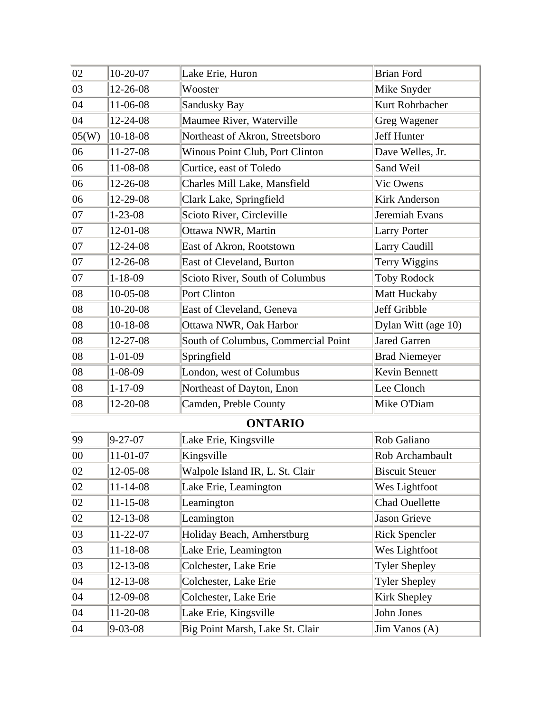| 02           | 10-20-07       | Lake Erie, Huron                    | <b>Brian Ford</b>     |
|--------------|----------------|-------------------------------------|-----------------------|
| 03           | 12-26-08       | Wooster                             | Mike Snyder           |
| 04           | 11-06-08       | <b>Sandusky Bay</b>                 | Kurt Rohrbacher       |
| $ 04\rangle$ | 12-24-08       | Maumee River, Waterville            | Greg Wagener          |
| 05(W)        | 10-18-08       | Northeast of Akron, Streetsboro     | Jeff Hunter           |
| 06           | $11-27-08$     | Winous Point Club, Port Clinton     | Dave Welles, Jr.      |
| 06           | 11-08-08       | Curtice, east of Toledo             | Sand Weil             |
| 06           | 12-26-08       | Charles Mill Lake, Mansfield        | Vic Owens             |
| 06           | 12-29-08       | Clark Lake, Springfield             | <b>Kirk Anderson</b>  |
| $ 07\rangle$ | $1 - 23 - 08$  | Scioto River, Circleville           | Jeremiah Evans        |
| 07           | 12-01-08       | Ottawa NWR, Martin                  | <b>Larry Porter</b>   |
| $ 07\rangle$ | 12-24-08       | East of Akron, Rootstown            | Larry Caudill         |
| 07           | $12 - 26 - 08$ | East of Cleveland, Burton           | Terry Wiggins         |
| $ 07\rangle$ | $1 - 18 - 09$  | Scioto River, South of Columbus     | <b>Toby Rodock</b>    |
| $ 08\rangle$ | $10-05-08$     | Port Clinton                        | Matt Huckaby          |
| 08           | 10-20-08       | East of Cleveland, Geneva           | Jeff Gribble          |
| $ 08\rangle$ | $10-18-08$     | Ottawa NWR, Oak Harbor              | Dylan Witt (age 10)   |
| $ 08\rangle$ | 12-27-08       | South of Columbus, Commercial Point | Jared Garren          |
| 08           | $1 - 01 - 09$  | Springfield                         | <b>Brad Niemeyer</b>  |
| 08           | $1 - 08 - 09$  | London, west of Columbus            | Kevin Bennett         |
| 08           | $1 - 17 - 09$  | Northeast of Dayton, Enon           | Lee Clonch            |
| $ 08\rangle$ | 12-20-08       | Camden, Preble County               | Mike O'Diam           |
|              |                | <b>ONTARIO</b>                      |                       |
| 99           | $9 - 27 - 07$  | Lake Erie, Kingsville               | Rob Galiano           |
| $ 00\rangle$ | 11-01-07       | Kingsville                          | Rob Archambault       |
| $ 02\rangle$ | 12-05-08       | Walpole Island IR, L. St. Clair     | <b>Biscuit Steuer</b> |
| 02           | $11 - 14 - 08$ | Lake Erie, Leamington               | Wes Lightfoot         |
| 02           | $11 - 15 - 08$ | Leamington                          | <b>Chad Ouellette</b> |
| 02           | 12-13-08       | Leamington                          | Jason Grieve          |
| 03           | 11-22-07       | Holiday Beach, Amherstburg          | <b>Rick Spencler</b>  |
| 03           | $11 - 18 - 08$ | Lake Erie, Leamington               | Wes Lightfoot         |
| 03           | 12-13-08       | Colchester, Lake Erie               | <b>Tyler Shepley</b>  |
| $ 04\rangle$ | 12-13-08       | Colchester, Lake Erie               | <b>Tyler Shepley</b>  |
| 04           | 12-09-08       | Colchester, Lake Erie               | Kirk Shepley          |
| $ 04\rangle$ | 11-20-08       | Lake Erie, Kingsville               | John Jones            |
| $ 04\rangle$ | $9 - 03 - 08$  | Big Point Marsh, Lake St. Clair     | Jim Vanos (A)         |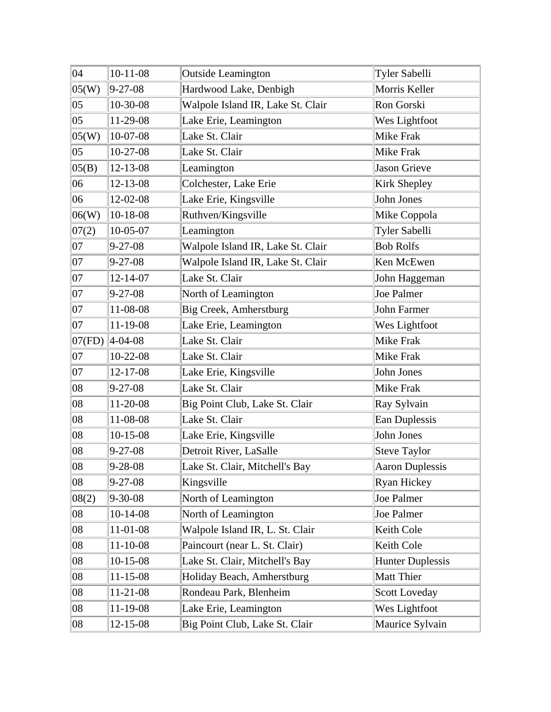| 04           | $10-11-08$                | <b>Outside Leamington</b>         | Tyler Sabelli           |
|--------------|---------------------------|-----------------------------------|-------------------------|
| 05(W)        | $9 - 27 - 08$             | Hardwood Lake, Denbigh            | Morris Keller           |
| $ 05\rangle$ | 10-30-08                  | Walpole Island IR, Lake St. Clair | Ron Gorski              |
| $ 05\rangle$ | 11-29-08                  | Lake Erie, Leamington             | Wes Lightfoot           |
| 05(W)        | 10-07-08                  | Lake St. Clair                    | <b>Mike Frak</b>        |
| $ 05\rangle$ | $10-27-08$                | Lake St. Clair                    | <b>Mike Frak</b>        |
| 05(B)        | 12-13-08                  | Leamington                        | Jason Grieve            |
| 06           | 12-13-08                  | Colchester, Lake Erie             | Kirk Shepley            |
| 06           | 12-02-08                  | Lake Erie, Kingsville             | John Jones              |
| 06(W)        | $10-18-08$                | Ruthven/Kingsville                | Mike Coppola            |
| 07(2)        | 10-05-07                  | Leamington                        | Tyler Sabelli           |
| $ 07\rangle$ | $9 - 27 - 08$             | Walpole Island IR, Lake St. Clair | <b>Bob Rolfs</b>        |
| $ 07\rangle$ | $9 - 27 - 08$             | Walpole Island IR, Lake St. Clair | Ken McEwen              |
| 07           | $12 - 14 - 07$            | Lake St. Clair                    | John Haggeman           |
| $ 07\rangle$ | $9 - 27 - 08$             | North of Leamington               | <b>Joe Palmer</b>       |
| $ 07\rangle$ | 11-08-08                  | Big Creek, Amherstburg            | John Farmer             |
| 07           | 11-19-08                  | Lake Erie, Leamington             | Wes Lightfoot           |
|              | $ 07(\text{FD}) $ 4-04-08 | Lake St. Clair                    | <b>Mike Frak</b>        |
| $ 07\rangle$ | $10-22-08$                | Lake St. Clair                    | Mike Frak               |
| $ 07\rangle$ | 12-17-08                  | Lake Erie, Kingsville             | John Jones              |
| 08           | $9 - 27 - 08$             | Lake St. Clair                    | Mike Frak               |
| 08           | 11-20-08                  | Big Point Club, Lake St. Clair    | Ray Sylvain             |
| 08           | 11-08-08                  | Lake St. Clair                    | Ean Duplessis           |
| $ 08\rangle$ | $10-15-08$                | Lake Erie, Kingsville             | John Jones              |
| 08           | $9 - 27 - 08$             | Detroit River, LaSalle            | <b>Steve Taylor</b>     |
| 08           | $9 - 28 - 08$             | Lake St. Clair, Mitchell's Bay    | <b>Aaron Duplessis</b>  |
| 08           | $9 - 27 - 08$             | Kingsville                        | Ryan Hickey             |
| 08(2)        | 9-30-08                   | North of Leamington               | Joe Palmer              |
| 08           | $10-14-08$                | North of Leamington               | Joe Palmer              |
| 08           | 11-01-08                  | Walpole Island IR, L. St. Clair   | Keith Cole              |
| 08           | $11 - 10 - 08$            | Paincourt (near L. St. Clair)     | Keith Cole              |
| $ 08\rangle$ | $10-15-08$                | Lake St. Clair, Mitchell's Bay    | <b>Hunter Duplessis</b> |
| 08           | $11 - 15 - 08$            | Holiday Beach, Amherstburg        | <b>Matt Thier</b>       |
| $ 08\rangle$ | 11-21-08                  | Rondeau Park, Blenheim            | <b>Scott Loveday</b>    |
| $ 08\rangle$ | 11-19-08                  | Lake Erie, Leamington             | Wes Lightfoot           |
| 08           | 12-15-08                  | Big Point Club, Lake St. Clair    | Maurice Sylvain         |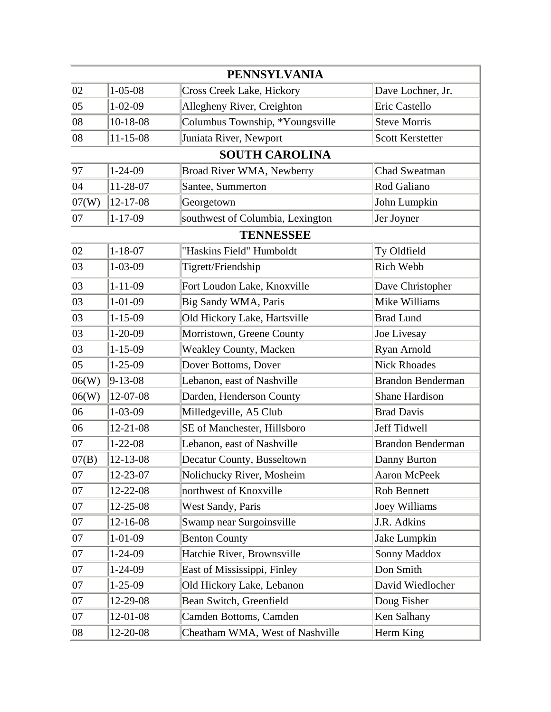|              |                | <b>PENNSYLVANIA</b>              |                          |
|--------------|----------------|----------------------------------|--------------------------|
| 02           | $1 - 05 - 08$  | Cross Creek Lake, Hickory        | Dave Lochner, Jr.        |
| $ 05\rangle$ | $1 - 02 - 09$  | Allegheny River, Creighton       | Eric Castello            |
| $ 08\rangle$ | $10-18-08$     | Columbus Township, *Youngsville  | <b>Steve Morris</b>      |
| $ 08\rangle$ | $11 - 15 - 08$ | Juniata River, Newport           | <b>Scott Kerstetter</b>  |
|              |                | <b>SOUTH CAROLINA</b>            |                          |
| 97           | $1 - 24 - 09$  | Broad River WMA, Newberry        | <b>Chad Sweatman</b>     |
| $ 04\rangle$ | 11-28-07       | Santee, Summerton                | Rod Galiano              |
| 07(W)        | 12-17-08       | Georgetown                       | John Lumpkin             |
| $ 07\rangle$ | $1 - 17 - 09$  | southwest of Columbia, Lexington | Jer Joyner               |
|              |                | <b>TENNESSEE</b>                 |                          |
| 02           | $1 - 18 - 07$  | "Haskins Field" Humboldt         | Ty Oldfield              |
| 03           | $1 - 03 - 09$  | Tigrett/Friendship               | Rich Webb                |
| 03           | $1 - 11 - 09$  | Fort Loudon Lake, Knoxville      | Dave Christopher         |
| 03           | $1 - 01 - 09$  | Big Sandy WMA, Paris             | Mike Williams            |
| 03           | $1 - 15 - 09$  | Old Hickory Lake, Hartsville     | <b>Brad Lund</b>         |
| 03           | $1 - 20 - 09$  | Morristown, Greene County        | Joe Livesay              |
| 03           | $1 - 15 - 09$  | <b>Weakley County, Macken</b>    | Ryan Arnold              |
| $ 05\rangle$ | $1 - 25 - 09$  | Dover Bottoms, Dover             | <b>Nick Rhoades</b>      |
| 06(W)        | $9 - 13 - 08$  | Lebanon, east of Nashville       | <b>Brandon Benderman</b> |
| 06(W)        | 12-07-08       | Darden, Henderson County         | <b>Shane Hardison</b>    |
| 06           | $1 - 03 - 09$  | Milledgeville, A5 Club           | <b>Brad Davis</b>        |
| 06           | $12 - 21 - 08$ | SE of Manchester, Hillsboro      | Jeff Tidwell             |
| $ 07\rangle$ | $1 - 22 - 08$  | Lebanon, east of Nashville       | <b>Brandon Benderman</b> |
| 07(B)        | $12 - 13 - 08$ | Decatur County, Busseltown       | Danny Burton             |
| $ 07\rangle$ | 12-23-07       | Nolichucky River, Mosheim        | Aaron McPeek             |
| 07           | 12-22-08       | northwest of Knoxville           | Rob Bennett              |
| $ 07\rangle$ | 12-25-08       | West Sandy, Paris                | Joey Williams            |
| $ 07\rangle$ | 12-16-08       | Swamp near Surgoinsville         | J.R. Adkins              |
| $ 07\rangle$ | $1 - 01 - 09$  | <b>Benton County</b>             | Jake Lumpkin             |
| $ 07\rangle$ | $1 - 24 - 09$  | Hatchie River, Brownsville       | Sonny Maddox             |
| $ 07\rangle$ | $1 - 24 - 09$  | East of Mississippi, Finley      | Don Smith                |
| $ 07\rangle$ | $1 - 25 - 09$  | Old Hickory Lake, Lebanon        | David Wiedlocher         |
| $ 07\rangle$ | 12-29-08       | Bean Switch, Greenfield          | Doug Fisher              |
| 07           | 12-01-08       | Camden Bottoms, Camden           | Ken Salhany              |
| $ 08\rangle$ | 12-20-08       | Cheatham WMA, West of Nashville  | Herm King                |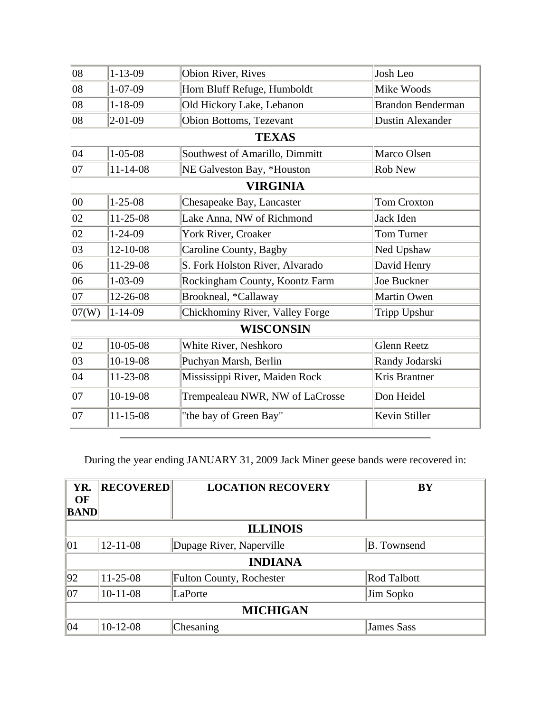| 08           | $1 - 13 - 09$  | Obion River, Rives              | Josh Leo                 |
|--------------|----------------|---------------------------------|--------------------------|
| $ 08\rangle$ | $1 - 07 - 09$  | Horn Bluff Refuge, Humboldt     | Mike Woods               |
| $ 08\rangle$ | $1 - 18 - 09$  | Old Hickory Lake, Lebanon       | <b>Brandon Benderman</b> |
| 08           | $2 - 01 - 09$  | Obion Bottoms, Tezevant         | <b>Dustin Alexander</b>  |
|              |                | <b>TEXAS</b>                    |                          |
| $ 04\rangle$ | $1 - 05 - 08$  | Southwest of Amarillo, Dimmitt  | Marco Olsen              |
| $ 07\rangle$ | $11 - 14 - 08$ | NE Galveston Bay, *Houston      | <b>Rob New</b>           |
|              |                | <b>VIRGINIA</b>                 |                          |
| $ 00\rangle$ | $1 - 25 - 08$  | Chesapeake Bay, Lancaster       | <b>Tom Croxton</b>       |
| 02           | 11-25-08       | Lake Anna, NW of Richmond       | Jack Iden                |
| 02           | $1 - 24 - 09$  | York River, Croaker             | Tom Turner               |
| 03           | 12-10-08       | Caroline County, Bagby          | Ned Upshaw               |
| 06           | 11-29-08       | S. Fork Holston River, Alvarado | David Henry              |
| 06           | $1 - 03 - 09$  | Rockingham County, Koontz Farm  | Joe Buckner              |
| $ 07\rangle$ | 12-26-08       | Brookneal, *Callaway            | Martin Owen              |
| 07(W)        | $1 - 14 - 09$  | Chickhominy River, Valley Forge | <b>Tripp Upshur</b>      |
|              |                | <b>WISCONSIN</b>                |                          |
| 02           | $10-05-08$     | White River, Neshkoro           | <b>Glenn Reetz</b>       |
| 03           | 10-19-08       | Puchyan Marsh, Berlin           | Randy Jodarski           |
| 04           | 11-23-08       | Mississippi River, Maiden Rock  | Kris Brantner            |
| $ 07\rangle$ | 10-19-08       | Trempealeau NWR, NW of LaCrosse | Don Heidel               |
| $ 07\rangle$ | $11 - 15 - 08$ | "the bay of Green Bay"          | Kevin Stiller            |
|              |                |                                 |                          |

During the year ending JANUARY 31, 2009 Jack Miner geese bands were recovered in:

| YR.<br>OF       | <b>RECOVERED</b> | <b>LOCATION RECOVERY</b>        | <b>BY</b>          |
|-----------------|------------------|---------------------------------|--------------------|
| <b>BAND</b>     |                  |                                 |                    |
|                 |                  | <b>ILLINOIS</b>                 |                    |
| 01              | $12 - 11 - 08$   | Dupage River, Naperville        | <b>B.</b> Townsend |
|                 |                  | <b>INDIANA</b>                  |                    |
| 92              | $11-25-08$       | <b>Fulton County, Rochester</b> | Rod Talbott        |
| 07              | $10-11-08$       | LaPorte                         | Jim Sopko          |
| <b>MICHIGAN</b> |                  |                                 |                    |
| 04              | $10-12-08$       | Chesaning                       | <b>James Sass</b>  |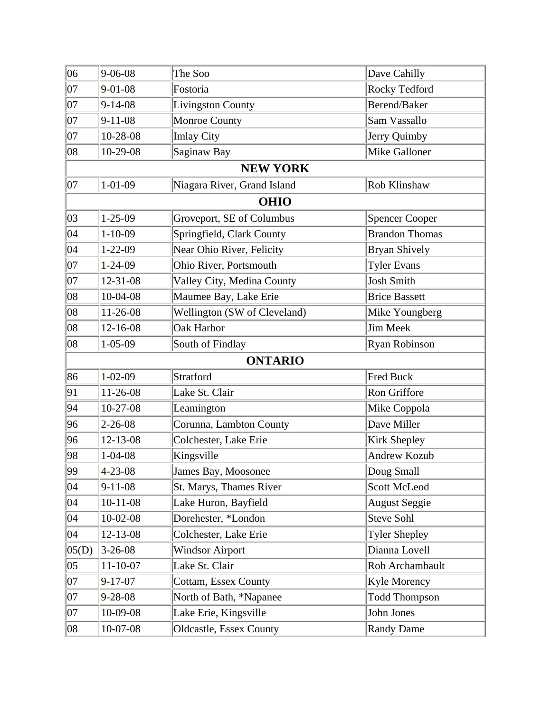| 06           | $9 - 06 - 08$  | The Soo                      | Dave Cahilly          |
|--------------|----------------|------------------------------|-----------------------|
| 07           | $9 - 01 - 08$  | Fostoria                     | Rocky Tedford         |
| 07           | $9 - 14 - 08$  | <b>Livingston County</b>     | Berend/Baker          |
| 07           | $9 - 11 - 08$  | Monroe County                | Sam Vassallo          |
| 07           | 10-28-08       | <b>Imlay City</b>            | Jerry Quimby          |
| 08           | 10-29-08       | Saginaw Bay                  | Mike Galloner         |
|              |                | <b>NEW YORK</b>              |                       |
| 07           | $1 - 01 - 09$  | Niagara River, Grand Island  | Rob Klinshaw          |
|              |                | <b>OHIO</b>                  |                       |
| 03           | $1 - 25 - 09$  | Groveport, SE of Columbus    | <b>Spencer Cooper</b> |
| 04           | $1 - 10 - 09$  | Springfield, Clark County    | <b>Brandon Thomas</b> |
| 04           | $1 - 22 - 09$  | Near Ohio River, Felicity    | <b>Bryan Shively</b>  |
| 07           | $1 - 24 - 09$  | Ohio River, Portsmouth       | <b>Tyler Evans</b>    |
| $ 07\rangle$ | 12-31-08       | Valley City, Medina County   | <b>Josh Smith</b>     |
| 08           | 10-04-08       | Maumee Bay, Lake Erie        | <b>Brice Bassett</b>  |
| $ 08\rangle$ | 11-26-08       | Wellington (SW of Cleveland) | Mike Youngberg        |
| 08           | 12-16-08       | <b>Oak Harbor</b>            | Jim Meek              |
| 08           | $1 - 05 - 09$  | South of Findlay             | Ryan Robinson         |
|              |                | <b>ONTARIO</b>               |                       |
| 86           | $1 - 02 - 09$  | Stratford                    | <b>Fred Buck</b>      |
| 91           | 11-26-08       | Lake St. Clair               | Ron Griffore          |
| 94           | 10-27-08       | Leamington                   | Mike Coppola          |
| 96           | $2 - 26 - 08$  | Corunna, Lambton County      | Dave Miller           |
| 96           | 12-13-08       | Colchester, Lake Erie        | Kirk Shepley          |
| 98           | $1 - 04 - 08$  | Kingsville                   | <b>Andrew Kozub</b>   |
| 99           | 4-23-08        | James Bay, Moosonee          | Doug Small            |
| 04           | $9 - 11 - 08$  | St. Marys, Thames River      | <b>Scott McLeod</b>   |
| 04           | $10-11-08$     | Lake Huron, Bayfield         | <b>August Seggie</b>  |
| 04           | 10-02-08       | Dorehester, *London          | <b>Steve Sohl</b>     |
| $ 04\rangle$ | 12-13-08       | Colchester, Lake Erie        | <b>Tyler Shepley</b>  |
| 05(D)        | $3 - 26 - 08$  | <b>Windsor Airport</b>       | Dianna Lovell         |
| $ 05\rangle$ | $11 - 10 - 07$ | Lake St. Clair               | Rob Archambault       |
| 07           | $9 - 17 - 07$  | Cottam, Essex County         | Kyle Morency          |
| 07           | 9-28-08        | North of Bath, *Napanee      | <b>Todd Thompson</b>  |
| 07           | 10-09-08       | Lake Erie, Kingsville        | John Jones            |
| $ 08\rangle$ | 10-07-08       | Oldcastle, Essex County      | <b>Randy Dame</b>     |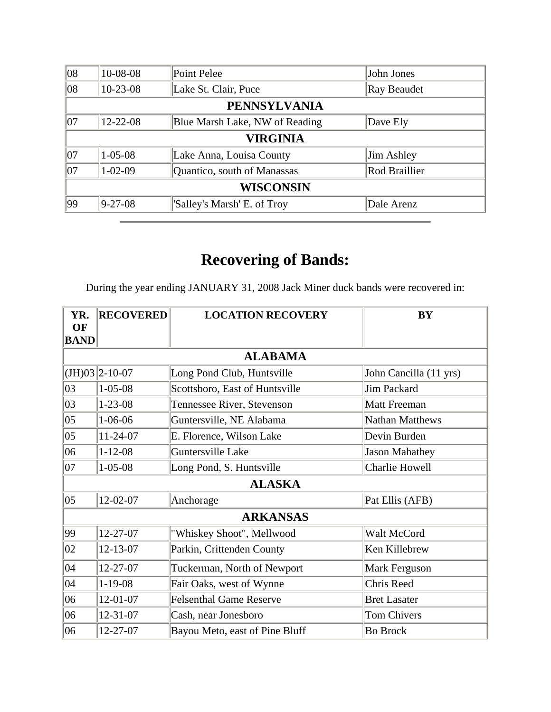| 08                  | 10-08-08       | Point Pelee                    | John Jones    |  |  |
|---------------------|----------------|--------------------------------|---------------|--|--|
| 08                  | $10-23-08$     | Lake St. Clair, Puce           | Ray Beaudet   |  |  |
| <b>PENNSYLVANIA</b> |                |                                |               |  |  |
| 07                  | $12 - 22 - 08$ | Blue Marsh Lake, NW of Reading | Dave Ely      |  |  |
|                     | VIRGINIA       |                                |               |  |  |
| 07                  | $1 - 05 - 08$  | Lake Anna, Louisa County       | Jim Ashley    |  |  |
| 107                 | $1 - 02 - 09$  | Quantico, south of Manassas    | Rod Braillier |  |  |
| <b>WISCONSIN</b>    |                |                                |               |  |  |
| 99                  | $ 9-27-08 $    | 'Salley's Marsh' E. of Troy    | Dale Arenz    |  |  |

During the year ending JANUARY 31, 2008 Jack Miner duck bands were recovered in:

| YR.<br><b>OF</b><br><b>BAND</b> | <b>RECOVERED</b> | <b>LOCATION RECOVERY</b>       | <b>BY</b>              |
|---------------------------------|------------------|--------------------------------|------------------------|
|                                 |                  | <b>ALABAMA</b>                 |                        |
|                                 | $(JH)03$ 2-10-07 | Long Pond Club, Huntsville     | John Cancilla (11 yrs) |
| 03                              | $1 - 05 - 08$    | Scottsboro, East of Huntsville | <b>Jim Packard</b>     |
| 03                              | $1 - 23 - 08$    | Tennessee River, Stevenson     | <b>Matt Freeman</b>    |
| $ 05\rangle$                    | $1 - 06 - 06$    | Guntersville, NE Alabama       | Nathan Matthews        |
| $ 05\rangle$                    | 11-24-07         | E. Florence, Wilson Lake       | Devin Burden           |
| 06                              | $1 - 12 - 08$    | Guntersville Lake              | <b>Jason Mahathey</b>  |
| 07                              | $1 - 05 - 08$    | Long Pond, S. Huntsville       | Charlie Howell         |
|                                 |                  | <b>ALASKA</b>                  |                        |
| $ 05\rangle$                    | 12-02-07         | Anchorage                      | Pat Ellis (AFB)        |
|                                 |                  | <b>ARKANSAS</b>                |                        |
| 99                              | 12-27-07         | "Whiskey Shoot", Mellwood      | Walt McCord            |
| 02                              | 12-13-07         | Parkin, Crittenden County      | Ken Killebrew          |
| 04                              | 12-27-07         | Tuckerman, North of Newport    | Mark Ferguson          |
| 04                              | $1-19-08$        | Fair Oaks, west of Wynne       | Chris Reed             |
| 06                              | 12-01-07         | <b>Felsenthal Game Reserve</b> | <b>Bret Lasater</b>    |
| 06                              | 12-31-07         | Cash, near Jonesboro           | <b>Tom Chivers</b>     |
| 06                              | 12-27-07         | Bayou Meto, east of Pine Bluff | <b>Bo Brock</b>        |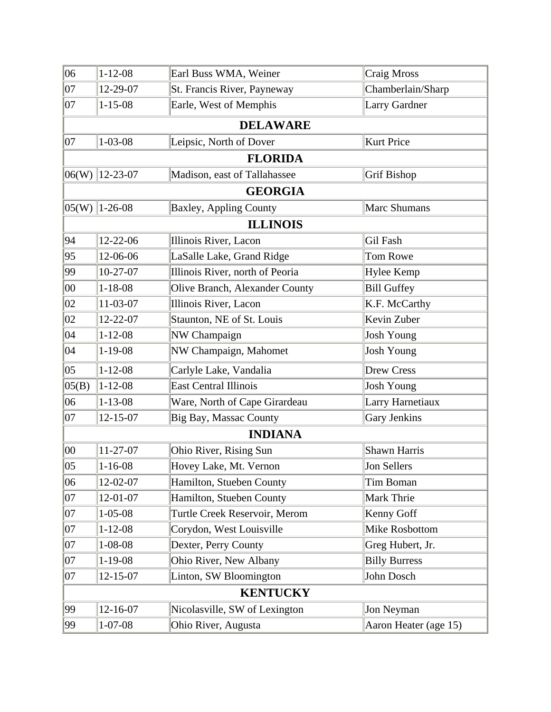| 06           | $1 - 12 - 08$    | Earl Buss WMA, Weiner           | Craig Mross           |
|--------------|------------------|---------------------------------|-----------------------|
| $ 07\rangle$ | 12-29-07         | St. Francis River, Payneway     | Chamberlain/Sharp     |
| 07           | $1 - 15 - 08$    | Earle, West of Memphis          | Larry Gardner         |
|              |                  | <b>DELAWARE</b>                 |                       |
| 07           | $1 - 03 - 08$    | Leipsic, North of Dover         | <b>Kurt Price</b>     |
|              |                  | <b>FLORIDA</b>                  |                       |
|              | $06(W)$ 12-23-07 | Madison, east of Tallahassee    | Grif Bishop           |
|              |                  | <b>GEORGIA</b>                  |                       |
|              | $ 05(W) 1-26-08$ | <b>Baxley, Appling County</b>   | Marc Shumans          |
|              |                  | <b>ILLINOIS</b>                 |                       |
| 94           | 12-22-06         | Illinois River, Lacon           | Gil Fash              |
| 95           | 12-06-06         | LaSalle Lake, Grand Ridge       | Tom Rowe              |
| 99           | $10-27-07$       | Illinois River, north of Peoria | <b>Hylee Kemp</b>     |
| $ 00\rangle$ | $1 - 18 - 08$    | Olive Branch, Alexander County  | <b>Bill Guffey</b>    |
| 02           | 11-03-07         | Illinois River, Lacon           | K.F. McCarthy         |
| 02           | 12-22-07         | Staunton, NE of St. Louis       | Kevin Zuber           |
| $ 04\rangle$ | $1 - 12 - 08$    | NW Champaign                    | <b>Josh Young</b>     |
| $ 04\rangle$ | $1-19-08$        | NW Champaign, Mahomet           | <b>Josh Young</b>     |
| $ 05\rangle$ | $1 - 12 - 08$    | Carlyle Lake, Vandalia          | <b>Drew Cress</b>     |
| 05(B)        | $1 - 12 - 08$    | <b>East Central Illinois</b>    | <b>Josh Young</b>     |
| 06           | $1 - 13 - 08$    | Ware, North of Cape Girardeau   | Larry Harnetiaux      |
| 07           | $12 - 15 - 07$   | Big Bay, Massac County          | Gary Jenkins          |
|              |                  | <b>INDIANA</b>                  |                       |
| $ 00\rangle$ | $11 - 27 - 07$   | Ohio River, Rising Sun          | Shawn Harris          |
| $ 05\rangle$ | $1 - 16 - 08$    | Hovey Lake, Mt. Vernon          | Jon Sellers           |
| 06           | 12-02-07         | Hamilton, Stueben County        | Tim Boman             |
| 07           | 12-01-07         | Hamilton, Stueben County        | Mark Thrie            |
| 07           | $1 - 05 - 08$    | Turtle Creek Reservoir, Merom   | Kenny Goff            |
| 07           | $1 - 12 - 08$    | Corydon, West Louisville        | Mike Rosbottom        |
| 07           | $1 - 08 - 08$    | Dexter, Perry County            | Greg Hubert, Jr.      |
| 07           | $1 - 19 - 08$    | Ohio River, New Albany          | <b>Billy Burress</b>  |
| 07           | $12 - 15 - 07$   | Linton, SW Bloomington          | John Dosch            |
|              |                  | <b>KENTUCKY</b>                 |                       |
| 99           | 12-16-07         | Nicolasville, SW of Lexington   | Jon Neyman            |
| 99           | $1 - 07 - 08$    | Ohio River, Augusta             | Aaron Heater (age 15) |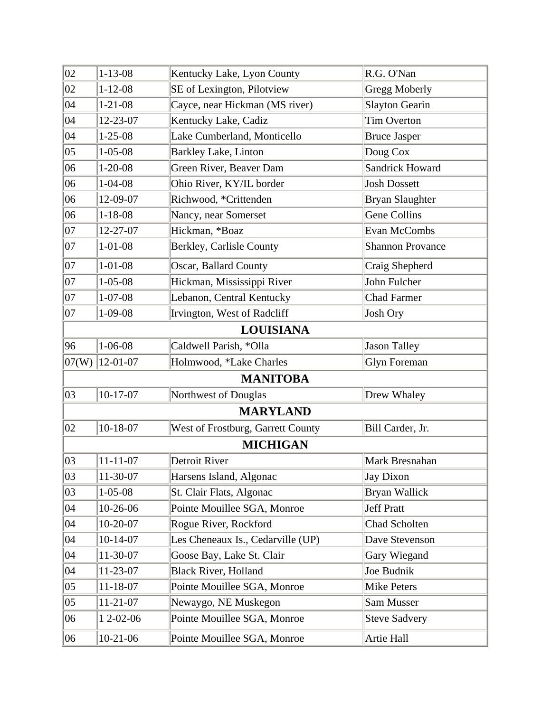| 02           | $1 - 13 - 08$  | Kentucky Lake, Lyon County        | R.G. O'Nan              |
|--------------|----------------|-----------------------------------|-------------------------|
| 02           | $1 - 12 - 08$  | SE of Lexington, Pilotview        | Gregg Moberly           |
| $ 04\rangle$ | $1 - 21 - 08$  | Cayce, near Hickman (MS river)    | <b>Slayton Gearin</b>   |
| 04           | 12-23-07       | Kentucky Lake, Cadiz              | <b>Tim Overton</b>      |
| $ 04\rangle$ | $1 - 25 - 08$  | Lake Cumberland, Monticello       | <b>Bruce Jasper</b>     |
| 05           | $1 - 05 - 08$  | <b>Barkley Lake, Linton</b>       | Doug Cox                |
| 06           | $1 - 20 - 08$  | Green River, Beaver Dam           | <b>Sandrick Howard</b>  |
| 06           | $1 - 04 - 08$  | Ohio River, KY/IL border          | <b>Josh Dossett</b>     |
| 06           | 12-09-07       | Richwood, *Crittenden             | <b>Bryan Slaughter</b>  |
| 06           | $1 - 18 - 08$  | Nancy, near Somerset              | <b>Gene Collins</b>     |
| 07           | 12-27-07       | Hickman, *Boaz                    | Evan McCombs            |
| 07           | $1 - 01 - 08$  | Berkley, Carlisle County          | <b>Shannon Provance</b> |
| 07           | $1 - 01 - 08$  | Oscar, Ballard County             | Craig Shepherd          |
| 07           | $1 - 05 - 08$  | Hickman, Mississippi River        | John Fulcher            |
| 07           | $1 - 07 - 08$  | Lebanon, Central Kentucky         | <b>Chad Farmer</b>      |
| 07           | $1 - 09 - 08$  | Irvington, West of Radcliff       | Josh Ory                |
|              |                | <b>LOUISIANA</b>                  |                         |
| 96           | $1 - 06 - 08$  | Caldwell Parish, *Olla            | <b>Jason Talley</b>     |
| 07(W)        | $ 12-01-07$    | Holmwood, *Lake Charles           | <b>Glyn Foreman</b>     |
|              |                | <b>MANITOBA</b>                   |                         |
| 03           | $10-17-07$     | Northwest of Douglas              | Drew Whaley             |
|              |                | <b>MARYLAND</b>                   |                         |
| 02           | 10-18-07       | West of Frostburg, Garrett County | Bill Carder, Jr.        |
|              |                | <b>MICHIGAN</b>                   |                         |
| 03           | $11 - 11 - 07$ | Detroit River                     | Mark Bresnahan          |
| 03           | 11-30-07       | Harsens Island, Algonac           | <b>Jay Dixon</b>        |
| 03           | $1 - 05 - 08$  | St. Clair Flats, Algonac          | Bryan Wallick           |
| 04           | 10-26-06       | Pointe Mouillee SGA, Monroe       | <b>Jeff Pratt</b>       |
| 04           | 10-20-07       | Rogue River, Rockford             | Chad Scholten           |
| $ 04\rangle$ | $10-14-07$     | Les Cheneaux Is., Cedarville (UP) | Dave Stevenson          |
| 04           | 11-30-07       | Goose Bay, Lake St. Clair         | Gary Wiegand            |
| $ 04\rangle$ | 11-23-07       | <b>Black River, Holland</b>       | Joe Budnik              |
| $ 05\rangle$ | 11-18-07       | Pointe Mouillee SGA, Monroe       | <b>Mike Peters</b>      |
| 05           | 11-21-07       | Newaygo, NE Muskegon              | Sam Musser              |
| 06           | 1 2-02-06      | Pointe Mouillee SGA, Monroe       | <b>Steve Sadvery</b>    |
| 06           | 10-21-06       | Pointe Mouillee SGA, Monroe       | Artie Hall              |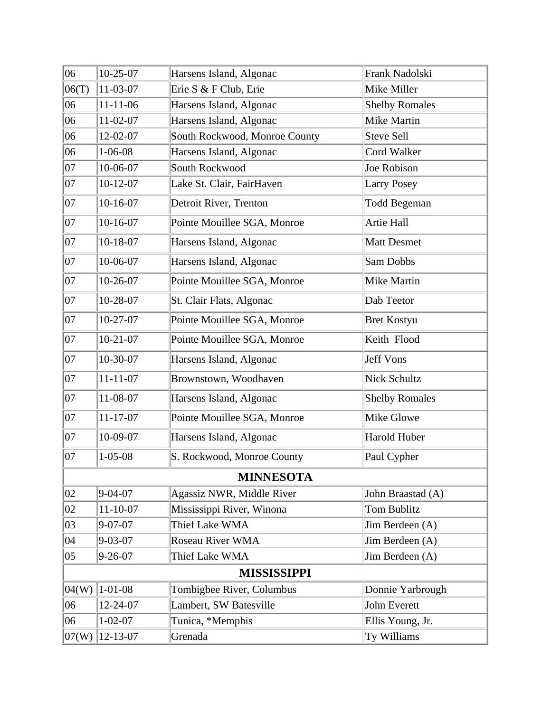| 06           | $10-25-07$     | Harsens Island, Algonac       | Frank Nadolski        |
|--------------|----------------|-------------------------------|-----------------------|
| 06(T)        | 11-03-07       | Erie S & F Club, Erie         | Mike Miller           |
| 06           | $11 - 11 - 06$ | Harsens Island, Algonac       | <b>Shelby Romales</b> |
| 06           | 11-02-07       | Harsens Island, Algonac       | Mike Martin           |
| 06           | 12-02-07       | South Rockwood, Monroe County | Steve Sell            |
| 06           | $1 - 06 - 08$  | Harsens Island, Algonac       | <b>Cord Walker</b>    |
| $ 07\rangle$ | 10-06-07       | South Rockwood                | Joe Robison           |
| 07           | $10 - 12 - 07$ | Lake St. Clair, FairHaven     | <b>Larry Posey</b>    |
| 07           | $10-16-07$     | Detroit River, Trenton        | <b>Todd Begeman</b>   |
| 07           | $10-16-07$     | Pointe Mouillee SGA, Monroe   | Artie Hall            |
| 07           | 10-18-07       | Harsens Island, Algonac       | <b>Matt Desmet</b>    |
| $ 07\rangle$ | 10-06-07       | Harsens Island, Algonac       | Sam Dobbs             |
| 07           | 10-26-07       | Pointe Mouillee SGA, Monroe   | Mike Martin           |
| $ 07\rangle$ | 10-28-07       | St. Clair Flats, Algonac      | Dab Teetor            |
| 07           | $10-27-07$     | Pointe Mouillee SGA, Monroe   | <b>Bret Kostyu</b>    |
| 07           | $10-21-07$     | Pointe Mouillee SGA, Monroe   | Keith Flood           |
| 07           | 10-30-07       | Harsens Island, Algonac       | Jeff Vons             |
| 07           | $11 - 11 - 07$ | Brownstown, Woodhaven         | <b>Nick Schultz</b>   |
| 07           | 11-08-07       | Harsens Island, Algonac       | <b>Shelby Romales</b> |
| 07           | $11 - 17 - 07$ | Pointe Mouillee SGA, Monroe   | Mike Glowe            |
| 07           | 10-09-07       | Harsens Island, Algonac       | <b>Harold Huber</b>   |
| $ 07\rangle$ | $1 - 05 - 08$  | S. Rockwood, Monroe County    | Paul Cypher           |
|              |                | <b>MINNESOTA</b>              |                       |
| 02           | $9-04-07$      | Agassiz NWR, Middle River     | John Braastad (A)     |
| 02           | $11-10-07$     | Mississippi River, Winona     | Tom Bublitz           |
| 03           | $9 - 07 - 07$  | Thief Lake WMA                | Jim Berdeen (A)       |
| 04           | $9 - 03 - 07$  | Roseau River WMA              | Jim Berdeen (A)       |
| 05           | $9 - 26 - 07$  | Thief Lake WMA                | Jim Berdeen (A)       |
|              |                | <b>MISSISSIPPI</b>            |                       |
| 04(W)        | $1 - 01 - 08$  | Tombigbee River, Columbus     | Donnie Yarbrough      |
| 06           | 12-24-07       | Lambert, SW Batesville        | John Everett          |
| 06           | $1 - 02 - 07$  | Tunica, *Memphis              | Ellis Young, Jr.      |
| 07(W)        | 12-13-07       | Grenada                       | Ty Williams           |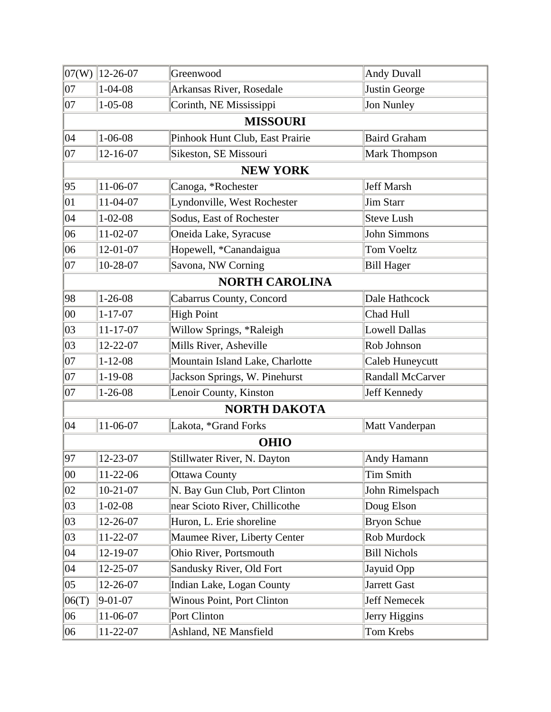|              | $ 07(W) 12-26-07$ | Greenwood                         | <b>Andy Duvall</b>   |
|--------------|-------------------|-----------------------------------|----------------------|
| $ 07\rangle$ | $1 - 04 - 08$     | Arkansas River, Rosedale          | Justin George        |
| 07           | $1 - 05 - 08$     | Corinth, NE Mississippi           | Jon Nunley           |
|              |                   | <b>MISSOURI</b>                   |                      |
| $ 04\rangle$ | $1 - 06 - 08$     | Pinhook Hunt Club, East Prairie   | <b>Baird Graham</b>  |
| $ 07\rangle$ | 12-16-07          | Sikeston, SE Missouri             | Mark Thompson        |
|              |                   | <b>NEW YORK</b>                   |                      |
| 95           | $11-06-07$        | Canoga, *Rochester                | Jeff Marsh           |
| $ 01\rangle$ | 11-04-07          | Lyndonville, West Rochester       | <b>Jim Starr</b>     |
| 04           | $1 - 02 - 08$     | Sodus, East of Rochester          | Steve Lush           |
| 06           | $11-02-07$        | Oneida Lake, Syracuse             | <b>John Simmons</b>  |
| 06           | 12-01-07          | Hopewell, *Canandaigua            | <b>Tom Voeltz</b>    |
| 07           | 10-28-07          | Savona, NW Corning                | <b>Bill Hager</b>    |
|              |                   | <b>NORTH CAROLINA</b>             |                      |
| 98           | $1 - 26 - 08$     | Cabarrus County, Concord          | Dale Hathcock        |
| 00           | $1 - 17 - 07$     | <b>High Point</b>                 | Chad Hull            |
| 03           | $11 - 17 - 07$    | Willow Springs, *Raleigh          | <b>Lowell Dallas</b> |
| 03           | 12-22-07          | Mills River, Asheville            | Rob Johnson          |
| $ 07\rangle$ | $1 - 12 - 08$     | Mountain Island Lake, Charlotte   | Caleb Huneycutt      |
| 07           | $1-19-08$         | Jackson Springs, W. Pinehurst     | Randall McCarver     |
| 07           | $1 - 26 - 08$     | Lenoir County, Kinston            | Jeff Kennedy         |
|              |                   | <b>NORTH DAKOTA</b>               |                      |
| 04           | 11-06-07          | Lakota, *Grand Forks              | Matt Vanderpan       |
|              |                   | <b>OHIO</b>                       |                      |
| 97           | 12-23-07          | Stillwater River, N. Dayton       | Andy Hamann          |
| 00           | 11-22-06          | <b>Ottawa County</b>              | <b>Tim Smith</b>     |
| 02           | $10-21-07$        | N. Bay Gun Club, Port Clinton     | John Rimelspach      |
| 03           | $1 - 02 - 08$     | near Scioto River, Chillicothe    | Doug Elson           |
| 03           | 12-26-07          | Huron, L. Erie shoreline          | <b>Bryon Schue</b>   |
| 03           | 11-22-07          | Maumee River, Liberty Center      | Rob Murdock          |
| $ 04\rangle$ | 12-19-07          | Ohio River, Portsmouth            | <b>Bill Nichols</b>  |
| $ 04\rangle$ | 12-25-07          | Sandusky River, Old Fort          | Jayuid Opp           |
| $ 05\rangle$ | 12-26-07          | Indian Lake, Logan County         | Jarrett Gast         |
| 06(T)        | $9-01-07$         | <b>Winous Point, Port Clinton</b> | Jeff Nemecek         |
| 06           | 11-06-07          | Port Clinton                      | Jerry Higgins        |
| 06           | 11-22-07          | Ashland, NE Mansfield             | Tom Krebs            |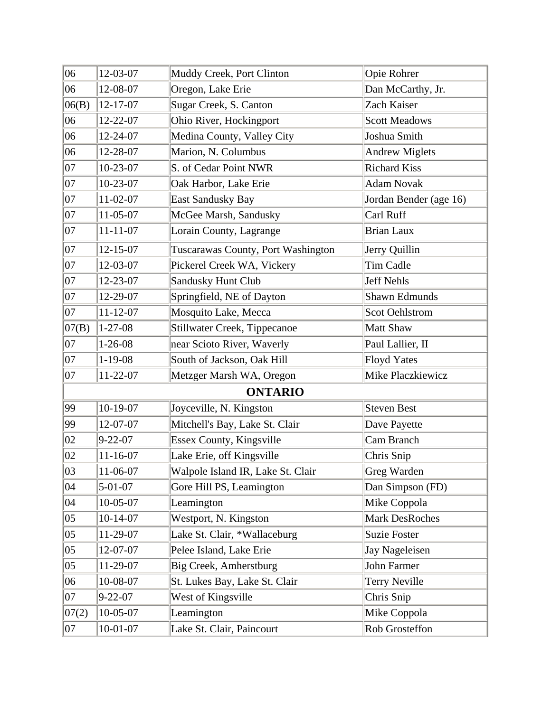| 06           | 12-03-07       | Muddy Creek, Port Clinton           | Opie Rohrer            |
|--------------|----------------|-------------------------------------|------------------------|
| 06           | 12-08-07       | Oregon, Lake Erie                   | Dan McCarthy, Jr.      |
| 06(B)        | 12-17-07       | Sugar Creek, S. Canton              | Zach Kaiser            |
| 06           | 12-22-07       | Ohio River, Hockingport             | <b>Scott Meadows</b>   |
| 06           | 12-24-07       | Medina County, Valley City          | Joshua Smith           |
| 06           | 12-28-07       | Marion, N. Columbus                 | <b>Andrew Miglets</b>  |
| 07           | 10-23-07       | S. of Cedar Point NWR               | <b>Richard Kiss</b>    |
| $ 07\rangle$ | 10-23-07       | Oak Harbor, Lake Erie               | <b>Adam Novak</b>      |
| 07           | 11-02-07       | East Sandusky Bay                   | Jordan Bender (age 16) |
| 07           | 11-05-07       | McGee Marsh, Sandusky               | Carl Ruff              |
| 07           | $11 - 11 - 07$ | Lorain County, Lagrange             | <b>Brian Laux</b>      |
| $ 07\rangle$ | $12 - 15 - 07$ | Tuscarawas County, Port Washington  | Jerry Quillin          |
| 07           | 12-03-07       | Pickerel Creek WA, Vickery          | Tim Cadle              |
| $ 07\rangle$ | 12-23-07       | Sandusky Hunt Club                  | <b>Jeff Nehls</b>      |
| 07           | 12-29-07       | Springfield, NE of Dayton           | <b>Shawn Edmunds</b>   |
| $ 07\rangle$ | $11 - 12 - 07$ | Mosquito Lake, Mecca                | <b>Scot Oehlstrom</b>  |
| 07(B)        | $1 - 27 - 08$  | <b>Stillwater Creek, Tippecanoe</b> | Matt Shaw              |
| 07           | $1 - 26 - 08$  | near Scioto River, Waverly          | Paul Lallier, II       |
| 07           | $1-19-08$      | South of Jackson, Oak Hill          | <b>Floyd Yates</b>     |
| $ 07\rangle$ | 11-22-07       | Metzger Marsh WA, Oregon            | Mike Placzkiewicz      |
|              |                | <b>ONTARIO</b>                      |                        |
| 99           | 10-19-07       | Joyceville, N. Kingston             | <b>Steven Best</b>     |
| 99           | 12-07-07       | Mitchell's Bay, Lake St. Clair      | Dave Payette           |
| 02           | $9 - 22 - 07$  | Essex County, Kingsville            | Cam Branch             |
| 02           | $11 - 16 - 07$ | Lake Erie, off Kingsville           | Chris Snip             |
| 03           | 11-06-07       | Walpole Island IR, Lake St. Clair   | Greg Warden            |
| 04           | $5 - 01 - 07$  | Gore Hill PS, Leamington            | Dan Simpson (FD)       |
| 04           | 10-05-07       | Leamington                          | Mike Coppola           |
| $ 05\rangle$ | $10-14-07$     | Westport, N. Kingston               | Mark DesRoches         |
| $ 05\rangle$ | 11-29-07       | Lake St. Clair, *Wallaceburg        | <b>Suzie Foster</b>    |
| 05           | 12-07-07       | Pelee Island, Lake Erie             | Jay Nageleisen         |
| 05           | 11-29-07       | Big Creek, Amherstburg              | John Farmer            |
| 06           | 10-08-07       | St. Lukes Bay, Lake St. Clair       | <b>Terry Neville</b>   |
| 07           | $9 - 22 - 07$  | West of Kingsville                  | Chris Snip             |
| 07(2)        | 10-05-07       | Leamington                          | Mike Coppola           |
| 07           | $10-01-07$     | Lake St. Clair, Paincourt           | Rob Grosteffon         |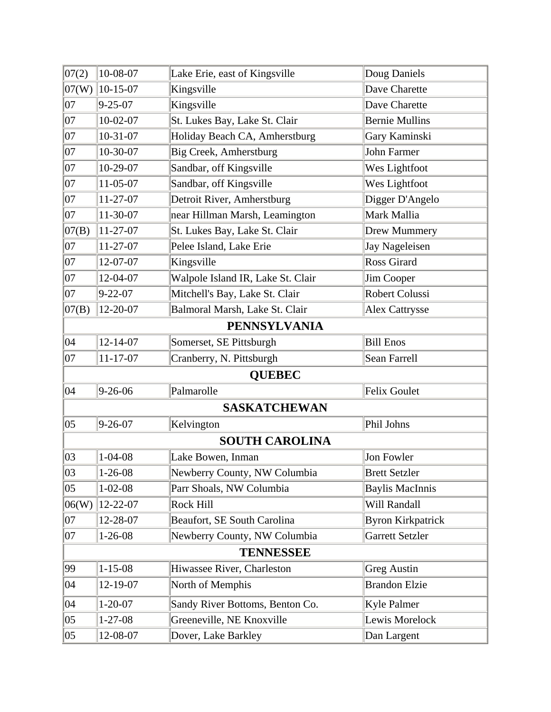| 07(2)        | 10-08-07       | Lake Erie, east of Kingsville     | Doug Daniels             |
|--------------|----------------|-----------------------------------|--------------------------|
| 07(W)        | $10-15-07$     | Kingsville                        | Dave Charette            |
| 07           | $9 - 25 - 07$  | Kingsville                        | Dave Charette            |
| 07           | $10-02-07$     | St. Lukes Bay, Lake St. Clair     | <b>Bernie Mullins</b>    |
| $ 07\rangle$ | $10-31-07$     | Holiday Beach CA, Amherstburg     | Gary Kaminski            |
| $ 07\rangle$ | 10-30-07       | Big Creek, Amherstburg            | <b>John Farmer</b>       |
| $ 07\rangle$ | 10-29-07       | Sandbar, off Kingsville           | Wes Lightfoot            |
| $ 07\rangle$ | 11-05-07       | Sandbar, off Kingsville           | Wes Lightfoot            |
| 07           | 11-27-07       | Detroit River, Amherstburg        | Digger D'Angelo          |
| $ 07\rangle$ | 11-30-07       | near Hillman Marsh, Leamington    | Mark Mallia              |
| 07(B)        | 11-27-07       | St. Lukes Bay, Lake St. Clair     | Drew Mummery             |
| $ 07\rangle$ | 11-27-07       | Pelee Island, Lake Erie           | Jay Nageleisen           |
| $ 07\rangle$ | 12-07-07       | Kingsville                        | <b>Ross Girard</b>       |
| $ 07\rangle$ | 12-04-07       | Walpole Island IR, Lake St. Clair | Jim Cooper               |
| 07           | $9 - 22 - 07$  | Mitchell's Bay, Lake St. Clair    | <b>Robert Colussi</b>    |
| 07(B)        | 12-20-07       | Balmoral Marsh, Lake St. Clair    | <b>Alex Cattrysse</b>    |
|              |                | <b>PENNSYLVANIA</b>               |                          |
| 04           | $12 - 14 - 07$ | Somerset, SE Pittsburgh           | <b>Bill Enos</b>         |
| 07           | $11 - 17 - 07$ | Cranberry, N. Pittsburgh          | Sean Farrell             |
|              |                | <b>QUEBEC</b>                     |                          |
| 04           | $9 - 26 - 06$  | Palmarolle                        | Felix Goulet             |
|              |                | <b>SASKATCHEWAN</b>               |                          |
| $ 05\rangle$ | $9 - 26 - 07$  | Kelvington                        | Phil Johns               |
|              |                | <b>SOUTH CAROLINA</b>             |                          |
| 03           | $1 - 04 - 08$  | Lake Bowen, Inman                 | Jon Fowler               |
| 03           | $1 - 26 - 08$  | Newberry County, NW Columbia      | <b>Brett Setzler</b>     |
| $ 05\rangle$ | $1 - 02 - 08$  | Parr Shoals, NW Columbia          | <b>Baylis MacInnis</b>   |
| 06(W)        | 12-22-07       | <b>Rock Hill</b>                  | Will Randall             |
| 07           | 12-28-07       | Beaufort, SE South Carolina       | <b>Byron Kirkpatrick</b> |
| $ 07\rangle$ | $1 - 26 - 08$  | Newberry County, NW Columbia      | <b>Garrett Setzler</b>   |
|              |                | <b>TENNESSEE</b>                  |                          |
| 99           | $1 - 15 - 08$  | Hiwassee River, Charleston        | <b>Greg Austin</b>       |
| 04           | 12-19-07       | North of Memphis                  | <b>Brandon Elzie</b>     |
| $ 04\rangle$ | $1 - 20 - 07$  | Sandy River Bottoms, Benton Co.   | <b>Kyle Palmer</b>       |
| $ 05\rangle$ | $1 - 27 - 08$  | Greeneville, NE Knoxville         | Lewis Morelock           |
| $ 05\rangle$ | 12-08-07       | Dover, Lake Barkley               | Dan Largent              |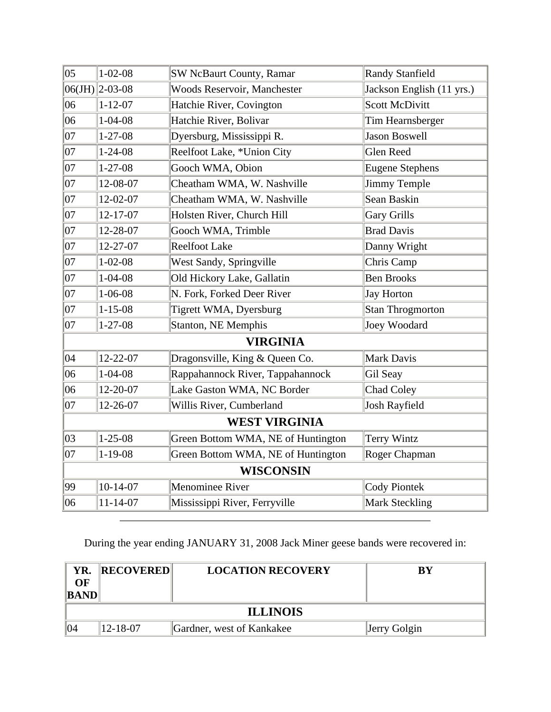| $ 05\rangle$ | $1 - 02 - 08$      | <b>SW NcBaurt County, Ramar</b>    | <b>Randy Stanfield</b>    |
|--------------|--------------------|------------------------------------|---------------------------|
|              | $ 06(JH) $ 2-03-08 | Woods Reservoir, Manchester        | Jackson English (11 yrs.) |
| 06           | $1 - 12 - 07$      | Hatchie River, Covington           | <b>Scott McDivitt</b>     |
| 06           | $1 - 04 - 08$      | Hatchie River, Bolivar             | Tim Hearnsberger          |
| $ 07\rangle$ | $1 - 27 - 08$      | Dyersburg, Mississippi R.          | <b>Jason Boswell</b>      |
| $ 07\rangle$ | $1 - 24 - 08$      | Reelfoot Lake, *Union City         | <b>Glen Reed</b>          |
| $ 07\rangle$ | $1 - 27 - 08$      | Gooch WMA, Obion                   | <b>Eugene Stephens</b>    |
| $ 07\rangle$ | 12-08-07           | Cheatham WMA, W. Nashville         | <b>Jimmy Temple</b>       |
| $ 07\rangle$ | 12-02-07           | Cheatham WMA, W. Nashville         | Sean Baskin               |
| 07           | 12-17-07           | Holsten River, Church Hill         | <b>Gary Grills</b>        |
| $ 07\rangle$ | 12-28-07           | Gooch WMA, Trimble                 | <b>Brad Davis</b>         |
| $ 07\rangle$ | 12-27-07           | <b>Reelfoot Lake</b>               | Danny Wright              |
| $ 07\rangle$ | $1 - 02 - 08$      | West Sandy, Springville            | Chris Camp                |
| $ 07\rangle$ | $1 - 04 - 08$      | Old Hickory Lake, Gallatin         | <b>Ben Brooks</b>         |
| $ 07\rangle$ | $1 - 06 - 08$      | N. Fork, Forked Deer River         | <b>Jay Horton</b>         |
| $ 07\rangle$ | $1 - 15 - 08$      | Tigrett WMA, Dyersburg             | <b>Stan Throgmorton</b>   |
| 07           | $1 - 27 - 08$      | Stanton, NE Memphis                | Joey Woodard              |
|              |                    | <b>VIRGINIA</b>                    |                           |
| 04           | 12-22-07           | Dragonsville, King & Queen Co.     | <b>Mark Davis</b>         |
| 06           | $1 - 04 - 08$      | Rappahannock River, Tappahannock   | Gil Seay                  |
| 06           | 12-20-07           | Lake Gaston WMA, NC Border         | <b>Chad Coley</b>         |
| 07           | 12-26-07           | Willis River, Cumberland           | <b>Josh Rayfield</b>      |
|              |                    | <b>WEST VIRGINIA</b>               |                           |
| 03           | $1 - 25 - 08$      | Green Bottom WMA, NE of Huntington | Terry Wintz               |
| 07           | $1 - 19 - 08$      | Green Bottom WMA, NE of Huntington | Roger Chapman             |
|              |                    | <b>WISCONSIN</b>                   |                           |
| 99           | $10-14-07$         | Menominee River                    | <b>Cody Piontek</b>       |
| 06           | 11-14-07           | Mississippi River, Ferryville      | <b>Mark Steckling</b>     |

During the year ending JANUARY 31, 2008 Jack Miner geese bands were recovered in:

| YR.<br>$\Omega$<br><b>BAND</b> | <b>RECOVERED</b> | <b>LOCATION RECOVERY</b>  | $\mathbf{B}\mathbf{Y}$ |
|--------------------------------|------------------|---------------------------|------------------------|
|                                |                  | <b>ILLINOIS</b>           |                        |
| 104                            | $12 - 18 - 07$   | Gardner, west of Kankakee | Jerry Golgin           |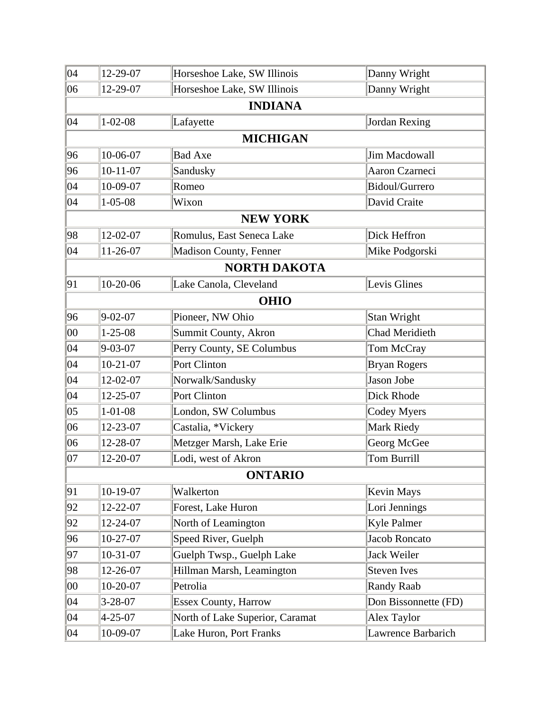| $ 04\rangle$ | 12-29-07       | Horseshoe Lake, SW Illinois     | Danny Wright          |
|--------------|----------------|---------------------------------|-----------------------|
| 06           | 12-29-07       | Horseshoe Lake, SW Illinois     | Danny Wright          |
|              |                | <b>INDIANA</b>                  |                       |
| 04           | $1 - 02 - 08$  | Lafayette                       | Jordan Rexing         |
|              |                | <b>MICHIGAN</b>                 |                       |
| 96           | 10-06-07       | <b>Bad Axe</b>                  | Jim Macdowall         |
| 96           | $10 - 11 - 07$ | Sandusky                        | Aaron Czarneci        |
| 04           | 10-09-07       | Romeo                           | Bidoul/Gurrero        |
| $ 04\rangle$ | $1 - 05 - 08$  | Wixon                           | David Craite          |
|              |                | <b>NEW YORK</b>                 |                       |
| 98           | 12-02-07       | Romulus, East Seneca Lake       | Dick Heffron          |
| $ 04\rangle$ | $11-26-07$     | Madison County, Fenner          | Mike Podgorski        |
|              |                | <b>NORTH DAKOTA</b>             |                       |
| 91           | 10-20-06       | Lake Canola, Cleveland          | Levis Glines          |
|              |                | <b>OHIO</b>                     |                       |
| 96           | $9 - 02 - 07$  | Pioneer, NW Ohio                | Stan Wright           |
| $00\,$       | $1 - 25 - 08$  | Summit County, Akron            | <b>Chad Meridieth</b> |
| 04           | $9 - 03 - 07$  | Perry County, SE Columbus       | Tom McCray            |
| 04           | $10-21-07$     | Port Clinton                    | <b>Bryan Rogers</b>   |
| 04           | 12-02-07       | Norwalk/Sandusky                | Jason Jobe            |
| 04           | 12-25-07       | Port Clinton                    | Dick Rhode            |
| $ 05\rangle$ | $1 - 01 - 08$  | London, SW Columbus             | Codey Myers           |
| 06           | 12-23-07       | Castalia, *Vickery              | Mark Riedy            |
| 06           | 12-28-07       | Metzger Marsh, Lake Erie        | Georg McGee           |
| 07           | 12-20-07       | Lodi, west of Akron             | <b>Tom Burrill</b>    |
|              |                | <b>ONTARIO</b>                  |                       |
| 91           | $10-19-07$     | Walkerton                       | <b>Kevin Mays</b>     |
| 92           | 12-22-07       | Forest, Lake Huron              | Lori Jennings         |
| 92           | 12-24-07       | North of Leamington             | <b>Kyle Palmer</b>    |
| 96           | $10-27-07$     | Speed River, Guelph             | Jacob Roncato         |
| 97           | 10-31-07       | Guelph Twsp., Guelph Lake       | Jack Weiler           |
| 98           | 12-26-07       | Hillman Marsh, Leamington       | <b>Steven Ives</b>    |
| $00\,$       | $10-20-07$     | Petrolia                        | <b>Randy Raab</b>     |
| 04           | $3 - 28 - 07$  | <b>Essex County, Harrow</b>     | Don Bissonnette (FD)  |
| $ 04\rangle$ | $4 - 25 - 07$  | North of Lake Superior, Caramat | Alex Taylor           |
| 04           | 10-09-07       | Lake Huron, Port Franks         | Lawrence Barbarich    |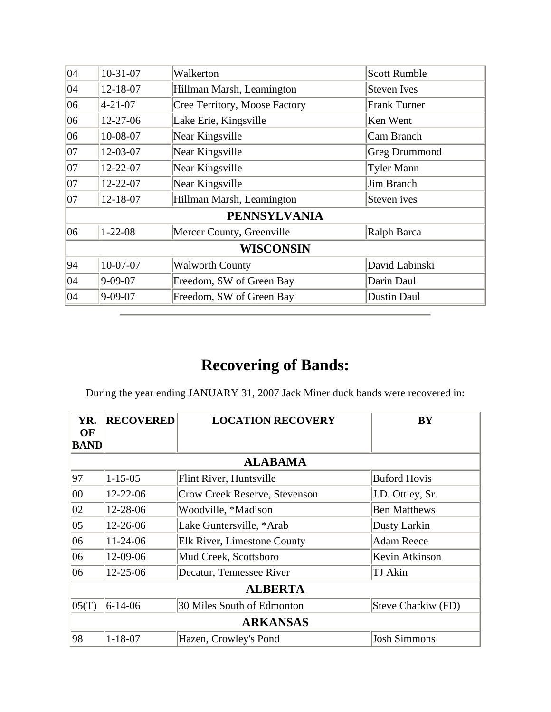| 04           | $10-31-07$       | Walkerton                     | <b>Scott Rumble</b>  |  |  |
|--------------|------------------|-------------------------------|----------------------|--|--|
| 04           | 12-18-07         | Hillman Marsh, Leamington     | <b>Steven Ives</b>   |  |  |
| 06           | $ 4 - 21 - 07 $  | Cree Territory, Moose Factory | <b>Frank Turner</b>  |  |  |
| 06           | 12-27-06         | Lake Erie, Kingsville         | Ken Went             |  |  |
| 06           | 10-08-07         | Near Kingsville               | Cam Branch           |  |  |
| 07           | 12-03-07         | Near Kingsville               | <b>Greg Drummond</b> |  |  |
| $ 07\rangle$ | 12-22-07         | Near Kingsville               | <b>Tyler Mann</b>    |  |  |
| 07           | 12-22-07         | Near Kingsville               | Jim Branch           |  |  |
| 07           | 12-18-07         | Hillman Marsh, Leamington     | Steven ives          |  |  |
|              |                  | <b>PENNSYLVANIA</b>           |                      |  |  |
| 06           | $1 - 22 - 08$    | Mercer County, Greenville     | Ralph Barca          |  |  |
|              | <b>WISCONSIN</b> |                               |                      |  |  |
| 94           | 10-07-07         | <b>Walworth County</b>        | David Labinski       |  |  |
| 04           | $9 - 09 - 07$    | Freedom, SW of Green Bay      | Darin Daul           |  |  |
| 04           | 9-09-07          | Freedom, SW of Green Bay      | Dustin Daul          |  |  |

During the year ending JANUARY 31, 2007 Jack Miner duck bands were recovered in:

| YR.               | <b>RECOVERED</b> | <b>LOCATION RECOVERY</b>           | <b>BY</b>           |  |  |
|-------------------|------------------|------------------------------------|---------------------|--|--|
| OF<br><b>BAND</b> |                  |                                    |                     |  |  |
|                   |                  | <b>ALABAMA</b>                     |                     |  |  |
| 97                | $1 - 15 - 05$    | Flint River, Huntsville            | <b>Buford Hovis</b> |  |  |
| $ 00\rangle$      | 12-22-06         | Crow Creek Reserve, Stevenson      | J.D. Ottley, Sr.    |  |  |
| 02                | 12-28-06         | Woodville, *Madison                | <b>Ben Matthews</b> |  |  |
| $ 05\rangle$      | 12-26-06         | Lake Guntersville, *Arab           | Dusty Larkin        |  |  |
| 06                | $11 - 24 - 06$   | <b>Elk River, Limestone County</b> | Adam Reece          |  |  |
| 06                | 12-09-06         | Mud Creek, Scottsboro              | Kevin Atkinson      |  |  |
| 06                | $12 - 25 - 06$   | Decatur, Tennessee River           | <b>TJ</b> Akin      |  |  |
|                   | <b>ALBERTA</b>   |                                    |                     |  |  |
| 05(T)             | $ 6-14-06 $      | 30 Miles South of Edmonton         | Steve Charkiw (FD)  |  |  |
|                   |                  | <b>ARKANSAS</b>                    |                     |  |  |
| 98                | $1 - 18 - 07$    | Hazen, Crowley's Pond              | <b>Josh Simmons</b> |  |  |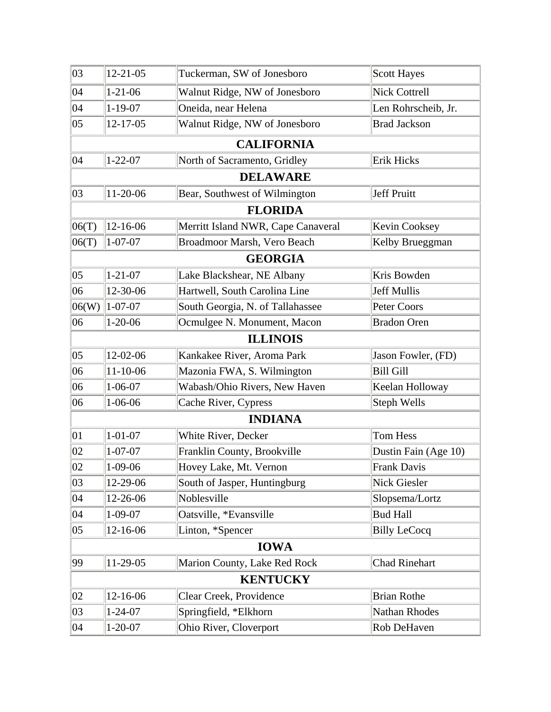| 03           | $12 - 21 - 05$ | Tuckerman, SW of Jonesboro         | <b>Scott Hayes</b>   |
|--------------|----------------|------------------------------------|----------------------|
| 04           | $1 - 21 - 06$  | Walnut Ridge, NW of Jonesboro      | <b>Nick Cottrell</b> |
| 04           | $1 - 19 - 07$  | Oneida, near Helena                | Len Rohrscheib, Jr.  |
| 05           | 12-17-05       | Walnut Ridge, NW of Jonesboro      | <b>Brad Jackson</b>  |
|              |                | <b>CALIFORNIA</b>                  |                      |
| 04           | $1 - 22 - 07$  | North of Sacramento, Gridley       | Erik Hicks           |
|              |                | <b>DELAWARE</b>                    |                      |
| 03           | 11-20-06       | Bear, Southwest of Wilmington      | Jeff Pruitt          |
|              |                | <b>FLORIDA</b>                     |                      |
| 06(T)        | 12-16-06       | Merritt Island NWR, Cape Canaveral | Kevin Cooksey        |
| 06(T)        | $1 - 07 - 07$  | Broadmoor Marsh, Vero Beach        | Kelby Brueggman      |
|              |                | <b>GEORGIA</b>                     |                      |
| $ 05\rangle$ | $1 - 21 - 07$  | Lake Blackshear, NE Albany         | Kris Bowden          |
| 06           | 12-30-06       | Hartwell, South Carolina Line      | <b>Jeff Mullis</b>   |
| 06(W)        | $1 - 07 - 07$  | South Georgia, N. of Tallahassee   | Peter Coors          |
| 06           | $1 - 20 - 06$  | Ocmulgee N. Monument, Macon        | <b>Bradon Oren</b>   |
|              |                | <b>ILLINOIS</b>                    |                      |
| $ 05\rangle$ | 12-02-06       | Kankakee River, Aroma Park         | Jason Fowler, (FD)   |
| 06           | $11 - 10 - 06$ | Mazonia FWA, S. Wilmington         | <b>Bill Gill</b>     |
| 06           | $1 - 06 - 07$  | Wabash/Ohio Rivers, New Haven      | Keelan Holloway      |
| 06           | $1 - 06 - 06$  | Cache River, Cypress               | Steph Wells          |
|              |                | <b>INDIANA</b>                     |                      |
| 01           | $1 - 01 - 07$  | White River, Decker                | Tom Hess             |
| 02           | $1 - 07 - 07$  | Franklin County, Brookville        | Dustin Fain (Age 10) |
| $ 02\rangle$ | $1-09-06$      | Hovey Lake, Mt. Vernon             | <b>Frank Davis</b>   |
| 03           | 12-29-06       | South of Jasper, Huntingburg       | Nick Giesler         |
| 04           | 12-26-06       | Noblesville                        | Slopsema/Lortz       |
| 04           | $1 - 09 - 07$  | Oatsville, *Evansville             | <b>Bud Hall</b>      |
| 05           | 12-16-06       | Linton, *Spencer                   | <b>Billy LeCocq</b>  |
|              |                | <b>IOWA</b>                        |                      |
| 99           | 11-29-05       | Marion County, Lake Red Rock       | Chad Rinehart        |
|              |                | <b>KENTUCKY</b>                    |                      |
| 02           | 12-16-06       | Clear Creek, Providence            | <b>Brian Rothe</b>   |
| 03           | $1 - 24 - 07$  | Springfield, *Elkhorn              | Nathan Rhodes        |
| 04           | $1 - 20 - 07$  | Ohio River, Cloverport             | Rob DeHaven          |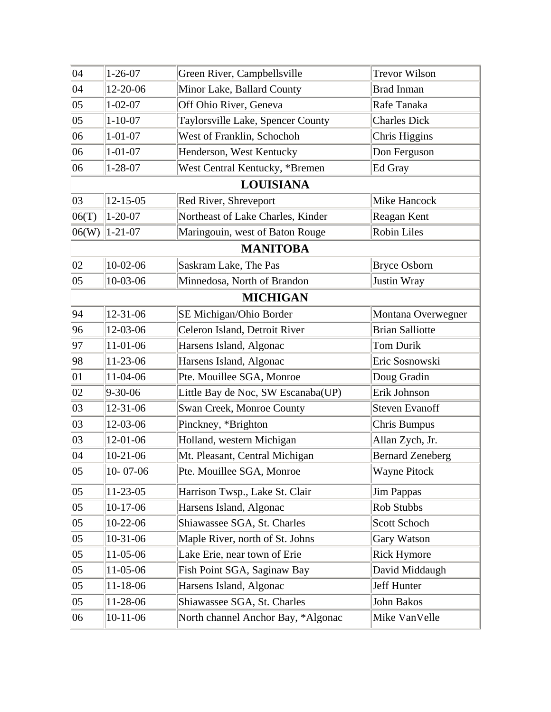| $ 04\rangle$ | $1 - 26 - 07$     | Green River, Campbellsville        | <b>Trevor Wilson</b>    |
|--------------|-------------------|------------------------------------|-------------------------|
| 04           | 12-20-06          | Minor Lake, Ballard County         | <b>Brad Inman</b>       |
| $ 05\rangle$ | $1 - 02 - 07$     | Off Ohio River, Geneva             | Rafe Tanaka             |
| $ 05\rangle$ | $1 - 10 - 07$     | Taylorsville Lake, Spencer County  | <b>Charles Dick</b>     |
| 06           | $1 - 01 - 07$     | West of Franklin, Schochoh         | Chris Higgins           |
| 06           | $1 - 01 - 07$     | Henderson, West Kentucky           | Don Ferguson            |
| 06           | $1 - 28 - 07$     | West Central Kentucky, *Bremen     | Ed Gray                 |
|              |                   | <b>LOUISIANA</b>                   |                         |
| 03           | $12 - 15 - 05$    | Red River, Shreveport              | Mike Hancock            |
| 06(T)        | $1 - 20 - 07$     | Northeast of Lake Charles, Kinder  | Reagan Kent             |
|              | $ 06(W) $ 1-21-07 | Maringouin, west of Baton Rouge    | <b>Robin Liles</b>      |
|              |                   | <b>MANITOBA</b>                    |                         |
| 02           | $10-02-06$        | Saskram Lake, The Pas              | <b>Bryce Osborn</b>     |
| $ 05\rangle$ | 10-03-06          | Minnedosa, North of Brandon        | Justin Wray             |
|              |                   | <b>MICHIGAN</b>                    |                         |
| 94           | $12 - 31 - 06$    | SE Michigan/Ohio Border            | Montana Overwegner      |
| 96           | 12-03-06          | Celeron Island, Detroit River      | <b>Brian Salliotte</b>  |
| 97           | 11-01-06          | Harsens Island, Algonac            | Tom Durik               |
| 98           | 11-23-06          | Harsens Island, Algonac            | Eric Sosnowski          |
| $ 01\rangle$ | 11-04-06          | Pte. Mouillee SGA, Monroe          | Doug Gradin             |
| 02           | $9 - 30 - 06$     | Little Bay de Noc, SW Escanaba(UP) | Erik Johnson            |
| 03           | 12-31-06          | Swan Creek, Monroe County          | <b>Steven Evanoff</b>   |
| 03           | 12-03-06          | Pinckney, *Brighton                | Chris Bumpus            |
| 03           | 12-01-06          | Holland, western Michigan          | Allan Zych, Jr.         |
| 04           | 10-21-06          | Mt. Pleasant, Central Michigan     | <b>Bernard Zeneberg</b> |
| $ 05\rangle$ | $10 - 07 - 06$    | Pte. Mouillee SGA, Monroe          | Wayne Pitock            |
| $ 05\rangle$ | 11-23-05          | Harrison Twsp., Lake St. Clair     | Jim Pappas              |
| $ 05\rangle$ | 10-17-06          | Harsens Island, Algonac            | Rob Stubbs              |
| $ 05\rangle$ | 10-22-06          | Shiawassee SGA, St. Charles        | Scott Schoch            |
| $ 05\rangle$ | 10-31-06          | Maple River, north of St. Johns    | Gary Watson             |
| $ 05\rangle$ | 11-05-06          | Lake Erie, near town of Erie       | <b>Rick Hymore</b>      |
| $ 05\rangle$ | 11-05-06          | Fish Point SGA, Saginaw Bay        | David Middaugh          |
| $ 05\rangle$ | 11-18-06          | Harsens Island, Algonac            | Jeff Hunter             |
| $ 05\rangle$ | 11-28-06          | Shiawassee SGA, St. Charles        | John Bakos              |
| 06           | 10-11-06          | North channel Anchor Bay, *Algonac | Mike VanVelle           |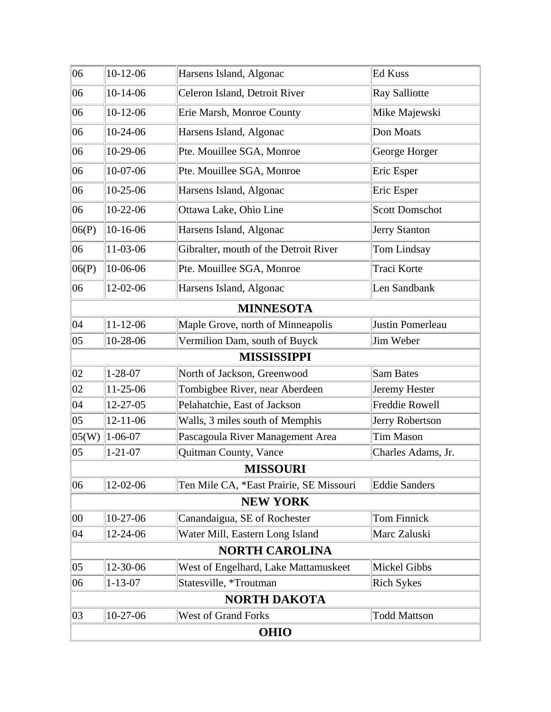| 06           | $10-12-06$     | Harsens Island, Algonac                 | Ed Kuss               |
|--------------|----------------|-----------------------------------------|-----------------------|
| 06           | $10-14-06$     | Celeron Island, Detroit River           | Ray Salliotte         |
| 06           | $10-12-06$     | Erie Marsh, Monroe County               | Mike Majewski         |
| 06           | 10-24-06       | Harsens Island, Algonac                 | Don Moats             |
| 06           | 10-29-06       | Pte. Mouillee SGA, Monroe               | George Horger         |
| 06           | 10-07-06       | Pte. Mouillee SGA, Monroe               | Eric Esper            |
| 06           | 10-25-06       | Harsens Island, Algonac                 | Eric Esper            |
| 06           | 10-22-06       | Ottawa Lake, Ohio Line                  | <b>Scott Domschot</b> |
| 06(P)        | 10-16-06       | Harsens Island, Algonac                 | Jerry Stanton         |
| 06           | 11-03-06       | Gibralter, mouth of the Detroit River   | Tom Lindsay           |
| 06(P)        | 10-06-06       | Pte. Mouillee SGA, Monroe               | Traci Korte           |
| 06           | 12-02-06       | Harsens Island, Algonac                 | Len Sandbank          |
|              |                | <b>MINNESOTA</b>                        |                       |
| $ 04\rangle$ | $11-12-06$     | Maple Grove, north of Minneapolis       | Justin Pomerleau      |
| $ 05\rangle$ | 10-28-06       | Vermilion Dam, south of Buyck           | Jim Weber             |
|              |                | <b>MISSISSIPPI</b>                      |                       |
| 02           | $1 - 28 - 07$  | North of Jackson, Greenwood             | Sam Bates             |
| 02           | 11-25-06       | Tombigbee River, near Aberdeen          | Jeremy Hester         |
| 04           | 12-27-05       | Pelahatchie, East of Jackson            | Freddie Rowell        |
| $ 05\rangle$ | $12 - 11 - 06$ | Walls, 3 miles south of Memphis         | Jerry Robertson       |
| 05(W)        | $1 - 06 - 07$  | Pascagoula River Management Area        | <b>Tim Mason</b>      |
| $ 05\rangle$ | $1 - 21 - 07$  | Quitman County, Vance                   | Charles Adams, Jr.    |
|              |                | <b>MISSOURI</b>                         |                       |
| 06           | 12-02-06       | Ten Mile CA, *East Prairie, SE Missouri | Eddie Sanders         |
|              |                | <b>NEW YORK</b>                         |                       |
| $ 00\rangle$ | 10-27-06       | Canandaigua, SE of Rochester            | Tom Finnick           |
| $ 04\rangle$ | 12-24-06       | Water Mill, Eastern Long Island         | Marc Zaluski          |
|              |                | <b>NORTH CAROLINA</b>                   |                       |
| $ 05\rangle$ | 12-30-06       | West of Engelhard, Lake Mattamuskeet    | Mickel Gibbs          |
| 06           | $1 - 13 - 07$  | Statesville, *Troutman                  | <b>Rich Sykes</b>     |
|              |                | <b>NORTH DAKOTA</b>                     |                       |
| 03           | 10-27-06       | <b>West of Grand Forks</b>              | <b>Todd Mattson</b>   |
|              |                | <b>OHIO</b>                             |                       |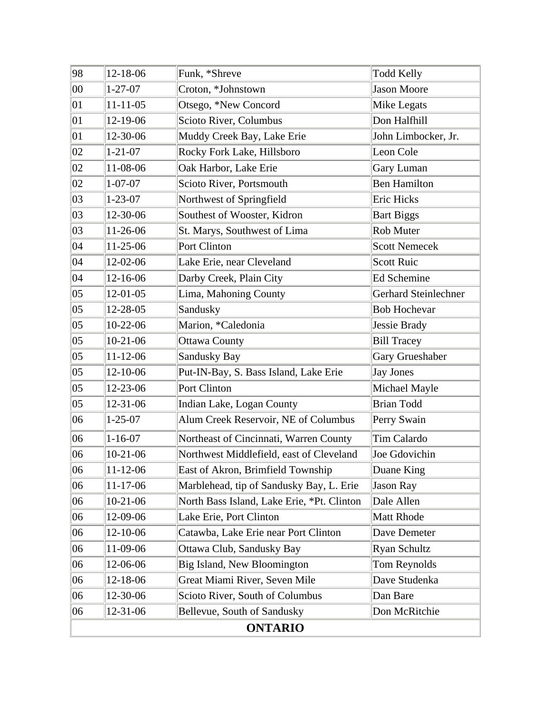| 98             | 12-18-06       | Funk, *Shreve                              | <b>Todd Kelly</b>    |  |
|----------------|----------------|--------------------------------------------|----------------------|--|
| $ 00\rangle$   | $1 - 27 - 07$  | Croton, *Johnstown                         | <b>Jason Moore</b>   |  |
| 01             | $11 - 11 - 05$ | Otsego, *New Concord                       | Mike Legats          |  |
| 01             | 12-19-06       | Scioto River, Columbus                     | Don Halfhill         |  |
| 01             | 12-30-06       | Muddy Creek Bay, Lake Erie                 | John Limbocker, Jr.  |  |
| 02             | $1 - 21 - 07$  | Rocky Fork Lake, Hillsboro                 | Leon Cole            |  |
| 02             | 11-08-06       | Oak Harbor, Lake Erie                      | Gary Luman           |  |
| 02             | $1 - 07 - 07$  | Scioto River, Portsmouth                   | <b>Ben Hamilton</b>  |  |
| 03             | $1 - 23 - 07$  | Northwest of Springfield                   | Eric Hicks           |  |
| 03             | 12-30-06       | Southest of Wooster, Kidron                | <b>Bart Biggs</b>    |  |
| 03             | 11-26-06       | St. Marys, Southwest of Lima               | Rob Muter            |  |
| 04             | 11-25-06       | Port Clinton                               | <b>Scott Nemecek</b> |  |
| 04             | 12-02-06       | Lake Erie, near Cleveland                  | Scott Ruic           |  |
| 04             | 12-16-06       | Darby Creek, Plain City                    | <b>Ed Schemine</b>   |  |
| $ 05\rangle$   | $12-01-05$     | Lima, Mahoning County                      | Gerhard Steinlechner |  |
| $ 05\rangle$   | 12-28-05       | Sandusky                                   | <b>Bob Hochevar</b>  |  |
| 05             | 10-22-06       | Marion, *Caledonia                         | Jessie Brady         |  |
| 05             | $10-21-06$     | <b>Ottawa County</b>                       | <b>Bill Tracey</b>   |  |
| $ 05\rangle$   | $11-12-06$     | Sandusky Bay                               | Gary Grueshaber      |  |
| 05             | 12-10-06       | Put-IN-Bay, S. Bass Island, Lake Erie      | Jay Jones            |  |
| $ 05\rangle$   | 12-23-06       | Port Clinton                               | Michael Mayle        |  |
| 05             | 12-31-06       | Indian Lake, Logan County                  | <b>Brian Todd</b>    |  |
| 06             | $1 - 25 - 07$  | Alum Creek Reservoir, NE of Columbus       | Perry Swain          |  |
| 06             | $1 - 16 - 07$  | Northeast of Cincinnati, Warren County     | Tim Calardo          |  |
| 06             | $10-21-06$     | Northwest Middlefield, east of Cleveland   | Joe Gdovichin        |  |
| $ 06\rangle$   | $11 - 12 - 06$ | East of Akron, Brimfield Township          | Duane King           |  |
| 06             | $11-17-06$     | Marblehead, tip of Sandusky Bay, L. Erie   | Jason Ray            |  |
| 06             | $10-21-06$     | North Bass Island, Lake Erie, *Pt. Clinton | Dale Allen           |  |
| 06             | 12-09-06       | Lake Erie, Port Clinton                    | Matt Rhode           |  |
| 06             | 12-10-06       | Catawba, Lake Erie near Port Clinton       | Dave Demeter         |  |
| 06             | 11-09-06       | Ottawa Club, Sandusky Bay                  | Ryan Schultz         |  |
| 06             | 12-06-06       | Big Island, New Bloomington                | Tom Reynolds         |  |
| 06             | 12-18-06       | Great Miami River, Seven Mile              | Dave Studenka        |  |
| 06             | 12-30-06       | Scioto River, South of Columbus            | Dan Bare             |  |
| 06             | 12-31-06       | Bellevue, South of Sandusky                | Don McRitchie        |  |
| <b>ONTARIO</b> |                |                                            |                      |  |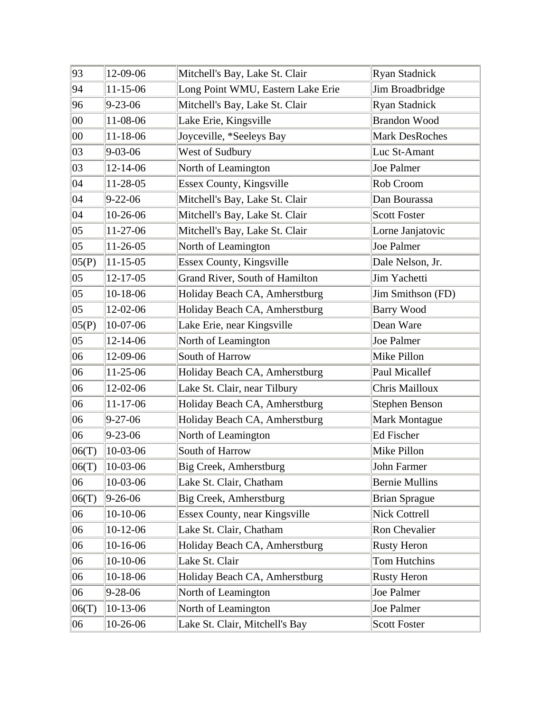| 93     | 12-09-06       | Mitchell's Bay, Lake St. Clair       | <b>Ryan Stadnick</b>  |
|--------|----------------|--------------------------------------|-----------------------|
| 94     | $11 - 15 - 06$ | Long Point WMU, Eastern Lake Erie    | Jim Broadbridge       |
| 96     | $9 - 23 - 06$  | Mitchell's Bay, Lake St. Clair       | Ryan Stadnick         |
| $00\,$ | 11-08-06       | Lake Erie, Kingsville                | <b>Brandon Wood</b>   |
| $00\,$ | $11 - 18 - 06$ | Joyceville, *Seeleys Bay             | Mark DesRoches        |
| 03     | $9 - 03 - 06$  | West of Sudbury                      | Luc St-Amant          |
| 03     | 12-14-06       | North of Leamington                  | Joe Palmer            |
| 04     | 11-28-05       | Essex County, Kingsville             | Rob Croom             |
| 04     | $9 - 22 - 06$  | Mitchell's Bay, Lake St. Clair       | Dan Bourassa          |
| 04     | 10-26-06       | Mitchell's Bay, Lake St. Clair       | <b>Scott Foster</b>   |
| 05     | 11-27-06       | Mitchell's Bay, Lake St. Clair       | Lorne Janjatovic      |
| 05     | $11-26-05$     | North of Leamington                  | Joe Palmer            |
| 05(P)  | $11 - 15 - 05$ | Essex County, Kingsville             | Dale Nelson, Jr.      |
| 05     | $12 - 17 - 05$ | Grand River, South of Hamilton       | Jim Yachetti          |
| 05     | $10-18-06$     | Holiday Beach CA, Amherstburg        | Jim Smithson (FD)     |
| 05     | 12-02-06       | Holiday Beach CA, Amherstburg        | <b>Barry Wood</b>     |
| 05(P)  | 10-07-06       | Lake Erie, near Kingsville           | Dean Ware             |
| 05     | $12 - 14 - 06$ | North of Leamington                  | Joe Palmer            |
| 06     | 12-09-06       | South of Harrow                      | Mike Pillon           |
| 06     | 11-25-06       | Holiday Beach CA, Amherstburg        | Paul Micallef         |
| 06     | 12-02-06       | Lake St. Clair, near Tilbury         | Chris Mailloux        |
| 06     | $11 - 17 - 06$ | Holiday Beach CA, Amherstburg        | <b>Stephen Benson</b> |
| 06     | $9 - 27 - 06$  | Holiday Beach CA, Amherstburg        | <b>Mark Montague</b>  |
| 06     | $9 - 23 - 06$  | North of Leamington                  | Ed Fischer            |
| 06(T)  | 10-03-06       | South of Harrow                      | Mike Pillon           |
| 06(T)  | 10-03-06       | Big Creek, Amherstburg               | John Farmer           |
| 06     | 10-03-06       | Lake St. Clair, Chatham              | <b>Bernie Mullins</b> |
| 06(T)  | $9 - 26 - 06$  | Big Creek, Amherstburg               | <b>Brian Sprague</b>  |
| 06     | 10-10-06       | <b>Essex County, near Kingsville</b> | Nick Cottrell         |
| 06     | $10-12-06$     | Lake St. Clair, Chatham              | Ron Chevalier         |
| 06     | 10-16-06       | Holiday Beach CA, Amherstburg        | <b>Rusty Heron</b>    |
| 06     | 10-10-06       | Lake St. Clair                       | Tom Hutchins          |
| 06     | 10-18-06       | Holiday Beach CA, Amherstburg        | <b>Rusty Heron</b>    |
| 06     | $9 - 28 - 06$  | North of Leamington                  | Joe Palmer            |
| 06(T)  | $10-13-06$     | North of Leamington                  | Joe Palmer            |
| 06     | 10-26-06       | Lake St. Clair, Mitchell's Bay       | <b>Scott Foster</b>   |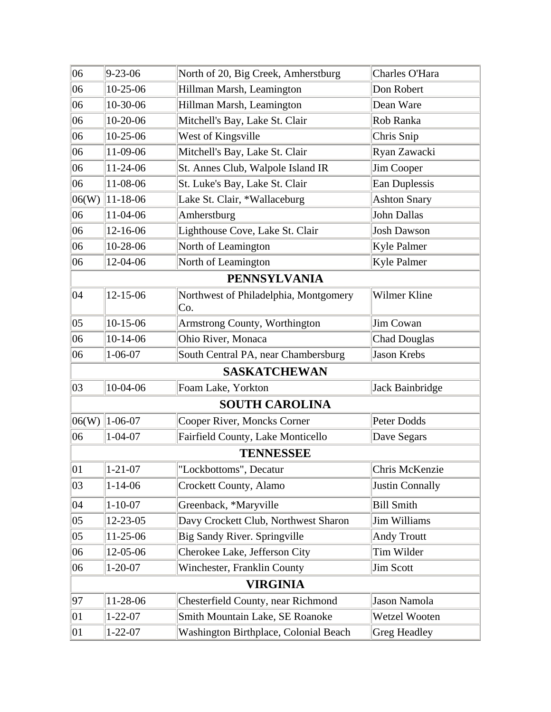| 06              | $9 - 23 - 06$       | North of 20, Big Creek, Amherstburg          | Charles O'Hara         |  |  |
|-----------------|---------------------|----------------------------------------------|------------------------|--|--|
| 06              | 10-25-06            | Hillman Marsh, Leamington                    | Don Robert             |  |  |
| 06              | 10-30-06            | Hillman Marsh, Leamington                    | Dean Ware              |  |  |
| 06              | 10-20-06            | Mitchell's Bay, Lake St. Clair               | Rob Ranka              |  |  |
| 06              | 10-25-06            | West of Kingsville                           | Chris Snip             |  |  |
| 06              | 11-09-06            | Mitchell's Bay, Lake St. Clair               | Ryan Zawacki           |  |  |
| 06              | 11-24-06            | St. Annes Club, Walpole Island IR            | Jim Cooper             |  |  |
| 06              | 11-08-06            | St. Luke's Bay, Lake St. Clair               | Ean Duplessis          |  |  |
| 06(W)           | 11-18-06            | Lake St. Clair, *Wallaceburg                 | <b>Ashton Snary</b>    |  |  |
| 06              | 11-04-06            | Amherstburg                                  | John Dallas            |  |  |
| 06              | 12-16-06            | Lighthouse Cove, Lake St. Clair              | <b>Josh Dawson</b>     |  |  |
| 06              | 10-28-06            | North of Leamington                          | Kyle Palmer            |  |  |
| 06              | 12-04-06            | North of Leamington                          | Kyle Palmer            |  |  |
|                 | <b>PENNSYLVANIA</b> |                                              |                        |  |  |
| 04              | 12-15-06            | Northwest of Philadelphia, Montgomery<br>Co. | Wilmer Kline           |  |  |
| $ 05\rangle$    | $10-15-06$          | Armstrong County, Worthington                | <b>Jim Cowan</b>       |  |  |
| 06              | $10-14-06$          | Ohio River, Monaca                           | <b>Chad Douglas</b>    |  |  |
| 06              | $1 - 06 - 07$       | South Central PA, near Chambersburg          | Jason Krebs            |  |  |
|                 |                     | <b>SASKATCHEWAN</b>                          |                        |  |  |
| 03              | 10-04-06            | Foam Lake, Yorkton                           | Jack Bainbridge        |  |  |
|                 |                     | <b>SOUTH CAROLINA</b>                        |                        |  |  |
| 06(W)           | $1 - 06 - 07$       | Cooper River, Moncks Corner                  | Peter Dodds            |  |  |
| 06              | $1 - 04 - 07$       | Fairfield County, Lake Monticello            | Dave Segars            |  |  |
|                 | <b>TENNESSEE</b>    |                                              |                        |  |  |
| $ 01\rangle$    | $1 - 21 - 07$       | "Lockbottoms", Decatur                       | Chris McKenzie         |  |  |
| 03              | $1 - 14 - 06$       | Crockett County, Alamo                       | <b>Justin Connally</b> |  |  |
| 04              | $1 - 10 - 07$       | Greenback, *Maryville                        | <b>Bill Smith</b>      |  |  |
| $ 05\rangle$    | 12-23-05            | Davy Crockett Club, Northwest Sharon         | Jim Williams           |  |  |
| $ 05\rangle$    | 11-25-06            | Big Sandy River. Springville                 | <b>Andy Troutt</b>     |  |  |
| 06              | 12-05-06            | Cherokee Lake, Jefferson City                | Tim Wilder             |  |  |
| 06              | $1 - 20 - 07$       | Winchester, Franklin County                  | <b>Jim Scott</b>       |  |  |
| <b>VIRGINIA</b> |                     |                                              |                        |  |  |
| 97              | 11-28-06            | Chesterfield County, near Richmond           | Jason Namola           |  |  |
| $ 01\rangle$    | $1 - 22 - 07$       | Smith Mountain Lake, SE Roanoke              | Wetzel Wooten          |  |  |
| $ 01\rangle$    | $1 - 22 - 07$       | Washington Birthplace, Colonial Beach        | Greg Headley           |  |  |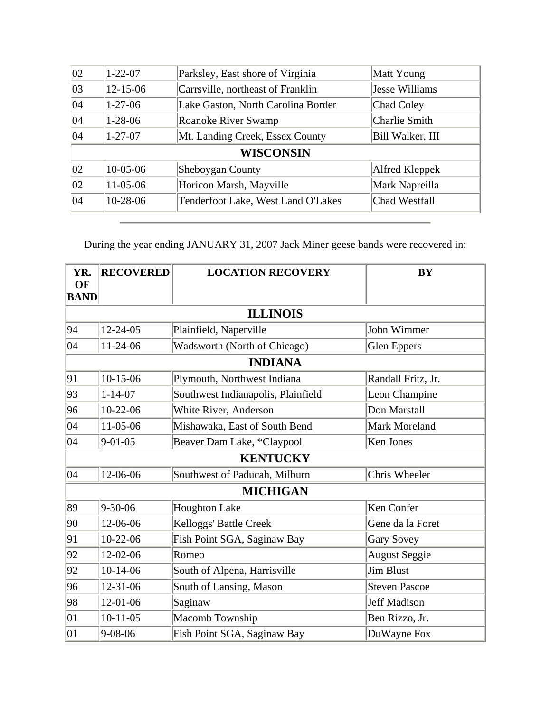| $\overline{02}$  | $1 - 22 - 07$  | Parksley, East shore of Virginia   | Matt Young       |
|------------------|----------------|------------------------------------|------------------|
| $ 03\rangle$     | $12 - 15 - 06$ | Carrsville, northeast of Franklin  | Jesse Williams   |
| $ 04\rangle$     | $1 - 27 - 06$  | Lake Gaston, North Carolina Border | Chad Coley       |
| $ 04\rangle$     | $1 - 28 - 06$  | Roanoke River Swamp                | Charlie Smith    |
| 04               | $1 - 27 - 07$  | Mt. Landing Creek, Essex County    | Bill Walker, III |
| <b>WISCONSIN</b> |                |                                    |                  |
| $ 02\rangle$     | $10-05-06$     | Sheboygan County                   | Alfred Kleppek   |
| $ 02\rangle$     | 11-05-06       | Horicon Marsh, Mayville            | Mark Napreilla   |
| $ 04\rangle$     | $10-28-06$     | Tenderfoot Lake, West Land O'Lakes | Chad Westfall    |
|                  |                |                                    |                  |

During the year ending JANUARY 31, 2007 Jack Miner geese bands were recovered in:

| YR.<br><b>OF</b> | <b>RECOVERED</b> | <b>LOCATION RECOVERY</b>            | <b>BY</b>            |
|------------------|------------------|-------------------------------------|----------------------|
| <b>BAND</b>      |                  |                                     |                      |
|                  |                  | <b>ILLINOIS</b>                     |                      |
| 94               | $12 - 24 - 05$   | Plainfield, Naperville              | John Wimmer          |
| 04               | $11-24-06$       | <b>Wadsworth (North of Chicago)</b> | Glen Eppers          |
|                  |                  | <b>INDIANA</b>                      |                      |
| 91               | $10-15-06$       | Plymouth, Northwest Indiana         | Randall Fritz, Jr.   |
| 93               | $1 - 14 - 07$    | Southwest Indianapolis, Plainfield  | Leon Champine        |
| 96               | $10-22-06$       | White River, Anderson               | Don Marstall         |
| 04               | 11-05-06         | Mishawaka, East of South Bend       | <b>Mark Moreland</b> |
| 04               | $9 - 01 - 05$    | Beaver Dam Lake, *Claypool          | Ken Jones            |
|                  |                  | <b>KENTUCKY</b>                     |                      |
| 04               | 12-06-06         | Southwest of Paducah, Milburn       | Chris Wheeler        |
|                  |                  | <b>MICHIGAN</b>                     |                      |
| 89               | $9 - 30 - 06$    | <b>Houghton Lake</b>                | Ken Confer           |
| 90               | 12-06-06         | Kelloggs' Battle Creek              | Gene da la Foret     |
| 91               | $10-22-06$       | Fish Point SGA, Saginaw Bay         | <b>Gary Sovey</b>    |
| 92               | 12-02-06         | Romeo                               | <b>August Seggie</b> |
| 92               | $10-14-06$       | South of Alpena, Harrisville        | <b>Jim Blust</b>     |
| 96               | $12 - 31 - 06$   | South of Lansing, Mason             | <b>Steven Pascoe</b> |
| 98               | 12-01-06         | Saginaw                             | <b>Jeff Madison</b>  |
| $ 01\rangle$     | $10-11-05$       | <b>Macomb Township</b>              | Ben Rizzo, Jr.       |
| 01               | $9 - 08 - 06$    | Fish Point SGA, Saginaw Bay         | DuWayne Fox          |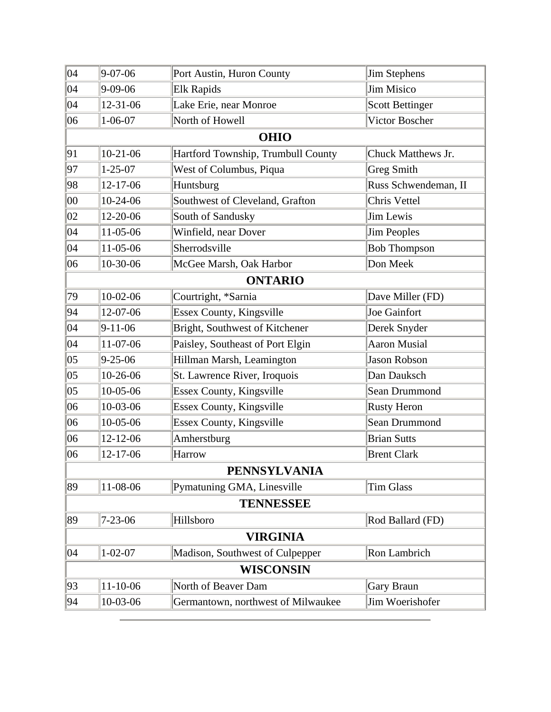| $9 - 07 - 06$       | Port Austin, Huron County          | <b>Jim Stephens</b>    |  |  |
|---------------------|------------------------------------|------------------------|--|--|
| $9 - 09 - 06$       | <b>Elk Rapids</b>                  | <b>Jim Misico</b>      |  |  |
| 12-31-06            | Lake Erie, near Monroe             | <b>Scott Bettinger</b> |  |  |
| $1 - 06 - 07$       | North of Howell                    | Victor Boscher         |  |  |
|                     | <b>OHIO</b>                        |                        |  |  |
| $10-21-06$          | Hartford Township, Trumbull County | Chuck Matthews Jr.     |  |  |
| $1 - 25 - 07$       | West of Columbus, Piqua            | <b>Greg Smith</b>      |  |  |
| $12 - 17 - 06$      | Huntsburg                          | Russ Schwendeman, II   |  |  |
| $10-24-06$          | Southwest of Cleveland, Grafton    | Chris Vettel           |  |  |
| 12-20-06            | South of Sandusky                  | Jim Lewis              |  |  |
| 11-05-06            | Winfield, near Dover               | <b>Jim Peoples</b>     |  |  |
| 11-05-06            | Sherrodsville                      | <b>Bob Thompson</b>    |  |  |
| 10-30-06            | McGee Marsh, Oak Harbor            | Don Meek               |  |  |
|                     | <b>ONTARIO</b>                     |                        |  |  |
| $10-02-06$          | Courtright, *Sarnia                | Dave Miller (FD)       |  |  |
| $12-07-06$          | Essex County, Kingsville           | Joe Gainfort           |  |  |
| $9 - 11 - 06$       | Bright, Southwest of Kitchener     | Derek Snyder           |  |  |
| 11-07-06            | Paisley, Southeast of Port Elgin   | <b>Aaron Musial</b>    |  |  |
| $9 - 25 - 06$       | Hillman Marsh, Leamington          | <b>Jason Robson</b>    |  |  |
| $10-26-06$          | St. Lawrence River, Iroquois       | Dan Dauksch            |  |  |
| $10-05-06$          | Essex County, Kingsville           | Sean Drummond          |  |  |
| 10-03-06            | Essex County, Kingsville           | <b>Rusty Heron</b>     |  |  |
| $10-05-06$          | Essex County, Kingsville           | Sean Drummond          |  |  |
| $12 - 12 - 06$      | Amherstburg                        | <b>Brian Sutts</b>     |  |  |
| 12-17-06            | Harrow                             | <b>Brent Clark</b>     |  |  |
| <b>PENNSYLVANIA</b> |                                    |                        |  |  |
| 11-08-06            | Pymatuning GMA, Linesville         | <b>Tim Glass</b>       |  |  |
| <b>TENNESSEE</b>    |                                    |                        |  |  |
| $7 - 23 - 06$       | Hillsboro                          | Rod Ballard (FD)       |  |  |
| <b>VIRGINIA</b>     |                                    |                        |  |  |
| $1 - 02 - 07$       | Madison, Southwest of Culpepper    | Ron Lambrich           |  |  |
| <b>WISCONSIN</b>    |                                    |                        |  |  |
| $11-10-06$          | North of Beaver Dam                | Gary Braun             |  |  |
| 10-03-06            | Germantown, northwest of Milwaukee | Jim Woerishofer        |  |  |
|                     |                                    |                        |  |  |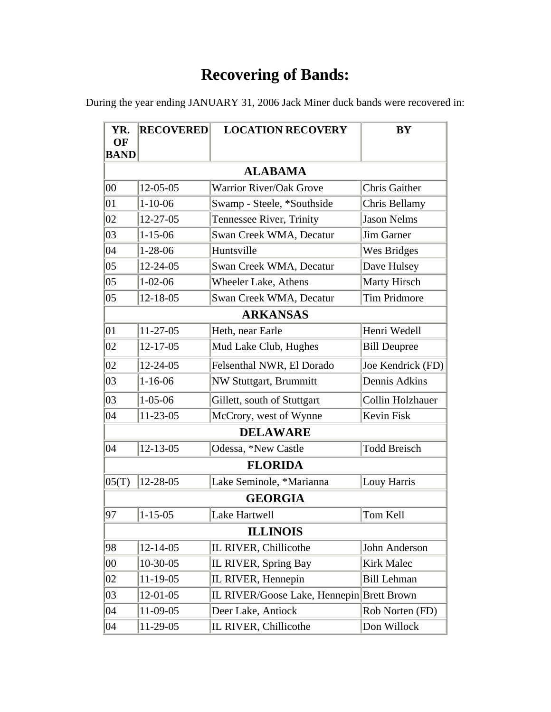During the year ending JANUARY 31, 2006 Jack Miner duck bands were recovered in:

| YR.               | <b>RECOVERED</b> | <b>LOCATION RECOVERY</b>                  | <b>BY</b>            |  |  |
|-------------------|------------------|-------------------------------------------|----------------------|--|--|
| OF<br><b>BAND</b> |                  |                                           |                      |  |  |
|                   | <b>ALABAMA</b>   |                                           |                      |  |  |
| 00                | $12 - 05 - 05$   | Warrior River/Oak Grove                   | <b>Chris Gaither</b> |  |  |
| 01                | $1 - 10 - 06$    | Swamp - Steele, *Southside                | Chris Bellamy        |  |  |
| 02                | 12-27-05         | Tennessee River, Trinity                  | <b>Jason Nelms</b>   |  |  |
| 03                | $1 - 15 - 06$    | Swan Creek WMA, Decatur                   | <b>Jim Garner</b>    |  |  |
| 04                | $1 - 28 - 06$    | Huntsville                                | <b>Wes Bridges</b>   |  |  |
| 05                | $12 - 24 - 05$   | Swan Creek WMA, Decatur                   | Dave Hulsey          |  |  |
| 05                | $1 - 02 - 06$    | <b>Wheeler Lake, Athens</b>               | <b>Marty Hirsch</b>  |  |  |
| 05                | $12 - 18 - 05$   | Swan Creek WMA, Decatur                   | <b>Tim Pridmore</b>  |  |  |
| <b>ARKANSAS</b>   |                  |                                           |                      |  |  |
| $ 01\rangle$      | $11-27-05$       | Heth, near Earle                          | Henri Wedell         |  |  |
| 02                | $12 - 17 - 05$   | Mud Lake Club, Hughes                     | <b>Bill Deupree</b>  |  |  |
| 02                | $12 - 24 - 05$   | Felsenthal NWR, El Dorado                 | Joe Kendrick (FD)    |  |  |
| 03                | $1 - 16 - 06$    | <b>NW Stuttgart, Brummitt</b>             | Dennis Adkins        |  |  |
| 03                | $1 - 05 - 06$    | Gillett, south of Stuttgart               | Collin Holzhauer     |  |  |
| 04                | $11-23-05$       | McCrory, west of Wynne                    | Kevin Fisk           |  |  |
|                   |                  | <b>DELAWARE</b>                           |                      |  |  |
| 04                | $12 - 13 - 05$   | Odessa, *New Castle                       | <b>Todd Breisch</b>  |  |  |
|                   |                  | <b>FLORIDA</b>                            |                      |  |  |
| 05(T)             | 12-28-05         | Lake Seminole, *Marianna                  | Louy Harris          |  |  |
|                   |                  | <b>GEORGIA</b>                            |                      |  |  |
| 97                | $1 - 15 - 05$    | Lake Hartwell                             | Tom Kell             |  |  |
|                   | <b>ILLINOIS</b>  |                                           |                      |  |  |
| 98                | $12 - 14 - 05$   | IL RIVER, Chillicothe                     | John Anderson        |  |  |
| 00                | $10-30-05$       | IL RIVER, Spring Bay                      | Kirk Malec           |  |  |
| 02                | $11-19-05$       | IL RIVER, Hennepin                        | <b>Bill Lehman</b>   |  |  |
| 03                | $12 - 01 - 05$   | IL RIVER/Goose Lake, Hennepin Brett Brown |                      |  |  |
| 04                | 11-09-05         | Deer Lake, Antiock                        | Rob Norten (FD)      |  |  |
| 04                | 11-29-05         | IL RIVER, Chillicothe                     | Don Willock          |  |  |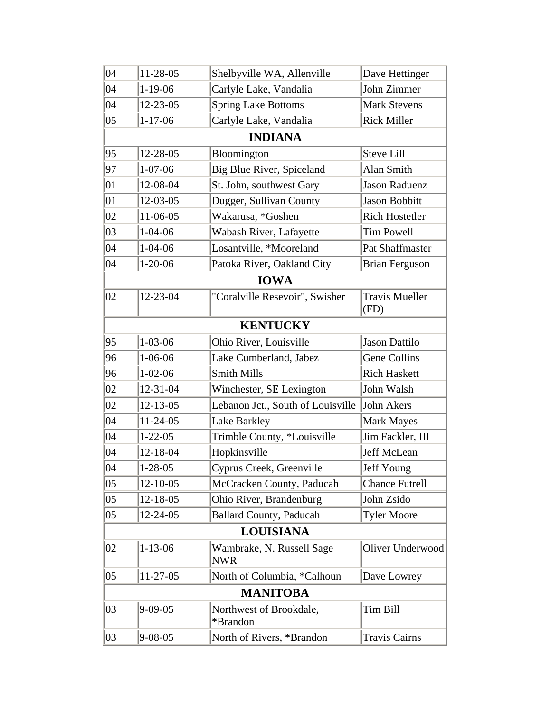| 04               | 11-28-05       | Shelbyville WA, Allenville              | Dave Hettinger                |
|------------------|----------------|-----------------------------------------|-------------------------------|
| 04               | $1-19-06$      | Carlyle Lake, Vandalia                  | John Zimmer                   |
| 04               | $12 - 23 - 05$ | <b>Spring Lake Bottoms</b>              | <b>Mark Stevens</b>           |
| $ 05\rangle$     | $1 - 17 - 06$  | Carlyle Lake, Vandalia                  | <b>Rick Miller</b>            |
|                  |                | <b>INDIANA</b>                          |                               |
| 95               | 12-28-05       | Bloomington                             | <b>Steve Lill</b>             |
| 97               | $1 - 07 - 06$  | Big Blue River, Spiceland               | Alan Smith                    |
| 01               | 12-08-04       | St. John, southwest Gary                | <b>Jason Raduenz</b>          |
| 01               | $12 - 03 - 05$ | Dugger, Sullivan County                 | Jason Bobbitt                 |
| 02               | 11-06-05       | Wakarusa, *Goshen                       | <b>Rich Hostetler</b>         |
| 03               | $1 - 04 - 06$  | Wabash River, Lafayette                 | <b>Tim Powell</b>             |
| 04               | $1 - 04 - 06$  | Losantville, *Mooreland                 | Pat Shaffmaster               |
| 04               | $1 - 20 - 06$  | Patoka River, Oakland City              | <b>Brian Ferguson</b>         |
|                  |                | <b>IOWA</b>                             |                               |
| 02               | 12-23-04       | "Coralville Resevoir", Swisher          | <b>Travis Mueller</b><br>(FD) |
|                  |                | <b>KENTUCKY</b>                         |                               |
| 95               | $1 - 03 - 06$  | Ohio River, Louisville                  | <b>Jason Dattilo</b>          |
| 96               | $1 - 06 - 06$  | Lake Cumberland, Jabez                  | Gene Collins                  |
| 96               | $1 - 02 - 06$  | <b>Smith Mills</b>                      | <b>Rich Haskett</b>           |
| 02               | 12-31-04       | Winchester, SE Lexington                | John Walsh                    |
| 02               | $12 - 13 - 05$ | Lebanon Jct., South of Louisville       | John Akers                    |
| 04               | $11-24-05$     | Lake Barkley                            | <b>Mark Mayes</b>             |
| 04               | $1 - 22 - 05$  | Trimble County, *Louisville             | Jim Fackler, III              |
| 04               | 12-18-04       | Hopkinsville                            | Jeff McLean                   |
| 04               | $1 - 28 - 05$  | Cyprus Creek, Greenville                | Jeff Young                    |
| 05               | 12-10-05       | McCracken County, Paducah               | <b>Chance Futrell</b>         |
| $ 05\rangle$     | 12-18-05       | Ohio River, Brandenburg                 | John Zsido                    |
| $ 05\rangle$     | 12-24-05       | <b>Ballard County, Paducah</b>          | <b>Tyler Moore</b>            |
| <b>LOUISIANA</b> |                |                                         |                               |
| 02               | $1 - 13 - 06$  | Wambrake, N. Russell Sage<br><b>NWR</b> | Oliver Underwood              |
| $ 05\rangle$     | 11-27-05       | North of Columbia, *Calhoun             | Dave Lowrey                   |
| <b>MANITOBA</b>  |                |                                         |                               |
| 03               | $9 - 09 - 05$  | Northwest of Brookdale,<br>*Brandon     | Tim Bill                      |
| 03               | $9 - 08 - 05$  | North of Rivers, *Brandon               | <b>Travis Cairns</b>          |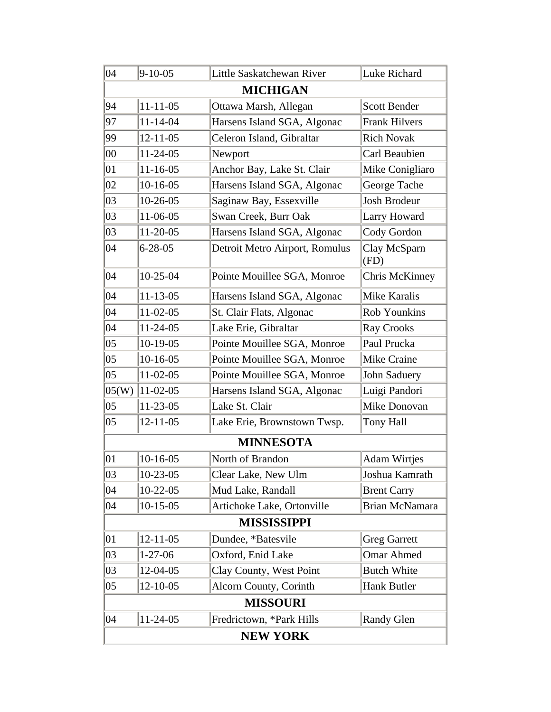| 04     | $9 - 10 - 05$   | Little Saskatchewan River      | Luke Richard         |  |  |
|--------|-----------------|--------------------------------|----------------------|--|--|
|        |                 | <b>MICHIGAN</b>                |                      |  |  |
| 94     | $11 - 11 - 05$  | Ottawa Marsh, Allegan          | <b>Scott Bender</b>  |  |  |
| 97     | $11 - 14 - 04$  | Harsens Island SGA, Algonac    | <b>Frank Hilvers</b> |  |  |
| 99     | $12 - 11 - 05$  | Celeron Island, Gibraltar      | <b>Rich Novak</b>    |  |  |
| 00     | $11 - 24 - 05$  | Newport                        | Carl Beaubien        |  |  |
| 01     | $11 - 16 - 05$  | Anchor Bay, Lake St. Clair     | Mike Conigliaro      |  |  |
| 02     | $10-16-05$      | Harsens Island SGA, Algonac    | George Tache         |  |  |
| 03     | $10-26-05$      | Saginaw Bay, Essexville        | Josh Brodeur         |  |  |
| 03     | 11-06-05        | Swan Creek, Burr Oak           | Larry Howard         |  |  |
| 03     | $11-20-05$      | Harsens Island SGA, Algonac    | Cody Gordon          |  |  |
| 04     | $6 - 28 - 05$   | Detroit Metro Airport, Romulus | Clay McSparn<br>(FD) |  |  |
| 04     | $10-25-04$      | Pointe Mouillee SGA, Monroe    | Chris McKinney       |  |  |
| 04     | $11 - 13 - 05$  | Harsens Island SGA, Algonac    | <b>Mike Karalis</b>  |  |  |
| 04     | $11-02-05$      | St. Clair Flats, Algonac       | Rob Younkins         |  |  |
| 04     | $11-24-05$      | Lake Erie, Gibraltar           | <b>Ray Crooks</b>    |  |  |
| $05\,$ | $10-19-05$      | Pointe Mouillee SGA, Monroe    | Paul Prucka          |  |  |
| 05     | $10-16-05$      | Pointe Mouillee SGA, Monroe    | Mike Craine          |  |  |
| 05     | $11-02-05$      | Pointe Mouillee SGA, Monroe    | John Saduery         |  |  |
| 05(W)  | $11 - 02 - 05$  | Harsens Island SGA, Algonac    | Luigi Pandori        |  |  |
| 05     | $11-23-05$      | Lake St. Clair                 | Mike Donovan         |  |  |
| 05     | $12 - 11 - 05$  | Lake Erie, Brownstown Twsp.    | Tony Hall            |  |  |
|        |                 | <b>MINNESOTA</b>               |                      |  |  |
| 01     | $10-16-05$      | North of Brandon               | <b>Adam Wirtjes</b>  |  |  |
| 03     | $10-23-05$      | Clear Lake, New Ulm            | Joshua Kamrath       |  |  |
| 04     | $10-22-05$      | Mud Lake, Randall              | <b>Brent Carry</b>   |  |  |
| 04     | $10-15-05$      | Artichoke Lake, Ortonville     | Brian McNamara       |  |  |
|        |                 | <b>MISSISSIPPI</b>             |                      |  |  |
| 01     | $12 - 11 - 05$  | Dundee, *Batesvile             | <b>Greg Garrett</b>  |  |  |
| 03     | $1 - 27 - 06$   | Oxford, Enid Lake              | <b>Omar Ahmed</b>    |  |  |
| 03     | 12-04-05        | Clay County, West Point        | <b>Butch White</b>   |  |  |
| 05     | $12 - 10 - 05$  | <b>Alcorn County, Corinth</b>  | Hank Butler          |  |  |
|        |                 | <b>MISSOURI</b>                |                      |  |  |
| 04     | $11-24-05$      | Fredrictown, *Park Hills       | <b>Randy Glen</b>    |  |  |
|        | <b>NEW YORK</b> |                                |                      |  |  |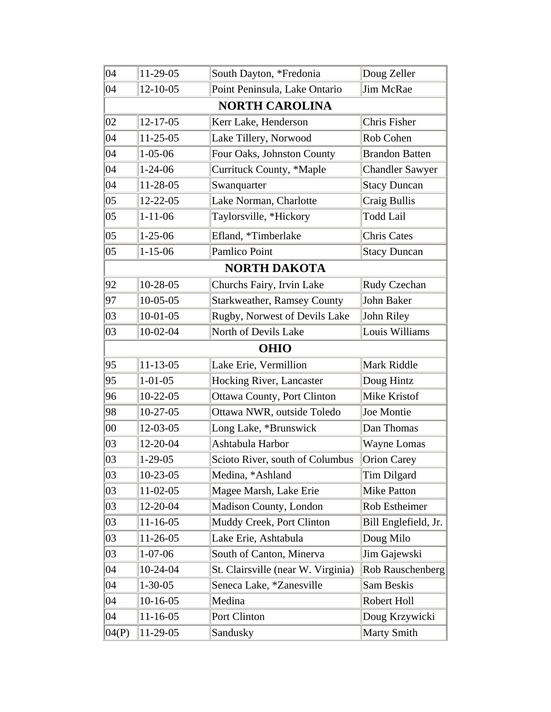| 04     | 11-29-05       | South Dayton, *Fredonia            | Doug Zeller            |
|--------|----------------|------------------------------------|------------------------|
| 04     | $12 - 10 - 05$ | Point Peninsula, Lake Ontario      | Jim McRae              |
|        |                | <b>NORTH CAROLINA</b>              |                        |
| 02     | $12 - 17 - 05$ | Kerr Lake, Henderson               | Chris Fisher           |
| 04     | $11-25-05$     | Lake Tillery, Norwood              | Rob Cohen              |
| 04     | $1 - 05 - 06$  | Four Oaks, Johnston County         | <b>Brandon Batten</b>  |
| 04     | $1 - 24 - 06$  | Currituck County, *Maple           | <b>Chandler Sawyer</b> |
| 04     | 11-28-05       | Swanquarter                        | <b>Stacy Duncan</b>    |
| 05     | $12 - 22 - 05$ | Lake Norman, Charlotte             | Craig Bullis           |
| 05     | $1 - 11 - 06$  | Taylorsville, *Hickory             | <b>Todd Lail</b>       |
| 05     | $1 - 25 - 06$  | Efland, *Timberlake                | <b>Chris Cates</b>     |
| 05     | $1 - 15 - 06$  | Pamlico Point                      | <b>Stacy Duncan</b>    |
|        |                | <b>NORTH DAKOTA</b>                |                        |
| 92     | $10-28-05$     | Churchs Fairy, Irvin Lake          | Rudy Czechan           |
| 97     | $10-05-05$     | <b>Starkweather, Ramsey County</b> | John Baker             |
| 03     | $10-01-05$     | Rugby, Norwest of Devils Lake      | John Riley             |
| 03     | $10-02-04$     | North of Devils Lake               | Louis Williams         |
|        |                | <b>OHIO</b>                        |                        |
| 95     | $11 - 13 - 05$ | Lake Erie, Vermillion              | Mark Riddle            |
| 95     | $1 - 01 - 05$  | Hocking River, Lancaster           | Doug Hintz             |
| 96     | $10-22-05$     | Ottawa County, Port Clinton        | Mike Kristof           |
| 98     | $10-27-05$     | Ottawa NWR, outside Toledo         | Joe Montie             |
| $00\,$ | 12-03-05       | Long Lake, *Brunswick              | Dan Thomas             |
| 03     | 12-20-04       | Ashtabula Harbor                   | Wayne Lomas            |
| 03     | $1-29-05$      | Scioto River, south of Columbus    | <b>Orion Carey</b>     |
| 03     | $10-23-05$     | Medina, *Ashland                   | Tim Dilgard            |
| 03     | $11-02-05$     | Magee Marsh, Lake Erie             | <b>Mike Patton</b>     |
| 03     | 12-20-04       | Madison County, London             | Rob Estheimer          |
| 03     | $11 - 16 - 05$ | Muddy Creek, Port Clinton          | Bill Englefield, Jr.   |
| 03     | $11-26-05$     | Lake Erie, Ashtabula               | Doug Milo              |
| 03     | $1 - 07 - 06$  | South of Canton, Minerva           | Jim Gajewski           |
| 04     | 10-24-04       | St. Clairsville (near W. Virginia) | Rob Rauschenberg       |
| 04     | $1 - 30 - 05$  | Seneca Lake, *Zanesville           | Sam Beskis             |
| 04     | $10-16-05$     | Medina                             | Robert Holl            |
| 04     | $11 - 16 - 05$ | Port Clinton                       | Doug Krzywicki         |
| 04(P)  | 11-29-05       | Sandusky                           | <b>Marty Smith</b>     |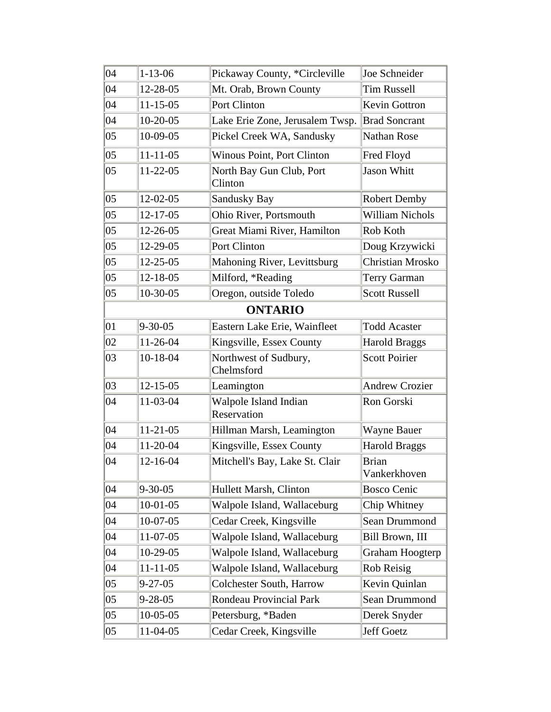| 04           | $1 - 13 - 06$  | Pickaway County, *Circleville        | Joe Schneider                |
|--------------|----------------|--------------------------------------|------------------------------|
| 04           | 12-28-05       | Mt. Orab, Brown County               | <b>Tim Russell</b>           |
| $ 04\rangle$ | $11 - 15 - 05$ | Port Clinton                         | <b>Kevin Gottron</b>         |
| 04           | $10-20-05$     | Lake Erie Zone, Jerusalem Twsp.      | <b>Brad Soncrant</b>         |
| 05           | 10-09-05       | Pickel Creek WA, Sandusky            | <b>Nathan Rose</b>           |
| 05           | $11 - 11 - 05$ | <b>Winous Point, Port Clinton</b>    | Fred Floyd                   |
| 05           | $11-22-05$     | North Bay Gun Club, Port<br>Clinton  | <b>Jason Whitt</b>           |
| $ 05\rangle$ | 12-02-05       | Sandusky Bay                         | <b>Robert Demby</b>          |
| $ 05\rangle$ | $12 - 17 - 05$ | Ohio River, Portsmouth               | <b>William Nichols</b>       |
| 05           | 12-26-05       | Great Miami River, Hamilton          | Rob Koth                     |
| $ 05\rangle$ | 12-29-05       | Port Clinton                         | Doug Krzywicki               |
| 05           | 12-25-05       | Mahoning River, Levittsburg          | Christian Mrosko             |
| $ 05\rangle$ | 12-18-05       | Milford, *Reading                    | Terry Garman                 |
| $ 05\rangle$ | 10-30-05       | Oregon, outside Toledo               | <b>Scott Russell</b>         |
|              |                | <b>ONTARIO</b>                       |                              |
| $ 01\rangle$ | $9 - 30 - 05$  | Eastern Lake Erie, Wainfleet         | <b>Todd Acaster</b>          |
| 02           | 11-26-04       | Kingsville, Essex County             | <b>Harold Braggs</b>         |
| 03           | 10-18-04       | Northwest of Sudbury,<br>Chelmsford  | <b>Scott Poirier</b>         |
| 03           | $12 - 15 - 05$ | Leamington                           | <b>Andrew Crozier</b>        |
| 04           | 11-03-04       | Walpole Island Indian<br>Reservation | Ron Gorski                   |
| 04           | $11-21-05$     | Hillman Marsh, Leamington            | <b>Wayne Bauer</b>           |
| 04           | 11-20-04       | Kingsville, Essex County             | <b>Harold Braggs</b>         |
| 04           | 12-16-04       | Mitchell's Bay, Lake St. Clair       | <b>Brian</b><br>Vankerkhoven |
| 04           | $9 - 30 - 05$  | Hullett Marsh, Clinton               | <b>Bosco Cenic</b>           |
| 04           | $10-01-05$     | Walpole Island, Wallaceburg          | Chip Whitney                 |
| 04           | $10-07-05$     | Cedar Creek, Kingsville              | Sean Drummond                |
| 04           | 11-07-05       | Walpole Island, Wallaceburg          | Bill Brown, III              |
| 04           | $10-29-05$     | Walpole Island, Wallaceburg          | Graham Hoogterp              |
| 04           | $11 - 11 - 05$ | Walpole Island, Wallaceburg          | Rob Reisig                   |
| $ 05\rangle$ | $9 - 27 - 05$  | <b>Colchester South, Harrow</b>      | Kevin Quinlan                |
| 05           | $9 - 28 - 05$  | <b>Rondeau Provincial Park</b>       | Sean Drummond                |
| 05           | $10-05-05$     | Petersburg, *Baden                   | Derek Snyder                 |
| 05           | $11-04-05$     | Cedar Creek, Kingsville              | Jeff Goetz                   |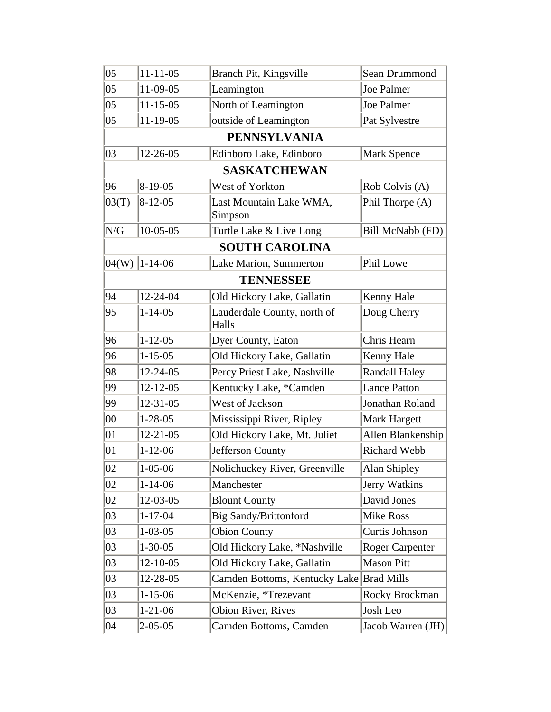| $ 05\rangle$ | $11 - 11 - 05$ | Branch Pit, Kingsville                   | Sean Drummond          |
|--------------|----------------|------------------------------------------|------------------------|
| $ 05\rangle$ | 11-09-05       | Leamington                               | Joe Palmer             |
| $ 05\rangle$ | $11 - 15 - 05$ | North of Leamington                      | Joe Palmer             |
| $ 05\rangle$ | $11-19-05$     | outside of Leamington                    | Pat Sylvestre          |
|              |                | <b>PENNSYLVANIA</b>                      |                        |
| 03           | $12 - 26 - 05$ | Edinboro Lake, Edinboro                  | Mark Spence            |
|              |                | <b>SASKATCHEWAN</b>                      |                        |
| 96           | $8-19-05$      | West of Yorkton                          | Rob Colvis (A)         |
| 03(T)        | $8 - 12 - 05$  | Last Mountain Lake WMA,                  | Phil Thorpe (A)        |
|              |                | Simpson                                  |                        |
| N/G          | $10-05-05$     | Turtle Lake & Live Long                  | Bill McNabb (FD)       |
|              |                | <b>SOUTH CAROLINA</b>                    |                        |
| 04(W)        | $1 - 14 - 06$  | Lake Marion, Summerton                   | Phil Lowe              |
|              |                | <b>TENNESSEE</b>                         |                        |
| 94           | 12-24-04       | Old Hickory Lake, Gallatin               | Kenny Hale             |
| 95           | $1 - 14 - 05$  | Lauderdale County, north of<br>Halls     | Doug Cherry            |
| 96           | $1 - 12 - 05$  | Dyer County, Eaton                       | Chris Hearn            |
| 96           | $1 - 15 - 05$  | Old Hickory Lake, Gallatin               | Kenny Hale             |
| 98           | $12 - 24 - 05$ | Percy Priest Lake, Nashville             | <b>Randall Haley</b>   |
| 99           | $12 - 12 - 05$ | Kentucky Lake, *Camden                   | <b>Lance Patton</b>    |
| 99           | $12 - 31 - 05$ | West of Jackson                          | Jonathan Roland        |
| 00           | $1 - 28 - 05$  | Mississippi River, Ripley                | <b>Mark Hargett</b>    |
| 01           | $12 - 21 - 05$ | Old Hickory Lake, Mt. Juliet             | Allen Blankenship      |
| 01           | $1 - 12 - 06$  | Jefferson County                         | <b>Richard Webb</b>    |
| 02           | $1 - 05 - 06$  | Nolichuckey River, Greenville            | Alan Shipley           |
| 02           | $1 - 14 - 06$  | Manchester                               | Jerry Watkins          |
| 02           | 12-03-05       | <b>Blount County</b>                     | David Jones            |
| 03           | $1 - 17 - 04$  | <b>Big Sandy/Brittonford</b>             | <b>Mike Ross</b>       |
| 03           | $1 - 03 - 05$  | <b>Obion County</b>                      | Curtis Johnson         |
| 03           | $1 - 30 - 05$  | Old Hickory Lake, *Nashville             | <b>Roger Carpenter</b> |
| 03           | $12 - 10 - 05$ | Old Hickory Lake, Gallatin               | <b>Mason Pitt</b>      |
| 03           | 12-28-05       | Camden Bottoms, Kentucky Lake Brad Mills |                        |
| 03           | $1 - 15 - 06$  | McKenzie, *Trezevant                     | Rocky Brockman         |
| 03           | $1 - 21 - 06$  | Obion River, Rives                       | Josh Leo               |
| 04           | $2 - 05 - 05$  | Camden Bottoms, Camden                   | Jacob Warren (JH)      |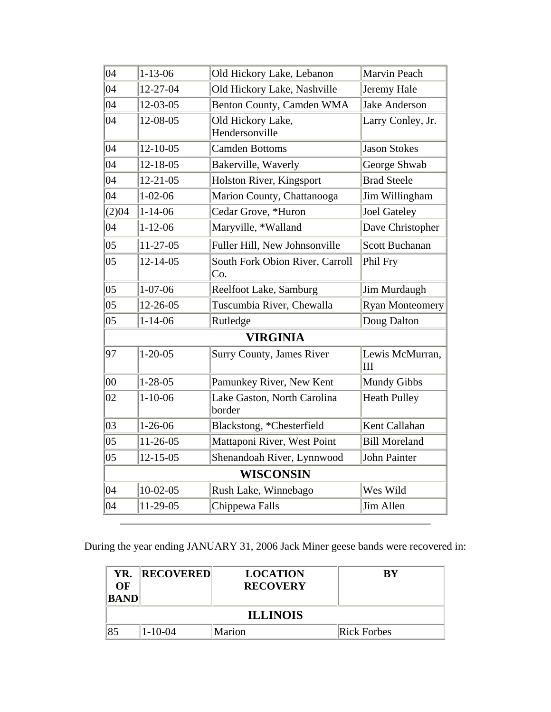| 04    | $1 - 13 - 06$  | Old Hickory Lake, Lebanon              | Marvin Peach           |
|-------|----------------|----------------------------------------|------------------------|
| 04    | $12 - 27 - 04$ | Old Hickory Lake, Nashville            | Jeremy Hale            |
| 04    | 12-03-05       | Benton County, Camden WMA              | <b>Jake Anderson</b>   |
| 04    | 12-08-05       | Old Hickory Lake,<br>Hendersonville    | Larry Conley, Jr.      |
| 04    | $12 - 10 - 05$ | <b>Camden Bottoms</b>                  | <b>Jason Stokes</b>    |
| 04    | $12 - 18 - 05$ | Bakerville, Waverly                    | George Shwab           |
| 04    | $12 - 21 - 05$ | Holston River, Kingsport               | <b>Brad Steele</b>     |
| 04    | $1 - 02 - 06$  | Marion County, Chattanooga             | Jim Willingham         |
| (2)04 | $1 - 14 - 06$  | Cedar Grove, *Huron                    | <b>Joel Gateley</b>    |
| 04    | $1 - 12 - 06$  | Maryville, *Walland                    | Dave Christopher       |
| 05    | $11-27-05$     | Fuller Hill, New Johnsonville          | <b>Scott Buchanan</b>  |
| 05    | $12 - 14 - 05$ | South Fork Obion River, Carroll<br>Co. | Phil Fry               |
| 05    | $1 - 07 - 06$  | Reelfoot Lake, Samburg                 | Jim Murdaugh           |
| 05    | $12 - 26 - 05$ | Tuscumbia River, Chewalla              | <b>Ryan Monteomery</b> |
| 05    | $1 - 14 - 06$  | Rutledge                               | Doug Dalton            |
|       |                | <b>VIRGINIA</b>                        |                        |
| 97    | $1 - 20 - 05$  | <b>Surry County, James River</b>       | Lewis McMurran,<br>Ш   |
| 00    | $1 - 28 - 05$  | Pamunkey River, New Kent               | <b>Mundy Gibbs</b>     |
| 02    | $1 - 10 - 06$  | Lake Gaston, North Carolina<br>border  | <b>Heath Pulley</b>    |
| 03    | $1 - 26 - 06$  | Blackstong, *Chesterfield              | Kent Callahan          |
| 05    | $11-26-05$     | Mattaponi River, West Point            | <b>Bill Moreland</b>   |
| 05    | $12 - 15 - 05$ | Shenandoah River, Lynnwood             | John Painter           |
|       |                | <b>WISCONSIN</b>                       |                        |
| 04    | $10-02-05$     | Rush Lake, Winnebago                   | Wes Wild               |
| 04    | 11-29-05       | Chippewa Falls                         | Jim Allen              |

During the year ending JANUARY 31, 2006 Jack Miner geese bands were recovered in:

| YR.<br>OF<br>BAND | <b>RECOVERED</b> | <b>LOCATION</b><br><b>RECOVERY</b> | ВY          |  |
|-------------------|------------------|------------------------------------|-------------|--|
| <b>ILLINOIS</b>   |                  |                                    |             |  |
| 85                | $-10-04$         | Marion                             | Rick Forbes |  |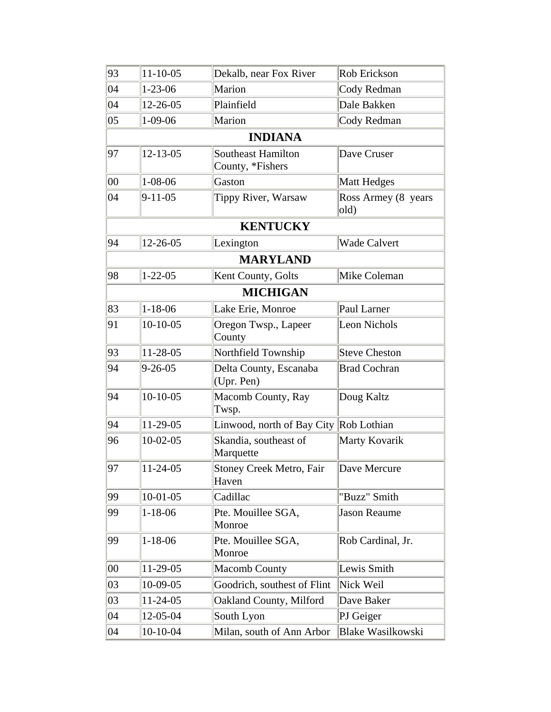| 93     | $11 - 10 - 05$ | Dekalb, near Fox River                        | Rob Erickson                |
|--------|----------------|-----------------------------------------------|-----------------------------|
| 04     | $1 - 23 - 06$  | Marion                                        | Cody Redman                 |
| 04     | 12-26-05       | Plainfield                                    | Dale Bakken                 |
| 05     | $1-09-06$      | Marion                                        | Cody Redman                 |
|        |                | <b>INDIANA</b>                                |                             |
| 97     | $12 - 13 - 05$ | <b>Southeast Hamilton</b><br>County, *Fishers | Dave Cruser                 |
| $00\,$ | $1 - 08 - 06$  | Gaston                                        | <b>Matt Hedges</b>          |
| 04     | $9 - 11 - 05$  | Tippy River, Warsaw                           | Ross Armey (8 years<br>old) |
|        |                | <b>KENTUCKY</b>                               |                             |
| 94     | 12-26-05       | Lexington                                     | <b>Wade Calvert</b>         |
|        |                | <b>MARYLAND</b>                               |                             |
| 98     | $1 - 22 - 05$  | Kent County, Golts                            | Mike Coleman                |
|        |                | <b>MICHIGAN</b>                               |                             |
| 83     | $1 - 18 - 06$  | Lake Erie, Monroe                             | Paul Larner                 |
| 91     | $10-10-05$     | Oregon Twsp., Lapeer<br>County                | Leon Nichols                |
| 93     | 11-28-05       | Northfield Township                           | <b>Steve Cheston</b>        |
| 94     | $9 - 26 - 05$  | Delta County, Escanaba<br>(Upr. Pen)          | <b>Brad Cochran</b>         |
| 94     | $10-10-05$     | Macomb County, Ray<br>Twsp.                   | Doug Kaltz                  |
| 94     | 11-29-05       | Linwood, north of Bay City Rob Lothian        |                             |
| 96     | $10-02-05$     | Skandia, southeast of<br>Marquette            | Marty Kovarik               |
| 97     | $11-24-05$     | Stoney Creek Metro, Fair<br>Haven             | Dave Mercure                |
| 99     | $10-01-05$     | Cadillac                                      | "Buzz" Smith                |
| 99     | $1 - 18 - 06$  | Pte. Mouillee SGA,<br>Monroe                  | <b>Jason Reaume</b>         |
| 99     | $1 - 18 - 06$  | Pte. Mouillee SGA,<br>Monroe                  | Rob Cardinal, Jr.           |
| $00\,$ | 11-29-05       | <b>Macomb County</b>                          | Lewis Smith                 |
| 03     | 10-09-05       | Goodrich, southest of Flint                   | Nick Weil                   |
| 03     | $11-24-05$     | Oakland County, Milford                       | Dave Baker                  |
| 04     | 12-05-04       | South Lyon                                    | PJ Geiger                   |
| 04     | $10-10-04$     | Milan, south of Ann Arbor                     | <b>Blake Wasilkowski</b>    |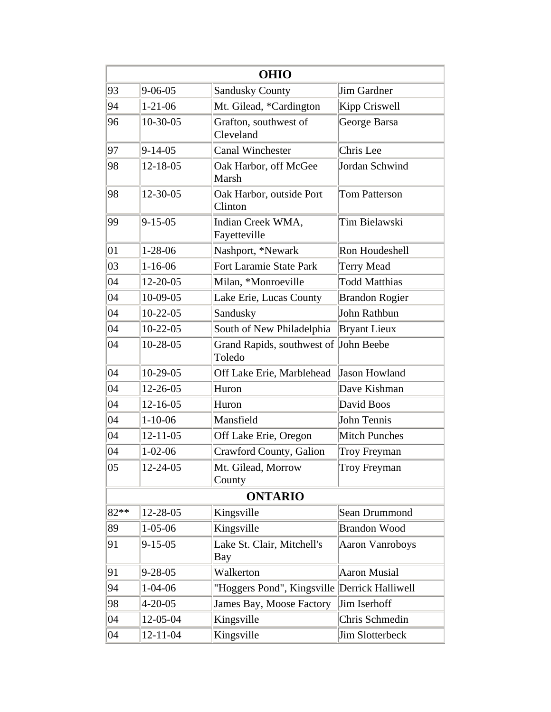|      | <b>OHIO</b>    |                                                 |                        |  |  |
|------|----------------|-------------------------------------------------|------------------------|--|--|
| 93   | $9 - 06 - 05$  | <b>Sandusky County</b>                          | Jim Gardner            |  |  |
| 94   | $1 - 21 - 06$  | Mt. Gilead, *Cardington                         | Kipp Criswell          |  |  |
| 96   | $10-30-05$     | Grafton, southwest of<br>Cleveland              | George Barsa           |  |  |
| 97   | $9 - 14 - 05$  | Canal Winchester                                | Chris Lee              |  |  |
| 98   | $12 - 18 - 05$ | Oak Harbor, off McGee<br>Marsh                  | Jordan Schwind         |  |  |
| 98   | 12-30-05       | Oak Harbor, outside Port<br>Clinton             | <b>Tom Patterson</b>   |  |  |
| 99   | $9 - 15 - 05$  | Indian Creek WMA,<br>Fayetteville               | Tim Bielawski          |  |  |
| 01   | $1-28-06$      | Nashport, *Newark                               | Ron Houdeshell         |  |  |
| 03   | $1 - 16 - 06$  | Fort Laramie State Park                         | <b>Terry Mead</b>      |  |  |
| 04   | 12-20-05       | Milan, *Monroeville                             | <b>Todd Matthias</b>   |  |  |
| 04   | 10-09-05       | Lake Erie, Lucas County                         | <b>Brandon Rogier</b>  |  |  |
| 04   | $10-22-05$     | Sandusky                                        | John Rathbun           |  |  |
| 04   | $10-22-05$     | South of New Philadelphia                       | <b>Bryant Lieux</b>    |  |  |
| 04   | 10-28-05       | Grand Rapids, southwest of John Beebe<br>Toledo |                        |  |  |
| 04   | 10-29-05       | Off Lake Erie, Marblehead                       | <b>Jason Howland</b>   |  |  |
| 04   | 12-26-05       | Huron                                           | Dave Kishman           |  |  |
| 04   | $12 - 16 - 05$ | Huron                                           | David Boos             |  |  |
| 04   | $1 - 10 - 06$  | Mansfield                                       | John Tennis            |  |  |
| 04   | $12 - 11 - 05$ | Off Lake Erie, Oregon                           | <b>Mitch Punches</b>   |  |  |
| 04   | $1 - 02 - 06$  | Crawford County, Galion                         | Troy Freyman           |  |  |
| 05   | 12-24-05       | Mt. Gilead, Morrow<br>County                    | Troy Freyman           |  |  |
|      |                | <b>ONTARIO</b>                                  |                        |  |  |
| 82** | 12-28-05       | Kingsville                                      | Sean Drummond          |  |  |
| 89   | $1 - 05 - 06$  | Kingsville                                      | <b>Brandon Wood</b>    |  |  |
| 91   | $9 - 15 - 05$  | Lake St. Clair, Mitchell's<br>Bay               | <b>Aaron Vanroboys</b> |  |  |
| 91   | $9 - 28 - 05$  | Walkerton                                       | <b>Aaron Musial</b>    |  |  |
| 94   | $1 - 04 - 06$  | "Hoggers Pond", Kingsville Derrick Halliwell    |                        |  |  |
| 98   | $4 - 20 - 05$  | James Bay, Moose Factory                        | Jim Iserhoff           |  |  |
| 04   | 12-05-04       | Kingsville                                      | Chris Schmedin         |  |  |
| 04   | $12 - 11 - 04$ | Kingsville                                      | Jim Slotterbeck        |  |  |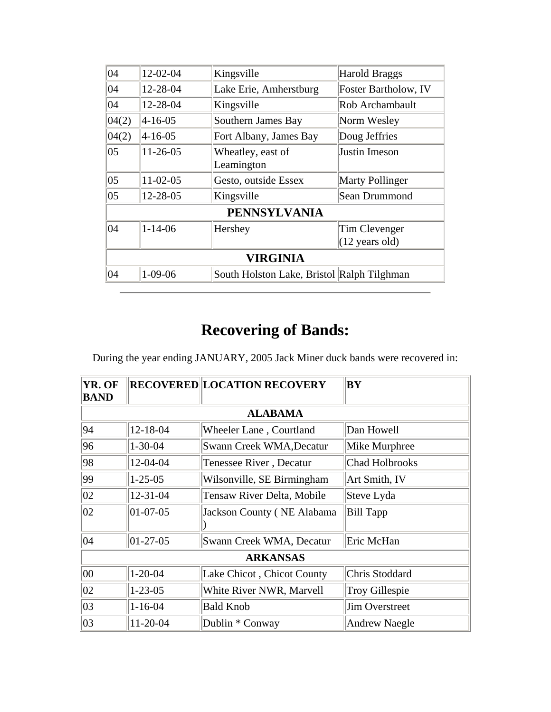| 04           | 12-02-04        | Kingsville                                 | <b>Harold Braggs</b>                      |  |
|--------------|-----------------|--------------------------------------------|-------------------------------------------|--|
| 04           | 12-28-04        | Lake Erie, Amherstburg                     | Foster Bartholow, IV                      |  |
| 04           | 12-28-04        | Kingsville                                 | Rob Archambault                           |  |
| 04(2)        | $ 4 - 16 - 05 $ | Southern James Bay                         | Norm Wesley                               |  |
| 04(2)        | $ 4 - 16 - 05 $ | Fort Albany, James Bay                     | Doug Jeffries                             |  |
| 05           | $11-26-05$      | Wheatley, east of<br>Leamington            | Justin Imeson                             |  |
| $ 05\rangle$ | $11-02-05$      | Gesto, outside Essex                       | <b>Marty Pollinger</b>                    |  |
| 05           | 12-28-05        | Kingsville                                 | Sean Drummond                             |  |
|              |                 | <b>PENNSYLVANIA</b>                        |                                           |  |
| 04           | $1 - 14 - 06$   | Hershey                                    | Tim Clevenger<br>$(12 \text{ years old})$ |  |
|              | <b>VIRGINIA</b> |                                            |                                           |  |
| 04           | $1 - 09 - 06$   | South Holston Lake, Bristol Ralph Tilghman |                                           |  |

## **Recovering of Bands:**

During the year ending JANUARY, 2005 Jack Miner duck bands were recovered in:

| YR. OF<br><b>BAND</b> |                 | <b>RECOVERED LOCATION RECOVERY</b> | <b>BY</b>             |  |  |
|-----------------------|-----------------|------------------------------------|-----------------------|--|--|
|                       |                 | <b>ALABAMA</b>                     |                       |  |  |
| 94                    | $12 - 18 - 04$  | Wheeler Lane, Courtland            | Dan Howell            |  |  |
| 96                    | $1 - 30 - 04$   | Swann Creek WMA, Decatur           | Mike Murphree         |  |  |
| 98                    | 12-04-04        | Tenessee River, Decatur            | <b>Chad Holbrooks</b> |  |  |
| 99                    | $1 - 25 - 05$   | Wilsonville, SE Birmingham         | Art Smith, IV         |  |  |
| $ 02\rangle$          | 12-31-04        | Tensaw River Delta, Mobile         | Steve Lyda            |  |  |
| 02                    | $ 01-07-05 $    | <b>Jackson County (NE Alabama</b>  | <b>Bill Tapp</b>      |  |  |
| $ 04\rangle$          | $ 01-27-05 $    | Swann Creek WMA, Decatur           | Eric McHan            |  |  |
|                       | <b>ARKANSAS</b> |                                    |                       |  |  |
| 00                    | $1 - 20 - 04$   | Lake Chicot, Chicot County         | Chris Stoddard        |  |  |
| $ 02\rangle$          | $1 - 23 - 05$   | White River NWR, Marvell           | <b>Troy Gillespie</b> |  |  |
| $ 03\rangle$          | $1 - 16 - 04$   | <b>Bald Knob</b>                   | <b>Jim Overstreet</b> |  |  |
| $ 03\rangle$          | 11-20-04        | Dublin * Conway                    | <b>Andrew Naegle</b>  |  |  |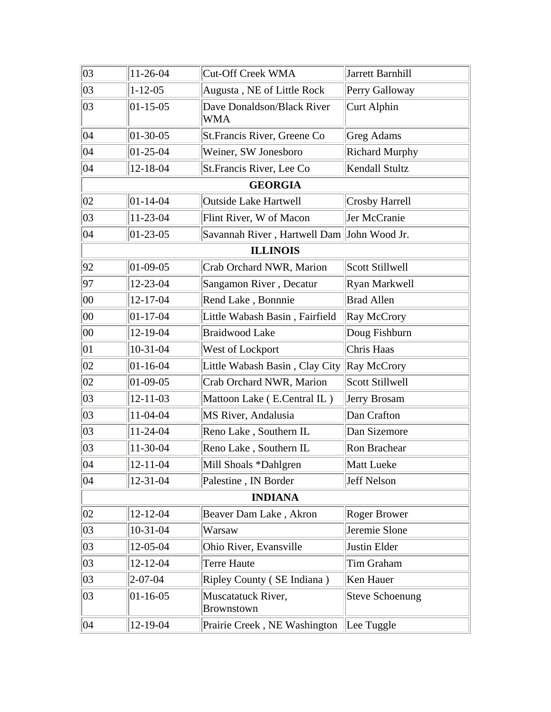| 03           | 11-26-04         | <b>Cut-Off Creek WMA</b>                   | Jarrett Barnhill       |
|--------------|------------------|--------------------------------------------|------------------------|
| 03           | $1 - 12 - 05$    | Augusta, NE of Little Rock                 | Perry Galloway         |
| 03           | $ 01 - 15 - 05 $ | Dave Donaldson/Black River<br>WMA          | Curt Alphin            |
| 04           | $ 01-30-05 $     | St. Francis River, Greene Co               | <b>Greg Adams</b>      |
| 04           | $ 01-25-04 $     | Weiner, SW Jonesboro                       | <b>Richard Murphy</b>  |
| 04           | 12-18-04         | St. Francis River, Lee Co                  | Kendall Stultz         |
|              |                  | <b>GEORGIA</b>                             |                        |
| 02           | $ 01 - 14 - 04 $ | <b>Outside Lake Hartwell</b>               | <b>Crosby Harrell</b>  |
| 03           | 11-23-04         | Flint River, W of Macon                    | Jer McCranie           |
| 04           | $ 01-23-05 $     | Savannah River, Hartwell Dam John Wood Jr. |                        |
|              |                  | <b>ILLINOIS</b>                            |                        |
| 92           | $ 01-09-05 $     | Crab Orchard NWR, Marion                   | <b>Scott Stillwell</b> |
| 97           | 12-23-04         | Sangamon River, Decatur                    | Ryan Markwell          |
| 00           | $12 - 17 - 04$   | Rend Lake, Bonnnie                         | <b>Brad Allen</b>      |
| 00           | $ 01-17-04$      | Little Wabash Basin, Fairfield             | Ray McCrory            |
| 00           | 12-19-04         | <b>Braidwood Lake</b>                      | Doug Fishburn          |
| $ 01\rangle$ | $10-31-04$       | West of Lockport                           | Chris Haas             |
| 02           | $01 - 16 - 04$   | Little Wabash Basin, Clay City             | Ray McCrory            |
| 02           | $01-09-05$       | Crab Orchard NWR, Marion                   | Scott Stillwell        |
| 03           | $12 - 11 - 03$   | Mattoon Lake (E.Central IL)                | Jerry Brosam           |
| 03           | 11-04-04         | MS River, Andalusia                        | Dan Crafton            |
| 03           | 11-24-04         | Reno Lake, Southern IL                     | Dan Sizemore           |
| 03           | 11-30-04         | Reno Lake, Southern IL                     | Ron Brachear           |
| 04           | $12 - 11 - 04$   | Mill Shoals *Dahlgren                      | Matt Lueke             |
| 04           | $12 - 31 - 04$   | Palestine, IN Border                       | Jeff Nelson            |
|              |                  | <b>INDIANA</b>                             |                        |
| 02           | $12 - 12 - 04$   | Beaver Dam Lake, Akron                     | <b>Roger Brower</b>    |
| 03           | $10-31-04$       | Warsaw                                     | Jeremie Slone          |
| 03           | 12-05-04         | Ohio River, Evansville                     | Justin Elder           |
| 03           | 12-12-04         | Terre Haute                                | Tim Graham             |
| 03           | $2 - 07 - 04$    | Ripley County (SE Indiana)                 | Ken Hauer              |
| 03           | $ 01 - 16 - 05 $ | Muscatatuck River,<br>Brownstown           | <b>Steve Schoenung</b> |
| 04           | 12-19-04         | Prairie Creek, NE Washington               | Lee Tuggle             |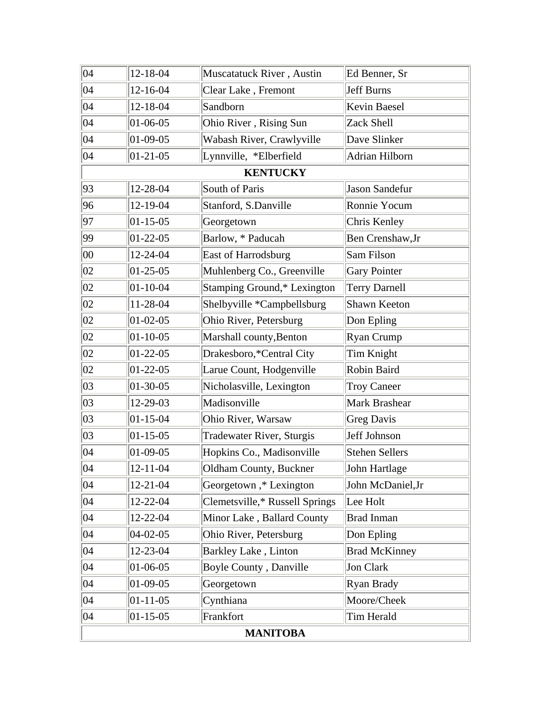| $ 04\rangle$    | 12-18-04       | Muscatatuck River, Austin      | Ed Benner, Sr         |  |
|-----------------|----------------|--------------------------------|-----------------------|--|
| $ 04\rangle$    | 12-16-04       | Clear Lake, Fremont            | <b>Jeff Burns</b>     |  |
| $ 04\rangle$    | 12-18-04       | Sandborn                       | Kevin Baesel          |  |
| 04              | $01 - 06 - 05$ | Ohio River, Rising Sun         | Zack Shell            |  |
| 04              | 01-09-05       | Wabash River, Crawlyville      | Dave Slinker          |  |
| 04              | $01 - 21 - 05$ | Lynnville, *Elberfield         | Adrian Hilborn        |  |
|                 |                | <b>KENTUCKY</b>                |                       |  |
| 93              | 12-28-04       | South of Paris                 | Jason Sandefur        |  |
| 96              | 12-19-04       | Stanford, S.Danville           | Ronnie Yocum          |  |
| 97              | $01 - 15 - 05$ | Georgetown                     | Chris Kenley          |  |
| 99              | $01-22-05$     | Barlow, * Paducah              | Ben Crenshaw, Jr      |  |
| 00              | 12-24-04       | East of Harrodsburg            | Sam Filson            |  |
| 02              | $01 - 25 - 05$ | Muhlenberg Co., Greenville     | <b>Gary Pointer</b>   |  |
| 02              | $01 - 10 - 04$ | Stamping Ground,* Lexington    | <b>Terry Darnell</b>  |  |
| 02              | 11-28-04       | Shelbyville *Campbellsburg     | Shawn Keeton          |  |
| 02              | $01 - 02 - 05$ | Ohio River, Petersburg         | Don Epling            |  |
| 02              | $01 - 10 - 05$ | Marshall county, Benton        | Ryan Crump            |  |
| 02              | $01-22-05$     | Drakesboro,*Central City       | Tim Knight            |  |
| 02              | $01-22-05$     | Larue Count, Hodgenville       | Robin Baird           |  |
| 03              | 01-30-05       | Nicholasville, Lexington       | <b>Troy Caneer</b>    |  |
| $ 03\rangle$    | 12-29-03       | Madisonville                   | Mark Brashear         |  |
| 03              | $01 - 15 - 04$ | Ohio River, Warsaw             | <b>Greg Davis</b>     |  |
| 03              | $01 - 15 - 05$ | Tradewater River, Sturgis      | Jeff Johnson          |  |
| $ 04\rangle$    | 01-09-05       | Hopkins Co., Madisonville      | <b>Stehen Sellers</b> |  |
| $ 04\rangle$    | 12-11-04       | Oldham County, Buckner         | John Hartlage         |  |
| $ 04\rangle$    | 12-21-04       | Georgetown,* Lexington         | John McDaniel, Jr     |  |
| $ 04\rangle$    | 12-22-04       | Clemetsville,* Russell Springs | Lee Holt              |  |
| 04              | 12-22-04       | Minor Lake, Ballard County     | <b>Brad Inman</b>     |  |
| 04              | $04 - 02 - 05$ | Ohio River, Petersburg         | Don Epling            |  |
| $ 04\rangle$    | 12-23-04       | Barkley Lake, Linton           | <b>Brad McKinney</b>  |  |
| $ 04\rangle$    | 01-06-05       | Boyle County, Danville         | Jon Clark             |  |
| 04              | $01-09-05$     | Georgetown                     | Ryan Brady            |  |
| 04              | $01 - 11 - 05$ | Cynthiana                      | Moore/Cheek           |  |
| 04              | $01 - 15 - 05$ | Frankfort                      | Tim Herald            |  |
| <b>MANITOBA</b> |                |                                |                       |  |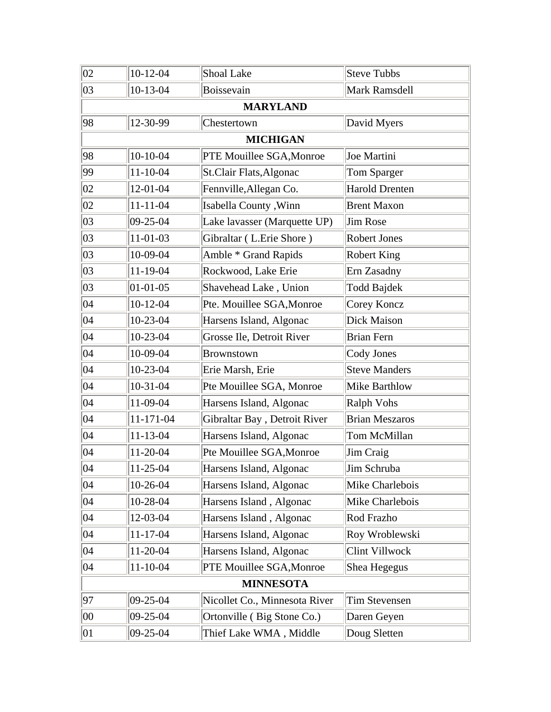| 02           | $10-12-04$     | Shoal Lake                    | <b>Steve Tubbs</b>    |
|--------------|----------------|-------------------------------|-----------------------|
| 03           | $10-13-04$     | Boissevain                    | Mark Ramsdell         |
|              |                | <b>MARYLAND</b>               |                       |
| 98           | 12-30-99       | Chestertown                   | David Myers           |
|              |                | <b>MICHIGAN</b>               |                       |
| 98           | $10-10-04$     | PTE Mouillee SGA, Monroe      | Joe Martini           |
| 99           | $11 - 10 - 04$ | St.Clair Flats, Algonac       | Tom Sparger           |
| 02           | 12-01-04       | Fennville, Allegan Co.        | <b>Harold Drenten</b> |
| 02           | $11 - 11 - 04$ | Isabella County, Winn         | <b>Brent Maxon</b>    |
| 03           | 09-25-04       | Lake lavasser (Marquette UP)  | <b>Jim Rose</b>       |
| 03           | $11-01-03$     | Gibraltar (L.Erie Shore)      | <b>Robert Jones</b>   |
| 03           | 10-09-04       | Amble * Grand Rapids          | <b>Robert King</b>    |
| 03           | $11-19-04$     | Rockwood, Lake Erie           | Ern Zasadny           |
| 03           | $01 - 01 - 05$ | Shavehead Lake, Union         | Todd Bajdek           |
| 04           | $10-12-04$     | Pte. Mouillee SGA, Monroe     | Corey Koncz           |
| 04           | 10-23-04       | Harsens Island, Algonac       | Dick Maison           |
| 04           | 10-23-04       | Grosse Ile, Detroit River     | <b>Brian Fern</b>     |
| $ 04\rangle$ | 10-09-04       | <b>Brownstown</b>             | Cody Jones            |
| 04           | 10-23-04       | Erie Marsh, Erie              | <b>Steve Manders</b>  |
| 04           | $10-31-04$     | Pte Mouillee SGA, Monroe      | <b>Mike Barthlow</b>  |
| 04           | 11-09-04       | Harsens Island, Algonac       | <b>Ralph Vohs</b>     |
| 04           | 11-171-04      | Gibraltar Bay, Detroit River  | <b>Brian Meszaros</b> |
| 04           | $11 - 13 - 04$ | Harsens Island, Algonac       | Tom McMillan          |
| $ 04\rangle$ | 11-20-04       | Pte Mouillee SGA, Monroe      | Jim Craig             |
| $ 04\rangle$ | 11-25-04       | Harsens Island, Algonac       | Jim Schruba           |
| $ 04\rangle$ | 10-26-04       | Harsens Island, Algonac       | Mike Charlebois       |
| $ 04\rangle$ | 10-28-04       | Harsens Island, Algonac       | Mike Charlebois       |
| $ 04\rangle$ | 12-03-04       | Harsens Island, Algonac       | Rod Frazho            |
| 04           | $11 - 17 - 04$ | Harsens Island, Algonac       | Roy Wroblewski        |
| 04           | 11-20-04       | Harsens Island, Algonac       | Clint Villwock        |
| 04           | $11 - 10 - 04$ | PTE Mouillee SGA, Monroe      | Shea Hegegus          |
|              |                | <b>MINNESOTA</b>              |                       |
| 97           | 09-25-04       | Nicollet Co., Minnesota River | Tim Stevensen         |
| 00           | 09-25-04       | Ortonville (Big Stone Co.)    | Daren Geyen           |
| 01           | 09-25-04       | Thief Lake WMA, Middle        | Doug Sletten          |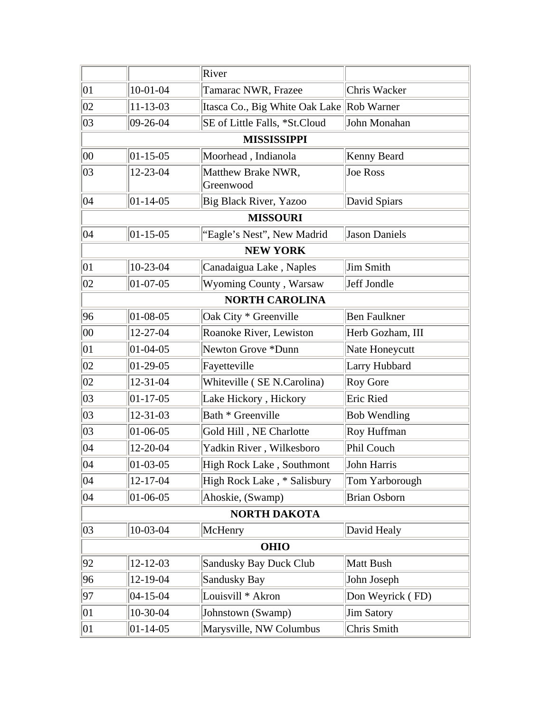|              |                  | River                                     |                     |
|--------------|------------------|-------------------------------------------|---------------------|
| $ 01\rangle$ | $10-01-04$       | Tamarac NWR, Frazee                       | Chris Wacker        |
| 02           | $11 - 13 - 03$   | Itasca Co., Big White Oak Lake Rob Warner |                     |
| 03           | $09 - 26 - 04$   | SE of Little Falls, *St.Cloud             | John Monahan        |
|              |                  | <b>MISSISSIPPI</b>                        |                     |
| $ 00\rangle$ | $ 01 - 15 - 05 $ | Moorhead, Indianola                       | Kenny Beard         |
| 03           | 12-23-04         | Matthew Brake NWR,<br>Greenwood           | Joe Ross            |
| $ 04\rangle$ | $ 01 - 14 - 05 $ | Big Black River, Yazoo                    | David Spiars        |
|              |                  | <b>MISSOURI</b>                           |                     |
| 04           | $ 01 - 15 - 05 $ | "Eagle's Nest", New Madrid                | Jason Daniels       |
|              |                  | <b>NEW YORK</b>                           |                     |
| $ 01\rangle$ | 10-23-04         | Canadaigua Lake, Naples                   | Jim Smith           |
| 02           | $01-07-05$       | Wyoming County, Warsaw                    | Jeff Jondle         |
|              |                  | <b>NORTH CAROLINA</b>                     |                     |
| 96           | $01 - 08 - 05$   | Oak City * Greenville                     | <b>Ben Faulkner</b> |
| 00           | 12-27-04         | Roanoke River, Lewiston                   | Herb Gozham, III    |
| $ 01\rangle$ | $01 - 04 - 05$   | Newton Grove *Dunn                        | Nate Honeycutt      |
| 02           | $01-29-05$       | Fayetteville                              | Larry Hubbard       |
| 02           | $12 - 31 - 04$   | Whiteville (SE N.Carolina)                | <b>Roy Gore</b>     |
| 03           | $ 01-17-05$      | Lake Hickory, Hickory                     | Eric Ried           |
| 03           | $12 - 31 - 03$   | Bath * Greenville                         | <b>Bob Wendling</b> |
| 03           | $01 - 06 - 05$   | Gold Hill, NE Charlotte                   | Roy Huffman         |
| $ 04\rangle$ | 12-20-04         | Yadkin River, Wilkesboro                  | Phil Couch          |
| 04           | $01 - 03 - 05$   | High Rock Lake, Southmont                 | John Harris         |
| 04           | 12-17-04         | High Rock Lake, * Salisbury               | Tom Yarborough      |
| 04           | $ 01-06-05$      | Ahoskie, (Swamp)                          | <b>Brian Osborn</b> |
|              |                  | <b>NORTH DAKOTA</b>                       |                     |
| 03           | 10-03-04         | McHenry                                   | David Healy         |
|              |                  | <b>OHIO</b>                               |                     |
| 92           | $12 - 12 - 03$   | Sandusky Bay Duck Club                    | Matt Bush           |
| 96           | 12-19-04         | Sandusky Bay                              | John Joseph         |
| 97           | $ 04 - 15 - 04 $ | Louisvill * Akron                         | Don Weyrick (FD)    |
| $ 01\rangle$ | 10-30-04         | Johnstown (Swamp)                         | Jim Satory          |
| 01           | $01 - 14 - 05$   | Marysville, NW Columbus                   | Chris Smith         |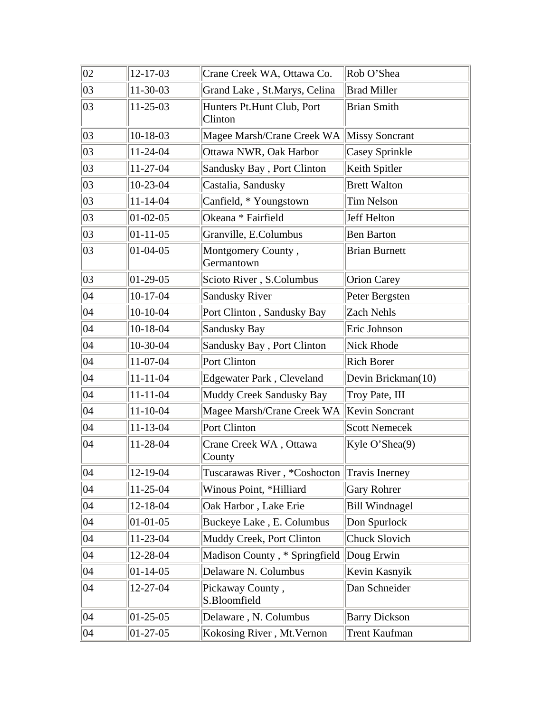| 02           | 12-17-03       | Crane Creek WA, Ottawa Co.            | Rob O'Shea            |
|--------------|----------------|---------------------------------------|-----------------------|
| 03           | 11-30-03       | Grand Lake, St.Marys, Celina          | <b>Brad Miller</b>    |
| 03           | $11 - 25 - 03$ | Hunters Pt.Hunt Club, Port<br>Clinton | <b>Brian Smith</b>    |
| 03           | 10-18-03       | Magee Marsh/Crane Creek WA            | <b>Missy Soncrant</b> |
| 03           | 11-24-04       | Ottawa NWR, Oak Harbor                | <b>Casey Sprinkle</b> |
| 03           | 11-27-04       | Sandusky Bay, Port Clinton            | Keith Spitler         |
| 03           | 10-23-04       | Castalia, Sandusky                    | <b>Brett Walton</b>   |
| 03           | $11 - 14 - 04$ | Canfield, * Youngstown                | Tim Nelson            |
| 03           | $01 - 02 - 05$ | Okeana * Fairfield                    | <b>Jeff Helton</b>    |
| 03           | $01 - 11 - 05$ | Granville, E.Columbus                 | <b>Ben Barton</b>     |
| 03           | $01 - 04 - 05$ | Montgomery County,<br>Germantown      | <b>Brian Burnett</b>  |
| 03           | $01-29-05$     | Scioto River, S.Columbus              | <b>Orion Carey</b>    |
| 04           | $10-17-04$     | <b>Sandusky River</b>                 | Peter Bergsten        |
| 04           | $10-10-04$     | Port Clinton, Sandusky Bay            | <b>Zach Nehls</b>     |
| 04           | $10-18-04$     | Sandusky Bay                          | Eric Johnson          |
| 04           | 10-30-04       | Sandusky Bay, Port Clinton            | Nick Rhode            |
| 04           | 11-07-04       | Port Clinton                          | <b>Rich Borer</b>     |
| 04           | $11 - 11 - 04$ | Edgewater Park, Cleveland             | Devin Brickman(10)    |
| 04           | $11 - 11 - 04$ | Muddy Creek Sandusky Bay              | Troy Pate, III        |
| 04           | $11 - 10 - 04$ | Magee Marsh/Crane Creek WA            | Kevin Soncrant        |
| 04           | $11 - 13 - 04$ | Port Clinton                          | <b>Scott Nemecek</b>  |
| 04           | 11-28-04       | Crane Creek WA, Ottawa<br>County      | Kyle O'Shea(9)        |
| 04           | 12-19-04       | Tuscarawas River, *Coshocton          | Travis Inerney        |
| 04           | 11-25-04       | Winous Point, *Hilliard               | <b>Gary Rohrer</b>    |
| 04           | 12-18-04       | Oak Harbor, Lake Erie                 | <b>Bill Windnagel</b> |
| $ 04\rangle$ | $01 - 01 - 05$ | Buckeye Lake, E. Columbus             | Don Spurlock          |
| 04           | 11-23-04       | Muddy Creek, Port Clinton             | Chuck Slovich         |
| $ 04\rangle$ | 12-28-04       | Madison County, * Springfield         | Doug Erwin            |
| 04           | $01 - 14 - 05$ | Delaware N. Columbus                  | Kevin Kasnyik         |
| 04           | 12-27-04       | Pickaway County,<br>S.Bloomfield      | Dan Schneider         |
| $ 04\rangle$ | $01-25-05$     | Delaware, N. Columbus                 | <b>Barry Dickson</b>  |
| 04           | 01-27-05       | Kokosing River, Mt. Vernon            | Trent Kaufman         |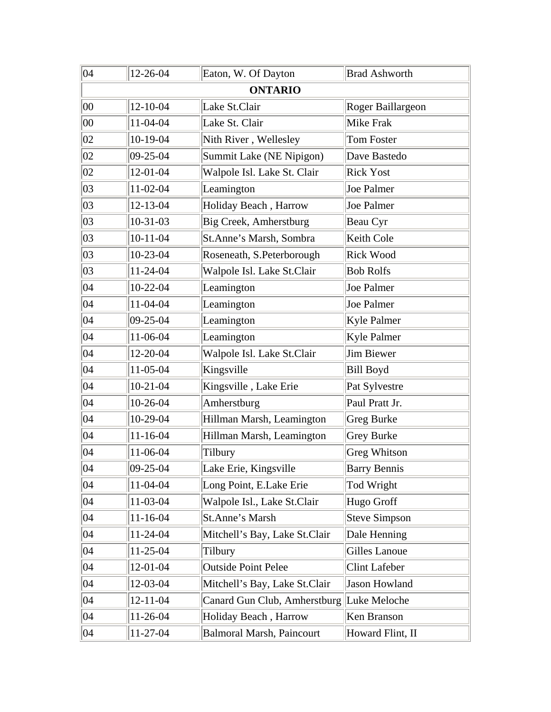| 04           | 12-26-04       | Eaton, W. Of Dayton              | <b>Brad Ashworth</b> |
|--------------|----------------|----------------------------------|----------------------|
|              |                | <b>ONTARIO</b>                   |                      |
| 00           | $12 - 10 - 04$ | Lake St.Clair                    | Roger Baillargeon    |
| 00           | $11-04-04$     | Lake St. Clair                   | Mike Frak            |
| 02           | $10-19-04$     | Nith River, Wellesley            | <b>Tom Foster</b>    |
| 02           | $ 09-25-04 $   | Summit Lake (NE Nipigon)         | Dave Bastedo         |
| 02           | $12 - 01 - 04$ | Walpole Isl. Lake St. Clair      | <b>Rick Yost</b>     |
| 03           | $11-02-04$     | Leamington                       | Joe Palmer           |
| 03           | $12 - 13 - 04$ | Holiday Beach, Harrow            | Joe Palmer           |
| $ 03\rangle$ | $10-31-03$     | Big Creek, Amherstburg           | Beau Cyr             |
| 03           | $10-11-04$     | St.Anne's Marsh, Sombra          | Keith Cole           |
| 03           | 10-23-04       | Roseneath, S.Peterborough        | <b>Rick Wood</b>     |
| 03           | 11-24-04       | Walpole Isl. Lake St.Clair       | <b>Bob Rolfs</b>     |
| 04           | $10-22-04$     | Leamington                       | Joe Palmer           |
| 04           | 11-04-04       | Leamington                       | Joe Palmer           |
| 04           | 09-25-04       | Leamington                       | Kyle Palmer          |
| $ 04\rangle$ | 11-06-04       | Leamington                       | Kyle Palmer          |
| $ 04\rangle$ | 12-20-04       | Walpole Isl. Lake St.Clair       | Jim Biewer           |
| $ 04\rangle$ | $11-05-04$     | Kingsville                       | <b>Bill Boyd</b>     |
| 04           | $10-21-04$     | Kingsville, Lake Erie            | Pat Sylvestre        |
| 04           | 10-26-04       | Amherstburg                      | Paul Pratt Jr.       |
| 04           | 10-29-04       | Hillman Marsh, Leamington        | Greg Burke           |
| $ 04\rangle$ | $11 - 16 - 04$ | Hillman Marsh, Leamington        | <b>Grey Burke</b>    |
| 04           | 11-06-04       | Tilbury                          | <b>Greg Whitson</b>  |
| $ 04\rangle$ | 09-25-04       | Lake Erie, Kingsville            | <b>Barry Bennis</b>  |
| $ 04\rangle$ | 11-04-04       | Long Point, E.Lake Erie          | Tod Wright           |
| $ 04\rangle$ | $11-03-04$     | Walpole Isl., Lake St.Clair      | Hugo Groff           |
| 04           | $11 - 16 - 04$ | St.Anne's Marsh                  | <b>Steve Simpson</b> |
| 04           | 11-24-04       | Mitchell's Bay, Lake St.Clair    | Dale Henning         |
| 04           | 11-25-04       | Tilbury                          | Gilles Lanoue        |
| 04           | 12-01-04       | <b>Outside Point Pelee</b>       | <b>Clint Lafeber</b> |
| 04           | 12-03-04       | Mitchell's Bay, Lake St.Clair    | Jason Howland        |
| 04           | $12 - 11 - 04$ | Canard Gun Club, Amherstburg     | Luke Meloche         |
| 04           | 11-26-04       | Holiday Beach, Harrow            | Ken Branson          |
| 04           | 11-27-04       | <b>Balmoral Marsh, Paincourt</b> | Howard Flint, II     |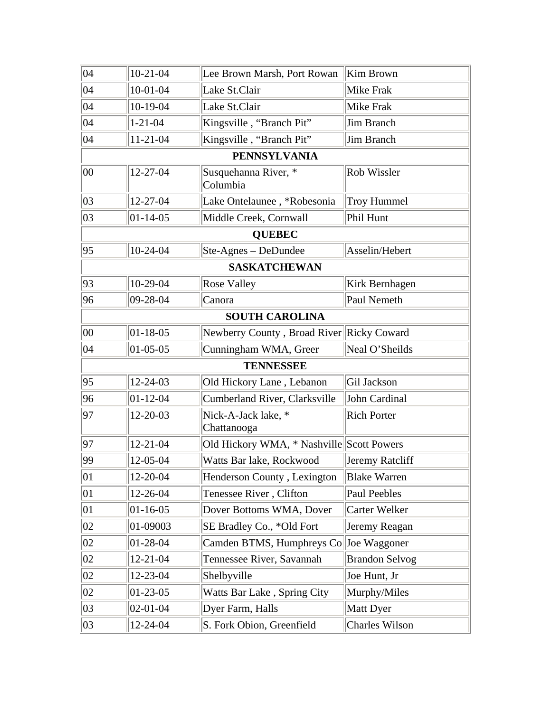| $ 04\rangle$ | $10-21-04$       | Lee Brown Marsh, Port Rowan               | Kim Brown             |
|--------------|------------------|-------------------------------------------|-----------------------|
| $ 04\rangle$ | $10-01-04$       | Lake St.Clair                             | Mike Frak             |
| 04           | 10-19-04         | Lake St.Clair                             | Mike Frak             |
| $ 04\rangle$ | $1 - 21 - 04$    | Kingsville, "Branch Pit"                  | Jim Branch            |
| 04           | $11 - 21 - 04$   | Kingsville, "Branch Pit"                  | Jim Branch            |
|              |                  | <b>PENNSYLVANIA</b>                       |                       |
| 00           | 12-27-04         | Susquehanna River, *<br>Columbia          | <b>Rob Wissler</b>    |
| 03           | 12-27-04         | Lake Ontelaunee, *Robesonia               | Troy Hummel           |
| 03           | $ 01 - 14 - 05 $ | Middle Creek, Cornwall                    | Phil Hunt             |
|              |                  | <b>QUEBEC</b>                             |                       |
| 95           | $10-24-04$       | $Ste-Agnes - DeDundee$                    | Asselin/Hebert        |
|              |                  | <b>SASKATCHEWAN</b>                       |                       |
| 93           | 10-29-04         | <b>Rose Valley</b>                        | Kirk Bernhagen        |
| 96           | $09 - 28 - 04$   | Canora                                    | Paul Nemeth           |
|              |                  | <b>SOUTH CAROLINA</b>                     |                       |
| 00           | $01 - 18 - 05$   | Newberry County, Broad River Ricky Coward |                       |
| 04           | $01 - 05 - 05$   | Cunningham WMA, Greer                     | Neal O'Sheilds        |
|              |                  | <b>TENNESSEE</b>                          |                       |
| 95           | 12-24-03         | Old Hickory Lane, Lebanon                 | Gil Jackson           |
| 96           | $01 - 12 - 04$   | Cumberland River, Clarksville             | John Cardinal         |
| 97           | 12-20-03         | Nick-A-Jack lake, *<br>Chattanooga        | <b>Rich Porter</b>    |
| 97           | $12 - 21 - 04$   | Old Hickory WMA, * Nashville Scott Powers |                       |
| 99           | 12-05-04         | Watts Bar lake, Rockwood                  | Jeremy Ratcliff       |
| 01           | 12-20-04         | Henderson County, Lexington               | <b>Blake Warren</b>   |
| $ 01\rangle$ | 12-26-04         | Tenessee River, Clifton                   | Paul Peebles          |
| $ 01\rangle$ | $ 01 - 16 - 05 $ | Dover Bottoms WMA, Dover                  | Carter Welker         |
| 02           | 01-09003         | SE Bradley Co., *Old Fort                 | Jeremy Reagan         |
| 02           | $01 - 28 - 04$   | Camden BTMS, Humphreys Co                 | Joe Waggoner          |
| 02           | $12 - 21 - 04$   | Tennessee River, Savannah                 | <b>Brandon Selvog</b> |
| 02           | 12-23-04         | Shelbyville                               | Joe Hunt, Jr          |
| 02           | $01-23-05$       | Watts Bar Lake, Spring City               | Murphy/Miles          |
| 03           | $02 - 01 - 04$   | Dyer Farm, Halls                          | Matt Dyer             |
| 03           | 12-24-04         | S. Fork Obion, Greenfield                 | Charles Wilson        |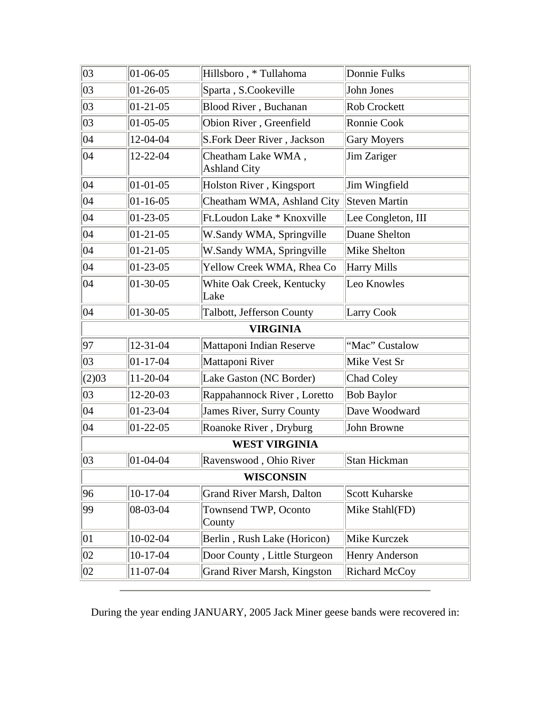| 03           | $01 - 06 - 05$   | Hillsboro, * Tullahoma                    | Donnie Fulks          |
|--------------|------------------|-------------------------------------------|-----------------------|
| 03           | $01 - 26 - 05$   | Sparta, S.Cookeville                      | John Jones            |
| 03           | $01 - 21 - 05$   | Blood River, Buchanan                     | Rob Crockett          |
| 03           | $ 01 - 05 - 05 $ | Obion River, Greenfield                   | Ronnie Cook           |
| 04           | 12-04-04         | S.Fork Deer River, Jackson                | Gary Moyers           |
| 04           | 12-22-04         | Cheatham Lake WMA,<br><b>Ashland City</b> | Jim Zariger           |
| 04           | $01 - 01 - 05$   | Holston River, Kingsport                  | Jim Wingfield         |
| 04           | $01 - 16 - 05$   | Cheatham WMA, Ashland City                | Steven Martin         |
| $ 04\rangle$ | $01 - 23 - 05$   | Ft. Loudon Lake * Knoxville               | Lee Congleton, III    |
| 04           | $01 - 21 - 05$   | W.Sandy WMA, Springville                  | Duane Shelton         |
| 04           | $01 - 21 - 05$   | W.Sandy WMA, Springville                  | Mike Shelton          |
| 04           | $01 - 23 - 05$   | Yellow Creek WMA, Rhea Co                 | <b>Harry Mills</b>    |
| 04           | $01 - 30 - 05$   | White Oak Creek, Kentucky<br>Lake         | Leo Knowles           |
| 04           | $ 01-30-05 $     | Talbott, Jefferson County                 | <b>Larry Cook</b>     |
|              |                  | <b>VIRGINIA</b>                           |                       |
| 97           | 12-31-04         | Mattaponi Indian Reserve                  | "Mac" Custalow        |
| 03           | $ 01 - 17 - 04 $ | Mattaponi River                           | Mike Vest Sr          |
| (2)03        | 11-20-04         | Lake Gaston (NC Border)                   | <b>Chad Coley</b>     |
| 03           | 12-20-03         | Rappahannock River, Loretto               | <b>Bob Baylor</b>     |
| $ 04\rangle$ | $01 - 23 - 04$   | James River, Surry County                 | Dave Woodward         |
| 04           | $01 - 22 - 05$   | Roanoke River, Dryburg                    | John Browne           |
|              |                  | <b>WEST VIRGINIA</b>                      |                       |
| 03           | $ 01 - 04 - 04 $ | Ravenswood, Ohio River                    | <b>Stan Hickman</b>   |
|              |                  | <b>WISCONSIN</b>                          |                       |
| 96           | $10-17-04$       | <b>Grand River Marsh, Dalton</b>          | <b>Scott Kuharske</b> |
| 99           | $ 08-03-04 $     | Townsend TWP, Oconto<br>County            | Mike Stahl(FD)        |
| $ 01\rangle$ | $10-02-04$       | Berlin, Rush Lake (Horicon)               | Mike Kurczek          |
| 02           | 10-17-04         | Door County, Little Sturgeon              | Henry Anderson        |
| 02           | 11-07-04         | <b>Grand River Marsh, Kingston</b>        | <b>Richard McCoy</b>  |

During the year ending JANUARY, 2005 Jack Miner geese bands were recovered in: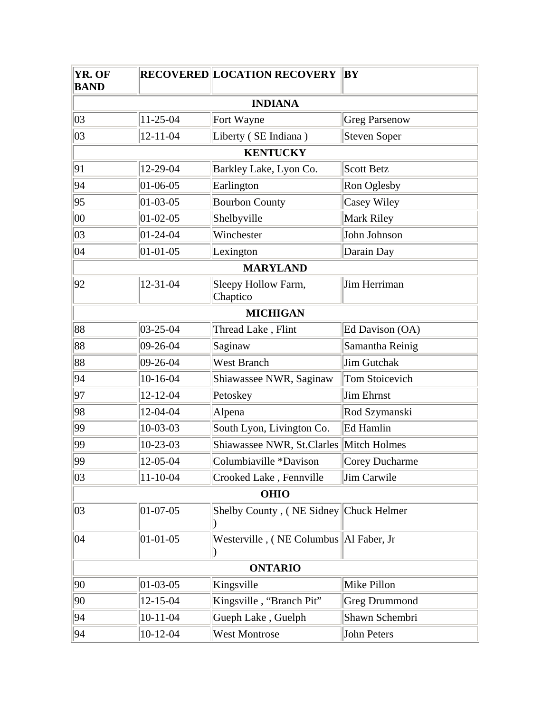| YR. OF<br><b>BAND</b> |                  | <b>RECOVERED LOCATION RECOVERY</b>       | BY                   |
|-----------------------|------------------|------------------------------------------|----------------------|
|                       |                  | <b>INDIANA</b>                           |                      |
| 03                    | $11-25-04$       | Fort Wayne                               | <b>Greg Parsenow</b> |
| 03                    | $12 - 11 - 04$   | Liberty (SE Indiana)                     | Steven Soper         |
|                       |                  | <b>KENTUCKY</b>                          |                      |
| 91                    | 12-29-04         | Barkley Lake, Lyon Co.                   | <b>Scott Betz</b>    |
| 94                    | $ 01 - 06 - 05 $ | Earlington                               | Ron Oglesby          |
| 95                    | $ 01-03-05 $     | <b>Bourbon County</b>                    | Casey Wiley          |
| $00\,$                | $ 01-02-05 $     | Shelbyville                              | Mark Riley           |
| 03                    | $ 01-24-04$      | Winchester                               | John Johnson         |
| 04                    | $ 01-01-05$      | Lexington                                | Darain Day           |
|                       |                  | <b>MARYLAND</b>                          |                      |
| 92                    | $12 - 31 - 04$   | Sleepy Hollow Farm,<br>Chaptico          | Jim Herriman         |
|                       |                  | <b>MICHIGAN</b>                          |                      |
| 88                    | $ 03 - 25 - 04 $ | Thread Lake, Flint                       | Ed Davison (OA)      |
| 88                    | $ 09-26-04$      | Saginaw                                  | Samantha Reinig      |
| 88                    | $ 09-26-04 $     | <b>West Branch</b>                       | Jim Gutchak          |
| 94                    | $10-16-04$       | Shiawassee NWR, Saginaw                  | Tom Stoicevich       |
| 97                    | 12-12-04         | Petoskey                                 | Jim Ehrnst           |
| 98                    | 12-04-04         | Alpena                                   | Rod Szymanski        |
| 99                    | 10-03-03         | South Lyon, Livington Co.                | Ed Hamlin            |
| 99                    | $10-23-03$       | Shiawassee NWR, St.Clarles               | Mitch Holmes         |
| 99                    | 12-05-04         | Columbiaville *Davison                   | Corey Ducharme       |
| 03                    | $11 - 10 - 04$   | Crooked Lake, Fennville                  | Jim Carwile          |
|                       |                  | <b>OHIO</b>                              |                      |
| 03                    | $ 01-07-05$      | Shelby County, (NE Sidney Chuck Helmer   |                      |
| 04                    | $01 - 01 - 05$   | Westerville, (NE Columbus   Al Faber, Jr |                      |
|                       |                  | <b>ONTARIO</b>                           |                      |
| 90                    | $01 - 03 - 05$   | Kingsville                               | Mike Pillon          |
| 90                    | 12-15-04         | Kingsville, "Branch Pit"                 | <b>Greg Drummond</b> |
| 94                    | $10 - 11 - 04$   | Gueph Lake, Guelph                       | Shawn Schembri       |
| 94                    | $10-12-04$       | <b>West Montrose</b>                     | John Peters          |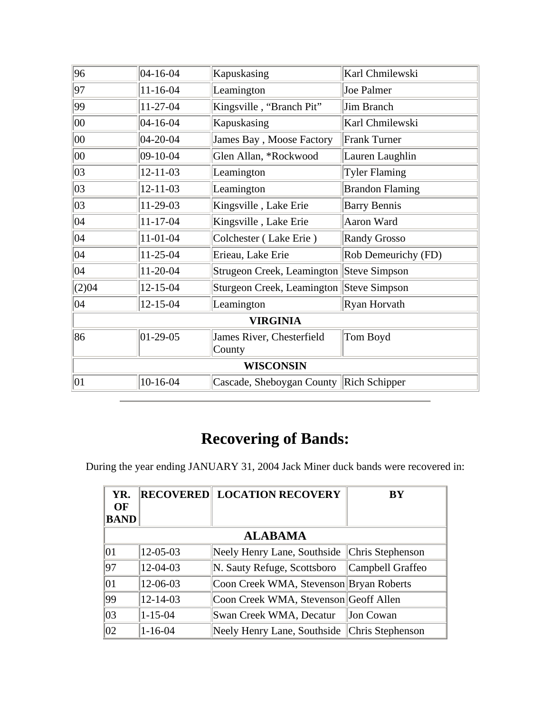| 96           | 04-16-04       | Kapuskasing                               | Karl Chmilewski        |
|--------------|----------------|-------------------------------------------|------------------------|
| 97           | $11 - 16 - 04$ | Leamington                                | Joe Palmer             |
| 99           | 11-27-04       | Kingsville, "Branch Pit"                  | Jim Branch             |
| 00           | 04-16-04       | Kapuskasing                               | Karl Chmilewski        |
| 00           | $04 - 20 - 04$ | James Bay, Moose Factory                  | <b>Frank Turner</b>    |
| 00           | 09-10-04       | Glen Allan, *Rockwood                     | Lauren Laughlin        |
| 03           | $12 - 11 - 03$ | Leamington                                | <b>Tyler Flaming</b>   |
| 03           | $12 - 11 - 03$ | Leamington                                | <b>Brandon Flaming</b> |
| 03           | 11-29-03       | Kingsville, Lake Erie                     | <b>Barry Bennis</b>    |
| $ 04\rangle$ | $11 - 17 - 04$ | Kingsville, Lake Erie                     | Aaron Ward             |
| $ 04\rangle$ | $11-01-04$     | Colchester (Lake Erie)                    | <b>Randy Grosso</b>    |
| $ 04\rangle$ | $11 - 25 - 04$ | Erieau, Lake Erie                         | Rob Demeurichy (FD)    |
| $ 04\rangle$ | 11-20-04       | Strugeon Creek, Leamington                | Steve Simpson          |
| (2)04        | $12 - 15 - 04$ | Sturgeon Creek, Leamington                | Steve Simpson          |
| $ 04\rangle$ | 12-15-04       | Leamington                                | Ryan Horvath           |
|              |                | <b>VIRGINIA</b>                           |                        |
| 86           | $ 01-29-05$    | James River, Chesterfield<br>County       | Tom Boyd               |
|              |                | <b>WISCONSIN</b>                          |                        |
| $ 01\rangle$ | $10-16-04$     | Cascade, Sheboygan County   Rich Schipper |                        |

## **Recovering of Bands:**

During the year ending JANUARY 31, 2004 Jack Miner duck bands were recovered in:

| YR.<br><b>OF</b><br><b>BAND</b> |               | <b>RECOVERED LOCATION RECOVERY</b>             | BY               |
|---------------------------------|---------------|------------------------------------------------|------------------|
|                                 |               | <b>ALABAMA</b>                                 |                  |
| $ 01\rangle$                    | 12-05-03      | Neely Henry Lane, Southside   Chris Stephenson |                  |
| 97                              | 12-04-03      | N. Sauty Refuge, Scottsboro                    | Campbell Graffeo |
| $ 01\rangle$                    | 12-06-03      | Coon Creek WMA, Stevenson Bryan Roberts        |                  |
| 99                              | 12-14-03      | Coon Creek WMA, Stevenson Geoff Allen          |                  |
| $ 03\rangle$                    | $1 - 15 - 04$ | Swan Creek WMA, Decatur                        | Jon Cowan        |
| $ 02\rangle$                    | $1 - 16 - 04$ | Neely Henry Lane, Southside                    | Chris Stephenson |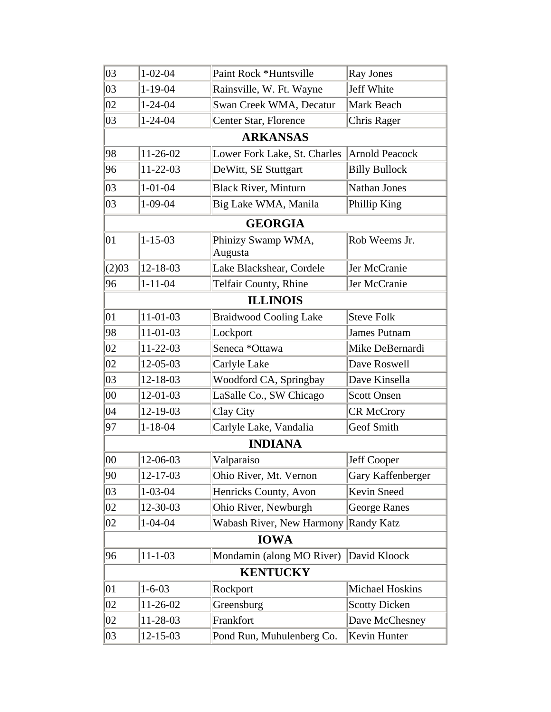| 03           | $1 - 02 - 04$  | Paint Rock *Huntsville               | Ray Jones            |
|--------------|----------------|--------------------------------------|----------------------|
| 03           | $1 - 19 - 04$  | Rainsville, W. Ft. Wayne             | Jeff White           |
| 02           | $1 - 24 - 04$  | Swan Creek WMA, Decatur              | Mark Beach           |
| 03           | $1 - 24 - 04$  | Center Star, Florence                | Chris Rager          |
|              |                | <b>ARKANSAS</b>                      |                      |
| 98           | $11 - 26 - 02$ | Lower Fork Lake, St. Charles         | Arnold Peacock       |
| 96           | $11 - 22 - 03$ | DeWitt, SE Stuttgart                 | <b>Billy Bullock</b> |
| 03           | $1 - 01 - 04$  | <b>Black River, Minturn</b>          | Nathan Jones         |
| 03           | $1 - 09 - 04$  | Big Lake WMA, Manila                 | Phillip King         |
|              |                | <b>GEORGIA</b>                       |                      |
| 01           | $1 - 15 - 03$  | Phinizy Swamp WMA,<br>Augusta        | Rob Weems Jr.        |
| (2)03        | 12-18-03       | Lake Blackshear, Cordele             | Jer McCranie         |
| 96           | $1 - 11 - 04$  | Telfair County, Rhine                | Jer McCranie         |
|              |                | <b>ILLINOIS</b>                      |                      |
| 01           | 11-01-03       | <b>Braidwood Cooling Lake</b>        | <b>Steve Folk</b>    |
| 98           | 11-01-03       | Lockport                             | James Putnam         |
| 02           | $11 - 22 - 03$ | Seneca *Ottawa                       | Mike DeBernardi      |
| 02           | 12-05-03       | Carlyle Lake                         | Dave Roswell         |
| 03           | 12-18-03       | Woodford CA, Springbay               | Dave Kinsella        |
| $00\,$       | 12-01-03       | LaSalle Co., SW Chicago              | <b>Scott Onsen</b>   |
| 04           | 12-19-03       | Clay City                            | <b>CR McCrory</b>    |
| 97           | $1 - 18 - 04$  | Carlyle Lake, Vandalia               | <b>Geof Smith</b>    |
|              |                | <b>INDIANA</b>                       |                      |
| $ 00\rangle$ | 12-06-03       | Valparaiso                           | Jeff Cooper          |
| 90           | 12-17-03       | Ohio River, Mt. Vernon               | Gary Kaffenberger    |
| 03           | $1 - 03 - 04$  | Henricks County, Avon                | Kevin Sneed          |
| 02           | 12-30-03       | Ohio River, Newburgh                 | <b>George Ranes</b>  |
| 02           | $1 - 04 - 04$  | Wabash River, New Harmony Randy Katz |                      |
|              |                | <b>IOWA</b>                          |                      |
| 96           | $11 - 1 - 03$  | Mondamin (along MO River)            | David Kloock         |
|              |                | <b>KENTUCKY</b>                      |                      |
| 01           | $1 - 6 - 03$   | Rockport                             | Michael Hoskins      |
| 02           | 11-26-02       | Greensburg                           | <b>Scotty Dicken</b> |
| 02           | 11-28-03       | Frankfort                            | Dave McChesney       |
| 03           | 12-15-03       | Pond Run, Muhulenberg Co.            | Kevin Hunter         |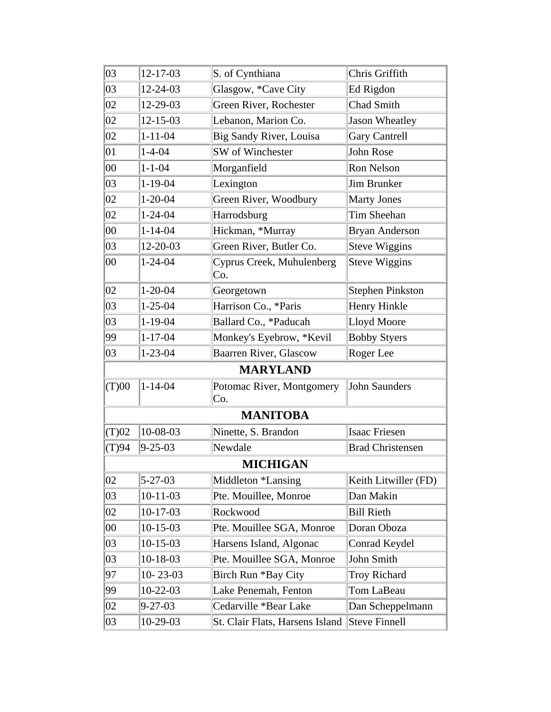| 03           | 12-17-03       | S. of Cynthiana                  | Chris Griffith          |
|--------------|----------------|----------------------------------|-------------------------|
| 03           | 12-24-03       | Glasgow, *Cave City              | Ed Rigdon               |
| 02           | 12-29-03       | Green River, Rochester           | Chad Smith              |
| 02           | $12 - 15 - 03$ | Lebanon, Marion Co.              | Jason Wheatley          |
| 02           | $1 - 11 - 04$  | Big Sandy River, Louisa          | <b>Gary Cantrell</b>    |
| $ 01\rangle$ | $1 - 4 - 04$   | SW of Winchester                 | John Rose               |
| $00\,$       | $1 - 1 - 04$   | Morganfield                      | Ron Nelson              |
| 03           | $1 - 19 - 04$  | Lexington                        | Jim Brunker             |
| 02           | $1 - 20 - 04$  | Green River, Woodbury            | <b>Marty Jones</b>      |
| 02           | $1 - 24 - 04$  | Harrodsburg                      | Tim Sheehan             |
| 00           | $1 - 14 - 04$  | Hickman, *Murray                 | <b>Bryan Anderson</b>   |
| 03           | $12 - 20 - 03$ | Green River, Butler Co.          | <b>Steve Wiggins</b>    |
| $00\,$       | $1 - 24 - 04$  | Cyprus Creek, Muhulenberg<br>Co. | Steve Wiggins           |
| 02           | $1 - 20 - 04$  | Georgetown                       | <b>Stephen Pinkston</b> |
| 03           | $1 - 25 - 04$  | Harrison Co., *Paris             | Henry Hinkle            |
| 03           | $1 - 19 - 04$  | Ballard Co., *Paducah            | Lloyd Moore             |
| 99           | $1 - 17 - 04$  | Monkey's Eyebrow, *Kevil         | <b>Bobby Styers</b>     |
| 03           | $1 - 23 - 04$  | <b>Baarren River, Glascow</b>    | Roger Lee               |
|              |                | <b>MARYLAND</b>                  |                         |
| (T)00        | $1 - 14 - 04$  | Potomac River, Montgomery<br>Co. | John Saunders           |
|              |                | <b>MANITOBA</b>                  |                         |
| (T)02        | $10 - 08 - 03$ | Ninette, S. Brandon              | Isaac Friesen           |
| (T)94        | $9 - 25 - 03$  | Newdale                          | <b>Brad Christensen</b> |
|              |                | <b>MICHIGAN</b>                  |                         |
| 02           | $5 - 27 - 03$  | Middleton *Lansing               | Keith Litwiller (FD)    |
| 03           | $10-11-03$     | Pte. Mouillee, Monroe            | Dan Makin               |
| 02           | $10-17-03$     | Rockwood                         | <b>Bill Rieth</b>       |
| 00           | $10-15-03$     | Pte. Mouillee SGA, Monroe        | Doran Oboza             |
| 03           | $10-15-03$     | Harsens Island, Algonac          | Conrad Keydel           |
| 03           | $10-18-03$     | Pte. Mouillee SGA, Monroe        | John Smith              |
| 97           | $10 - 23 - 03$ | Birch Run *Bay City              | <b>Troy Richard</b>     |
| 99           | $10-22-03$     | Lake Penemah, Fenton             | Tom LaBeau              |
| 02           | $9 - 27 - 03$  | Cedarville *Bear Lake            | Dan Scheppelmann        |
| 03           | 10-29-03       | St. Clair Flats, Harsens Island  | Steve Finnell           |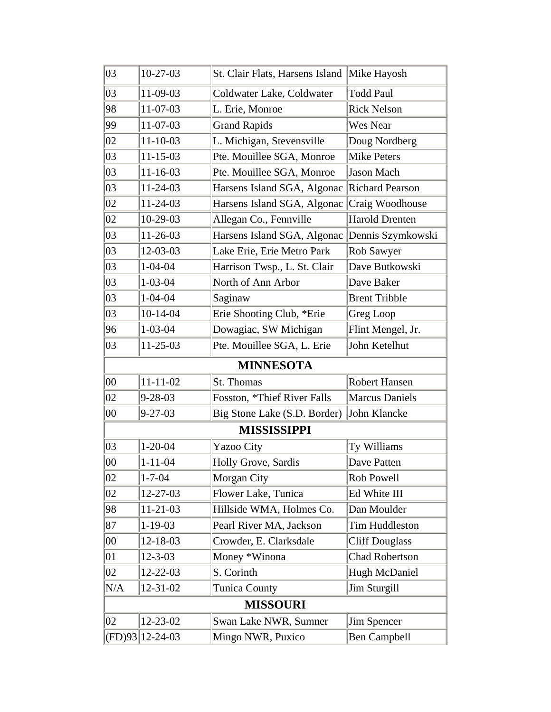| 03     | $10-27-03$     | St. Clair Flats, Harsens Island Mike Hayosh |                       |
|--------|----------------|---------------------------------------------|-----------------------|
| 03     | 11-09-03       | Coldwater Lake, Coldwater                   | <b>Todd Paul</b>      |
| 98     | 11-07-03       | L. Erie, Monroe                             | <b>Rick Nelson</b>    |
| 99     | 11-07-03       | <b>Grand Rapids</b>                         | Wes Near              |
| 02     | $11 - 10 - 03$ | L. Michigan, Stevensville                   | Doug Nordberg         |
| 03     | $11 - 15 - 03$ | Pte. Mouillee SGA, Monroe                   | <b>Mike Peters</b>    |
| 03     | $11 - 16 - 03$ | Pte. Mouillee SGA, Monroe                   | Jason Mach            |
| 03     | 11-24-03       | Harsens Island SGA, Algonac                 | Richard Pearson       |
| 02     | $11 - 24 - 03$ | Harsens Island SGA, Algonac                 | Craig Woodhouse       |
| 02     | 10-29-03       | Allegan Co., Fennville                      | <b>Harold Drenten</b> |
| 03     | 11-26-03       | Harsens Island SGA, Algonac                 | Dennis Szymkowski     |
| 03     | 12-03-03       | Lake Erie, Erie Metro Park                  | Rob Sawyer            |
| 03     | $1 - 04 - 04$  | Harrison Twsp., L. St. Clair                | Dave Butkowski        |
| 03     | $1 - 03 - 04$  | North of Ann Arbor                          | Dave Baker            |
| 03     | $1 - 04 - 04$  | Saginaw                                     | <b>Brent Tribble</b>  |
| 03     | $10-14-04$     | Erie Shooting Club, *Erie                   | Greg Loop             |
| 96     | $1 - 03 - 04$  | Dowagiac, SW Michigan                       | Flint Mengel, Jr.     |
| 03     | 11-25-03       | Pte. Mouillee SGA, L. Erie                  | John Ketelhut         |
|        |                | <b>MINNESOTA</b>                            |                       |
|        |                |                                             |                       |
| 00     | $11 - 11 - 02$ | St. Thomas                                  | Robert Hansen         |
| 02     | $9 - 28 - 03$  | Fosston, *Thief River Falls                 | <b>Marcus Daniels</b> |
| $00\,$ | $9 - 27 - 03$  | Big Stone Lake (S.D. Border)                | John Klancke          |
|        |                | <b>MISSISSIPPI</b>                          |                       |
| 03     | $1 - 20 - 04$  | <b>Yazoo City</b>                           | Ty Williams           |
| 00     | $1 - 11 - 04$  | Holly Grove, Sardis                         | Dave Patten           |
| 02     | $1 - 7 - 04$   | Morgan City                                 | Rob Powell            |
| 02     | 12-27-03       | Flower Lake, Tunica                         | Ed White III          |
| 98     | 11-21-03       | Hillside WMA, Holmes Co.                    | Dan Moulder           |
| 87     | $1 - 19 - 03$  | Pearl River MA, Jackson                     | <b>Tim Huddleston</b> |
| $00\,$ | 12-18-03       | Crowder, E. Clarksdale                      | <b>Cliff Douglass</b> |
| 01     | $12 - 3 - 03$  | Money *Winona                               | Chad Robertson        |
| 02     | 12-22-03       | S. Corinth                                  | Hugh McDaniel         |
| N/A    | $12 - 31 - 02$ | <b>Tunica County</b>                        | Jim Sturgill          |
|        |                | <b>MISSOURI</b>                             |                       |
| 02     | 12-23-02       | Swan Lake NWR, Sumner                       | Jim Spencer           |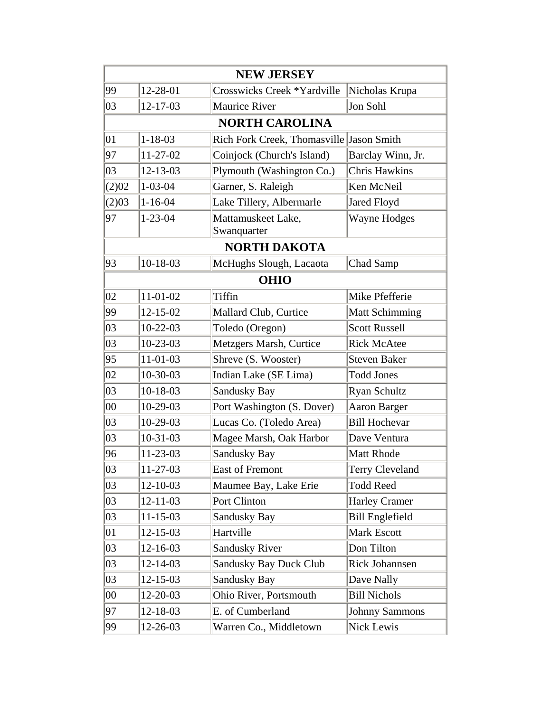|              |                | <b>NEW JERSEY</b>                        |                        |
|--------------|----------------|------------------------------------------|------------------------|
| 99           | 12-28-01       | Crosswicks Creek *Yardville              | Nicholas Krupa         |
| 03           | 12-17-03       | <b>Maurice River</b>                     | Jon Sohl               |
|              |                | <b>NORTH CAROLINA</b>                    |                        |
| 01           | $1 - 18 - 03$  | Rich Fork Creek, Thomasville Jason Smith |                        |
| 97           | 11-27-02       | Coinjock (Church's Island)               | Barclay Winn, Jr.      |
| 03           | $12 - 13 - 03$ | Plymouth (Washington Co.)                | <b>Chris Hawkins</b>   |
| (2)02        | $1 - 03 - 04$  | Garner, S. Raleigh                       | Ken McNeil             |
| (2)03        | $1 - 16 - 04$  | Lake Tillery, Albermarle                 | <b>Jared Floyd</b>     |
| 97           | $1 - 23 - 04$  | Mattamuskeet Lake,<br>Swanquarter        | Wayne Hodges           |
|              |                | <b>NORTH DAKOTA</b>                      |                        |
| 93           | $10-18-03$     | McHughs Slough, Lacaota                  | Chad Samp              |
|              |                | <b>OHIO</b>                              |                        |
| 02           | 11-01-02       | Tiffin                                   | Mike Pfefferie         |
| 99           | $12 - 15 - 02$ | Mallard Club, Curtice                    | <b>Matt Schimming</b>  |
| 03           | $10-22-03$     | Toledo (Oregon)                          | <b>Scott Russell</b>   |
| 03           | $10 - 23 - 03$ | Metzgers Marsh, Curtice                  | <b>Rick McAtee</b>     |
| 95           | $11 - 01 - 03$ | Shreve (S. Wooster)                      | <b>Steven Baker</b>    |
| 02           | 10-30-03       | Indian Lake (SE Lima)                    | <b>Todd Jones</b>      |
| 03           | $10-18-03$     | Sandusky Bay                             | <b>Ryan Schultz</b>    |
| $ 00\rangle$ | 10-29-03       | Port Washington (S. Dover)               | Aaron Barger           |
| 03           | $10-29-03$     | Lucas Co. (Toledo Area)                  | <b>Bill Hochevar</b>   |
| 03           | $10-31-03$     | Magee Marsh, Oak Harbor                  | Dave Ventura           |
| 96           | 11-23-03       | Sandusky Bay                             | <b>Matt Rhode</b>      |
| 03           | 11-27-03       | East of Fremont                          | Terry Cleveland        |
| 03           | 12-10-03       | Maumee Bay, Lake Erie                    | <b>Todd Reed</b>       |
| 03           | $12 - 11 - 03$ | Port Clinton                             | <b>Harley Cramer</b>   |
| 03           | $11 - 15 - 03$ | <b>Sandusky Bay</b>                      | <b>Bill Englefield</b> |
| 01           | 12-15-03       | Hartville                                | Mark Escott            |
| 03           | 12-16-03       | <b>Sandusky River</b>                    | Don Tilton             |
| 03           | 12-14-03       | <b>Sandusky Bay Duck Club</b>            | Rick Johannsen         |
| 03           | 12-15-03       | Sandusky Bay                             | Dave Nally             |
| 00           | 12-20-03       | Ohio River, Portsmouth                   | <b>Bill Nichols</b>    |
| 97           | 12-18-03       | E. of Cumberland                         | <b>Johnny Sammons</b>  |
| 99           | 12-26-03       | Warren Co., Middletown                   | Nick Lewis             |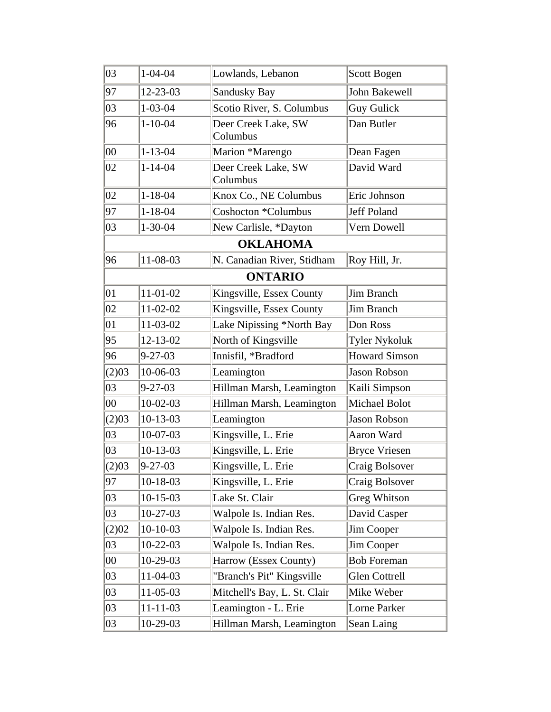| 03           | $1 - 04 - 04$  | Lowlands, Lebanon               | Scott Bogen          |
|--------------|----------------|---------------------------------|----------------------|
| 97           | $12 - 23 - 03$ | <b>Sandusky Bay</b>             | John Bakewell        |
| 03           | $1 - 03 - 04$  | Scotio River, S. Columbus       | Guy Gulick           |
| 96           | $1 - 10 - 04$  | Deer Creek Lake, SW<br>Columbus | Dan Butler           |
| 00           | $1 - 13 - 04$  | Marion *Marengo                 | Dean Fagen           |
| 02           | $1 - 14 - 04$  | Deer Creek Lake, SW<br>Columbus | David Ward           |
| 02           | $1 - 18 - 04$  | Knox Co., NE Columbus           | Eric Johnson         |
| 97           | $1 - 18 - 04$  | Coshocton *Columbus             | Jeff Poland          |
| 03           | $1 - 30 - 04$  | New Carlisle, *Dayton           | Vern Dowell          |
|              |                | <b>OKLAHOMA</b>                 |                      |
| 96           | $11 - 08 - 03$ | N. Canadian River, Stidham      | Roy Hill, Jr.        |
|              |                | <b>ONTARIO</b>                  |                      |
| $ 01\rangle$ | $11 - 01 - 02$ | Kingsville, Essex County        | Jim Branch           |
| 02           | 11-02-02       | Kingsville, Essex County        | Jim Branch           |
| 01           | 11-03-02       | Lake Nipissing *North Bay       | Don Ross             |
| 95           | $12 - 13 - 02$ | North of Kingsville             | <b>Tyler Nykoluk</b> |
| 96           | $9 - 27 - 03$  | Innisfil, *Bradford             | <b>Howard Simson</b> |
| (2)03        | 10-06-03       | Leamington                      | Jason Robson         |
| 03           | $9 - 27 - 03$  | Hillman Marsh, Leamington       | Kaili Simpson        |
| $00\,$       | $10-02-03$     | Hillman Marsh, Leamington       | Michael Bolot        |
| (2)03        | $10-13-03$     | Leamington                      | Jason Robson         |
| 03           | $10-07-03$     | Kingsville, L. Erie             | Aaron Ward           |
| 03           | $10-13-03$     | Kingsville, L. Erie             | <b>Bryce Vriesen</b> |
| (2)03        | $9 - 27 - 03$  | Kingsville, L. Erie             | Craig Bolsover       |
| 97           | $10-18-03$     | Kingsville, L. Erie             | Craig Bolsover       |
| 03           | $10-15-03$     | Lake St. Clair                  | <b>Greg Whitson</b>  |
| 03           | $10-27-03$     | Walpole Is. Indian Res.         | David Casper         |
| (2)02        | $10-10-03$     | Walpole Is. Indian Res.         | Jim Cooper           |
| 03           | $10-22-03$     | Walpole Is. Indian Res.         | Jim Cooper           |
| 00           | $10-29-03$     | Harrow (Essex County)           | <b>Bob Foreman</b>   |
| 03           | 11-04-03       | "Branch's Pit" Kingsville       | Glen Cottrell        |
| 03           | 11-05-03       | Mitchell's Bay, L. St. Clair    | Mike Weber           |
| 03           | $11 - 11 - 03$ | Leamington - L. Erie            | Lorne Parker         |
| 03           | 10-29-03       | Hillman Marsh, Leamington       | Sean Laing           |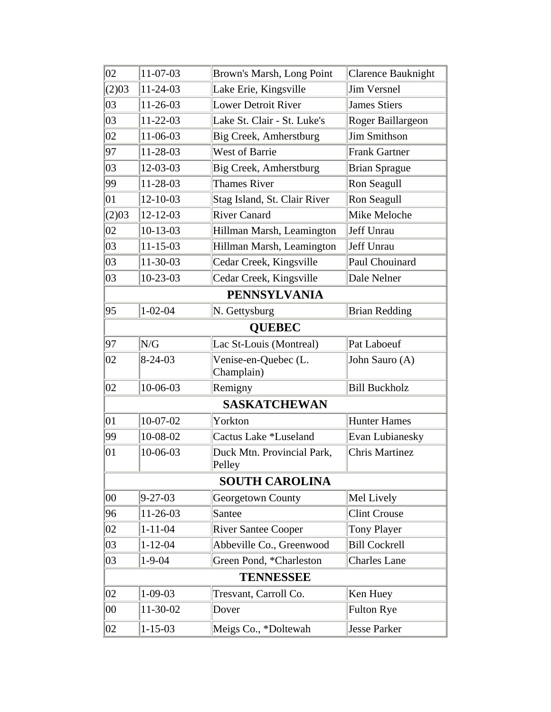| 02           | 11-07-03       | Brown's Marsh, Long Point            | <b>Clarence Bauknight</b> |
|--------------|----------------|--------------------------------------|---------------------------|
| (2)03        | 11-24-03       | Lake Erie, Kingsville                | <b>Jim Versnel</b>        |
| 03           | $11-26-03$     | <b>Lower Detroit River</b>           | <b>James Stiers</b>       |
| 03           | 11-22-03       | Lake St. Clair - St. Luke's          | Roger Baillargeon         |
| 02           | 11-06-03       | Big Creek, Amherstburg               | <b>Jim Smithson</b>       |
| 97           | 11-28-03       | <b>West of Barrie</b>                | <b>Frank Gartner</b>      |
| 03           | 12-03-03       | Big Creek, Amherstburg               | <b>Brian Sprague</b>      |
| 99           | 11-28-03       | <b>Thames River</b>                  | Ron Seagull               |
| 01           | $12 - 10 - 03$ | Stag Island, St. Clair River         | Ron Seagull               |
| (2)03        | $12 - 12 - 03$ | <b>River Canard</b>                  | Mike Meloche              |
| 02           | $10-13-03$     | Hillman Marsh, Leamington            | Jeff Unrau                |
| 03           | $11 - 15 - 03$ | Hillman Marsh, Leamington            | Jeff Unrau                |
| 03           | 11-30-03       | Cedar Creek, Kingsville              | Paul Chouinard            |
| 03           | $10-23-03$     | Cedar Creek, Kingsville              | Dale Nelner               |
|              |                | <b>PENNSYLVANIA</b>                  |                           |
| 95           | $1 - 02 - 04$  | N. Gettysburg                        | <b>Brian Redding</b>      |
|              |                | <b>QUEBEC</b>                        |                           |
| 97           | N/G            | Lac St-Louis (Montreal)              | Pat Laboeuf               |
| 02           | $8 - 24 - 03$  | Venise-en-Quebec (L.<br>Champlain)   | John Sauro (A)            |
| 02           | 10-06-03       | Remigny                              | <b>Bill Buckholz</b>      |
|              |                | <b>SASKATCHEWAN</b>                  |                           |
| 01           | $10-07-02$     | Yorkton                              | <b>Hunter Hames</b>       |
| 99           | 10-08-02       | Cactus Lake *Luseland                | Evan Lubianesky           |
| 01           | 10-06-03       | Duck Mtn. Provincial Park,<br>Pelley | <b>Chris Martinez</b>     |
|              |                | <b>SOUTH CAROLINA</b>                |                           |
| $ 00\rangle$ | $9 - 27 - 03$  | Georgetown County                    | Mel Lively                |
| 96           | 11-26-03       | Santee                               | <b>Clint Crouse</b>       |
| 02           | $1 - 11 - 04$  | <b>River Santee Cooper</b>           | <b>Tony Player</b>        |
| 03           | $1 - 12 - 04$  | Abbeville Co., Greenwood             | <b>Bill Cockrell</b>      |
| 03           | $1 - 9 - 04$   | Green Pond, *Charleston              | <b>Charles Lane</b>       |
|              |                | <b>TENNESSEE</b>                     |                           |
| 02           | $1 - 09 - 03$  | Tresvant, Carroll Co.                | Ken Huey                  |
| 00           | 11-30-02       | Dover                                | <b>Fulton Rye</b>         |
| 02           | $1 - 15 - 03$  | Meigs Co., *Doltewah                 | Jesse Parker              |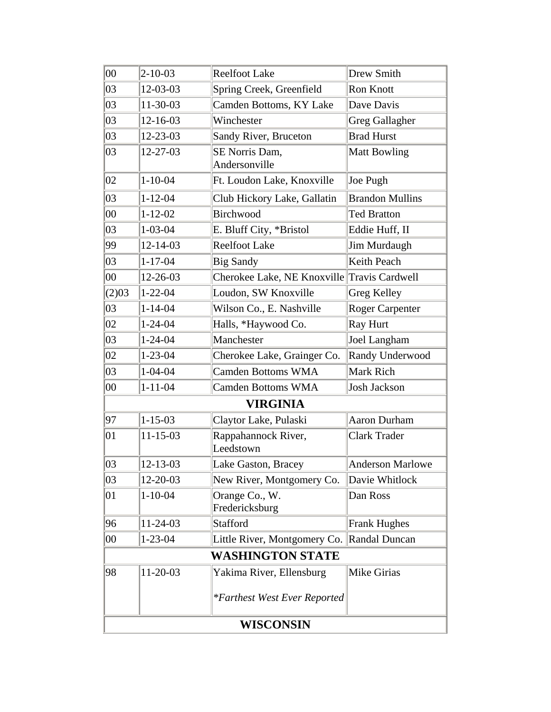| $00\,$ | $2 - 10 - 03$  | <b>Reelfoot Lake</b>                        | Drew Smith              |
|--------|----------------|---------------------------------------------|-------------------------|
| 03     | 12-03-03       | Spring Creek, Greenfield                    | Ron Knott               |
| 03     | 11-30-03       | Camden Bottoms, KY Lake                     | Dave Davis              |
| 03     | 12-16-03       | Winchester                                  | <b>Greg Gallagher</b>   |
| 03     | 12-23-03       | Sandy River, Bruceton                       | <b>Brad Hurst</b>       |
| 03     | 12-27-03       | SE Norris Dam,                              | <b>Matt Bowling</b>     |
|        |                | Andersonville                               |                         |
| 02     | $1 - 10 - 04$  | Ft. Loudon Lake, Knoxville                  | Joe Pugh                |
| 03     | $1 - 12 - 04$  | Club Hickory Lake, Gallatin                 | <b>Brandon Mullins</b>  |
| $00\,$ | $1 - 12 - 02$  | Birchwood                                   | <b>Ted Bratton</b>      |
| 03     | $1 - 03 - 04$  | E. Bluff City, *Bristol                     | Eddie Huff, II          |
| 99     | $12 - 14 - 03$ | <b>Reelfoot Lake</b>                        | Jim Murdaugh            |
| 03     | $1 - 17 - 04$  | <b>Big Sandy</b>                            | Keith Peach             |
| 00     | 12-26-03       | Cherokee Lake, NE Knoxville Travis Cardwell |                         |
| (2)03  | $1 - 22 - 04$  | Loudon, SW Knoxville                        | Greg Kelley             |
| 03     | $1 - 14 - 04$  | Wilson Co., E. Nashville                    | <b>Roger Carpenter</b>  |
| 02     | $1 - 24 - 04$  | Halls, *Haywood Co.                         | <b>Ray Hurt</b>         |
| 03     | $1 - 24 - 04$  | Manchester                                  | Joel Langham            |
| 02     | $1 - 23 - 04$  | Cherokee Lake, Grainger Co.                 | Randy Underwood         |
| 03     | $1 - 04 - 04$  | <b>Camden Bottoms WMA</b>                   | Mark Rich               |
| $00\,$ | $1 - 11 - 04$  | <b>Camden Bottoms WMA</b>                   | Josh Jackson            |
|        |                | <b>VIRGINIA</b>                             |                         |
| 97     | $1 - 15 - 03$  | Claytor Lake, Pulaski                       | <b>Aaron Durham</b>     |
| 01     | $11 - 15 - 03$ | Rappahannock River,<br>Leedstown            | <b>Clark Trader</b>     |
| 03     | 12-13-03       | Lake Gaston, Bracey                         | <b>Anderson Marlowe</b> |
| 03     | 12-20-03       | New River, Montgomery Co.                   | Davie Whitlock          |
| 01     | $1 - 10 - 04$  | Orange Co., W.<br>Fredericksburg            | Dan Ross                |
| 96     | 11-24-03       | <b>Stafford</b>                             | <b>Frank Hughes</b>     |
| 00     | $1 - 23 - 04$  | Little River, Montgomery Co. Randal Duncan  |                         |
|        |                | <b>WASHINGTON STATE</b>                     |                         |
| 98     | 11-20-03       | Yakima River, Ellensburg                    | <b>Mike Girias</b>      |
|        |                | <i>*Farthest West Ever Reported</i>         |                         |
|        |                | WISCONSIN                                   |                         |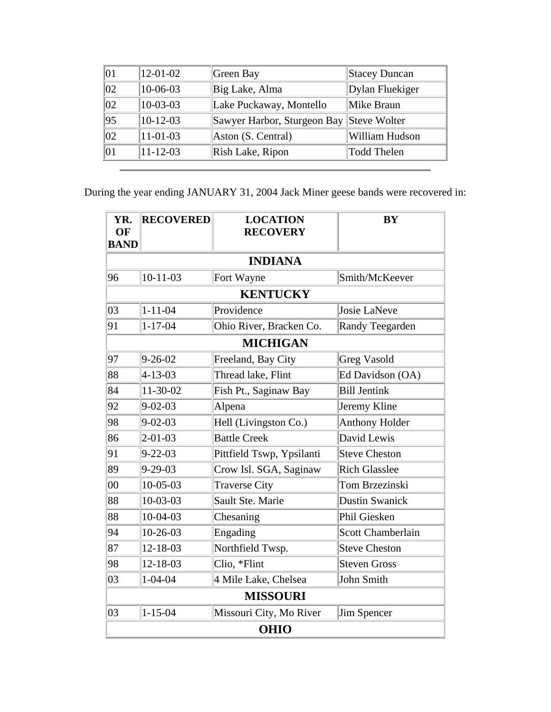| 12-01-02       | Green Bay                                | Stacey Duncan   |
|----------------|------------------------------------------|-----------------|
| 10-06-03       | Big Lake, Alma                           | Dylan Fluekiger |
| $10-03-03$     | Lake Puckaway, Montello                  | Mike Braun      |
| $10-12-03$     | Sawyer Harbor, Sturgeon Bay Steve Wolter |                 |
| $11-01-03$     | $ $ Aston (S. Central)                   | William Hudson  |
| $11 - 12 - 03$ | Rish Lake, Ripon                         | Todd Thelen     |
|                |                                          |                 |

During the year ending JANUARY 31, 2004 Jack Miner geese bands were recovered in:

| YR.<br>OF<br><b>BAND</b> | <b>RECOVERED</b> | <b>LOCATION</b><br><b>RECOVERY</b> | <b>BY</b>                |
|--------------------------|------------------|------------------------------------|--------------------------|
|                          |                  | <b>INDIANA</b>                     |                          |
| 96                       | $10 - 11 - 03$   | Fort Wayne                         | Smith/McKeever           |
|                          |                  | <b>KENTUCKY</b>                    |                          |
| 03                       | $1 - 11 - 04$    | Providence                         | Josie LaNeve             |
| 91                       | $1 - 17 - 04$    | Ohio River, Bracken Co.            | Randy Teegarden          |
|                          |                  | <b>MICHIGAN</b>                    |                          |
| 97                       | $9 - 26 - 02$    | Freeland, Bay City                 | <b>Greg Vasold</b>       |
| 88                       | $4 - 13 - 03$    | Thread lake, Flint                 | Ed Davidson (OA)         |
| 84                       | 11-30-02         | Fish Pt., Saginaw Bay              | <b>Bill Jentink</b>      |
| 92                       | $9 - 02 - 03$    | Alpena                             | Jeremy Kline             |
| 98                       | $9 - 02 - 03$    | Hell (Livingston Co.)              | <b>Anthony Holder</b>    |
| 86                       | $2 - 01 - 03$    | <b>Battle Creek</b>                | David Lewis              |
| 91                       | $9 - 22 - 03$    | Pittfield Tswp, Ypsilanti          | <b>Steve Cheston</b>     |
| 89                       | $9 - 29 - 03$    | Crow Isl. SGA, Saginaw             | <b>Rich Glasslee</b>     |
| $00\,$                   | $10 - 05 - 03$   | <b>Traverse City</b>               | Tom Brzezinski           |
| 88                       | $10 - 03 - 03$   | Sault Ste. Marie                   | <b>Dustin Swanick</b>    |
| 88                       | $10-04-03$       | Chesaning                          | Phil Giesken             |
| 94                       | $10-26-03$       | Engading                           | <b>Scott Chamberlain</b> |
| 87                       | 12-18-03         | Northfield Twsp.                   | <b>Steve Cheston</b>     |
| 98                       | 12-18-03         | Clio, *Flint                       | <b>Steven Gross</b>      |
| 03                       | $1 - 04 - 04$    | 4 Mile Lake, Chelsea               | John Smith               |
|                          |                  | <b>MISSOURI</b>                    |                          |
| 03                       | $1 - 15 - 04$    | Missouri City, Mo River            | Jim Spencer              |
|                          |                  | <b>OHIO</b>                        |                          |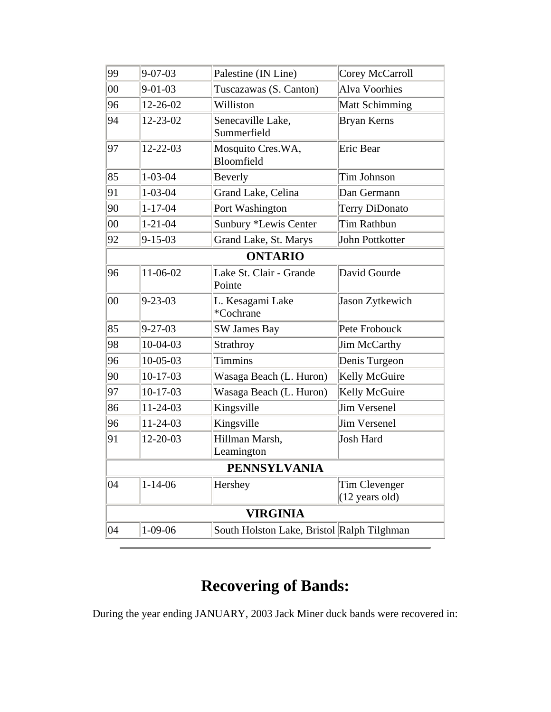| 99     | $9 - 07 - 03$  | Palestine (IN Line)                        | Corey McCarroll                           |
|--------|----------------|--------------------------------------------|-------------------------------------------|
| $00\,$ | $9 - 01 - 03$  | Tuscazawas (S. Canton)                     | <b>Alva Voorhies</b>                      |
| 96     | 12-26-02       | Williston                                  | <b>Matt Schimming</b>                     |
| 94     | $12 - 23 - 02$ | Senecaville Lake,<br>Summerfield           | Bryan Kerns                               |
| 97     | $12 - 22 - 03$ | Mosquito Cres.WA,<br>Bloomfield            | Eric Bear                                 |
| 85     | $1 - 03 - 04$  | Beverly                                    | Tim Johnson                               |
| 91     | $1 - 03 - 04$  | Grand Lake, Celina                         | Dan Germann                               |
| 90     | $1 - 17 - 04$  | Port Washington                            | <b>Terry DiDonato</b>                     |
| $00\,$ | $1 - 21 - 04$  | Sunbury *Lewis Center                      | Tim Rathbun                               |
| 92     | $9 - 15 - 03$  | Grand Lake, St. Marys                      | John Pottkotter                           |
|        | <b>ONTARIO</b> |                                            |                                           |
| 96     | 11-06-02       | Lake St. Clair - Grande<br>Pointe          | David Gourde                              |
| 00     | $9 - 23 - 03$  | L. Kesagami Lake<br>*Cochrane              | Jason Zytkewich                           |
| 85     | $9 - 27 - 03$  | <b>SW James Bay</b>                        | Pete Frobouck                             |
| 98     | 10-04-03       | Strathroy                                  | Jim McCarthy                              |
| 96     | $10 - 05 - 03$ | <b>Timmins</b>                             | Denis Turgeon                             |
| 90     | $10-17-03$     | Wasaga Beach (L. Huron)                    | Kelly McGuire                             |
| 97     | $10-17-03$     | Wasaga Beach (L. Huron)                    | Kelly McGuire                             |
| 86     | $11 - 24 - 03$ | Kingsville                                 | <b>Jim Versenel</b>                       |
| 96     | $11 - 24 - 03$ | Kingsville                                 | <b>Jim Versenel</b>                       |
| 91     | 12-20-03       | Hillman Marsh,<br>Leamington               | <b>Josh Hard</b>                          |
|        |                | <b>PENNSYLVANIA</b>                        |                                           |
| 04     | $1 - 14 - 06$  | Hershey                                    | Tim Clevenger<br>$(12 \text{ years old})$ |
|        |                | <b>VIRGINIA</b>                            |                                           |
| 04     | $ 1-09-06$     | South Holston Lake, Bristol Ralph Tilghman |                                           |

## **Recovering of Bands:**

During the year ending JANUARY, 2003 Jack Miner duck bands were recovered in: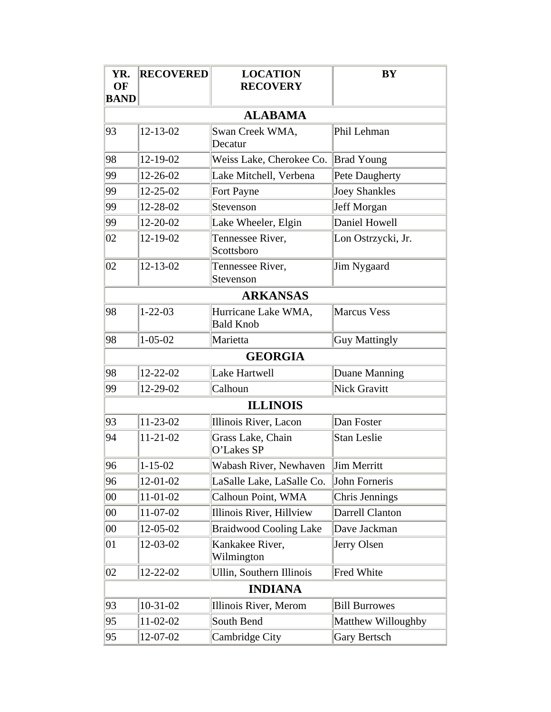| YR.<br>OF<br><b>BAND</b> | <b>RECOVERED</b> | <b>LOCATION</b><br><b>RECOVERY</b>      | BY                     |
|--------------------------|------------------|-----------------------------------------|------------------------|
|                          |                  | <b>ALABAMA</b>                          |                        |
| 93                       | $12 - 13 - 02$   | Swan Creek WMA,<br>Decatur              | Phil Lehman            |
| 98                       | 12-19-02         | Weiss Lake, Cherokee Co.                | <b>Brad Young</b>      |
| 99                       | 12-26-02         | Lake Mitchell, Verbena                  | Pete Daugherty         |
| 99                       | 12-25-02         | Fort Payne                              | <b>Joey Shankles</b>   |
| 99                       | 12-28-02         | Stevenson                               | Jeff Morgan            |
| 99                       | 12-20-02         | Lake Wheeler, Elgin                     | Daniel Howell          |
| 02                       | 12-19-02         | Tennessee River,<br>Scottsboro          | Lon Ostrzycki, Jr.     |
| 02                       | 12-13-02         | Tennessee River,<br>Stevenson           | Jim Nygaard            |
|                          |                  | <b>ARKANSAS</b>                         |                        |
| 98                       | $1 - 22 - 03$    | Hurricane Lake WMA,<br><b>Bald Knob</b> | <b>Marcus Vess</b>     |
| 98                       | $1 - 05 - 02$    | Marietta                                | <b>Guy Mattingly</b>   |
|                          |                  | <b>GEORGIA</b>                          |                        |
| 98                       | $12 - 22 - 02$   | Lake Hartwell                           | Duane Manning          |
| 99                       | 12-29-02         | Calhoun                                 | <b>Nick Gravitt</b>    |
|                          |                  | <b>ILLINOIS</b>                         |                        |
| 93                       | $11 - 23 - 02$   | Illinois River, Lacon                   | Dan Foster             |
| 94                       | $11 - 21 - 02$   | Grass Lake, Chain<br>O'Lakes SP         | <b>Stan Leslie</b>     |
| 96                       | $1 - 15 - 02$    | Wabash River, Newhaven                  | Jim Merritt            |
| 96                       | $12 - 01 - 02$   | LaSalle Lake, LaSalle Co.               | John Forneris          |
| $00\,$                   | 11-01-02         | Calhoun Point, WMA                      | Chris Jennings         |
| $00\,$                   | 11-07-02         | Illinois River, Hillview                | <b>Darrell Clanton</b> |
| $00\,$                   | 12-05-02         | <b>Braidwood Cooling Lake</b>           | Dave Jackman           |
| 01                       | 12-03-02         | Kankakee River,<br>Wilmington           | Jerry Olsen            |
| 02                       | 12-22-02         | Ullin, Southern Illinois                | Fred White             |
|                          |                  | <b>INDIANA</b>                          |                        |
| 93                       | $10-31-02$       | Illinois River, Merom                   | <b>Bill Burrowes</b>   |
| 95                       | $11-02-02$       | South Bend                              | Matthew Willoughby     |
| 95                       | 12-07-02         | Cambridge City                          | Gary Bertsch           |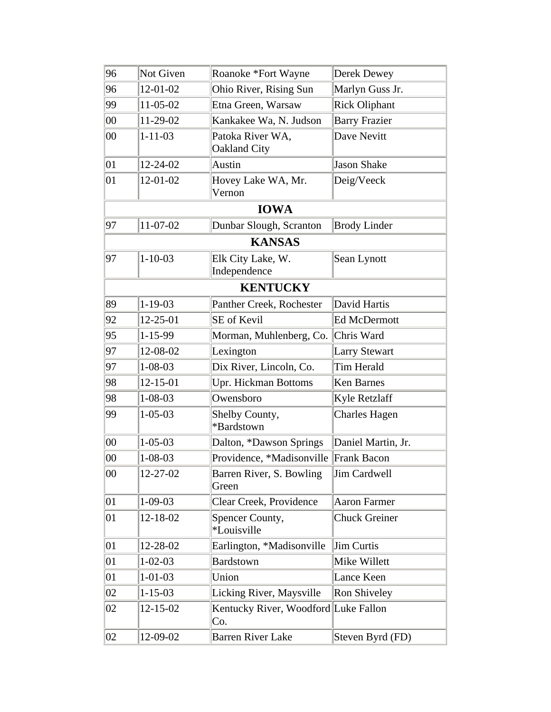| 96     | Not Given      | Roanoke *Fort Wayne                         | Derek Dewey          |
|--------|----------------|---------------------------------------------|----------------------|
| 96     | 12-01-02       | Ohio River, Rising Sun                      | Marlyn Guss Jr.      |
| 99     | 11-05-02       | Etna Green, Warsaw                          | <b>Rick Oliphant</b> |
| $00\,$ | $11 - 29 - 02$ | Kankakee Wa, N. Judson                      | <b>Barry Frazier</b> |
| $00\,$ | $1 - 11 - 03$  | Patoka River WA,<br>Oakland City            | Dave Nevitt          |
| 01     | $12 - 24 - 02$ | Austin                                      | <b>Jason Shake</b>   |
| 01     | 12-01-02       | Hovey Lake WA, Mr.<br>Vernon                | Deig/Veeck           |
|        |                | <b>IOWA</b>                                 |                      |
| 97     | $11 - 07 - 02$ | Dunbar Slough, Scranton                     | <b>Brody Linder</b>  |
|        |                | <b>KANSAS</b>                               |                      |
| 97     | $1 - 10 - 03$  | Elk City Lake, W.<br>Independence           | Sean Lynott          |
|        |                | <b>KENTUCKY</b>                             |                      |
| 89     | $1 - 19 - 03$  | Panther Creek, Rochester                    | David Hartis         |
| 92     | $12 - 25 - 01$ | SE of Kevil                                 | <b>Ed McDermott</b>  |
| 95     | 1-15-99        | Morman, Muhlenberg, Co.                     | Chris Ward           |
| 97     | 12-08-02       | Lexington                                   | <b>Larry Stewart</b> |
| 97     | $1 - 08 - 03$  | Dix River, Lincoln, Co.                     | <b>Tim Herald</b>    |
| 98     | $12 - 15 - 01$ | Upr. Hickman Bottoms                        | <b>Ken Barnes</b>    |
| 98     | $1 - 08 - 03$  | Owensboro                                   | Kyle Retzlaff        |
| 99     | $1 - 05 - 03$  | Shelby County,<br>*Bardstown                | <b>Charles Hagen</b> |
| $00\,$ | $1 - 05 - 03$  | Dalton, *Dawson Springs                     | Daniel Martin, Jr.   |
| $00\,$ | $1 - 08 - 03$  | Providence, *Madisonville Frank Bacon       |                      |
| $00\,$ | 12-27-02       | Barren River, S. Bowling<br>Green           | Jim Cardwell         |
| 01     | $1-09-03$      | Clear Creek, Providence                     | <b>Aaron Farmer</b>  |
| 01     | 12-18-02       | Spencer County,<br>*Louisville              | <b>Chuck Greiner</b> |
| 01     | 12-28-02       | Earlington, *Madisonville                   | <b>Jim Curtis</b>    |
| 01     | $1 - 02 - 03$  | <b>Bardstown</b>                            | Mike Willett         |
| 01     | $1 - 01 - 03$  | Union                                       | Lance Keen           |
| 02     | $1 - 15 - 03$  | Licking River, Maysville                    | Ron Shiveley         |
| 02     | $12 - 15 - 02$ | Kentucky River, Woodford Luke Fallon<br>Co. |                      |
| 02     | 12-09-02       | <b>Barren River Lake</b>                    | Steven Byrd (FD)     |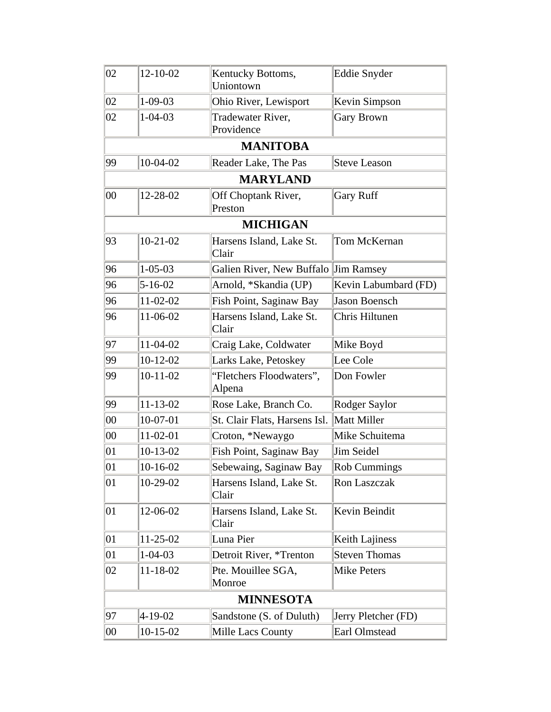| 02     | 12-10-02       | Kentucky Bottoms,<br>Uniontown       | Eddie Snyder         |
|--------|----------------|--------------------------------------|----------------------|
| 02     | $1 - 09 - 03$  | Ohio River, Lewisport                | Kevin Simpson        |
| 02     | $1 - 04 - 03$  | Tradewater River,<br>Providence      | <b>Gary Brown</b>    |
|        |                | <b>MANITOBA</b>                      |                      |
| 99     | $10-04-02$     | Reader Lake, The Pas                 | <b>Steve Leason</b>  |
|        |                | <b>MARYLAND</b>                      |                      |
| 00     | 12-28-02       | Off Choptank River,<br>Preston       | <b>Gary Ruff</b>     |
|        |                | <b>MICHIGAN</b>                      |                      |
| 93     | $10 - 21 - 02$ | Harsens Island, Lake St.<br>Clair    | Tom McKernan         |
| 96     | $1 - 05 - 03$  | Galien River, New Buffalo Jim Ramsey |                      |
| 96     | $5 - 16 - 02$  | Arnold, *Skandia (UP)                | Kevin Labumbard (FD) |
| 96     | $11 - 02 - 02$ | Fish Point, Saginaw Bay              | <b>Jason Boensch</b> |
| 96     | 11-06-02       | Harsens Island, Lake St.<br>Clair    | Chris Hiltunen       |
| 97     | $11-04-02$     | Craig Lake, Coldwater                | Mike Boyd            |
| 99     | $10-12-02$     | Larks Lake, Petoskey                 | Lee Cole             |
| 99     | $10-11-02$     | "Fletchers Floodwaters",<br>Alpena   | Don Fowler           |
| 99     | $11 - 13 - 02$ | Rose Lake, Branch Co.                | Rodger Saylor        |
| $00\,$ | $10-07-01$     | St. Clair Flats, Harsens Isl.        | Matt Miller          |
| $00\,$ | $11-02-01$     | Croton, *Newaygo                     | Mike Schuitema       |
| 01     | $10-13-02$     | Fish Point, Saginaw Bay              | Jim Seidel           |
| 01     | $ 10-16-02$    | Sebewaing, Saginaw Bay               | <b>Rob Cummings</b>  |
| 01     | $10-29-02$     | Harsens Island, Lake St.<br>Clair    | Ron Laszczak         |
| 01     | 12-06-02       | Harsens Island, Lake St.<br>Clair    | Kevin Beindit        |
| 01     | $11 - 25 - 02$ | Luna Pier                            | Keith Lajiness       |
| 01     | $1 - 04 - 03$  | Detroit River, *Trenton              | <b>Steven Thomas</b> |
| 02     | 11-18-02       | Pte. Mouillee SGA,<br>Monroe         | Mike Peters          |
|        |                | <b>MINNESOTA</b>                     |                      |
| 97     | $4 - 19 - 02$  | Sandstone (S. of Duluth)             | Jerry Pletcher (FD)  |
| $00\,$ | $10-15-02$     | Mille Lacs County                    | Earl Olmstead        |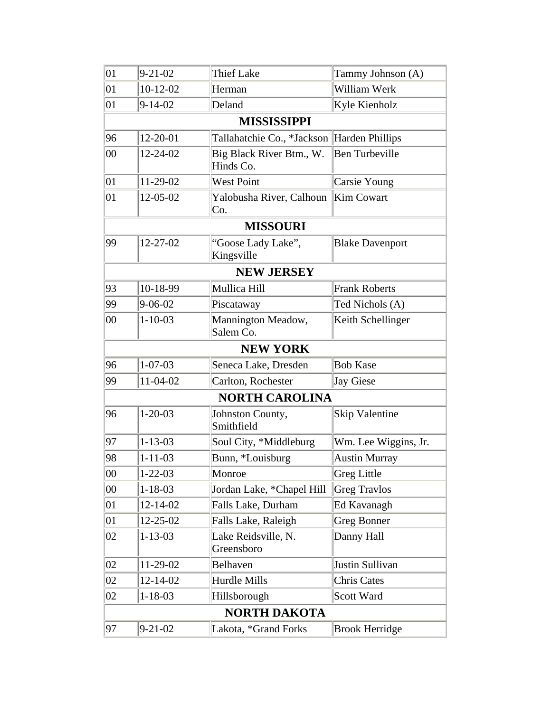| 01     | $9 - 21 - 02$  | <b>Thief Lake</b>                          | Tammy Johnson (A)      |
|--------|----------------|--------------------------------------------|------------------------|
| 01     | $10-12-02$     | Herman                                     | William Werk           |
| 01     | $ 9-14-02 $    | Deland                                     | Kyle Kienholz          |
|        |                | <b>MISSISSIPPI</b>                         |                        |
| 96     | 12-20-01       | Tallahatchie Co., *Jackson Harden Phillips |                        |
| 00     | 12-24-02       | Big Black River Btm., W.<br>Hinds Co.      | <b>Ben Turbeville</b>  |
| 01     | 11-29-02       | <b>West Point</b>                          | <b>Carsie Young</b>    |
| 01     | 12-05-02       | Yalobusha River, Calhoun<br>Co.            | Kim Cowart             |
|        |                | <b>MISSOURI</b>                            |                        |
| 99     | 12-27-02       | "Goose Lady Lake",<br>Kingsville           | <b>Blake Davenport</b> |
|        |                | <b>NEW JERSEY</b>                          |                        |
| 93     | 10-18-99       | Mullica Hill                               | <b>Frank Roberts</b>   |
| 99     | $9 - 06 - 02$  | Piscataway                                 | Ted Nichols (A)        |
| 00     | $1 - 10 - 03$  | Mannington Meadow,<br>Salem Co.            | Keith Schellinger      |
|        |                | <b>NEW YORK</b>                            |                        |
| 96     | $1 - 07 - 03$  | Seneca Lake, Dresden                       | <b>Bob Kase</b>        |
| 99     | 11-04-02       | Carlton, Rochester                         | Jay Giese              |
|        |                | <b>NORTH CAROLINA</b>                      |                        |
| 96     | $1 - 20 - 03$  | Johnston County,<br>Smithfield             | <b>Skip Valentine</b>  |
| 97     | $1 - 13 - 03$  | Soul City, *Middleburg                     | Wm. Lee Wiggins, Jr.   |
| 98     | $1 - 11 - 03$  | Bunn, *Louisburg                           | <b>Austin Murray</b>   |
| $00\,$ | $1 - 22 - 03$  | Monroe                                     | <b>Greg Little</b>     |
| $00\,$ | $1 - 18 - 03$  | Jordan Lake, *Chapel Hill                  | <b>Greg Travlos</b>    |
| 01     | $12 - 14 - 02$ | Falls Lake, Durham                         | Ed Kavanagh            |
| 01     | 12-25-02       | Falls Lake, Raleigh                        | <b>Greg Bonner</b>     |
| 02     | $1 - 13 - 03$  | Lake Reidsville, N.<br>Greensboro          | Danny Hall             |
| 02     | 11-29-02       | Belhaven                                   | Justin Sullivan        |
| 02     | 12-14-02       | Hurdle Mills                               | <b>Chris Cates</b>     |
| 02     | $1 - 18 - 03$  | Hillsborough                               | Scott Ward             |
|        |                | <b>NORTH DAKOTA</b>                        |                        |
| 97     | $9 - 21 - 02$  | Lakota, *Grand Forks                       | <b>Brook Herridge</b>  |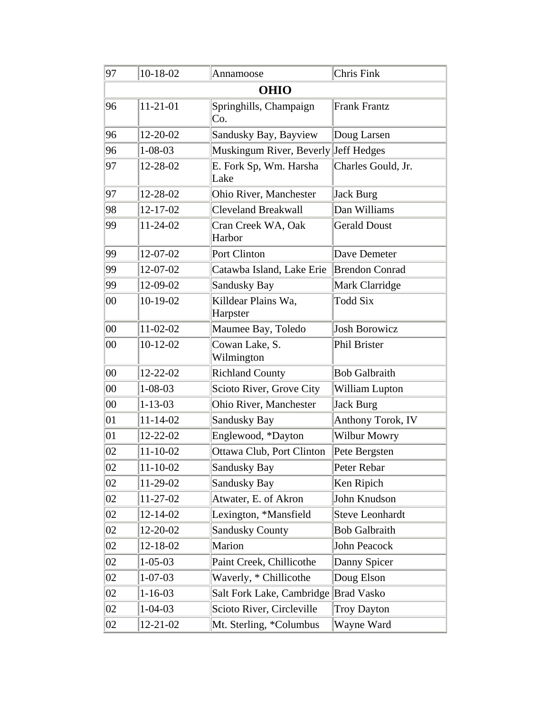| 97     | 10-18-02       | Annamoose                            | Chris Fink            |  |  |
|--------|----------------|--------------------------------------|-----------------------|--|--|
|        | <b>OHIO</b>    |                                      |                       |  |  |
| 96     | $11 - 21 - 01$ | Springhills, Champaign<br>Co.        | <b>Frank Frantz</b>   |  |  |
| 96     | $12 - 20 - 02$ | Sandusky Bay, Bayview                | Doug Larsen           |  |  |
| 96     | $1 - 08 - 03$  | Muskingum River, Beverly Jeff Hedges |                       |  |  |
| 97     | 12-28-02       | E. Fork Sp, Wm. Harsha<br>Lake       | Charles Gould, Jr.    |  |  |
| 97     | 12-28-02       | Ohio River, Manchester               | Jack Burg             |  |  |
| 98     | $12 - 17 - 02$ | <b>Cleveland Breakwall</b>           | Dan Williams          |  |  |
| 99     | $11 - 24 - 02$ | Cran Creek WA, Oak<br>Harbor         | <b>Gerald Doust</b>   |  |  |
| 99     | $12 - 07 - 02$ | Port Clinton                         | Dave Demeter          |  |  |
| 99     | $12 - 07 - 02$ | Catawba Island, Lake Erie            | <b>Brendon Conrad</b> |  |  |
| 99     | 12-09-02       | Sandusky Bay                         | Mark Clarridge        |  |  |
| $00\,$ | $10-19-02$     | Killdear Plains Wa,<br>Harpster      | <b>Todd Six</b>       |  |  |
| $00\,$ | $11 - 02 - 02$ | Maumee Bay, Toledo                   | <b>Josh Borowicz</b>  |  |  |
| $00\,$ | $10-12-02$     | Cowan Lake, S.<br>Wilmington         | Phil Brister          |  |  |
| $00\,$ | $12 - 22 - 02$ | <b>Richland County</b>               | <b>Bob Galbraith</b>  |  |  |
| $00\,$ | $1 - 08 - 03$  | Scioto River, Grove City             | William Lupton        |  |  |
| $00\,$ | $1 - 13 - 03$  | Ohio River, Manchester               | <b>Jack Burg</b>      |  |  |
| 01     | $11 - 14 - 02$ | Sandusky Bay                         | Anthony Torok, IV     |  |  |
| 01     | $12 - 22 - 02$ | Englewood, *Dayton                   | <b>Wilbur Mowry</b>   |  |  |
| 02     | $11 - 10 - 02$ | Ottawa Club, Port Clinton            | Pete Bergsten         |  |  |
| 02     | 11-10-02       | Sandusky Bay                         | Peter Rebar           |  |  |
| 02     | 11-29-02       | <b>Sandusky Bay</b>                  | Ken Ripich            |  |  |
| 02     | 11-27-02       | Atwater, E. of Akron                 | John Knudson          |  |  |
| 02     | $12 - 14 - 02$ | Lexington, *Mansfield                | Steve Leonhardt       |  |  |
| 02     | 12-20-02       | <b>Sandusky County</b>               | <b>Bob Galbraith</b>  |  |  |
| 02     | 12-18-02       | Marion                               | John Peacock          |  |  |
| 02     | $1 - 05 - 03$  | Paint Creek, Chillicothe             | Danny Spicer          |  |  |
| 02     | $1 - 07 - 03$  | Waverly, * Chillicothe               | Doug Elson            |  |  |
| 02     | $1 - 16 - 03$  | Salt Fork Lake, Cambridge Brad Vasko |                       |  |  |
| 02     | $1 - 04 - 03$  | Scioto River, Circleville            | <b>Troy Dayton</b>    |  |  |
| 02     | $12 - 21 - 02$ | Mt. Sterling, *Columbus              | Wayne Ward            |  |  |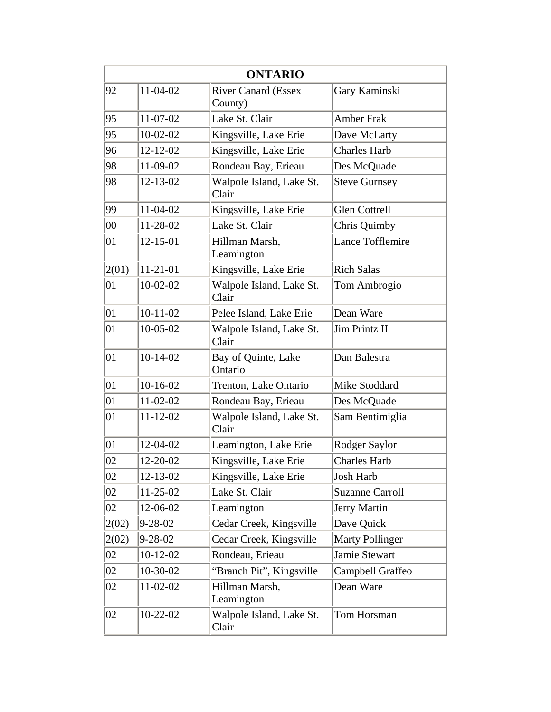|        |                | <b>ONTARIO</b>                        |                        |
|--------|----------------|---------------------------------------|------------------------|
| 92     | 11-04-02       | <b>River Canard (Essex</b><br>County) | Gary Kaminski          |
| 95     | 11-07-02       | Lake St. Clair                        | <b>Amber Frak</b>      |
| 95     | $10-02-02$     | Kingsville, Lake Erie                 | Dave McLarty           |
| 96     | $12 - 12 - 02$ | Kingsville, Lake Erie                 | <b>Charles Harb</b>    |
| 98     | 11-09-02       | Rondeau Bay, Erieau                   | Des McQuade            |
| 98     | $12 - 13 - 02$ | Walpole Island, Lake St.<br>Clair     | <b>Steve Gurnsey</b>   |
| 99     | 11-04-02       | Kingsville, Lake Erie                 | <b>Glen Cottrell</b>   |
| $00\,$ | 11-28-02       | Lake St. Clair                        | Chris Quimby           |
| 01     | 12-15-01       | Hillman Marsh,<br>Leamington          | Lance Tofflemire       |
| 2(01)  | $11-21-01$     | Kingsville, Lake Erie                 | <b>Rich Salas</b>      |
| 01     | $10-02-02$     | Walpole Island, Lake St.<br>Clair     | Tom Ambrogio           |
| 01     | $10-11-02$     | Pelee Island, Lake Erie               | Dean Ware              |
| 01     | $10-05-02$     | Walpole Island, Lake St.<br>Clair     | Jim Printz II          |
| 01     | $10-14-02$     | Bay of Quinte, Lake<br>Ontario        | Dan Balestra           |
| 01     | $10-16-02$     | Trenton, Lake Ontario                 | Mike Stoddard          |
| 01     | $11-02-02$     | Rondeau Bay, Erieau                   | Des McQuade            |
| 01     | $11 - 12 - 02$ | Walpole Island, Lake St.<br>Clair     | Sam Bentimiglia        |
| 01     | 12-04-02       | Leamington, Lake Erie                 | Rodger Saylor          |
| 02     | 12-20-02       | Kingsville, Lake Erie                 | <b>Charles Harb</b>    |
| 02     | $12 - 13 - 02$ | Kingsville, Lake Erie                 | Josh Harb              |
| 02     | $11-25-02$     | Lake St. Clair                        | <b>Suzanne Carroll</b> |
| 02     | 12-06-02       | Leamington                            | Jerry Martin           |
| 2(02)  | $9 - 28 - 02$  | Cedar Creek, Kingsville               | Dave Quick             |
| 2(02)  | $9 - 28 - 02$  | Cedar Creek, Kingsville               | <b>Marty Pollinger</b> |
| 02     | $10-12-02$     | Rondeau, Erieau                       | Jamie Stewart          |
| 02     | 10-30-02       | "Branch Pit", Kingsville              | Campbell Graffeo       |
| 02     | $11-02-02$     | Hillman Marsh,<br>Leamington          | Dean Ware              |
| 02     | $10 - 22 - 02$ | Walpole Island, Lake St.<br>Clair     | Tom Horsman            |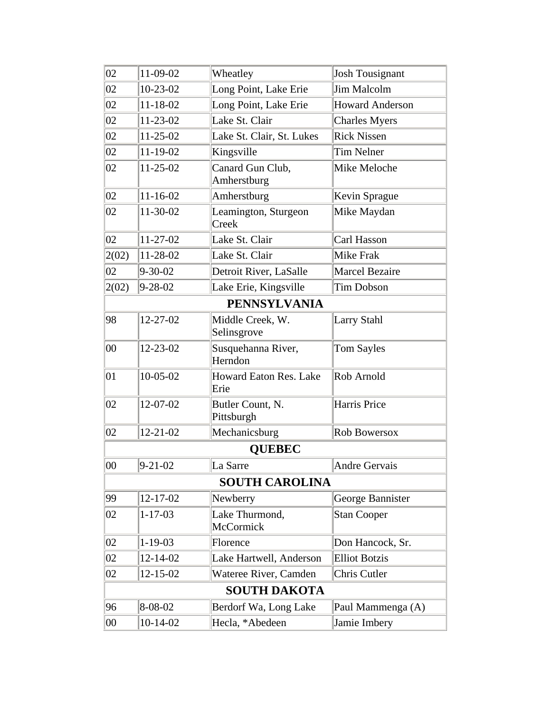| 02                    | 11-09-02            | Wheatley                        | <b>Josh Tousignant</b> |  |
|-----------------------|---------------------|---------------------------------|------------------------|--|
| 02                    | $10-23-02$          | Long Point, Lake Erie           | Jim Malcolm            |  |
| 02                    | $11 - 18 - 02$      | Long Point, Lake Erie           | <b>Howard Anderson</b> |  |
| 02                    | 11-23-02            | Lake St. Clair                  | <b>Charles Myers</b>   |  |
| 02                    | $11 - 25 - 02$      | Lake St. Clair, St. Lukes       | <b>Rick Nissen</b>     |  |
| 02                    | $11 - 19 - 02$      | Kingsville                      | <b>Tim Nelner</b>      |  |
| 02                    | $11 - 25 - 02$      | Canard Gun Club,<br>Amherstburg | Mike Meloche           |  |
| 02                    | $11 - 16 - 02$      | Amherstburg                     | Kevin Sprague          |  |
| 02                    | 11-30-02            | Leamington, Sturgeon<br>Creek   | Mike Maydan            |  |
| 02                    | $11 - 27 - 02$      | Lake St. Clair                  | Carl Hasson            |  |
| 2(02)                 | $11 - 28 - 02$      | Lake St. Clair                  | Mike Frak              |  |
| 02                    | $9 - 30 - 02$       | Detroit River, LaSalle          | Marcel Bezaire         |  |
| 2(02)                 | $9 - 28 - 02$       | Lake Erie, Kingsville           | <b>Tim Dobson</b>      |  |
|                       |                     | <b>PENNSYLVANIA</b>             |                        |  |
| 98                    | $12 - 27 - 02$      | Middle Creek, W.<br>Selinsgrove | <b>Larry Stahl</b>     |  |
| 00                    | 12-23-02            | Susquehanna River,<br>Herndon   | <b>Tom Sayles</b>      |  |
| 01                    | 10-05-02            | Howard Eaton Res. Lake<br>Erie  | Rob Arnold             |  |
| 02                    | 12-07-02            | Butler Count, N.<br>Pittsburgh  | Harris Price           |  |
| 02                    | $12 - 21 - 02$      | Mechanicsburg                   | Rob Bowersox           |  |
|                       |                     | <b>QUEBEC</b>                   |                        |  |
| $00\,$                | $9 - 21 - 02$       | La Sarre                        | Andre Gervais          |  |
| <b>SOUTH CAROLINA</b> |                     |                                 |                        |  |
| 99                    | 12-17-02            | Newberry                        | George Bannister       |  |
| 02                    | $1 - 17 - 03$       | Lake Thurmond,<br>McCormick     | <b>Stan Cooper</b>     |  |
| 02                    | $1 - 19 - 03$       | Florence                        | Don Hancock, Sr.       |  |
| 02                    | $12 - 14 - 02$      | Lake Hartwell, Anderson         | <b>Elliot Botzis</b>   |  |
| 02                    | $12 - 15 - 02$      | Wateree River, Camden           | Chris Cutler           |  |
|                       | <b>SOUTH DAKOTA</b> |                                 |                        |  |
| 96                    | 8-08-02             | Berdorf Wa, Long Lake           | Paul Mammenga (A)      |  |
| $00\,$                | $10-14-02$          | Hecla, *Abedeen                 | Jamie Imbery           |  |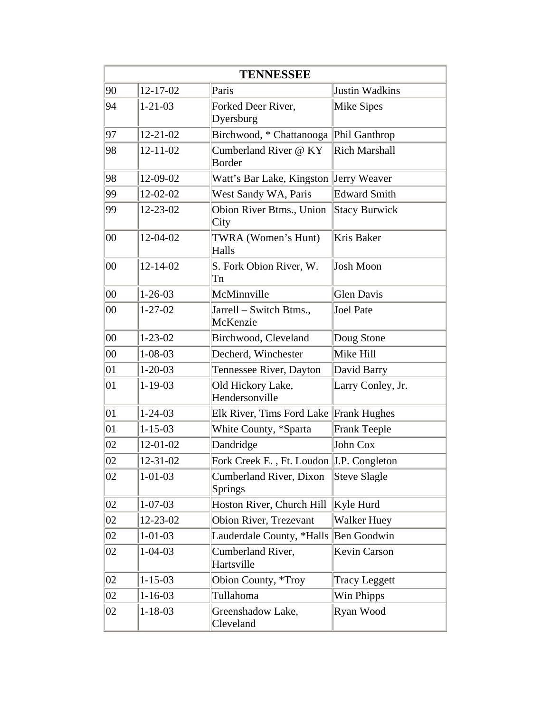| <b>TENNESSEE</b> |                |                                          |                      |
|------------------|----------------|------------------------------------------|----------------------|
| 90               | $12 - 17 - 02$ | Paris                                    | Justin Wadkins       |
| 94               | $1 - 21 - 03$  | Forked Deer River,<br>Dyersburg          | Mike Sipes           |
| 97               | $12 - 21 - 02$ | Birchwood, * Chattanooga Phil Ganthrop   |                      |
| 98               | $12 - 11 - 02$ | Cumberland River @ KY<br><b>Border</b>   | <b>Rich Marshall</b> |
| 98               | 12-09-02       | Watt's Bar Lake, Kingston Jerry Weaver   |                      |
| 99               | 12-02-02       | West Sandy WA, Paris                     | <b>Edward Smith</b>  |
| 99               | 12-23-02       | Obion River Btms., Union<br>City         | <b>Stacy Burwick</b> |
| $00\,$           | 12-04-02       | TWRA (Women's Hunt)<br>Halls             | Kris Baker           |
| $00\,$           | 12-14-02       | S. Fork Obion River, W.<br>Tn            | Josh Moon            |
| $00\,$           | $1 - 26 - 03$  | McMinnville                              | <b>Glen Davis</b>    |
| $00\,$           | $1 - 27 - 02$  | Jarrell - Switch Btms.,<br>McKenzie      | Joel Pate            |
| $00\,$           | $1 - 23 - 02$  | Birchwood, Cleveland                     | Doug Stone           |
| $00\,$           | $1 - 08 - 03$  | Decherd, Winchester                      | Mike Hill            |
| 01               | $1 - 20 - 03$  | Tennessee River, Dayton                  | David Barry          |
| 01               | $1 - 19 - 03$  | Old Hickory Lake,<br>Hendersonville      | Larry Conley, Jr.    |
| 01               | $1 - 24 - 03$  | Elk River, Tims Ford Lake Frank Hughes   |                      |
| 01               | $1 - 15 - 03$  | White County, *Sparta                    | <b>Frank Teeple</b>  |
| 02               | 12-01-02       | Dandridge                                | John Cox             |
| 02               | 12-31-02       | Fork Creek E., Ft. Loudon J.P. Congleton |                      |
| 02               | $1 - 01 - 03$  | Cumberland River, Dixon<br>Springs       | Steve Slagle         |
| 02               | $1 - 07 - 03$  | Hoston River, Church Hill                | Kyle Hurd            |
| 02               | 12-23-02       | Obion River, Trezevant                   | <b>Walker Huey</b>   |
| 02               | $1 - 01 - 03$  | Lauderdale County, *Halls                | Ben Goodwin          |
| 02               | $1 - 04 - 03$  | Cumberland River,<br>Hartsville          | Kevin Carson         |
| 02               | $1 - 15 - 03$  | Obion County, *Troy                      | <b>Tracy Leggett</b> |
| 02               | $1 - 16 - 03$  | Tullahoma                                | Win Phipps           |
| 02               | $1 - 18 - 03$  | Greenshadow Lake,<br>Cleveland           | Ryan Wood            |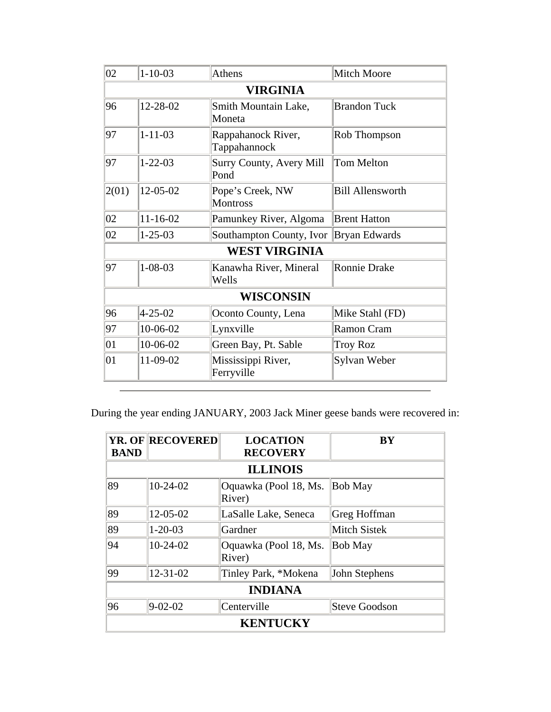| 02               | $1 - 10 - 03$   | Athens                              | <b>Mitch Moore</b>      |  |
|------------------|-----------------|-------------------------------------|-------------------------|--|
|                  | <b>VIRGINIA</b> |                                     |                         |  |
| 96               | 12-28-02        | Smith Mountain Lake,<br>Moneta      | <b>Brandon Tuck</b>     |  |
| 97               | $1 - 11 - 03$   | Rappahanock River,<br>Tappahannock  | Rob Thompson            |  |
| 97               | $1 - 22 - 03$   | Surry County, Avery Mill<br>Pond    | <b>Tom Melton</b>       |  |
| 2(01)            | 12-05-02        | Pope's Creek, NW<br><b>Montross</b> | <b>Bill Allensworth</b> |  |
| 02               | $11 - 16 - 02$  | Pamunkey River, Algoma              | <b>Brent Hatton</b>     |  |
| 02               | $1 - 25 - 03$   | Southampton County, Ivor            | Bryan Edwards           |  |
|                  |                 | <b>WEST VIRGINIA</b>                |                         |  |
| 97               | $1 - 08 - 03$   | Kanawha River, Mineral<br>Wells     | <b>Ronnie Drake</b>     |  |
| <b>WISCONSIN</b> |                 |                                     |                         |  |
| 96               | $4 - 25 - 02$   | Oconto County, Lena                 | Mike Stahl (FD)         |  |
| 97               | 10-06-02        | Lynxville                           | Ramon Cram              |  |
| 01               | 10-06-02        | Green Bay, Pt. Sable                | <b>Troy Roz</b>         |  |
| 01               | 11-09-02        | Mississippi River,<br>Ferryville    | Sylvan Weber            |  |

During the year ending JANUARY, 2003 Jack Miner geese bands were recovered in:

|             | <b>YR. OF RECOVERED</b> | <b>LOCATION</b>                 | BY             |
|-------------|-------------------------|---------------------------------|----------------|
| <b>BAND</b> |                         | <b>RECOVERY</b>                 |                |
|             |                         | <b>ILLINOIS</b>                 |                |
| 89          | $10-24-02$              | Oquawka (Pool 18, Ms.<br>River) | <b>Bob May</b> |
| 89          | 12-05-02                | LaSalle Lake, Seneca            | Greg Hoffman   |
| 89          | $1 - 20 - 03$           | Gardner                         | Mitch Sistek   |
| 94          | $10-24-02$              | Oquawka (Pool 18, Ms.<br>River) | <b>Bob May</b> |
| 99          | $12 - 31 - 02$          | Tinley Park, *Mokena            | John Stephens  |
|             |                         | <b>INDIANA</b>                  |                |
| 96          | $9 - 02 - 02$           | Centerville                     | Steve Goodson  |
|             |                         | <b>KENTUCKY</b>                 |                |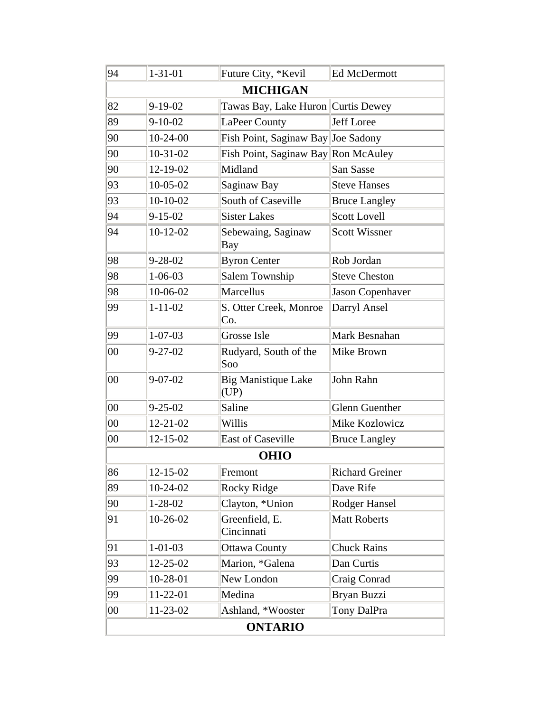| 94             | $1 - 31 - 01$  | Future City, *Kevil                  | Ed McDermott            |  |
|----------------|----------------|--------------------------------------|-------------------------|--|
|                |                | <b>MICHIGAN</b>                      |                         |  |
| 82             | $9-19-02$      | Tawas Bay, Lake Huron   Curtis Dewey |                         |  |
| 89             | $9 - 10 - 02$  | LaPeer County                        | Jeff Loree              |  |
| 90             | $10-24-00$     | Fish Point, Saginaw Bay Joe Sadony   |                         |  |
| 90             | $10-31-02$     | Fish Point, Saginaw Bay Ron McAuley  |                         |  |
| 90             | 12-19-02       | Midland                              | San Sasse               |  |
| 93             | $10 - 05 - 02$ | Saginaw Bay                          | <b>Steve Hanses</b>     |  |
| 93             | $10-10-02$     | South of Caseville                   | <b>Bruce Langley</b>    |  |
| 94             | $9 - 15 - 02$  | <b>Sister Lakes</b>                  | Scott Lovell            |  |
| 94             | $10-12-02$     | Sebewaing, Saginaw<br>Bay            | <b>Scott Wissner</b>    |  |
| 98             | $9 - 28 - 02$  | <b>Byron Center</b>                  | Rob Jordan              |  |
| 98             | $1 - 06 - 03$  | Salem Township                       | <b>Steve Cheston</b>    |  |
| 98             | 10-06-02       | Marcellus                            | <b>Jason Copenhaver</b> |  |
| 99             | $1 - 11 - 02$  | S. Otter Creek, Monroe<br>Co.        | Darryl Ansel            |  |
| 99             | $1 - 07 - 03$  | <b>Grosse Isle</b>                   | Mark Besnahan           |  |
| $00\,$         | $9 - 27 - 02$  | Rudyard, South of the<br>Soo         | Mike Brown              |  |
| $00\,$         | $9 - 07 - 02$  | <b>Big Manistique Lake</b><br>(UP)   | John Rahn               |  |
| 00             | $9 - 25 - 02$  | Saline                               | <b>Glenn Guenther</b>   |  |
| 00             | $12 - 21 - 02$ | Willis                               | Mike Kozlowicz          |  |
| $00\,$         | $12 - 15 - 02$ | <b>East of Caseville</b>             | <b>Bruce Langley</b>    |  |
|                |                | <b>OHIO</b>                          |                         |  |
| 86             | 12-15-02       | Fremont                              | <b>Richard Greiner</b>  |  |
| 89             | 10-24-02       | <b>Rocky Ridge</b>                   | Dave Rife               |  |
| 90             | $1 - 28 - 02$  | Clayton, *Union                      | Rodger Hansel           |  |
| 91             | 10-26-02       | Greenfield, E.<br>Cincinnati         | <b>Matt Roberts</b>     |  |
| 91             | $1 - 01 - 03$  | <b>Ottawa County</b>                 | <b>Chuck Rains</b>      |  |
| 93             | 12-25-02       | Marion, *Galena                      | Dan Curtis              |  |
| 99             | 10-28-01       | New London                           | Craig Conrad            |  |
| 99             | $11-22-01$     | Medina                               | Bryan Buzzi             |  |
| $00\,$         | 11-23-02       | Ashland, *Wooster                    | Tony DalPra             |  |
| <b>ONTARIO</b> |                |                                      |                         |  |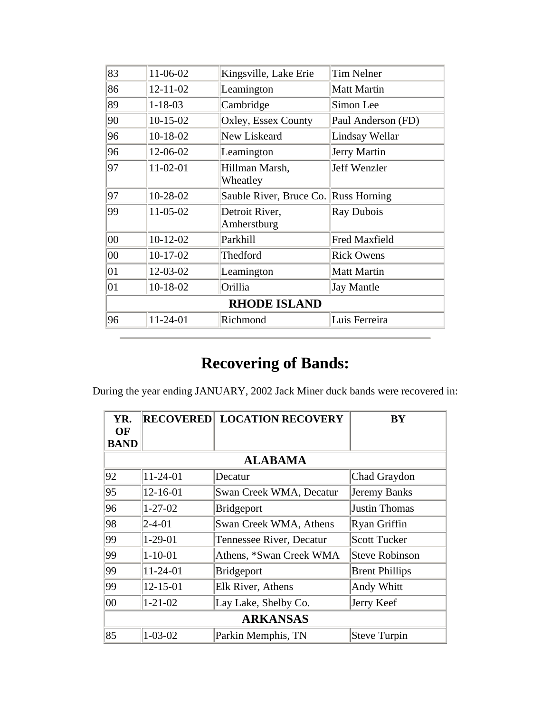| 11-06-02       | Kingsville, Lake Erie                | <b>Tim Nelner</b>    |
|----------------|--------------------------------------|----------------------|
| $12 - 11 - 02$ | Leamington                           | Matt Martin          |
| $1 - 18 - 03$  | Cambridge                            | Simon Lee            |
| $10-15-02$     | Oxley, Essex County                  | Paul Anderson (FD)   |
| $10-18-02$     | New Liskeard                         | Lindsay Wellar       |
| 12-06-02       | Leamington                           | Jerry Martin         |
| $11-02-01$     | Hillman Marsh,<br>Wheatley           | Jeff Wenzler         |
| 10-28-02       | Sauble River, Bruce Co. Russ Horning |                      |
| $11-05-02$     | Detroit River,<br>Amherstburg        | Ray Dubois           |
| $10-12-02$     | Parkhill                             | <b>Fred Maxfield</b> |
| $10-17-02$     | Thedford                             | <b>Rick Owens</b>    |
| 12-03-02       | Leamington                           | Matt Martin          |
| $10-18-02$     | Orillia                              | Jay Mantle           |
|                | <b>RHODE ISLAND</b>                  |                      |
| 11-24-01       | Richmond                             | Luis Ferreira        |
|                |                                      |                      |

During the year ending JANUARY, 2002 Jack Miner duck bands were recovered in:

| YR.<br>OF   | <b>RECOVERED</b> | <b>LOCATION RECOVERY</b> | BY                    |  |  |
|-------------|------------------|--------------------------|-----------------------|--|--|
| <b>BAND</b> |                  |                          |                       |  |  |
|             |                  | <b>ALABAMA</b>           |                       |  |  |
| 92          | $11 - 24 - 01$   | Decatur                  | Chad Graydon          |  |  |
| 95          | $12 - 16 - 01$   | Swan Creek WMA, Decatur  | Jeremy Banks          |  |  |
| 96          | $1 - 27 - 02$    | Bridgeport               | Justin Thomas         |  |  |
| 98          | $2 - 4 - 01$     | Swan Creek WMA, Athens   | Ryan Griffin          |  |  |
| 99          | $1-29-01$        | Tennessee River, Decatur | <b>Scott Tucker</b>   |  |  |
| 99          | $1 - 10 - 01$    | Athens, *Swan Creek WMA  | Steve Robinson        |  |  |
| 99          | 11-24-01         | Bridgeport               | <b>Brent Phillips</b> |  |  |
| 99          | 12-15-01         | Elk River, Athens        | Andy Whitt            |  |  |
| 00          | $1 - 21 - 02$    | Lay Lake, Shelby Co.     | Jerry Keef            |  |  |
|             | <b>ARKANSAS</b>  |                          |                       |  |  |
| 85          | $1 - 03 - 02$    | Parkin Memphis, TN       | Steve Turpin          |  |  |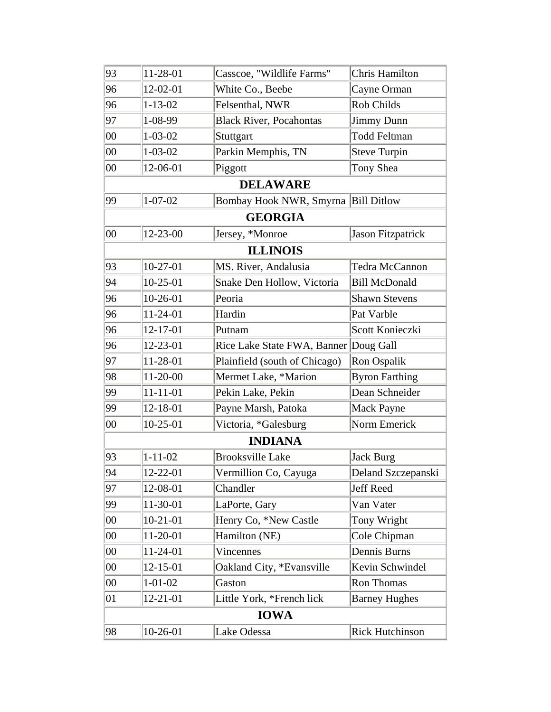| 93     | 11-28-01       | Casscoe, "Wildlife Farms"             | <b>Chris Hamilton</b>  |
|--------|----------------|---------------------------------------|------------------------|
| 96     | 12-02-01       | White Co., Beebe                      | Cayne Orman            |
| 96     | $1 - 13 - 02$  | Felsenthal, NWR                       | Rob Childs             |
| 97     | 1-08-99        | <b>Black River, Pocahontas</b>        | Jimmy Dunn             |
| $00\,$ | $1 - 03 - 02$  | Stuttgart                             | <b>Todd Feltman</b>    |
| $00\,$ | $1 - 03 - 02$  | Parkin Memphis, TN                    | <b>Steve Turpin</b>    |
| $00\,$ | 12-06-01       | Piggott                               | Tony Shea              |
|        |                | <b>DELAWARE</b>                       |                        |
| 99     | $1 - 07 - 02$  | Bombay Hook NWR, Smyrna Bill Ditlow   |                        |
|        |                | <b>GEORGIA</b>                        |                        |
| $00\,$ | 12-23-00       | Jersey, *Monroe                       | Jason Fitzpatrick      |
|        |                | <b>ILLINOIS</b>                       |                        |
| 93     | $10-27-01$     | MS. River, Andalusia                  | Tedra McCannon         |
| 94     | $10-25-01$     | Snake Den Hollow, Victoria            | <b>Bill McDonald</b>   |
| 96     | $10-26-01$     | Peoria                                | <b>Shawn Stevens</b>   |
| 96     | 11-24-01       | Hardin                                | Pat Varble             |
| 96     | 12-17-01       | Putnam                                | Scott Konieczki        |
| 96     | 12-23-01       | Rice Lake State FWA, Banner Doug Gall |                        |
| 97     | 11-28-01       | Plainfield (south of Chicago)         | Ron Ospalik            |
| 98     | 11-20-00       | Mermet Lake, *Marion                  | <b>Byron Farthing</b>  |
| 99     | $11 - 11 - 01$ | Pekin Lake, Pekin                     | Dean Schneider         |
| 99     | 12-18-01       | Payne Marsh, Patoka                   | Mack Payne             |
| $00\,$ | $10-25-01$     | Victoria, *Galesburg                  | Norm Emerick           |
|        |                | <b>INDIANA</b>                        |                        |
| 93     | $1 - 11 - 02$  | <b>Brooksville Lake</b>               | Jack Burg              |
| 94     | 12-22-01       | Vermillion Co, Cayuga                 | Deland Szczepanski     |
| 97     | 12-08-01       | Chandler                              | Jeff Reed              |
| 99     | 11-30-01       | LaPorte, Gary                         | Van Vater              |
| $00\,$ | $10-21-01$     | Henry Co, *New Castle                 | Tony Wright            |
| $00\,$ | 11-20-01       | Hamilton (NE)                         | Cole Chipman           |
| $00\,$ | 11-24-01       | <b>Vincennes</b>                      | Dennis Burns           |
| $00\,$ | $12 - 15 - 01$ | Oakland City, *Evansville             | Kevin Schwindel        |
| $00\,$ | $1 - 01 - 02$  | Gaston                                | Ron Thomas             |
| 01     | 12-21-01       | Little York, *French lick             | <b>Barney Hughes</b>   |
|        |                | <b>IOWA</b>                           |                        |
| 98     | $10-26-01$     | Lake Odessa                           | <b>Rick Hutchinson</b> |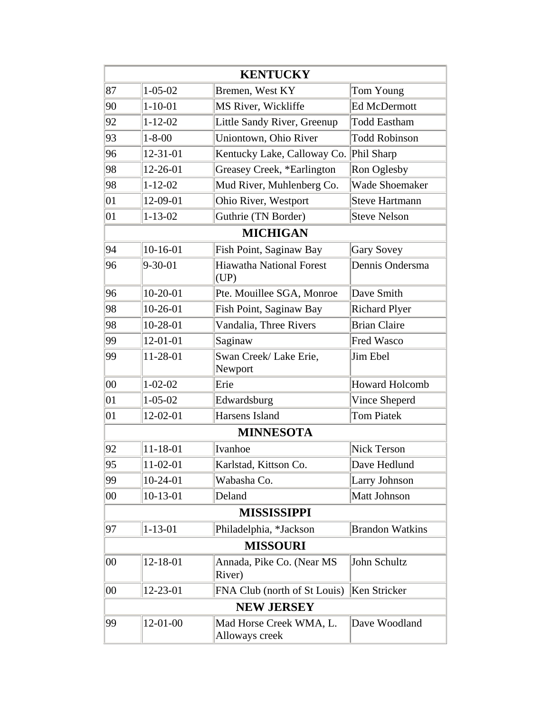|        |                | <b>KENTUCKY</b>                           |                        |
|--------|----------------|-------------------------------------------|------------------------|
| 87     | $1 - 05 - 02$  | Bremen, West KY                           | Tom Young              |
| 90     | $1 - 10 - 01$  | MS River, Wickliffe                       | <b>Ed McDermott</b>    |
| 92     | $1 - 12 - 02$  | Little Sandy River, Greenup               | <b>Todd Eastham</b>    |
| 93     | $1 - 8 - 00$   | Uniontown, Ohio River                     | <b>Todd Robinson</b>   |
| 96     | 12-31-01       | Kentucky Lake, Calloway Co.               | Phil Sharp             |
| 98     | 12-26-01       | Greasey Creek, *Earlington                | Ron Oglesby            |
| 98     | $1 - 12 - 02$  | Mud River, Muhlenberg Co.                 | <b>Wade Shoemaker</b>  |
| 01     | 12-09-01       | Ohio River, Westport                      | Steve Hartmann         |
| 01     | $1 - 13 - 02$  | Guthrie (TN Border)                       | Steve Nelson           |
|        |                | <b>MICHIGAN</b>                           |                        |
| 94     | $10-16-01$     | Fish Point, Saginaw Bay                   | Gary Sovey             |
| 96     | $9 - 30 - 01$  | <b>Hiawatha National Forest</b><br>(UP)   | Dennis Ondersma        |
| 96     | $10-20-01$     | Pte. Mouillee SGA, Monroe                 | Dave Smith             |
| 98     | $10-26-01$     | Fish Point, Saginaw Bay                   | <b>Richard Plyer</b>   |
| 98     | 10-28-01       | Vandalia, Three Rivers                    | <b>Brian Claire</b>    |
| 99     | 12-01-01       | Saginaw                                   | <b>Fred Wasco</b>      |
| 99     | 11-28-01       | Swan Creek/ Lake Erie,<br>Newport         | Jim Ebel               |
| $00\,$ | $1 - 02 - 02$  | Erie                                      | <b>Howard Holcomb</b>  |
| 01     | $1 - 05 - 02$  | Edwardsburg                               | Vince Sheperd          |
| 01     | 12-02-01       | Harsens Island                            | <b>Tom Piatek</b>      |
|        |                | <b>MINNESOTA</b>                          |                        |
| 92     | $11 - 18 - 01$ | Ivanhoe                                   | Nick Terson            |
| 95     | 11-02-01       | Karlstad, Kittson Co.                     | Dave Hedlund           |
| 99     | $10-24-01$     | Wabasha Co.                               | Larry Johnson          |
| $00\,$ | $10-13-01$     | Deland                                    | Matt Johnson           |
|        |                | <b>MISSISSIPPI</b>                        |                        |
| 97     | $1 - 13 - 01$  | Philadelphia, *Jackson                    | <b>Brandon Watkins</b> |
|        |                | <b>MISSOURI</b>                           |                        |
| $00\,$ | 12-18-01       | Annada, Pike Co. (Near MS<br>River)       | John Schultz           |
| $00\,$ | 12-23-01       | FNA Club (north of St Louis)              | Ken Stricker           |
|        |                | <b>NEW JERSEY</b>                         |                        |
| 99     | 12-01-00       | Mad Horse Creek WMA, L.<br>Alloways creek | Dave Woodland          |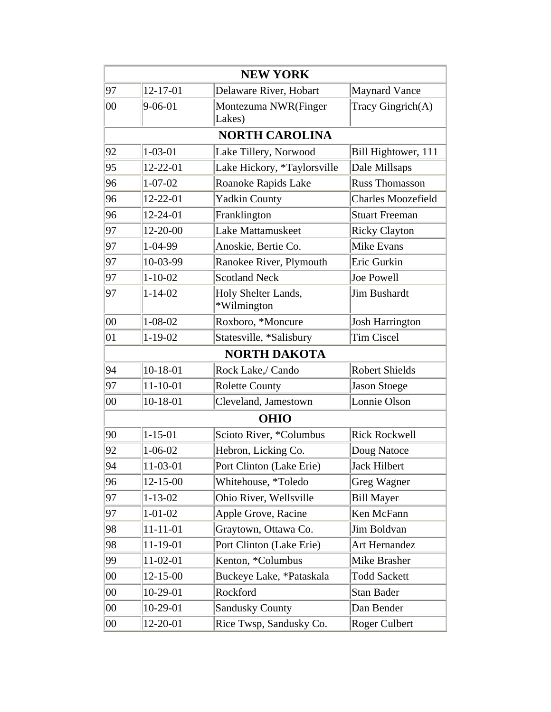| <b>NEW YORK</b> |                |                                    |                           |
|-----------------|----------------|------------------------------------|---------------------------|
| 97              | 12-17-01       | Delaware River, Hobart             | <b>Maynard Vance</b>      |
| 00              | $9 - 06 - 01$  | Montezuma NWR(Finger<br>Lakes)     | Tracy Gingrich(A)         |
|                 |                | <b>NORTH CAROLINA</b>              |                           |
| 92              | $1 - 03 - 01$  | Lake Tillery, Norwood              | Bill Hightower, 111       |
| 95              | 12-22-01       | Lake Hickory, *Taylorsville        | Dale Millsaps             |
| 96              | $1 - 07 - 02$  | Roanoke Rapids Lake                | <b>Russ Thomasson</b>     |
| 96              | 12-22-01       | <b>Yadkin County</b>               | <b>Charles Moozefield</b> |
| 96              | 12-24-01       | Franklington                       | <b>Stuart Freeman</b>     |
| 97              | 12-20-00       | Lake Mattamuskeet                  | <b>Ricky Clayton</b>      |
| 97              | 1-04-99        | Anoskie, Bertie Co.                | Mike Evans                |
| 97              | 10-03-99       | Ranokee River, Plymouth            | Eric Gurkin               |
| 97              | $1 - 10 - 02$  | <b>Scotland Neck</b>               | Joe Powell                |
| 97              | $1 - 14 - 02$  | Holy Shelter Lands,<br>*Wilmington | Jim Bushardt              |
| 00              | $1 - 08 - 02$  | Roxboro, *Moncure                  | Josh Harrington           |
| 01              | $1 - 19 - 02$  | Statesville, *Salisbury            | <b>Tim Ciscel</b>         |
|                 |                | <b>NORTH DAKOTA</b>                |                           |
| 94              | $10-18-01$     | Rock Lake,/ Cando                  | <b>Robert Shields</b>     |
| 97              | $11 - 10 - 01$ | <b>Rolette County</b>              | Jason Stoege              |
| 00              | $10-18-01$     | Cleveland, Jamestown               | Lonnie Olson              |
|                 |                | <b>OHIO</b>                        |                           |
| 90              | $1 - 15 - 01$  | Scioto River, *Columbus            | <b>Rick Rockwell</b>      |
| 92              | $1 - 06 - 02$  | Hebron, Licking Co.                | Doug Natoce               |
| 94              | 11-03-01       | Port Clinton (Lake Erie)           | Jack Hilbert              |
| 96              | $12 - 15 - 00$ | Whitehouse, *Toledo                | Greg Wagner               |
| 97              | $1 - 13 - 02$  | Ohio River, Wellsville             | <b>Bill Mayer</b>         |
| 97              | $1 - 01 - 02$  | Apple Grove, Racine                | Ken McFann                |
| 98              | 11-11-01       | Graytown, Ottawa Co.               | Jim Boldvan               |
| 98              | 11-19-01       | Port Clinton (Lake Erie)           | Art Hernandez             |
| 99              | 11-02-01       | Kenton, *Columbus                  | Mike Brasher              |
| 00              | $12 - 15 - 00$ | Buckeye Lake, *Pataskala           | <b>Todd Sackett</b>       |
| $00\,$          | 10-29-01       | Rockford                           | Stan Bader                |
| $00\,$          | 10-29-01       | <b>Sandusky County</b>             | Dan Bender                |
| $00\,$          | 12-20-01       | Rice Twsp, Sandusky Co.            | Roger Culbert             |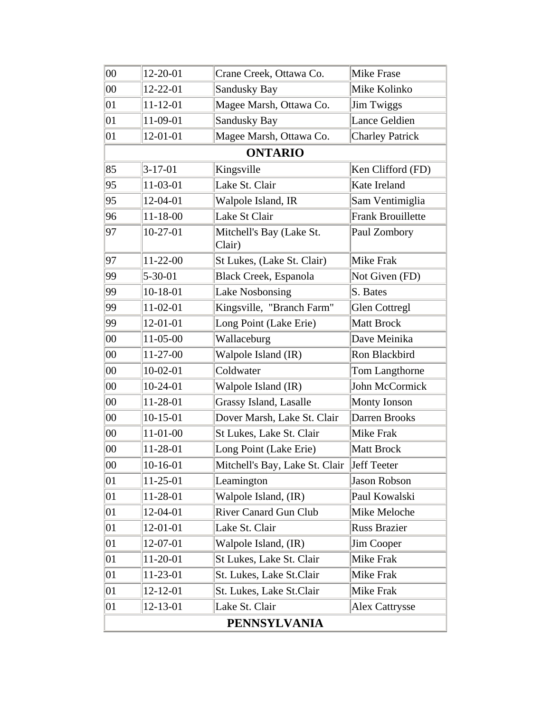| $00\,$              | 12-20-01       | Crane Creek, Ottawa Co.            | Mike Frase               |
|---------------------|----------------|------------------------------------|--------------------------|
| $00\,$              | 12-22-01       | Sandusky Bay                       | Mike Kolinko             |
| 01                  | 11-12-01       | Magee Marsh, Ottawa Co.            | Jim Twiggs               |
| 01                  | 11-09-01       | <b>Sandusky Bay</b>                | Lance Geldien            |
| 01                  | 12-01-01       | Magee Marsh, Ottawa Co.            | <b>Charley Patrick</b>   |
|                     |                | <b>ONTARIO</b>                     |                          |
| 85                  | $3 - 17 - 01$  | Kingsville                         | Ken Clifford (FD)        |
| 95                  | 11-03-01       | Lake St. Clair                     | Kate Ireland             |
| 95                  | 12-04-01       | Walpole Island, IR                 | Sam Ventimiglia          |
| 96                  | $11 - 18 - 00$ | Lake St Clair                      | <b>Frank Brouillette</b> |
| 97                  | 10-27-01       | Mitchell's Bay (Lake St.<br>Clair) | Paul Zombory             |
| 97                  | 11-22-00       | St Lukes, (Lake St. Clair)         | <b>Mike Frak</b>         |
| 99                  | $5 - 30 - 01$  | <b>Black Creek, Espanola</b>       | Not Given (FD)           |
| 99                  | 10-18-01       | <b>Lake Nosbonsing</b>             | S. Bates                 |
| 99                  | 11-02-01       | Kingsville, "Branch Farm"          | <b>Glen Cottregl</b>     |
| 99                  | 12-01-01       | Long Point (Lake Erie)             | <b>Matt Brock</b>        |
| $00\,$              | $11-05-00$     | Wallaceburg                        | Dave Meinika             |
| $00\,$              | 11-27-00       | Walpole Island (IR)                | Ron Blackbird            |
| $00\,$              | $10-02-01$     | Coldwater                          | Tom Langthorne           |
| $00\,$              | $10-24-01$     | Walpole Island (IR)                | John McCormick           |
| $00\,$              | 11-28-01       | Grassy Island, Lasalle             | Monty Ionson             |
| 00                  | $10-15-01$     | Dover Marsh, Lake St. Clair        | Darren Brooks            |
| $00\,$              | $11-01-00$     | St Lukes, Lake St. Clair           | Mike Frak                |
| $00\,$              | 11-28-01       | Long Point (Lake Erie)             | <b>Matt Brock</b>        |
| $00\,$              | 10-16-01       | Mitchell's Bay, Lake St. Clair     | Jeff Teeter              |
| 01                  | 11-25-01       | Leamington                         | <b>Jason Robson</b>      |
| 01                  | 11-28-01       | Walpole Island, (IR)               | Paul Kowalski            |
| 01                  | 12-04-01       | <b>River Canard Gun Club</b>       | Mike Meloche             |
| 01                  | 12-01-01       | Lake St. Clair                     | <b>Russ Brazier</b>      |
| 01                  | 12-07-01       | Walpole Island, (IR)               | Jim Cooper               |
| 01                  | 11-20-01       | St Lukes, Lake St. Clair           | Mike Frak                |
| 01                  | 11-23-01       | St. Lukes, Lake St. Clair          | Mike Frak                |
| 01                  | 12-12-01       | St. Lukes, Lake St. Clair          | Mike Frak                |
| 01                  | 12-13-01       | Lake St. Clair                     | <b>Alex Cattrysse</b>    |
| <b>PENNSYLVANIA</b> |                |                                    |                          |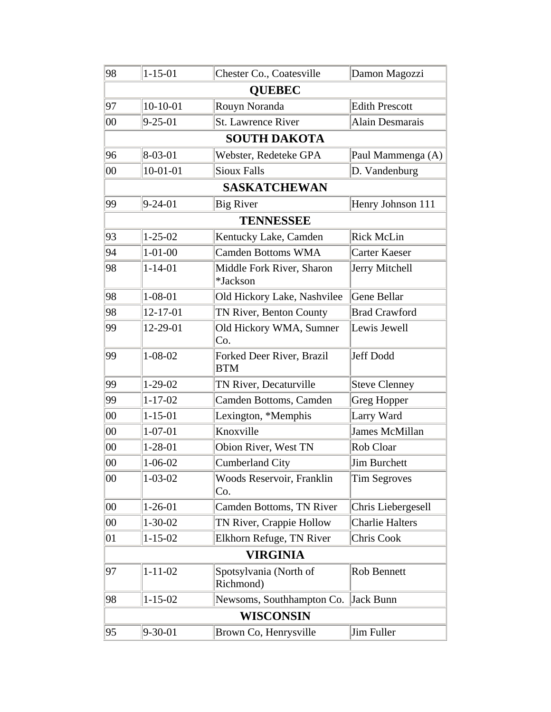| 98     | $1 - 15 - 01$ | Chester Co., Coatesville                | Damon Magozzi         |
|--------|---------------|-----------------------------------------|-----------------------|
|        |               | <b>OUEBEC</b>                           |                       |
| 97     | $10-10-01$    | Rouyn Noranda                           | <b>Edith Prescott</b> |
| $00\,$ | $9 - 25 - 01$ | <b>St. Lawrence River</b>               | Alain Desmarais       |
|        |               | <b>SOUTH DAKOTA</b>                     |                       |
| 96     | $8 - 03 - 01$ | Webster, Redeteke GPA                   | Paul Mammenga (A)     |
| $00\,$ | $10-01-01$    | <b>Sioux Falls</b>                      | D. Vandenburg         |
|        |               | <b>SASKATCHEWAN</b>                     |                       |
| 99     | $9 - 24 - 01$ | <b>Big River</b>                        | Henry Johnson 111     |
|        |               | <b>TENNESSEE</b>                        |                       |
| 93     | $1 - 25 - 02$ | Kentucky Lake, Camden                   | <b>Rick McLin</b>     |
| 94     | $1 - 01 - 00$ | <b>Camden Bottoms WMA</b>               | <b>Carter Kaeser</b>  |
| 98     | $1 - 14 - 01$ | Middle Fork River, Sharon<br>*Jackson   | Jerry Mitchell        |
| 98     | $1 - 08 - 01$ | Old Hickory Lake, Nashvilee             | Gene Bellar           |
| 98     | 12-17-01      | TN River, Benton County                 | <b>Brad Crawford</b>  |
| 99     | 12-29-01      | Old Hickory WMA, Sumner<br>Co.          | Lewis Jewell          |
| 99     | $1 - 08 - 02$ | Forked Deer River, Brazil<br><b>BTM</b> | Jeff Dodd             |
| 99     | $1-29-02$     | TN River, Decaturville                  | <b>Steve Clenney</b>  |
| 99     | $1 - 17 - 02$ | Camden Bottoms, Camden                  | Greg Hopper           |
| 00     | $1 - 15 - 01$ | Lexington, *Memphis                     | Larry Ward            |
| 00     | $1 - 07 - 01$ | Knoxville                               | James McMillan        |
| 00     | $1 - 28 - 01$ | Obion River, West TN                    | Rob Cloar             |
| 00     | $1 - 06 - 02$ | <b>Cumberland City</b>                  | <b>Jim Burchett</b>   |
| 00     | $1 - 03 - 02$ | Woods Reservoir, Franklin<br>Co.        | <b>Tim Segroves</b>   |
| 00     | $1 - 26 - 01$ | Camden Bottoms, TN River                | Chris Liebergesell    |
| $00\,$ | $1 - 30 - 02$ | TN River, Crappie Hollow                | Charlie Halters       |
| 01     | $1 - 15 - 02$ | Elkhorn Refuge, TN River                | Chris Cook            |
|        |               | <b>VIRGINIA</b>                         |                       |
| 97     | $1 - 11 - 02$ | Spotsylvania (North of<br>Richmond)     | Rob Bennett           |
| 98     | $1 - 15 - 02$ | Newsoms, Southhampton Co.               | Jack Bunn             |
|        |               | <b>WISCONSIN</b>                        |                       |
| 95     | $9 - 30 - 01$ | Brown Co, Henrysville                   | Jim Fuller            |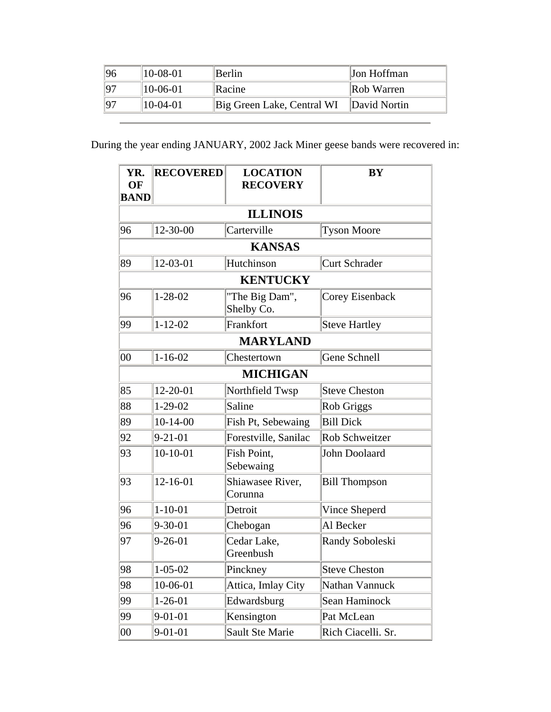| 96 | $ 10-08-01 $ | Berlin                                    | <b>Jon Hoffman</b> |
|----|--------------|-------------------------------------------|--------------------|
| 97 | $ 10-06-01 $ | <b>Racine</b>                             | Rob Warren         |
| 97 | $ 10-04-01 $ | Big Green Lake, Central WI   David Nortin |                    |

During the year ending JANUARY, 2002 Jack Miner geese bands were recovered in:

| YR.<br>OF<br><b>BAND</b> | <b>RECOVERED</b> | <b>LOCATION</b><br><b>RECOVERY</b> | <b>BY</b>            |
|--------------------------|------------------|------------------------------------|----------------------|
|                          |                  | <b>ILLINOIS</b>                    |                      |
| 96                       | 12-30-00         | Carterville                        | <b>Tyson Moore</b>   |
|                          |                  | <b>KANSAS</b>                      |                      |
| 89                       | 12-03-01         | Hutchinson                         | <b>Curt Schrader</b> |
|                          |                  | <b>KENTUCKY</b>                    |                      |
| 96                       | $1 - 28 - 02$    | "The Big Dam",<br>Shelby Co.       | Corey Eisenback      |
| 99                       | $1 - 12 - 02$    | Frankfort                          | <b>Steve Hartley</b> |
|                          |                  | <b>MARYLAND</b>                    |                      |
| $00\,$                   | $1 - 16 - 02$    | Chestertown                        | Gene Schnell         |
|                          |                  | <b>MICHIGAN</b>                    |                      |
| 85                       | $12 - 20 - 01$   | Northfield Twsp                    | <b>Steve Cheston</b> |
| 88                       | $1 - 29 - 02$    | Saline                             | Rob Griggs           |
| 89                       | $10-14-00$       | Fish Pt, Sebewaing                 | <b>Bill Dick</b>     |
| 92                       | $9 - 21 - 01$    | Forestville, Sanilac               | Rob Schweitzer       |
| 93                       | $10-10-01$       | Fish Point,<br>Sebewaing           | John Doolaard        |
| 93                       | 12-16-01         | Shiawasee River,<br>Corunna        | <b>Bill Thompson</b> |
| 96                       | $1 - 10 - 01$    | Detroit                            | Vince Sheperd        |
| 96                       | $9 - 30 - 01$    | Chebogan                           | Al Becker            |
| 97                       | $9 - 26 - 01$    | Cedar Lake,<br>Greenbush           | Randy Soboleski      |
| 98                       | $1 - 05 - 02$    | Pinckney                           | <b>Steve Cheston</b> |
| 98                       | 10-06-01         | Attica, Imlay City                 | Nathan Vannuck       |
| 99                       | $1 - 26 - 01$    | Edwardsburg                        | Sean Haminock        |
| 99                       | $9 - 01 - 01$    | Kensington                         | Pat McLean           |
| $00\,$                   | $9 - 01 - 01$    | Sault Ste Marie                    | Rich Ciacelli. Sr.   |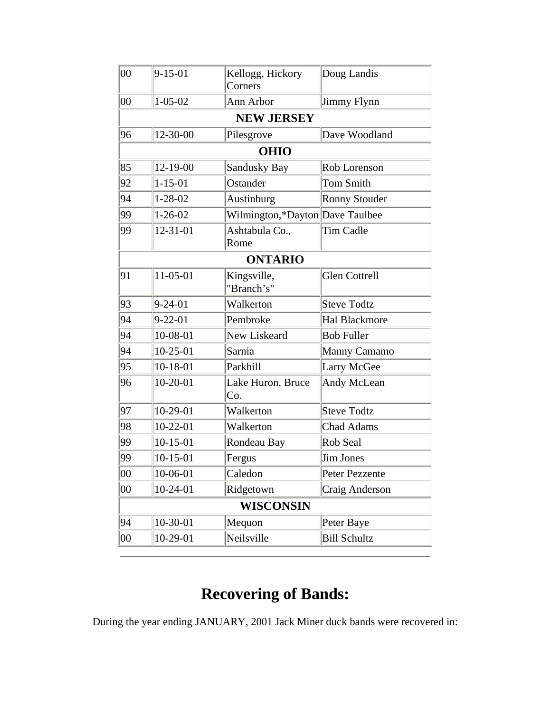| 00     | $9 - 15 - 01$ | Kellogg, Hickory<br>Corners     | Doug Landis          |
|--------|---------------|---------------------------------|----------------------|
| 00     | $1 - 05 - 02$ | Ann Arbor                       | Jimmy Flynn          |
|        |               | <b>NEW JERSEY</b>               |                      |
| 96     | 12-30-00      | Pilesgrove                      | Dave Woodland        |
|        |               | <b>OHIO</b>                     |                      |
| 85     | 12-19-00      | Sandusky Bay                    | Rob Lorenson         |
| 92     | $1 - 15 - 01$ | Ostander                        | <b>Tom Smith</b>     |
| 94     | $1 - 28 - 02$ | Austinburg                      | <b>Ronny Stouder</b> |
| 99     | $1 - 26 - 02$ | Wilmington,*Dayton Dave Taulbee |                      |
| 99     | 12-31-01      | Ashtabula Co.,<br>Rome          | Tim Cadle            |
|        |               | <b>ONTARIO</b>                  |                      |
| 91     | 11-05-01      | Kingsville,<br>"Branch's"       | <b>Glen Cottrell</b> |
| 93     | $9 - 24 - 01$ | Walkerton                       | <b>Steve Todtz</b>   |
| 94     | $9 - 22 - 01$ | Pembroke                        | <b>Hal Blackmore</b> |
| 94     | 10-08-01      | New Liskeard                    | <b>Bob Fuller</b>    |
| 94     | $10-25-01$    | Sarnia                          | Manny Camamo         |
| 95     | $10-18-01$    | Parkhill                        | Larry McGee          |
| 96     | $10-20-01$    | Lake Huron, Bruce<br>Co.        | Andy McLean          |
| 97     | $10-29-01$    | Walkerton                       | <b>Steve Todtz</b>   |
| 98     | $10-22-01$    | Walkerton                       | <b>Chad Adams</b>    |
| 99     | $10-15-01$    | Rondeau Bay                     | Rob Seal             |
| 99     | $10-15-01$    | Fergus                          | Jim Jones            |
| $00\,$ | 10-06-01      | Caledon                         | Peter Pezzente       |
| $00\,$ | $10-24-01$    | Ridgetown                       | Craig Anderson       |
|        |               | <b>WISCONSIN</b>                |                      |
| 94     | 10-30-01      | Mequon                          | Peter Baye           |
| $00\,$ | 10-29-01      | Neilsville                      | <b>Bill Schultz</b>  |

During the year ending JANUARY, 2001 Jack Miner duck bands were recovered in: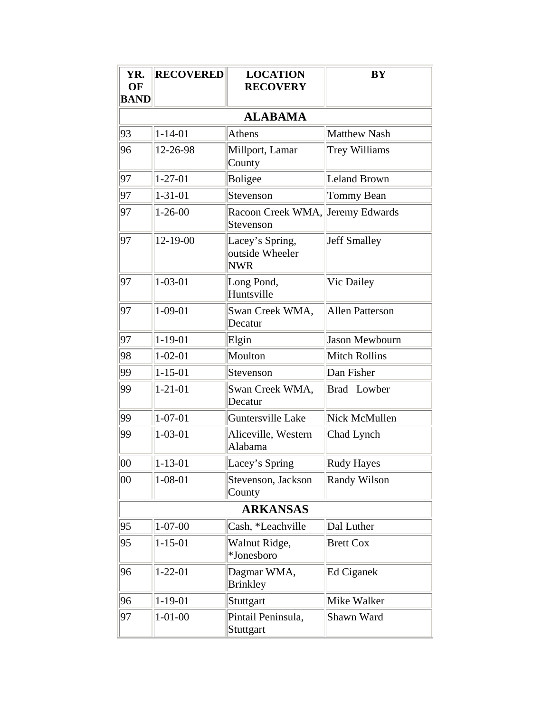| YR.<br>OF<br><b>BAND</b> | <b>RECOVERED</b> | <b>LOCATION</b><br><b>RECOVERY</b>               | <b>BY</b>              |
|--------------------------|------------------|--------------------------------------------------|------------------------|
|                          |                  | <b>ALABAMA</b>                                   |                        |
| 93                       | $1 - 14 - 01$    | <b>Athens</b>                                    | Matthew Nash           |
| 96                       | 12-26-98         | Millport, Lamar<br>County                        | <b>Trey Williams</b>   |
| 97                       | $1 - 27 - 01$    | <b>Boligee</b>                                   | Leland Brown           |
| 97                       | $1 - 31 - 01$    | Stevenson                                        | Tommy Bean             |
| 97                       | $1 - 26 - 00$    | Racoon Creek WMA, Jeremy Edwards<br>Stevenson    |                        |
| 97                       | 12-19-00         | Lacey's Spring,<br>outside Wheeler<br><b>NWR</b> | <b>Jeff Smalley</b>    |
| 97                       | $1 - 03 - 01$    | Long Pond,<br>Huntsville                         | Vic Dailey             |
| 97                       | $1 - 09 - 01$    | Swan Creek WMA,<br>Decatur                       | <b>Allen Patterson</b> |
| 97                       | $1 - 19 - 01$    | Elgin                                            | Jason Mewbourn         |
| 98                       | $1 - 02 - 01$    | Moulton                                          | <b>Mitch Rollins</b>   |
| 99                       | $1 - 15 - 01$    | Stevenson                                        | Dan Fisher             |
| 99                       | $1 - 21 - 01$    | Swan Creek WMA,<br>Decatur                       | <b>Brad</b> Lowber     |
| 99                       | $1 - 07 - 01$    | Guntersville Lake                                | Nick McMullen          |
| 99                       | $1 - 03 - 01$    | Aliceville, Western<br>Alabama                   | Chad Lynch             |
| $00\,$                   | $1 - 13 - 01$    | Lacey's Spring                                   | <b>Rudy Hayes</b>      |
| $00\,$                   | $1 - 08 - 01$    | Stevenson, Jackson<br>County                     | Randy Wilson           |
|                          |                  | <b>ARKANSAS</b>                                  |                        |
| 95                       | $1 - 07 - 00$    | Cash, *Leachville                                | Dal Luther             |
| 95                       | $1 - 15 - 01$    | Walnut Ridge,<br>*Jonesboro                      | <b>Brett Cox</b>       |
| 96                       | $1 - 22 - 01$    | Dagmar WMA,<br><b>Brinkley</b>                   | Ed Ciganek             |
| 96                       | $1 - 19 - 01$    | Stuttgart                                        | Mike Walker            |
| 97                       | $1 - 01 - 00$    | Pintail Peninsula,<br>Stuttgart                  | Shawn Ward             |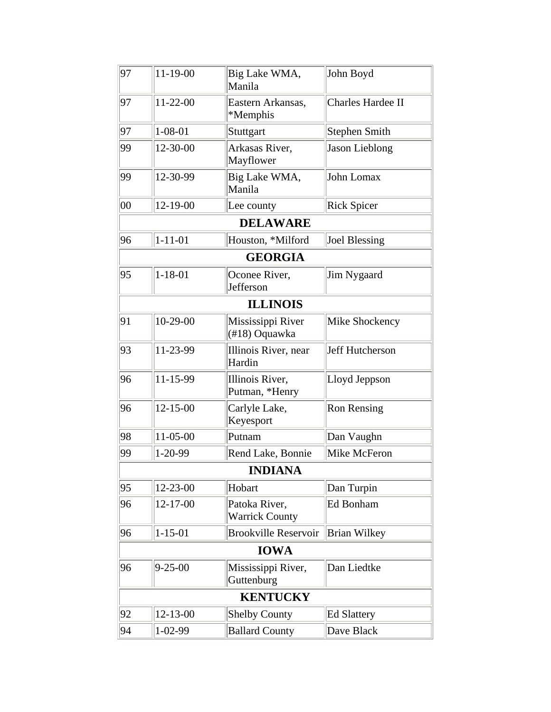| 97     | 11-19-00       | Big Lake WMA,<br>Manila                | John Boyd              |
|--------|----------------|----------------------------------------|------------------------|
| 97     | 11-22-00       | Eastern Arkansas,<br>*Memphis          | Charles Hardee II      |
| 97     | $1 - 08 - 01$  | Stuttgart                              | <b>Stephen Smith</b>   |
| 99     | 12-30-00       | Arkasas River,<br>Mayflower            | Jason Lieblong         |
| 99     | 12-30-99       | Big Lake WMA,<br>Manila                | John Lomax             |
| $00\,$ | 12-19-00       | Lee county                             | <b>Rick Spicer</b>     |
|        |                | <b>DELAWARE</b>                        |                        |
| 96     | $1 - 11 - 01$  | Houston, *Milford                      | Joel Blessing          |
|        |                | <b>GEORGIA</b>                         |                        |
| 95     | $1 - 18 - 01$  | Oconee River,<br>Jefferson             | Jim Nygaard            |
|        |                | <b>ILLINOIS</b>                        |                        |
| 91     | $10-29-00$     | Mississippi River<br>(#18) Oquawka     | Mike Shockency         |
| 93     | 11-23-99       | Illinois River, near<br>Hardin         | <b>Jeff Hutcherson</b> |
| 96     | 11-15-99       | Illinois River,<br>Putman, *Henry      | Lloyd Jeppson          |
| 96     | $12 - 15 - 00$ | Carlyle Lake,<br>Keyesport             | <b>Ron Rensing</b>     |
| 98     | 11-05-00       | Putnam                                 | Dan Vaughn             |
| 99     | $1 - 20 - 99$  | Rend Lake, Bonnie                      | Mike McFeron           |
|        |                | <b>INDIANA</b>                         |                        |
| 95     | 12-23-00       | Hobart                                 | Dan Turpin             |
| 96     | 12-17-00       | Patoka River,<br><b>Warrick County</b> | Ed Bonham              |
| 96     | $1 - 15 - 01$  | <b>Brookville Reservoir</b>            | Brian Wilkey           |
|        |                | <b>IOWA</b>                            |                        |
| 96     | $9 - 25 - 00$  | Mississippi River,<br>Guttenburg       | Dan Liedtke            |
|        |                | <b>KENTUCKY</b>                        |                        |
| 92     | 12-13-00       | <b>Shelby County</b>                   | <b>Ed Slattery</b>     |
| 94     | $1 - 02 - 99$  | <b>Ballard County</b>                  | Dave Black             |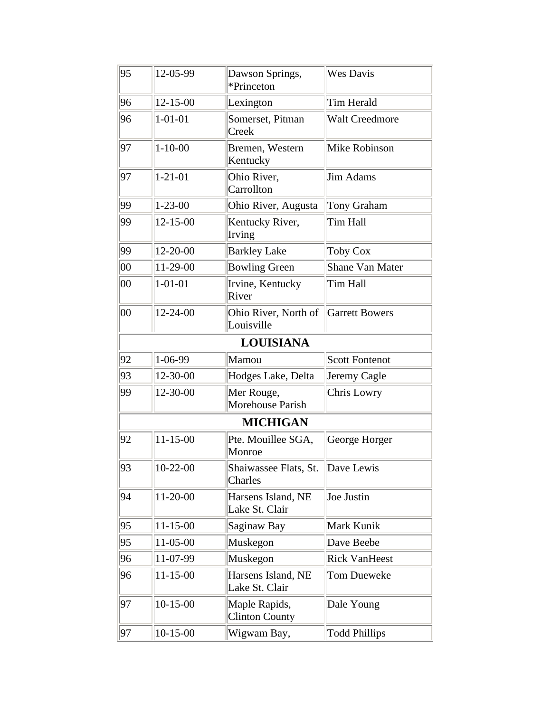| 95     | 12-05-99       | Dawson Springs,<br>*Princeton          | <b>Wes Davis</b>       |
|--------|----------------|----------------------------------------|------------------------|
| 96     | $12 - 15 - 00$ | Lexington                              | Tim Herald             |
| 96     | $1 - 01 - 01$  | Somerset, Pitman<br>Creek              | <b>Walt Creedmore</b>  |
| 97     | $1 - 10 - 00$  | Bremen, Western<br>Kentucky            | Mike Robinson          |
| 97     | $1 - 21 - 01$  | Ohio River,<br>Carrollton              | Jim Adams              |
| 99     | $1 - 23 - 00$  | Ohio River, Augusta                    | Tony Graham            |
| 99     | $12 - 15 - 00$ | Kentucky River,<br>Irving              | Tim Hall               |
| 99     | 12-20-00       | <b>Barkley Lake</b>                    | <b>Toby Cox</b>        |
| $00\,$ | 11-29-00       | <b>Bowling Green</b>                   | <b>Shane Van Mater</b> |
| 00     | $1 - 01 - 01$  | Irvine, Kentucky<br>River              | <b>Tim Hall</b>        |
| 00     | 12-24-00       | Ohio River, North of<br>Louisville     | Garrett Bowers         |
|        |                | <b>LOUISIANA</b>                       |                        |
| 92     | 1-06-99        | Mamou                                  | Scott Fontenot         |
| 93     | 12-30-00       | Hodges Lake, Delta                     | Jeremy Cagle           |
| 99     | 12-30-00       | Mer Rouge,<br>Morehouse Parish         | <b>Chris Lowry</b>     |
|        |                | <b>MICHIGAN</b>                        |                        |
| 92     | $11 - 15 - 00$ | Pte. Mouillee SGA,<br>Monroe           | George Horger          |
| 93     | $10-22-00$     | Shaiwassee Flats, St.<br>Charles       | Dave Lewis             |
| 94     | 11-20-00       | Harsens Island, NE<br>Lake St. Clair   | Joe Justin             |
| 95     | $11 - 15 - 00$ | Saginaw Bay                            | Mark Kunik             |
| 95     | 11-05-00       | Muskegon                               | Dave Beebe             |
| 96     | 11-07-99       | Muskegon                               | <b>Rick VanHeest</b>   |
| 96     | $11 - 15 - 00$ | Harsens Island, NE<br>Lake St. Clair   | <b>Tom Dueweke</b>     |
| 97     | $10-15-00$     | Maple Rapids,<br><b>Clinton County</b> | Dale Young             |
| 97     | $10-15-00$     | Wigwam Bay,                            | <b>Todd Phillips</b>   |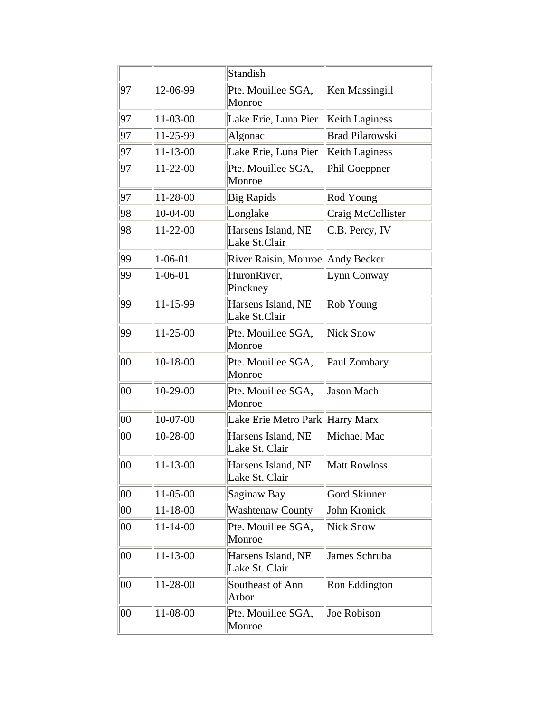|              |                | <b>Standish</b>                      |                        |
|--------------|----------------|--------------------------------------|------------------------|
| 97           | 12-06-99       | Pte. Mouillee SGA,<br>Monroe         | Ken Massingill         |
| 97           | 11-03-00       | Lake Erie, Luna Pier                 | <b>Keith Laginess</b>  |
| 97           | 11-25-99       | Algonac                              | <b>Brad Pilarowski</b> |
| 97           | $11 - 13 - 00$ | Lake Erie, Luna Pier                 | Keith Laginess         |
| 97           | 11-22-00       | Pte. Mouillee SGA,<br>Monroe         | Phil Goeppner          |
| 97           | 11-28-00       | <b>Big Rapids</b>                    | Rod Young              |
| 98           | 10-04-00       | Longlake                             | Craig McCollister      |
| 98           | 11-22-00       | Harsens Island, NE<br>Lake St.Clair  | C.B. Percy, IV         |
| 99           | $1 - 06 - 01$  | River Raisin, Monroe Andy Becker     |                        |
| 99           | $1 - 06 - 01$  | HuronRiver,<br>Pinckney              | Lynn Conway            |
| 99           | 11-15-99       | Harsens Island, NE<br>Lake St.Clair  | Rob Young              |
| 99           | 11-25-00       | Pte. Mouillee SGA,<br>Monroe         | Nick Snow              |
| $00\,$       | $10-18-00$     | Pte. Mouillee SGA,<br>Monroe         | Paul Zombary           |
| $00\,$       | 10-29-00       | Pte. Mouillee SGA,<br>Monroe         | Jason Mach             |
| $ 00\rangle$ | $10-07-00$     | Lake Erie Metro Park Harry Marx      |                        |
| 00           | 10-28-00       | Harsens Island, NE<br>Lake St. Clair | Michael Mac            |
| $00\,$       | $11 - 13 - 00$ | Harsens Island, NE<br>Lake St. Clair | <b>Matt Rowloss</b>    |
| 00           | 11-05-00       | Saginaw Bay                          | <b>Gord Skinner</b>    |
| $00\,$       | 11-18-00       | <b>Washtenaw County</b>              | John Kronick           |
| $00\,$       | $11 - 14 - 00$ | Pte. Mouillee SGA,<br>Monroe         | <b>Nick Snow</b>       |
| 00           | 11-13-00       | Harsens Island, NE<br>Lake St. Clair | James Schruba          |
| $00\,$       | 11-28-00       | Southeast of Ann<br>Arbor            | Ron Eddington          |
| 00           | 11-08-00       | Pte. Mouillee SGA,<br>Monroe         | Joe Robison            |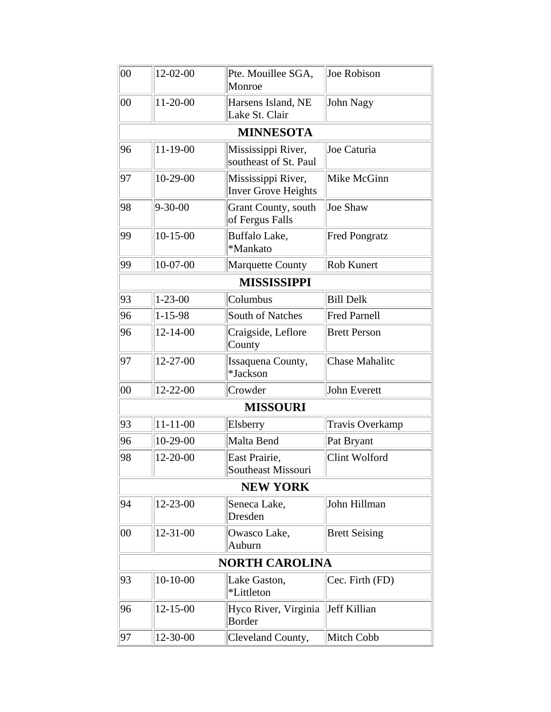| $ 00\>$      | 12-02-00       | Pte. Mouillee SGA,<br>Monroe                     | Joe Robison            |
|--------------|----------------|--------------------------------------------------|------------------------|
| $ 00\rangle$ | $11-20-00$     | Harsens Island, NE<br>Lake St. Clair             | John Nagy              |
|              |                | <b>MINNESOTA</b>                                 |                        |
| 96           | 11-19-00       | Mississippi River,<br>southeast of St. Paul      | Joe Caturia            |
| 97           | $10-29-00$     | Mississippi River,<br><b>Inver Grove Heights</b> | Mike McGinn            |
| 98           | $9 - 30 - 00$  | Grant County, south<br>of Fergus Falls           | <b>Joe Shaw</b>        |
| 99           | $10-15-00$     | Buffalo Lake,<br>*Mankato                        | <b>Fred Pongratz</b>   |
| 99           | $10-07-00$     | Marquette County                                 | Rob Kunert             |
|              |                | <b>MISSISSIPPI</b>                               |                        |
| 93           | $1 - 23 - 00$  | Columbus                                         | <b>Bill Delk</b>       |
| 96           | $1 - 15 - 98$  | <b>South of Natches</b>                          | <b>Fred Parnell</b>    |
| 96           | $12 - 14 - 00$ | Craigside, Leflore<br>County                     | <b>Brett Person</b>    |
| 97           | 12-27-00       | Issaquena County,<br>*Jackson                    | <b>Chase Mahalitc</b>  |
| $ 00\>$      | 12-22-00       | Crowder                                          | John Everett           |
|              |                | <b>MISSOURI</b>                                  |                        |
| 93           | $11 - 11 - 00$ | Elsberry                                         | <b>Travis Overkamp</b> |
| 96           | 10-29-00       | Malta Bend                                       | Pat Bryant             |
| 98           | 12-20-00       | East Prairie,<br>Southeast Missouri              | Clint Wolford          |
|              |                | <b>NEW YORK</b>                                  |                        |
| 94           | 12-23-00       | Seneca Lake,<br>Dresden                          | John Hillman           |
| 00           | 12-31-00       | Owasco Lake,<br>Auburn                           | <b>Brett Seising</b>   |
|              |                | <b>NORTH CAROLINA</b>                            |                        |
| 93           | $10-10-00$     | Lake Gaston,<br>*Littleton                       | Cec. Firth (FD)        |
| 96           | $12 - 15 - 00$ | Hyco River, Virginia<br>Border                   | Jeff Killian           |
| 97           | 12-30-00       | Cleveland County,                                | Mitch Cobb             |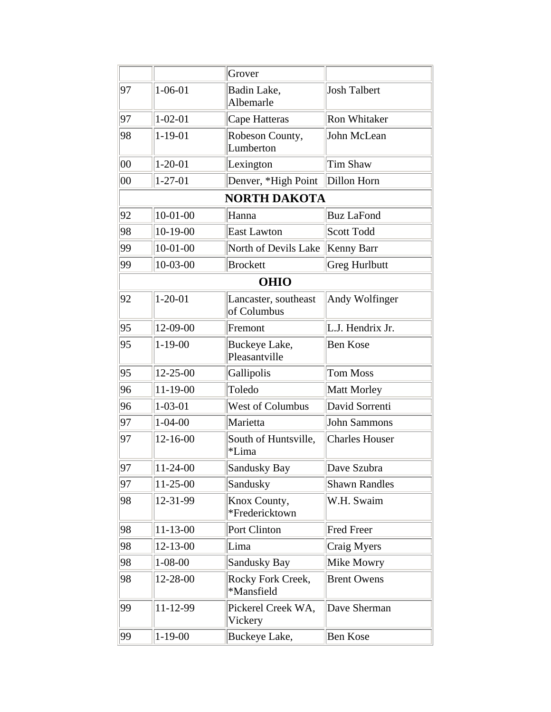|    |                | Grover                              |                       |
|----|----------------|-------------------------------------|-----------------------|
| 97 | $1 - 06 - 01$  | Badin Lake,<br>Albemarle            | <b>Josh Talbert</b>   |
| 97 | $1 - 02 - 01$  | Cape Hatteras                       | <b>Ron Whitaker</b>   |
| 98 | $1 - 19 - 01$  | Robeson County,<br>Lumberton        | John McLean           |
| 00 | $1 - 20 - 01$  | Lexington                           | Tim Shaw              |
| 00 | $1 - 27 - 01$  | Denver, *High Point                 | Dillon Horn           |
|    |                | <b>NORTH DAKOTA</b>                 |                       |
| 92 | $10-01-00$     | Hanna                               | <b>Buz LaFond</b>     |
| 98 | $10-19-00$     | <b>East Lawton</b>                  | <b>Scott Todd</b>     |
| 99 | $10-01-00$     | North of Devils Lake                | Kenny Barr            |
| 99 | $ 10-03-00$    | <b>Brockett</b>                     | Greg Hurlbutt         |
|    |                | <b>OHIO</b>                         |                       |
| 92 | $1 - 20 - 01$  | Lancaster, southeast<br>of Columbus | Andy Wolfinger        |
| 95 | 12-09-00       | Fremont                             | L.J. Hendrix Jr.      |
| 95 | $1 - 19 - 00$  | Buckeye Lake,<br>Pleasantville      | <b>Ben Kose</b>       |
| 95 | 12-25-00       | Gallipolis                          | Tom Moss              |
| 96 | 11-19-00       | Toledo                              | Matt Morley           |
| 96 | $1 - 03 - 01$  | West of Columbus                    | David Sorrenti        |
| 97 | $1 - 04 - 00$  | Marietta                            | <b>John Sammons</b>   |
| 97 | 12-16-00       | South of Huntsville,<br>*Lima       | <b>Charles Houser</b> |
| 97 | $11-24-00$     | Sandusky Bay                        | Dave Szubra           |
| 97 | $11-25-00$     | Sandusky                            | <b>Shawn Randles</b>  |
| 98 | 12-31-99       | Knox County,<br>*Fredericktown      | W.H. Swaim            |
| 98 | $11 - 13 - 00$ | Port Clinton                        | <b>Fred Freer</b>     |
| 98 | $12 - 13 - 00$ | Lima                                | Craig Myers           |
| 98 | $1 - 08 - 00$  | Sandusky Bay                        | Mike Mowry            |
| 98 | 12-28-00       | Rocky Fork Creek,<br>*Mansfield     | <b>Brent Owens</b>    |
| 99 | 11-12-99       | Pickerel Creek WA,<br>Vickery       | Dave Sherman          |
| 99 | $1 - 19 - 00$  | Buckeye Lake,                       | <b>Ben Kose</b>       |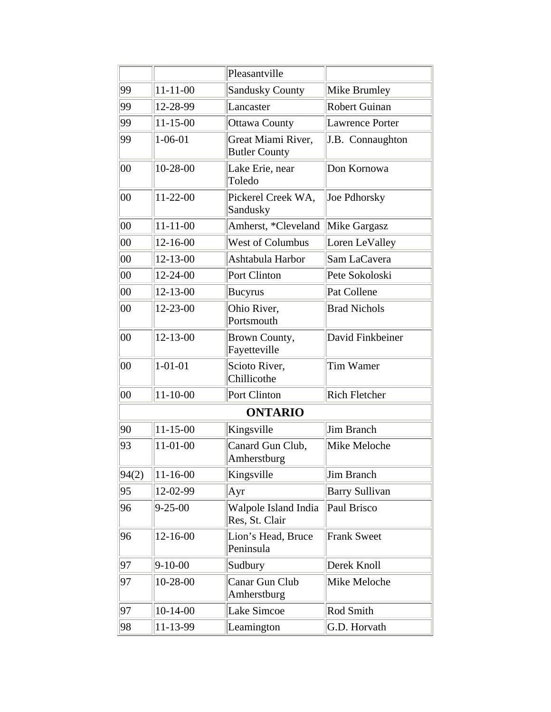|              |                | Pleasantville                              |                        |
|--------------|----------------|--------------------------------------------|------------------------|
| 99           | $11 - 11 - 00$ | <b>Sandusky County</b>                     | Mike Brumley           |
|              |                |                                            |                        |
| 99           | 12-28-99       | Lancaster                                  | <b>Robert Guinan</b>   |
| 99           | $11 - 15 - 00$ | Ottawa County                              | <b>Lawrence Porter</b> |
| 99           | $1 - 06 - 01$  | Great Miami River,<br><b>Butler County</b> | J.B. Connaughton       |
| 00           | 10-28-00       | Lake Erie, near<br>Toledo                  | Don Kornowa            |
| 00           | $11 - 22 - 00$ | Pickerel Creek WA,<br>Sandusky             | Joe Pdhorsky           |
| 00           | $11 - 11 - 00$ | Amherst, *Cleveland                        | Mike Gargasz           |
| $ 00\rangle$ | $12 - 16 - 00$ | West of Columbus                           | Loren LeValley         |
| $ 00\rangle$ | $12 - 13 - 00$ | Ashtabula Harbor                           | Sam LaCavera           |
| $ 00\rangle$ | 12-24-00       | Port Clinton                               | Pete Sokoloski         |
| $00\,$       | $12 - 13 - 00$ | <b>Bucyrus</b>                             | Pat Collene            |
| 00           | 12-23-00       | Ohio River,<br>Portsmouth                  | <b>Brad Nichols</b>    |
| 00           | $12 - 13 - 00$ | <b>Brown County,</b><br>Fayetteville       | David Finkbeiner       |
| 00           | $1 - 01 - 01$  | Scioto River,<br>Chillicothe               | <b>Tim Wamer</b>       |
| 00           | $11 - 10 - 00$ | Port Clinton                               | <b>Rich Fletcher</b>   |
|              |                | <b>ONTARIO</b>                             |                        |
| 90           | $11 - 15 - 00$ | Kingsville                                 | <b>Jim Branch</b>      |
| 93           | 11-01-00       | Canard Gun Club,<br>Amherstburg            | Mike Meloche           |
| 94(2)        | $11 - 16 - 00$ | Kingsville                                 | Jim Branch             |
| 95           | 12-02-99       | Ayr                                        | <b>Barry Sullivan</b>  |
| 96           | $9 - 25 - 00$  | Walpole Island India<br>Res, St. Clair     | Paul Brisco            |
| 96           | 12-16-00       | Lion's Head, Bruce<br>Peninsula            | <b>Frank Sweet</b>     |
| 97           | $9-10-00$      | Sudbury                                    | Derek Knoll            |
| 97           | 10-28-00       | Canar Gun Club<br>Amherstburg              | Mike Meloche           |
| 97           | $10-14-00$     | Lake Simcoe                                | Rod Smith              |
| 98           | 11-13-99       | Leamington                                 | G.D. Horvath           |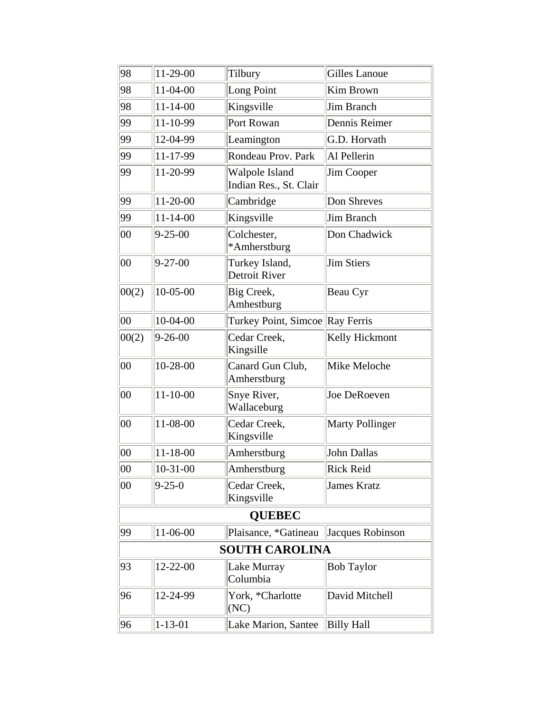| 98     | 11-29-00       | Tilbury                                  | Gilles Lanoue          |
|--------|----------------|------------------------------------------|------------------------|
| 98     | 11-04-00       | Long Point                               | Kim Brown              |
| 98     | $11 - 14 - 00$ | Kingsville                               | Jim Branch             |
| 99     | 11-10-99       | Port Rowan                               | Dennis Reimer          |
| 99     | 12-04-99       | Leamington                               | G.D. Horvath           |
| 99     | 11-17-99       | Rondeau Prov. Park                       | Al Pellerin            |
| 99     | 11-20-99       | Walpole Island<br>Indian Res., St. Clair | <b>Jim Cooper</b>      |
| 99     | 11-20-00       | Cambridge                                | Don Shreves            |
| 99     | $11 - 14 - 00$ | Kingsville                               | Jim Branch             |
| $00\,$ | $9 - 25 - 00$  | Colchester,<br>*Amherstburg              | Don Chadwick           |
| 00     | $9 - 27 - 00$  | Turkey Island,<br>Detroit River          | Jim Stiers             |
| 00(2)  | $10 - 05 - 00$ | Big Creek,<br>Amhestburg                 | Beau Cyr               |
| 00     | $10-04-00$     | Turkey Point, Simcoe Ray Ferris          |                        |
| 00(2)  | $9 - 26 - 00$  | Cedar Creek,<br>Kingsille                | Kelly Hickmont         |
| 00     | 10-28-00       | Canard Gun Club,<br>Amherstburg          | Mike Meloche           |
| 00     | $11 - 10 - 00$ | Snye River,<br>Wallaceburg               | Joe DeRoeven           |
| $00\,$ | 11-08-00       | Cedar Creek,<br>Kingsville               | <b>Marty Pollinger</b> |
| $00\,$ | $11 - 18 - 00$ | Amherstburg                              | John Dallas            |
| $00\,$ | $ 10-31-00$    | Amherstburg                              | Rick Reid              |
| 00     | $9 - 25 - 0$   | Cedar Creek,<br>Kingsville               | <b>James Kratz</b>     |
|        |                | <b>QUEBEC</b>                            |                        |
| 99     | 11-06-00       | Plaisance, *Gatineau                     | Jacques Robinson       |
|        |                | <b>SOUTH CAROLINA</b>                    |                        |
| 93     | 12-22-00       | Lake Murray<br>Columbia                  | <b>Bob Taylor</b>      |
| 96     | 12-24-99       | York, *Charlotte<br>(NC)                 | David Mitchell         |
| 96     | $1 - 13 - 01$  | Lake Marion, Santee                      | <b>Billy Hall</b>      |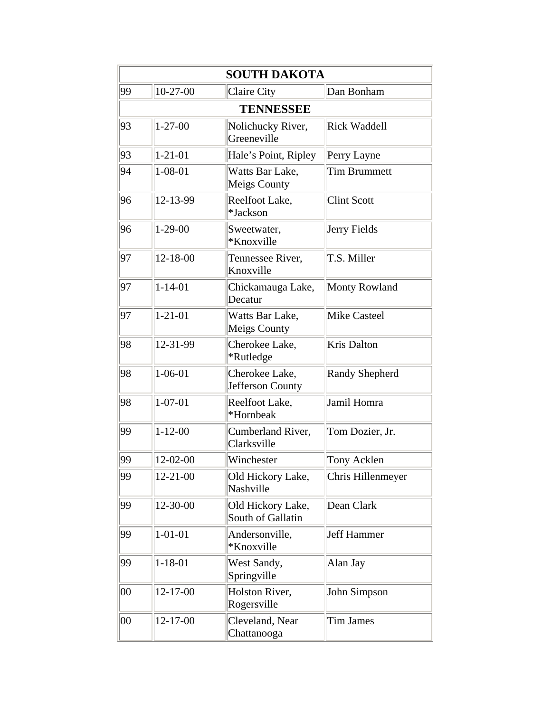|        | <b>SOUTH DAKOTA</b> |                                        |                       |  |  |  |
|--------|---------------------|----------------------------------------|-----------------------|--|--|--|
| 99     | $10-27-00$          | Claire City                            | Dan Bonham            |  |  |  |
|        | <b>TENNESSEE</b>    |                                        |                       |  |  |  |
| 93     | $1 - 27 - 00$       | Nolichucky River,<br>Greeneville       | <b>Rick Waddell</b>   |  |  |  |
| 93     | $1 - 21 - 01$       | Hale's Point, Ripley                   | Perry Layne           |  |  |  |
| 94     | $1 - 08 - 01$       | Watts Bar Lake,<br>Meigs County        | <b>Tim Brummett</b>   |  |  |  |
| 96     | 12-13-99            | Reelfoot Lake,<br>*Jackson             | <b>Clint Scott</b>    |  |  |  |
| 96     | $1-29-00$           | Sweetwater,<br>*Knoxville              | Jerry Fields          |  |  |  |
| 97     | $12 - 18 - 00$      | Tennessee River,<br>Knoxville          | T.S. Miller           |  |  |  |
| 97     | $1 - 14 - 01$       | Chickamauga Lake,<br>Decatur           | Monty Rowland         |  |  |  |
| 97     | $1 - 21 - 01$       | Watts Bar Lake,<br><b>Meigs County</b> | <b>Mike Casteel</b>   |  |  |  |
| 98     | 12-31-99            | Cherokee Lake,<br>*Rutledge            | <b>Kris Dalton</b>    |  |  |  |
| 98     | $1 - 06 - 01$       | Cherokee Lake,<br>Jefferson County     | <b>Randy Shepherd</b> |  |  |  |
| 98     | $1 - 07 - 01$       | Reelfoot Lake,<br>*Hornbeak            | Jamil Homra           |  |  |  |
| 99     | $1 - 12 - 00$       | Cumberland River,<br>Clarksville       | Tom Dozier, Jr.       |  |  |  |
| 99     | 12-02-00            | Winchester                             | Tony Acklen           |  |  |  |
| 99     | 12-21-00            | Old Hickory Lake,<br>Nashville         | Chris Hillenmeyer     |  |  |  |
| 99     | 12-30-00            | Old Hickory Lake,<br>South of Gallatin | Dean Clark            |  |  |  |
| 99     | $1 - 01 - 01$       | Andersonville,<br>*Knoxville           | <b>Jeff Hammer</b>    |  |  |  |
| 99     | 1-18-01             | West Sandy,<br>Springville             | Alan Jay              |  |  |  |
| $00\,$ | 12-17-00            | Holston River,<br>Rogersville          | John Simpson          |  |  |  |
| 00     | $12 - 17 - 00$      | Cleveland, Near<br>Chattanooga         | <b>Tim James</b>      |  |  |  |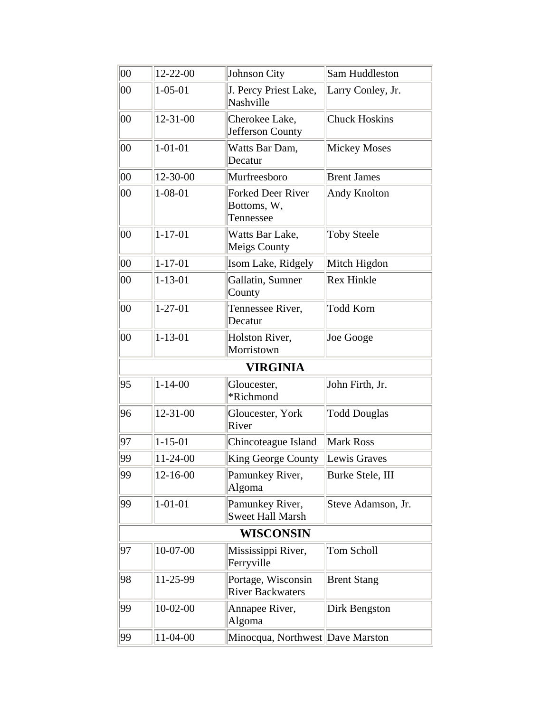| $ 00\rangle$ | $12 - 22 - 00$ | Johnson City                                         | Sam Huddleston       |
|--------------|----------------|------------------------------------------------------|----------------------|
| $00\,$       | $1 - 05 - 01$  | J. Percy Priest Lake,<br>Nashville                   | Larry Conley, Jr.    |
| 00           | $12 - 31 - 00$ | Cherokee Lake,<br>Jefferson County                   | <b>Chuck Hoskins</b> |
| 00           | $1 - 01 - 01$  | Watts Bar Dam,<br>Decatur                            | <b>Mickey Moses</b>  |
| $ 00\rangle$ | 12-30-00       | Murfreesboro                                         | <b>Brent James</b>   |
| 00           | $1 - 08 - 01$  | <b>Forked Deer River</b><br>Bottoms, W,<br>Tennessee | Andy Knolton         |
| 00           | $1 - 17 - 01$  | Watts Bar Lake,<br><b>Meigs County</b>               | <b>Toby Steele</b>   |
| 00           | $1 - 17 - 01$  | Isom Lake, Ridgely                                   | Mitch Higdon         |
| 00           | $1 - 13 - 01$  | Gallatin, Sumner<br>County                           | <b>Rex Hinkle</b>    |
| 00           | $1 - 27 - 01$  | Tennessee River,<br>Decatur                          | <b>Todd Korn</b>     |
| $ 00\rangle$ | $1 - 13 - 01$  | Holston River,<br>Morristown                         | Joe Googe            |
|              |                | <b>VIRGINIA</b>                                      |                      |
| 95           | $1 - 14 - 00$  | Gloucester,<br>*Richmond                             | John Firth, Jr.      |
| 96           | $12 - 31 - 00$ | Gloucester, York<br>River                            | <b>Todd Douglas</b>  |
| 97           | $1 - 15 - 01$  | Chincoteague Island                                  | Mark Ross            |
| 99           | 11-24-00       | King George County                                   | Lewis Graves         |
| 99           | 12-16-00       | Pamunkey River,<br>Algoma                            | Burke Stele, III     |
| 99           | $1 - 01 - 01$  | Pamunkey River,<br><b>Sweet Hall Marsh</b>           | Steve Adamson, Jr.   |
|              |                | WISCONSIN                                            |                      |
| 97           | $10-07-00$     | Mississippi River,<br>Ferryville                     | Tom Scholl           |
| 98           | 11-25-99       | Portage, Wisconsin<br><b>River Backwaters</b>        | <b>Brent Stang</b>   |
| 99           | $10-02-00$     | Annapee River,<br>Algoma                             | Dirk Bengston        |
| 99           | 11-04-00       | Minocqua, Northwest Dave Marston                     |                      |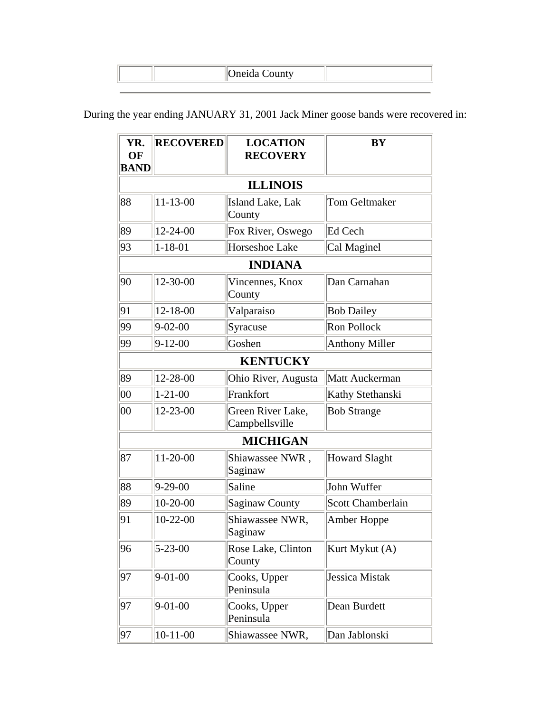During the year ending JANUARY 31, 2001 Jack Miner goose bands were recovered in:

| YR.<br>OF<br><b>BAND</b> | <b>RECOVERED</b> | <b>LOCATION</b><br><b>RECOVERY</b>  | <b>BY</b>             |
|--------------------------|------------------|-------------------------------------|-----------------------|
|                          |                  | <b>ILLINOIS</b>                     |                       |
| 88                       | 11-13-00         | Island Lake, Lak<br>County          | <b>Tom Geltmaker</b>  |
| 89                       | 12-24-00         | Fox River, Oswego                   | Ed Cech               |
| 93                       | $1 - 18 - 01$    | Horseshoe Lake                      | Cal Maginel           |
|                          |                  | <b>INDIANA</b>                      |                       |
| 90                       | 12-30-00         | Vincennes, Knox<br>County           | Dan Carnahan          |
| 91                       | 12-18-00         | Valparaiso                          | <b>Bob Dailey</b>     |
| 99                       | $9 - 02 - 00$    | Syracuse                            | Ron Pollock           |
| 99                       | $9 - 12 - 00$    | Goshen                              | <b>Anthony Miller</b> |
|                          |                  | <b>KENTUCKY</b>                     |                       |
| 89                       | 12-28-00         | Ohio River, Augusta                 | Matt Auckerman        |
| $ 00\rangle$             | $1 - 21 - 00$    | Frankfort                           | Kathy Stethanski      |
| 00                       | 12-23-00         | Green River Lake,<br>Campbellsville | <b>Bob Strange</b>    |
|                          |                  | <b>MICHIGAN</b>                     |                       |
| 87                       | 11-20-00         | Shiawassee NWR,<br>Saginaw          | Howard Slaght         |
| 88                       | $9 - 29 - 00$    | Saline                              | John Wuffer           |
| 89                       | $10-20-00$       | <b>Saginaw County</b>               | Scott Chamberlain     |
| 91                       | $10-22-00$       | Shiawassee NWR,<br>Saginaw          | Amber Hoppe           |
| 96                       | $5 - 23 - 00$    | Rose Lake, Clinton<br>County        | Kurt Mykut (A)        |
| 97                       | $9 - 01 - 00$    | Cooks, Upper<br>Peninsula           | Jessica Mistak        |
| 97                       | $9 - 01 - 00$    | Cooks, Upper<br>Peninsula           | Dean Burdett          |
| 97                       | $10-11-00$       | Shiawassee NWR,                     | Dan Jablonski         |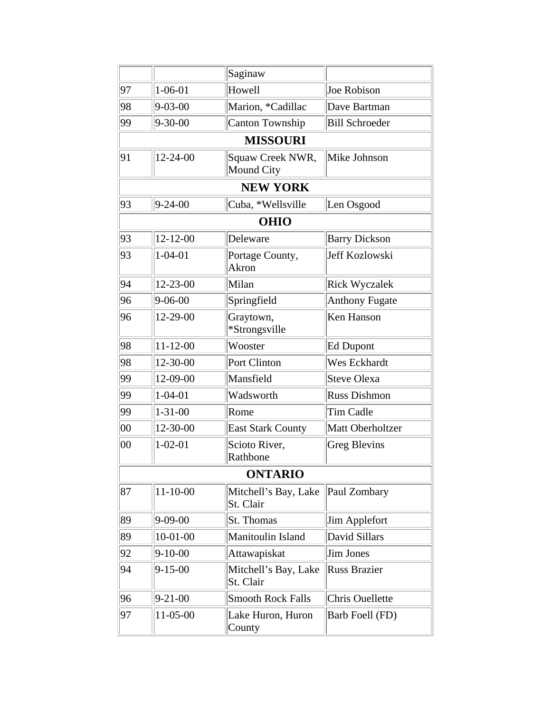|              |                | Saginaw                           |                       |
|--------------|----------------|-----------------------------------|-----------------------|
| 97           | $1 - 06 - 01$  | Howell                            | Joe Robison           |
| 98           | $9 - 03 - 00$  | Marion, *Cadillac                 | Dave Bartman          |
| 99           | $9 - 30 - 00$  | Canton Township                   | <b>Bill Schroeder</b> |
|              |                | <b>MISSOURI</b>                   |                       |
| 91           | 12-24-00       | Squaw Creek NWR,<br>Mound City    | Mike Johnson          |
|              |                | <b>NEW YORK</b>                   |                       |
| 93           | $9 - 24 - 00$  | Cuba, *Wellsville                 | Len Osgood            |
|              |                | <b>OHIO</b>                       |                       |
| 93           | $12 - 12 - 00$ | Deleware                          | <b>Barry Dickson</b>  |
| 93           | $1 - 04 - 01$  | Portage County,<br>Akron          | <b>Jeff Kozlowski</b> |
| 94           | 12-23-00       | Milan                             | <b>Rick Wyczalek</b>  |
| 96           | $9 - 06 - 00$  | Springfield                       | <b>Anthony Fugate</b> |
| 96           | 12-29-00       | Graytown,<br>*Strongsville        | <b>Ken Hanson</b>     |
| 98           | $11 - 12 - 00$ | Wooster                           | <b>Ed Dupont</b>      |
| 98           | 12-30-00       | Port Clinton                      | Wes Eckhardt          |
| 99           | 12-09-00       | Mansfield                         | <b>Steve Olexa</b>    |
| 99           | $1 - 04 - 01$  | Wadsworth                         | <b>Russ Dishmon</b>   |
| 99           | $1 - 31 - 00$  | Rome                              | <b>Tim Cadle</b>      |
| $ 00\rangle$ | 12-30-00       | <b>East Stark County</b>          | Matt Oberholtzer      |
| $ 00\rangle$ | $1 - 02 - 01$  | Scioto River,<br>Rathbone         | Greg Blevins          |
|              |                | <b>ONTARIO</b>                    |                       |
| 87           | $11 - 10 - 00$ | Mitchell's Bay, Lake<br>St. Clair | Paul Zombary          |
| 89           | $9 - 09 - 00$  | St. Thomas                        | Jim Applefort         |
| 89           | $10-01-00$     | Manitoulin Island                 | David Sillars         |
| 92           | $9-10-00$      | Attawapiskat                      | Jim Jones             |
| 94           | $9 - 15 - 00$  | Mitchell's Bay, Lake<br>St. Clair | <b>Russ Brazier</b>   |
| 96           | $9 - 21 - 00$  | <b>Smooth Rock Falls</b>          | Chris Ouellette       |
| 97           | $11-05-00$     | Lake Huron, Huron<br>County       | Barb Foell (FD)       |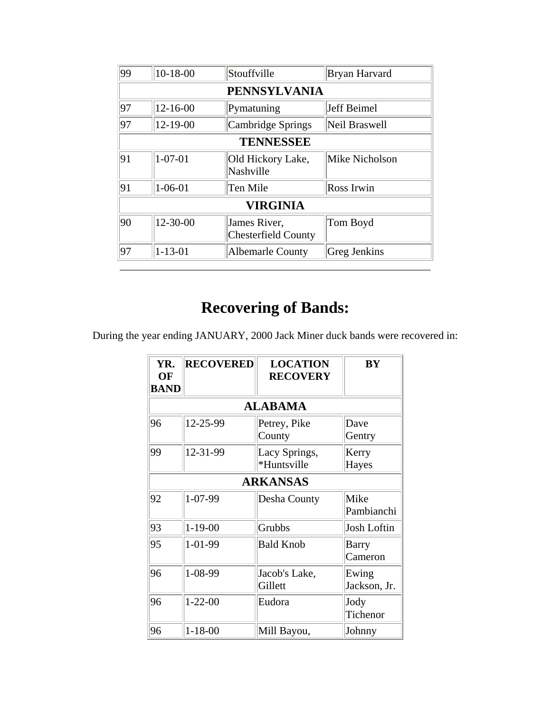| 99 | $10-18-00$       | Stouffville                                | Bryan Harvard  |  |  |
|----|------------------|--------------------------------------------|----------------|--|--|
|    |                  | <b>PENNSYLVANIA</b>                        |                |  |  |
| 97 | $12 - 16 - 00$   | Pymatuning                                 | Jeff Beimel    |  |  |
| 97 | $12 - 19 - 00$   | Cambridge Springs                          | Neil Braswell  |  |  |
|    | <b>TENNESSEE</b> |                                            |                |  |  |
| 91 | $1 - 07 - 01$    | Old Hickory Lake,<br>Nashville             | Mike Nicholson |  |  |
| 91 | $1 - 06 - 01$    | Ten Mile                                   | Ross Irwin     |  |  |
|    |                  | <b>VIRGINIA</b>                            |                |  |  |
| 90 | 12-30-00         | James River,<br><b>Chesterfield County</b> | Tom Boyd       |  |  |
| 97 | $1 - 13 - 01$    | <b>Albemarle County</b>                    | Greg Jenkins   |  |  |

During the year ending JANUARY, 2000 Jack Miner duck bands were recovered in:

| YR.<br>OF<br><b>BAND</b> | <b>RECOVERED</b> | <b>LOCATION</b><br><b>RECOVERY</b> | <b>BY</b>             |
|--------------------------|------------------|------------------------------------|-----------------------|
|                          |                  | <b>ALABAMA</b>                     |                       |
| 96                       | 12-25-99         | Petrey, Pike<br>County             | Dave<br>Gentry        |
| 99                       | 12-31-99         | Lacy Springs,<br>*Huntsville       | Kerry<br>Hayes        |
|                          |                  | <b>ARKANSAS</b>                    |                       |
| 92                       | 1-07-99          | Desha County                       | Mike<br>Pambianchi    |
| 93                       | $1 - 19 - 00$    | Grubbs                             | <b>Josh Loftin</b>    |
| 95                       | 1-01-99          | <b>Bald Knob</b>                   | Barry<br>Cameron      |
| 96                       | 1-08-99          | Jacob's Lake,<br>Gillett           | Ewing<br>Jackson, Jr. |
| 96                       | $1 - 22 - 00$    | Eudora                             | Jody<br>Tichenor      |
| 96                       | $1 - 18 - 00$    | Mill Bayou,                        | Johnny                |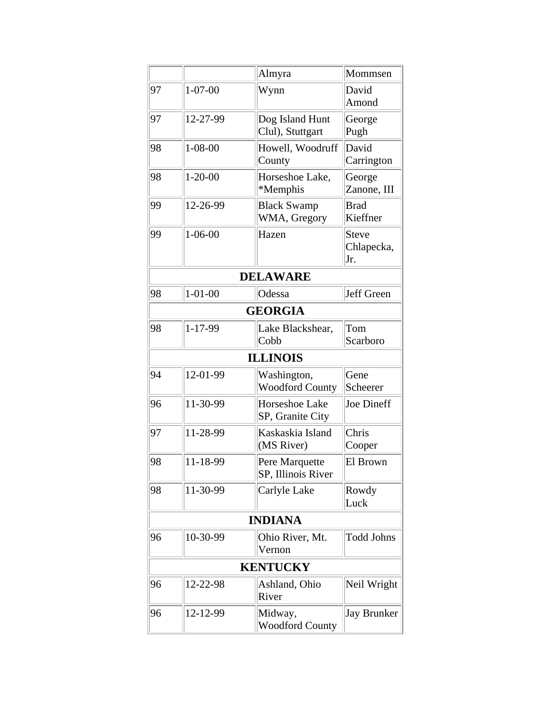|    |               | Almyra                                | Mommsen                           |
|----|---------------|---------------------------------------|-----------------------------------|
| 97 | $1 - 07 - 00$ | Wynn                                  | David<br>Amond                    |
| 97 | 12-27-99      | Dog Island Hunt<br>Clul), Stuttgart   | George<br>Pugh                    |
| 98 | $1 - 08 - 00$ | Howell, Woodruff<br>County            | David<br>Carrington               |
| 98 | $1 - 20 - 00$ | Horseshoe Lake,<br>*Memphis           | George<br>Zanone, III             |
| 99 | 12-26-99      | <b>Black Swamp</b><br>WMA, Gregory    | <b>Brad</b><br>Kieffner           |
| 99 | $1 - 06 - 00$ | Hazen                                 | <b>Steve</b><br>Chlapecka,<br>Jr. |
|    |               | <b>DELAWARE</b>                       |                                   |
| 98 | $1 - 01 - 00$ | Odessa                                | Jeff Green                        |
|    |               | <b>GEORGIA</b>                        |                                   |
| 98 | 1-17-99       | Lake Blackshear,<br>Cobb              | Tom<br>Scarboro                   |
|    |               | <b>ILLINOIS</b>                       |                                   |
| 94 | 12-01-99      | Washington,<br><b>Woodford County</b> | Gene<br>Scheerer                  |
| 96 | 11-30-99      | Horseshoe Lake<br>SP, Granite City    | Joe Dineff                        |
| 97 | 11-28-99      | Kaskaskia Island<br>(MS River)        | Chris<br>Cooper                   |
| 98 | 11-18-99      | Pere Marquette<br>SP, Illinois River  | El Brown                          |
| 98 | 11-30-99      | Carlyle Lake                          | Rowdy<br>Luck                     |
|    |               | <b>INDIANA</b>                        |                                   |
| 96 | 10-30-99      | Ohio River, Mt.<br>Vernon             | <b>Todd Johns</b>                 |
|    |               | <b>KENTUCKY</b>                       |                                   |
| 96 | 12-22-98      | Ashland, Ohio<br>River                | Neil Wright                       |
| 96 | 12-12-99      | Midway,<br><b>Woodford County</b>     | <b>Jay Brunker</b>                |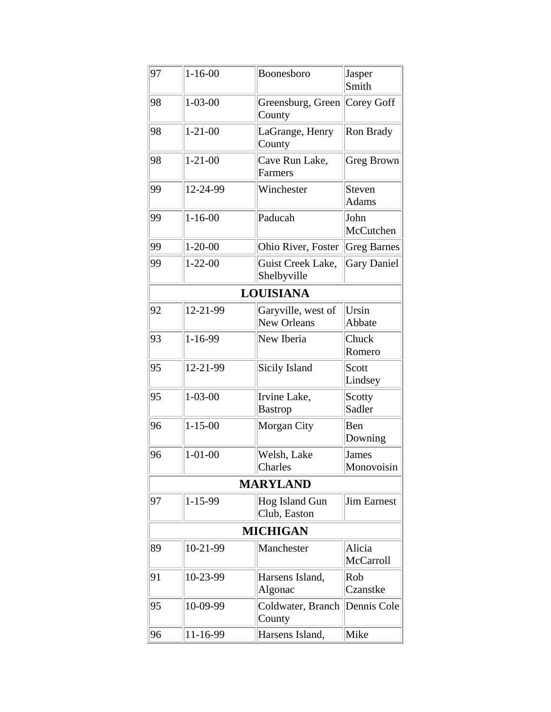| 97 | $1 - 16 - 00$ | Boonesboro                               | Jasper<br>Smith            |
|----|---------------|------------------------------------------|----------------------------|
| 98 | $1 - 03 - 00$ | Greensburg, Green   Corey Goff<br>County |                            |
| 98 | $1 - 21 - 00$ | LaGrange, Henry<br>County                | Ron Brady                  |
| 98 | $1 - 21 - 00$ | Cave Run Lake,<br>Farmers                | Greg Brown                 |
| 99 | 12-24-99      | Winchester                               | Steven<br>Adams            |
| 99 | $1 - 16 - 00$ | Paducah                                  | John<br>McCutchen          |
| 99 | $1 - 20 - 00$ | Ohio River, Foster                       | <b>Greg Barnes</b>         |
| 99 | $1 - 22 - 00$ | Guist Creek Lake,<br>Shelbyville         | <b>Gary Daniel</b>         |
|    |               | <b>LOUISIANA</b>                         |                            |
| 92 | 12-21-99      | Garyville, west of<br><b>New Orleans</b> | Ursin<br>Abbate            |
| 93 | 1-16-99       | New Iberia                               | Chuck<br>Romero            |
| 95 | 12-21-99      | Sicily Island                            | Scott<br>Lindsey           |
| 95 | $1 - 03 - 00$ | Irvine Lake,<br><b>Bastrop</b>           | Scotty<br>Sadler           |
| 96 | $1 - 15 - 00$ | Morgan City                              | Ben<br>Downing             |
| 96 | $1 - 01 - 00$ | Welsh, Lake<br>Charles                   | <b>James</b><br>Monovoisin |
|    |               | <b>MARYLAND</b>                          |                            |
| 97 | $1 - 15 - 99$ | Hog Island Gun<br>Club, Easton           | <b>Jim Earnest</b>         |
|    |               | <b>MICHIGAN</b>                          |                            |
| 89 | 10-21-99      | Manchester                               | Alicia<br>McCarroll        |
| 91 | 10-23-99      | Harsens Island,<br>Algonac               | Rob<br>Czanstke            |
| 95 | 10-09-99      | Coldwater, Branch<br>County              | Dennis Cole                |
| 96 | 11-16-99      | Harsens Island,                          | Mike                       |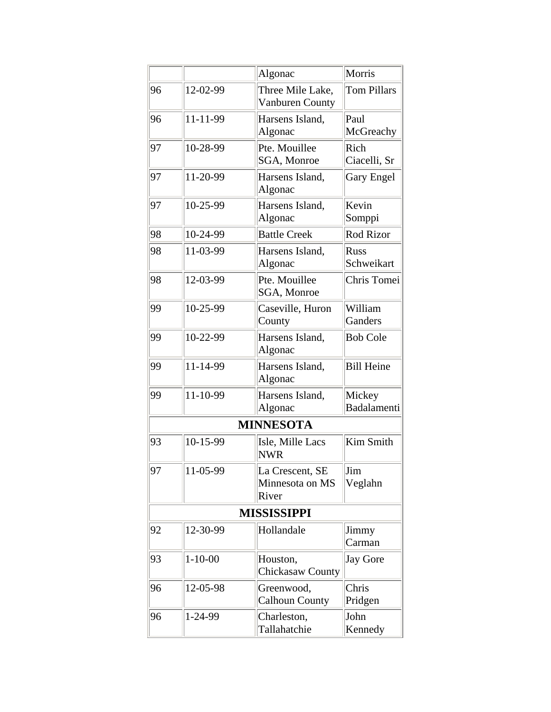|    |               | Algonac                                     | Morris                    |
|----|---------------|---------------------------------------------|---------------------------|
| 96 | 12-02-99      | Three Mile Lake,<br>Vanburen County         | <b>Tom Pillars</b>        |
| 96 | 11-11-99      | Harsens Island.<br>Algonac                  | Paul<br>McGreachy         |
| 97 | 10-28-99      | Pte. Mouillee<br>SGA, Monroe                | Rich<br>Ciacelli, Sr      |
| 97 | 11-20-99      | Harsens Island,<br>Algonac                  | Gary Engel                |
| 97 | 10-25-99      | Harsens Island,<br>Algonac                  | Kevin<br>Somppi           |
| 98 | 10-24-99      | <b>Battle Creek</b>                         | <b>Rod Rizor</b>          |
| 98 | 11-03-99      | Harsens Island,<br>Algonac                  | <b>Russ</b><br>Schweikart |
| 98 | 12-03-99      | Pte. Mouillee<br>SGA, Monroe                | Chris Tomei               |
| 99 | 10-25-99      | Caseville, Huron<br>County                  | William<br>Ganders        |
| 99 | 10-22-99      | Harsens Island,<br>Algonac                  | <b>Bob Cole</b>           |
| 99 | 11-14-99      | Harsens Island,<br>Algonac                  | <b>Bill Heine</b>         |
| 99 | 11-10-99      | Harsens Island,<br>Algonac                  | Mickey<br>Badalamenti     |
|    |               | <b>MINNESOTA</b>                            |                           |
| 93 | 10-15-99      | Isle, Mille Lacs<br><b>NWR</b>              | Kim Smith                 |
| 97 | 11-05-99      | La Crescent, SE<br>Minnesota on MS<br>River | Jim<br>Veglahn            |
|    |               | <b>MISSISSIPPI</b>                          |                           |
| 92 | 12-30-99      | Hollandale                                  | Jimmy<br>Carman           |
| 93 | $1 - 10 - 00$ | Houston,<br><b>Chickasaw County</b>         | Jay Gore                  |
| 96 | 12-05-98      | Greenwood,<br><b>Calhoun County</b>         | Chris<br>Pridgen          |
| 96 | 1-24-99       | Charleston,<br>Tallahatchie                 | John<br>Kennedy           |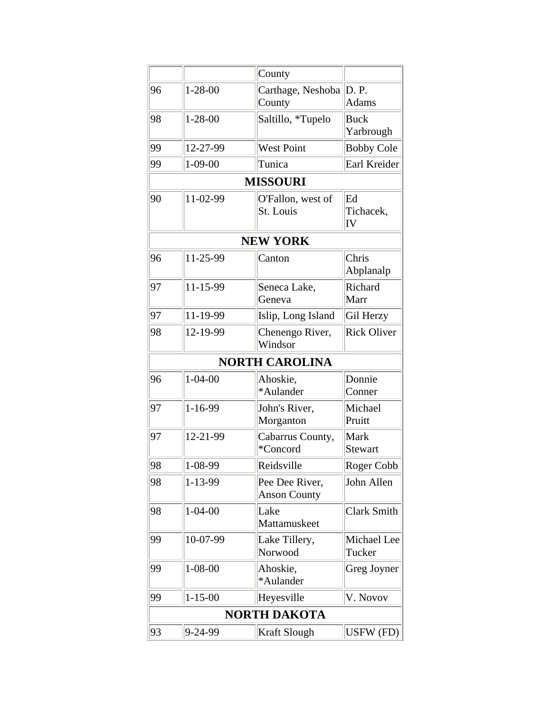|    |               | County                                |                          |
|----|---------------|---------------------------------------|--------------------------|
| 96 | $1 - 28 - 00$ | Carthage, Neshoba D. P.<br>County     | Adams                    |
| 98 | $1 - 28 - 00$ | Saltillo, *Tupelo                     | <b>Buck</b><br>Yarbrough |
| 99 | 12-27-99      | West Point                            | <b>Bobby Cole</b>        |
| 99 | $1 - 09 - 00$ | Tunica                                | Earl Kreider             |
|    |               | <b>MISSOURI</b>                       |                          |
| 90 | 11-02-99      | O'Fallon, west of<br>St. Louis        | Ed<br>Tichacek,<br>IV    |
|    |               | <b>NEW YORK</b>                       |                          |
| 96 | 11-25-99      | Canton                                | Chris<br>Abplanalp       |
| 97 | 11-15-99      | Seneca Lake,<br>Geneva                | Richard<br>Marr          |
| 97 | 11-19-99      | Islip, Long Island                    | Gil Herzy                |
| 98 | 12-19-99      | Chenengo River,<br>Windsor            | <b>Rick Oliver</b>       |
|    |               | <b>NORTH CAROLINA</b>                 |                          |
| 96 | $1 - 04 - 00$ | Ahoskie,<br>*Aulander                 | Donnie<br>Conner         |
| 97 | $1 - 16 - 99$ | John's River,<br>Morganton            | Michael<br>Pruitt        |
| 97 | 12-21-99      | Cabarrus County,<br>*Concord          | Mark<br>Stewart          |
| 98 | 1-08-99       | Reidsville                            | Roger Cobb               |
| 98 | $1 - 13 - 99$ | Pee Dee River,<br><b>Anson County</b> | John Allen               |
| 98 | $1 - 04 - 00$ | Lake<br>Mattamuskeet                  | Clark Smith              |
| 99 | 10-07-99      | Lake Tillery,<br>Norwood              | Michael Lee<br>Tucker    |
| 99 | $1 - 08 - 00$ | Ahoskie,<br>*Aulander                 | Greg Joyner              |
| 99 | $1 - 15 - 00$ | Heyesville                            | V. Novov                 |
|    |               | <b>NORTH DAKOTA</b>                   |                          |
| 93 | $9 - 24 - 99$ | Kraft Slough                          | USFW (FD)                |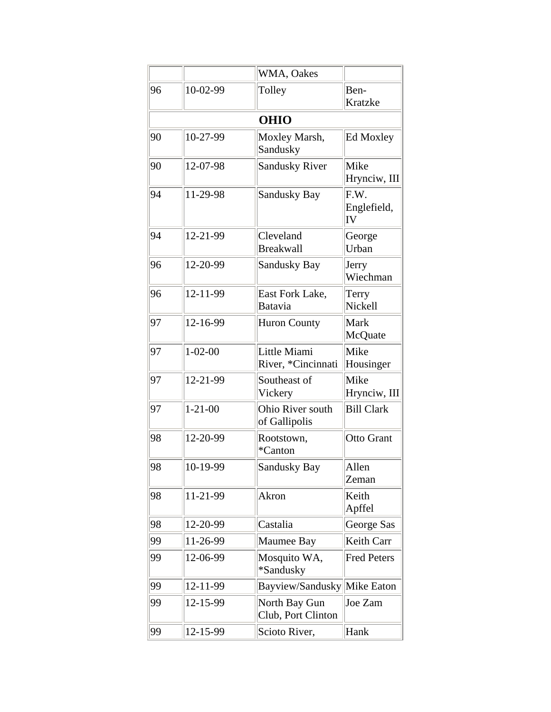|    |               | WMA, Oakes                          |                           |
|----|---------------|-------------------------------------|---------------------------|
| 96 | 10-02-99      | Tolley                              | Ben-<br>Kratzke           |
|    |               | <b>OHIO</b>                         |                           |
| 90 | 10-27-99      | Moxley Marsh,<br>Sandusky           | <b>Ed Moxley</b>          |
| 90 | 12-07-98      | <b>Sandusky River</b>               | Mike<br>Hrynciw, III      |
| 94 | 11-29-98      | Sandusky Bay                        | F.W.<br>Englefield,<br>IV |
| 94 | 12-21-99      | Cleveland<br><b>Breakwall</b>       | George<br>Urban           |
| 96 | 12-20-99      | <b>Sandusky Bay</b>                 | Jerry<br>Wiechman         |
| 96 | 12-11-99      | East Fork Lake,<br>Batavia          | Terry<br>Nickell          |
| 97 | 12-16-99      | <b>Huron County</b>                 | Mark<br>McQuate           |
| 97 | $1 - 02 - 00$ | Little Miami<br>River, *Cincinnati  | Mike<br>Housinger         |
| 97 | 12-21-99      | Southeast of<br>Vickery             | Mike<br>Hrynciw, III      |
| 97 | $1 - 21 - 00$ | Ohio River south<br>of Gallipolis   | <b>Bill Clark</b>         |
| 98 | 12-20-99      | Rootstown,<br>*Canton               | Otto Grant                |
| 98 | 10-19-99      | Sandusky Bay                        | Allen<br>Zeman            |
| 98 | 11-21-99      | Akron                               | Keith<br>Apffel           |
| 98 | 12-20-99      | Castalia                            | George Sas                |
| 99 | 11-26-99      | Maumee Bay                          | Keith Carr                |
| 99 | 12-06-99      | Mosquito WA,<br>*Sandusky           | <b>Fred Peters</b>        |
| 99 | 12-11-99      | Bayview/Sandusky Mike Eaton         |                           |
| 99 | 12-15-99      | North Bay Gun<br>Club, Port Clinton | Joe Zam                   |
| 99 | 12-15-99      | Scioto River,                       | Hank                      |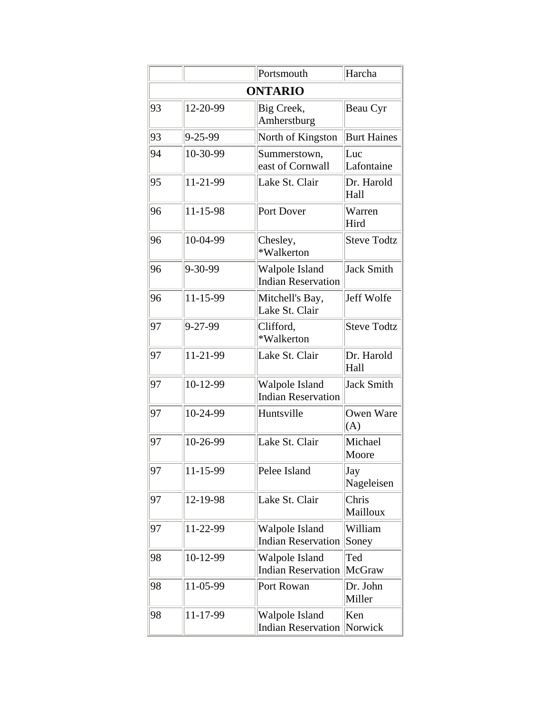|    |                   | Portsmouth                                  | Harcha             |
|----|-------------------|---------------------------------------------|--------------------|
|    |                   | <b>ONTARIO</b>                              |                    |
| 93 | 12-20-99          | Big Creek,<br>Amherstburg                   | Beau Cyr           |
| 93 | $9 - 25 - 99$     | North of Kingston                           | <b>Burt Haines</b> |
| 94 | 10-30-99          | Summerstown,<br>east of Cornwall            | Luc<br>Lafontaine  |
| 95 | 11-21-99          | Lake St. Clair                              | Dr. Harold<br>Hall |
| 96 | 11-15-98          | Port Dover                                  | Warren<br>Hird     |
| 96 | 10-04-99          | Chesley,<br>*Walkerton                      | <b>Steve Todtz</b> |
| 96 | 9-30-99           | Walpole Island<br><b>Indian Reservation</b> | Jack Smith         |
| 96 | 11-15-99          | Mitchell's Bay,<br>Lake St. Clair           | Jeff Wolfe         |
| 97 | $9 - 27 - 99$     | Clifford,<br>*Walkerton                     | <b>Steve Todtz</b> |
| 97 | 11-21-99          | Lake St. Clair                              | Dr. Harold<br>Hall |
| 97 | 10-12-99          | Walpole Island<br><b>Indian Reservation</b> | <b>Jack Smith</b>  |
| 97 | 10-24-99          | Huntsville                                  | Owen Ware<br>(A)   |
| 97 | 10-26-99          | Lake St. Clair                              | Michael<br>Moore   |
| 97 | $\sqrt{11-15-99}$ | Pelee Island                                | Jay<br>Nageleisen  |
| 97 | 12-19-98          | Lake St. Clair                              | Chris<br>Mailloux  |
| 97 | 11-22-99          | Walpole Island<br><b>Indian Reservation</b> | William<br>Soney   |
| 98 | 10-12-99          | Walpole Island<br><b>Indian Reservation</b> | Ted<br>McGraw      |
| 98 | 11-05-99          | Port Rowan                                  | Dr. John<br>Miller |
| 98 | 11-17-99          | Walpole Island<br><b>Indian Reservation</b> | Ken<br>Norwick     |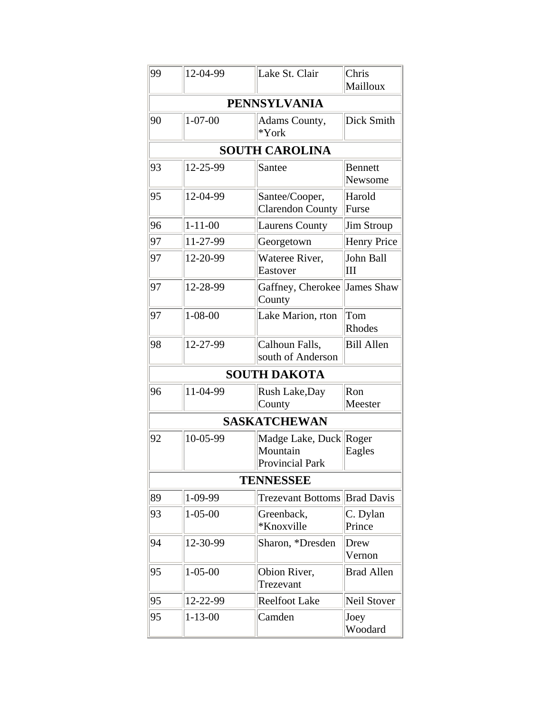| 99 | 12-04-99      | Lake St. Clair                                               | Chris<br>Mailloux         |
|----|---------------|--------------------------------------------------------------|---------------------------|
|    |               | <b>PENNSYLVANIA</b>                                          |                           |
| 90 | $1 - 07 - 00$ | Adams County,<br>$*York$                                     | Dick Smith                |
|    |               | <b>SOUTH CAROLINA</b>                                        |                           |
| 93 | 12-25-99      | Santee                                                       | <b>Bennett</b><br>Newsome |
| 95 | 12-04-99      | Santee/Cooper,<br><b>Clarendon County</b>                    | Harold<br>Furse           |
| 96 | $1 - 11 - 00$ | <b>Laurens County</b>                                        | <b>Jim Stroup</b>         |
| 97 | 11-27-99      | Georgetown                                                   | <b>Henry Price</b>        |
| 97 | 12-20-99      | Wateree River,<br>Eastover                                   | John Ball<br>III          |
| 97 | 12-28-99      | Gaffney, Cherokee<br>County                                  | James Shaw                |
| 97 | $1 - 08 - 00$ | Lake Marion, rton                                            | Tom<br>Rhodes             |
| 98 | 12-27-99      | Calhoun Falls,<br>south of Anderson                          | <b>Bill Allen</b>         |
|    |               | <b>SOUTH DAKOTA</b>                                          |                           |
| 96 | 11-04-99      | Rush Lake, Day<br>County                                     | Ron<br>Meester            |
|    |               | <b>SASKATCHEWAN</b>                                          |                           |
| 92 | 10-05-99      | Madge Lake, Duck Roger<br>Mountain<br><b>Provincial Park</b> | Eagles                    |
|    |               | <b>TENNESSEE</b>                                             |                           |
| 89 | 1-09-99       | <b>Trezevant Bottoms</b>                                     | <b>Brad Davis</b>         |
| 93 | $1 - 05 - 00$ | Greenback,<br>*Knoxville                                     | C. Dylan<br>Prince        |
| 94 | 12-30-99      | Sharon, *Dresden                                             | Drew<br>Vernon            |
| 95 | $1 - 05 - 00$ | Obion River,<br>Trezevant                                    | <b>Brad Allen</b>         |
| 95 | 12-22-99      | <b>Reelfoot Lake</b>                                         | Neil Stover               |
| 95 | $1 - 13 - 00$ | Camden                                                       | Joey<br>Woodard           |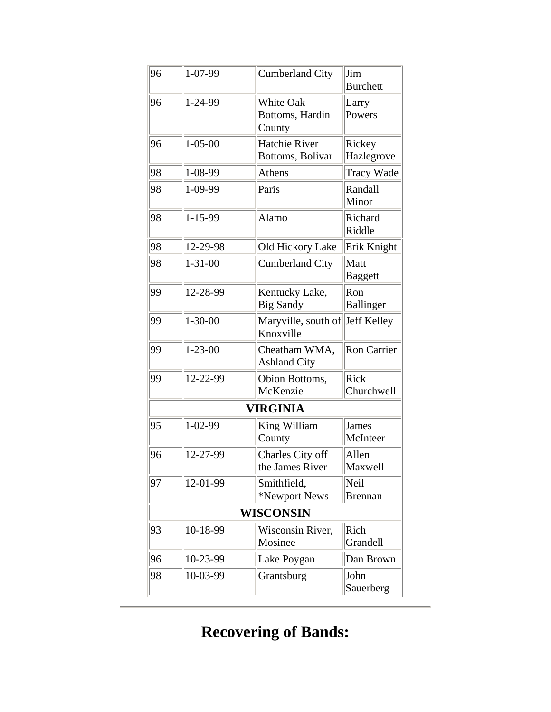| 96 | $1 - 07 - 99$ | Cumberland City                              | Jim<br><b>Burchett</b>   |
|----|---------------|----------------------------------------------|--------------------------|
| 96 | 1-24-99       | White Oak<br>Bottoms, Hardin<br>County       | Larry<br>Powers          |
| 96 | $1 - 05 - 00$ | Hatchie River<br>Bottoms, Bolivar            | Rickey<br>Hazlegrove     |
| 98 | $1 - 08 - 99$ | Athens                                       | <b>Tracy Wade</b>        |
| 98 | 1-09-99       | Paris                                        | Randall<br>Minor         |
| 98 | 1-15-99       | Alamo                                        | Richard<br>Riddle        |
| 98 | 12-29-98      | Old Hickory Lake                             | Erik Knight              |
| 98 | $1 - 31 - 00$ | <b>Cumberland City</b>                       | Matt<br><b>Baggett</b>   |
| 99 | 12-28-99      | Kentucky Lake,<br><b>Big Sandy</b>           | Ron<br><b>Ballinger</b>  |
| 99 | $1 - 30 - 00$ | Maryville, south of Jeff Kelley<br>Knoxville |                          |
| 99 | $1 - 23 - 00$ | Cheatham WMA,<br><b>Ashland City</b>         | Ron Carrier              |
| 99 | 12-22-99      | Obion Bottoms,<br>McKenzie                   | Rick<br>Churchwell       |
|    |               | <b>VIRGINIA</b>                              |                          |
| 95 | $1 - 02 - 99$ | King William<br>County                       | <b>James</b><br>McInteer |
| 96 | 12-27-99      | Charles City off<br>the James River          | Allen<br>Maxwell         |
| 97 | 12-01-99      | Smithfield,<br>*Newport News                 | Neil<br><b>Brennan</b>   |
|    |               | <b>WISCONSIN</b>                             |                          |
| 93 | 10-18-99      | Wisconsin River,<br>Mosinee                  | Rich<br>Grandell         |
| 96 | 10-23-99      | Lake Poygan                                  | Dan Brown                |
| 98 | 10-03-99      | Grantsburg                                   | John<br>Sauerberg        |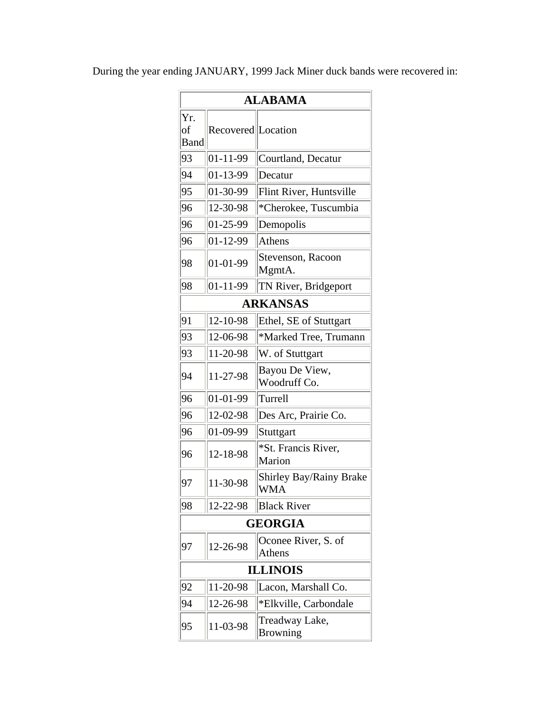|                   | <b>ALABAMA</b>      |                                       |  |
|-------------------|---------------------|---------------------------------------|--|
| Yr.<br>of<br>Band | Recovered  Location |                                       |  |
| 93                | 01-11-99            | Courtland, Decatur                    |  |
| 94                | 01-13-99            | Decatur                               |  |
| 95                | 01-30-99            | Flint River, Huntsville               |  |
| 96                | 12-30-98            | *Cherokee, Tuscumbia                  |  |
| 96                | 01-25-99            | Demopolis                             |  |
| 96                | 01-12-99            | Athens                                |  |
| 98                | 01-01-99            | Stevenson, Racoon<br>MgmtA.           |  |
| 98                | 01-11-99            | TN River, Bridgeport                  |  |
|                   |                     | <b>ARKANSAS</b>                       |  |
| 91                | 12-10-98            | Ethel, SE of Stuttgart                |  |
| 93                | 12-06-98            | *Marked Tree, Trumann                 |  |
| 93                | 11-20-98            | W. of Stuttgart                       |  |
| 94                | 11-27-98            | Bayou De View,<br>Woodruff Co.        |  |
| 96                | 01-01-99            | Turrell                               |  |
| 96                | 12-02-98            | Des Arc, Prairie Co.                  |  |
| 96                | 01-09-99            | Stuttgart                             |  |
| 96                | 12-18-98            | *St. Francis River,<br>Marion         |  |
| 97                | 11-30-98            | <b>Shirley Bay/Rainy Brake</b><br>WMA |  |
| 98                | 12-22-98            | <b>Black River</b>                    |  |
|                   |                     | <b>GEORGIA</b>                        |  |
| 97                | 12-26-98            | Oconee River, S. of<br>Athens         |  |
| <b>ILLINOIS</b>   |                     |                                       |  |
| 92                | 11-20-98            | Lacon, Marshall Co.                   |  |
| 94                | 12-26-98            | *Elkville, Carbondale                 |  |
| 95                | 11-03-98            | Treadway Lake,<br><b>Browning</b>     |  |

During the year ending JANUARY, 1999 Jack Miner duck bands were recovered in: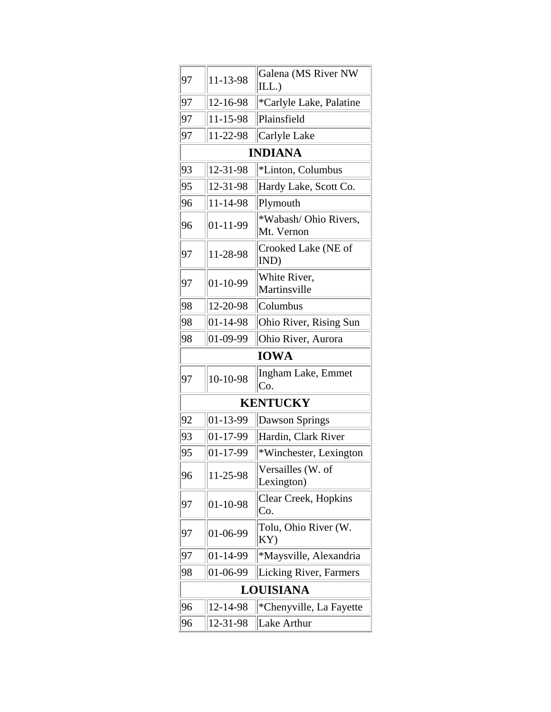| 97 | 11-13-98       | Galena (MS River NW<br>ILL.)        |
|----|----------------|-------------------------------------|
| 97 | 12-16-98       | *Carlyle Lake, Palatine             |
| 97 | 11-15-98       | Plainsfield                         |
| 97 | 11-22-98       | Carlyle Lake                        |
|    |                | <b>INDIANA</b>                      |
| 93 | 12-31-98       | *Linton, Columbus                   |
| 95 | 12-31-98       | Hardy Lake, Scott Co.               |
| 96 | 11-14-98       | Plymouth                            |
| 96 | $01 - 11 - 99$ | *Wabash/ Ohio Rivers,<br>Mt. Vernon |
| 97 | 11-28-98       | Crooked Lake (NE of<br>IND)         |
| 97 | 01-10-99       | White River,<br>Martinsville        |
| 98 | 12-20-98       | Columbus                            |
| 98 | $01 - 14 - 98$ | Ohio River, Rising Sun              |
| 98 | 01-09-99       | Ohio River, Aurora                  |
|    |                | <b>IOWA</b>                         |
| 97 | 10-10-98       | Ingham Lake, Emmet<br>Co.           |
|    |                | <b>KENTUCKY</b>                     |
| 92 | 01-13-99       | Dawson Springs                      |
| 93 | 01-17-99       | Hardin, Clark River                 |
| 95 | 01-17-99       | *Winchester, Lexington              |
| 96 | 11-25-98       | Versailles (W. of<br>Lexington)     |
| 97 | 01-10-98       | Clear Creek, Hopkins<br>Co.         |
| 97 | 01-06-99       | Tolu, Ohio River (W.<br>KY)         |
| 97 | 01-14-99       | *Maysville, Alexandria              |
| 98 | 01-06-99       | Licking River, Farmers              |
|    |                | LOUISIANA                           |
| 96 | 12-14-98       | *Chenyville, La Fayette             |
| 96 | 12-31-98       | Lake Arthur                         |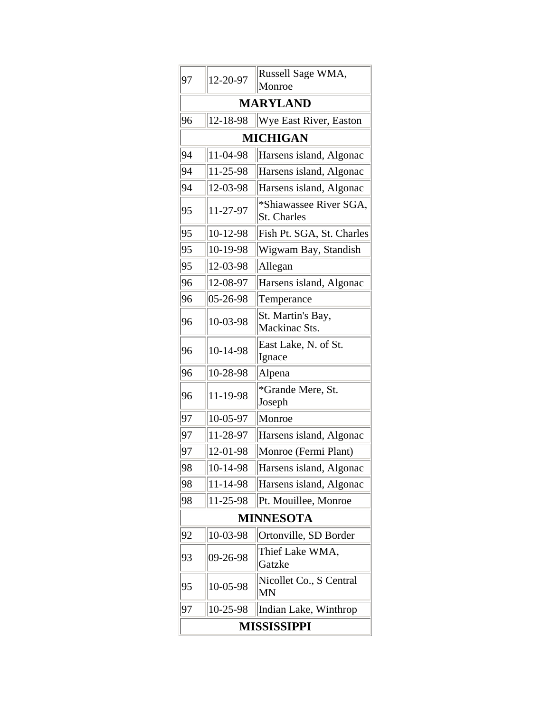| 97                 | 12-20-97        | Russell Sage WMA,<br>Monroe                  |  |  |
|--------------------|-----------------|----------------------------------------------|--|--|
| <b>MARYLAND</b>    |                 |                                              |  |  |
| 96                 | 12-18-98        | Wye East River, Easton                       |  |  |
|                    | <b>MICHIGAN</b> |                                              |  |  |
| 94                 | 11-04-98        | Harsens island, Algonac                      |  |  |
| 94                 | 11-25-98        | Harsens island, Algonac                      |  |  |
| 94                 | 12-03-98        | Harsens island, Algonac                      |  |  |
| 95                 | 11-27-97        | *Shiawassee River SGA,<br><b>St. Charles</b> |  |  |
| 95                 | 10-12-98        | Fish Pt. SGA, St. Charles                    |  |  |
| 95                 | 10-19-98        | Wigwam Bay, Standish                         |  |  |
| 95                 | 12-03-98        | Allegan                                      |  |  |
| 96                 | 12-08-97        | Harsens island, Algonac                      |  |  |
| 96                 | 05-26-98        | Temperance                                   |  |  |
| 96                 | 10-03-98        | St. Martin's Bay,<br>Mackinac Sts.           |  |  |
| 96                 | 10-14-98        | East Lake, N. of St.<br>Ignace               |  |  |
| 96                 | 10-28-98        | Alpena                                       |  |  |
| 96                 | 11-19-98        | *Grande Mere, St.<br>Joseph                  |  |  |
| 97                 | 10-05-97        | Monroe                                       |  |  |
| 97                 | 11-28-97        | Harsens island, Algonac                      |  |  |
| 97                 | 12-01-98        | Monroe (Fermi Plant)                         |  |  |
| 98                 | 10-14-98        | Harsens island, Algonac                      |  |  |
| 98                 | 11-14-98        | Harsens island, Algonac                      |  |  |
| 98                 | 11-25-98        | Pt. Mouillee, Monroe                         |  |  |
| <b>MINNESOTA</b>   |                 |                                              |  |  |
| 92                 | 10-03-98        | Ortonville, SD Border                        |  |  |
| 93                 | 09-26-98        | Thief Lake WMA,<br>Gatzke                    |  |  |
| 95                 | 10-05-98        | Nicollet Co., S Central<br>MN                |  |  |
| 97                 | 10-25-98        | Indian Lake, Winthrop                        |  |  |
| <b>MISSISSIPPI</b> |                 |                                              |  |  |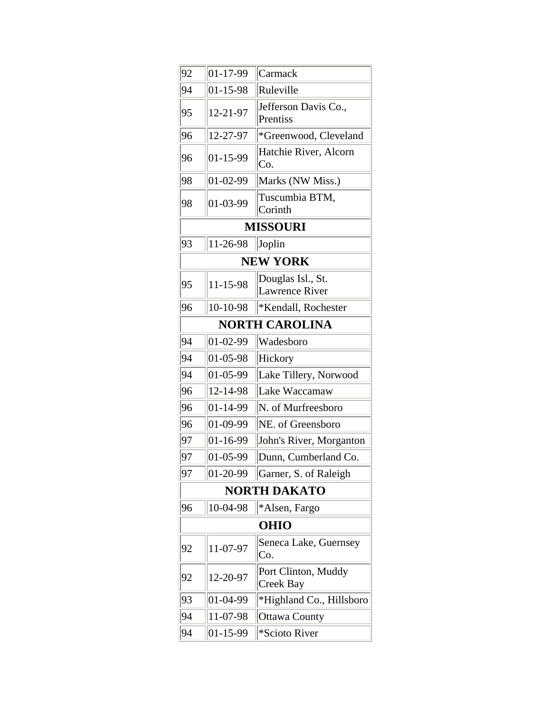| 92                    | $ 01-17-99$      | Carmack                                    |  |  |  |
|-----------------------|------------------|--------------------------------------------|--|--|--|
| 94                    | $01 - 15 - 98$   | Ruleville                                  |  |  |  |
| 95                    | 12-21-97         | Jefferson Davis Co.,<br>Prentiss           |  |  |  |
| 96                    | 12-27-97         | *Greenwood, Cleveland                      |  |  |  |
| 96                    | 01-15-99         | Hatchie River, Alcorn<br>Co.               |  |  |  |
| 98                    | $ 01-02-99$      | Marks (NW Miss.)                           |  |  |  |
| 98                    | 01-03-99         | Tuscumbia BTM,<br>Corinth                  |  |  |  |
|                       | <b>MISSOURI</b>  |                                            |  |  |  |
| 93                    | 11-26-98         | Joplin                                     |  |  |  |
| <b>NEW YORK</b>       |                  |                                            |  |  |  |
| 95                    | 11-15-98         | Douglas Isl., St.<br><b>Lawrence River</b> |  |  |  |
| 96                    | 10-10-98         | *Kendall, Rochester                        |  |  |  |
| <b>NORTH CAROLINA</b> |                  |                                            |  |  |  |
| 94                    | $ 01-02-99$      | Wadesboro                                  |  |  |  |
| 94                    | 01-05-98         | Hickory                                    |  |  |  |
| 94                    | $ 01-05-99$      | Lake Tillery, Norwood                      |  |  |  |
| 96                    | 12-14-98         | Lake Waccamaw                              |  |  |  |
| 96                    | $ 01 - 14 - 99$  | N. of Murfreesboro                         |  |  |  |
| 96                    | 01-09-99         | NE. of Greensboro                          |  |  |  |
| 97                    | $ 01 - 16 - 99 $ | John's River, Morganton                    |  |  |  |
| 97                    | 01-05-99         | Dunn, Cumberland Co.                       |  |  |  |
| 97                    | $ 01-20-99$      | Garner, S. of Raleigh                      |  |  |  |
| <b>NORTH DAKATO</b>   |                  |                                            |  |  |  |
| 96                    | 10-04-98         | *Alsen, Fargo                              |  |  |  |
| <b>OHIO</b>           |                  |                                            |  |  |  |
| 92                    | 11-07-97         | Seneca Lake, Guernsey<br>Co.               |  |  |  |
| 92                    | 12-20-97         | Port Clinton, Muddy<br>Creek Bay           |  |  |  |
| 93                    | 01-04-99         | *Highland Co., Hillsboro                   |  |  |  |
| 94                    | 11-07-98         | <b>Ottawa County</b>                       |  |  |  |
| 94                    | 01-15-99         | *Scioto River                              |  |  |  |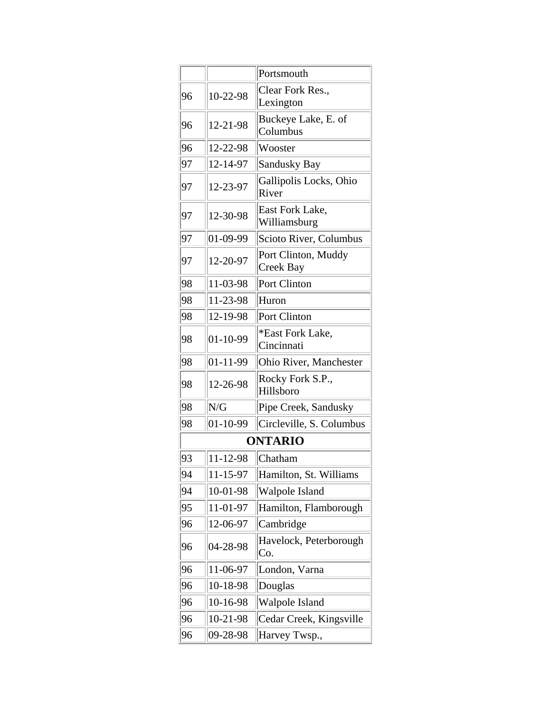|    |                 | Portsmouth                       |  |  |  |
|----|-----------------|----------------------------------|--|--|--|
| 96 | 10-22-98        | Clear Fork Res.,<br>Lexington    |  |  |  |
| 96 | 12-21-98        | Buckeye Lake, E. of<br>Columbus  |  |  |  |
| 96 | 12-22-98        | Wooster                          |  |  |  |
| 97 | 12-14-97        | <b>Sandusky Bay</b>              |  |  |  |
| 97 | 12-23-97        | Gallipolis Locks, Ohio<br>River  |  |  |  |
| 97 | 12-30-98        | East Fork Lake,<br>Williamsburg  |  |  |  |
| 97 | $ 01-09-99$     | Scioto River, Columbus           |  |  |  |
| 97 | 12-20-97        | Port Clinton, Muddy<br>Creek Bay |  |  |  |
| 98 | 11-03-98        | Port Clinton                     |  |  |  |
| 98 | 11-23-98        | Huron                            |  |  |  |
| 98 | 12-19-98        | Port Clinton                     |  |  |  |
| 98 | 01-10-99        | *East Fork Lake,<br>Cincinnati   |  |  |  |
| 98 | $ 01 - 11 - 99$ | Ohio River, Manchester           |  |  |  |
| 98 | 12-26-98        | Rocky Fork S.P.,<br>Hillsboro    |  |  |  |
| 98 | N/G             | Pipe Creek, Sandusky             |  |  |  |
| 98 | $ 01-10-99$     | Circleville, S. Columbus         |  |  |  |
|    | <b>ONTARIO</b>  |                                  |  |  |  |
| 93 | 11-12-98        | Chatham                          |  |  |  |
| 94 | 11-15-97        | Hamilton, St. Williams           |  |  |  |
| 94 | 10-01-98        | Walpole Island                   |  |  |  |
| 95 | 11-01-97        | Hamilton, Flamborough            |  |  |  |
| 96 | 12-06-97        | Cambridge                        |  |  |  |
| 96 | 04-28-98        | Havelock, Peterborough<br>Co.    |  |  |  |
| 96 | 11-06-97        | London, Varna                    |  |  |  |
| 96 | 10-18-98        | Douglas                          |  |  |  |
| 96 | 10-16-98        | Walpole Island                   |  |  |  |
| 96 | 10-21-98        | Cedar Creek, Kingsville          |  |  |  |
| 96 | 09-28-98        | Harvey Twsp.,                    |  |  |  |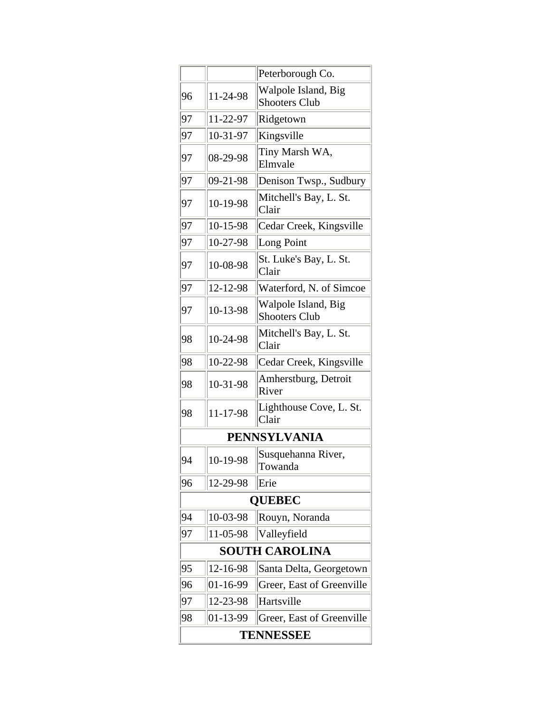|                       |                     | Peterborough Co.                            |  |  |
|-----------------------|---------------------|---------------------------------------------|--|--|
| 96                    | 11-24-98            | Walpole Island, Big<br><b>Shooters Club</b> |  |  |
| 97                    | 11-22-97            | Ridgetown                                   |  |  |
| 97                    | 10-31-97            | Kingsville                                  |  |  |
| 97                    | 08-29-98            | Tiny Marsh WA,<br>Elmvale                   |  |  |
| 97                    | 09-21-98            | Denison Twsp., Sudbury                      |  |  |
| 97                    | 10-19-98            | Mitchell's Bay, L. St.<br>Clair             |  |  |
| 97                    | 10-15-98            | Cedar Creek, Kingsville                     |  |  |
| 97                    | 10-27-98            | Long Point                                  |  |  |
| 97                    | 10-08-98            | St. Luke's Bay, L. St.<br>Clair             |  |  |
| 97                    | 12-12-98            | Waterford, N. of Simcoe                     |  |  |
| 97                    | 10-13-98            | Walpole Island, Big<br><b>Shooters Club</b> |  |  |
| 98                    | 10-24-98            | Mitchell's Bay, L. St.<br>Clair             |  |  |
| 98                    | 10-22-98            | Cedar Creek, Kingsville                     |  |  |
| 98                    | 10-31-98            | Amherstburg, Detroit<br>River               |  |  |
| 98                    | 11-17-98            | Lighthouse Cove, L. St.<br>Clair            |  |  |
|                       | <b>PENNSYLVANIA</b> |                                             |  |  |
| 94                    | 10-19-98            | Susquehanna River,<br>Towanda               |  |  |
| 96                    | 12-29-98            | Erie                                        |  |  |
| <b>OUEBEC</b>         |                     |                                             |  |  |
| 94                    | 10-03-98            | Rouyn, Noranda                              |  |  |
| 97                    | 11-05-98            | Valleyfield                                 |  |  |
| <b>SOUTH CAROLINA</b> |                     |                                             |  |  |
| 95                    | 12-16-98            | Santa Delta, Georgetown                     |  |  |
| 96                    | 01-16-99            | Greer, East of Greenville                   |  |  |
| 97                    | 12-23-98            | Hartsville                                  |  |  |
| 98                    | 01-13-99            | Greer, East of Greenville                   |  |  |
| TENNESSEE             |                     |                                             |  |  |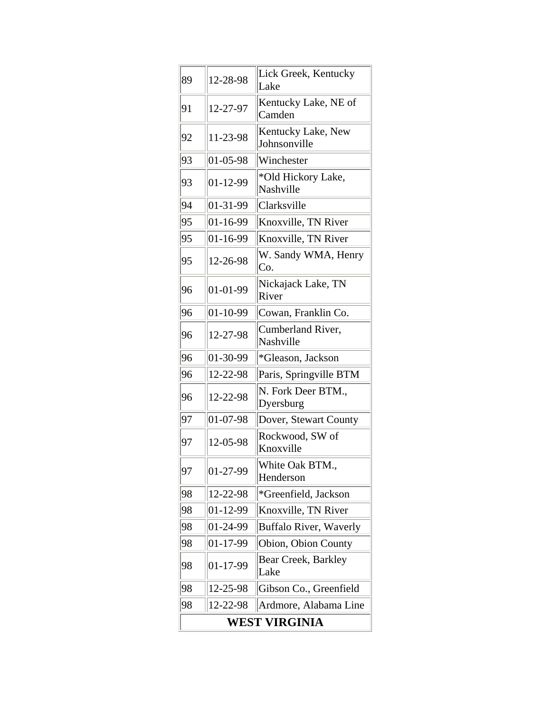| 89            | 12-28-98       | Lick Greek, Kentucky<br>Lake       |
|---------------|----------------|------------------------------------|
| 91            | 12-27-97       | Kentucky Lake, NE of<br>Camden     |
| 92            | 11-23-98       | Kentucky Lake, New<br>Johnsonville |
| 93            | 01-05-98       | Winchester                         |
| 93            | $01 - 12 - 99$ | *Old Hickory Lake,<br>Nashville    |
| 94            | 01-31-99       | Clarksville                        |
| 95            | 01-16-99       | Knoxville, TN River                |
| 95            | 01-16-99       | Knoxville, TN River                |
| 95            | 12-26-98       | W. Sandy WMA, Henry<br>Co.         |
| 96            | $01 - 01 - 99$ | Nickajack Lake, TN<br>River        |
| 96            | 01-10-99       | Cowan, Franklin Co.                |
| 96            | 12-27-98       | Cumberland River,<br>Nashville     |
| 96            | 01-30-99       | *Gleason, Jackson                  |
| 96            | 12-22-98       | Paris, Springville BTM             |
| 96            | 12-22-98       | N. Fork Deer BTM.,<br>Dyersburg    |
| 97            | 01-07-98       | Dover, Stewart County              |
| 97            | 12-05-98       | Rockwood, SW of<br>Knoxville       |
| 97            | 01-27-99       | White Oak BTM.<br>Henderson        |
| 98            | 12-22-98       | *Greenfield, Jackson               |
| 98            | 01-12-99       | Knoxville, TN River                |
| 98            | 01-24-99       | <b>Buffalo River, Waverly</b>      |
| 98            | 01-17-99       | Obion, Obion County                |
| 98            | 01-17-99       | Bear Creek, Barkley<br>Lake        |
| 98            | 12-25-98       | Gibson Co., Greenfield             |
| 98            | 12-22-98       | Ardmore, Alabama Line              |
| WEST VIRGINIA |                |                                    |